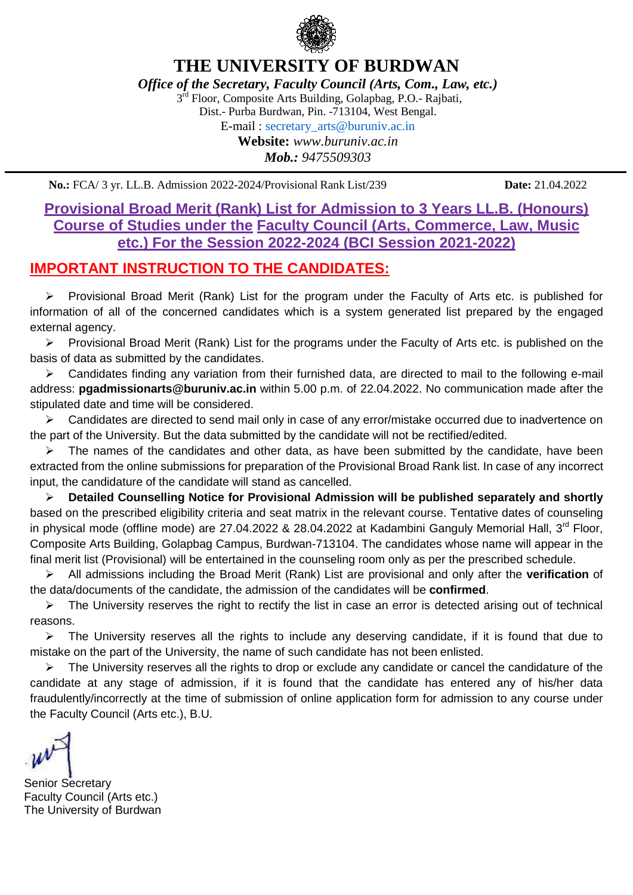

*Office of the Secretary, Faculty Council (Arts, Com., Law, etc.)*

3<sup>rd</sup> Floor, Composite Arts Building, Golapbag, P.O.- Rajbati,

Dist.- Purba Burdwan, Pin. -713104, West Bengal.

E-mail : secretary\_arts@buruniv.ac.in **Website:** *www.buruniv.ac.in*

*Mob.: 9475509303*

**No.:** FCA/ 3 yr. LL.B. Admission 2022-2024/Provisional Rank List/239 **Date:** 21.04.2022

### **Provisional Broad Merit (Rank) List for Admission to 3 Years LL.B. (Honours) Course of Studies under the Faculty Council (Arts, Commerce, Law, Music etc.) For the Session 2022-2024 (BCI Session 2021-2022)**

## **IMPORTANT INSTRUCTION TO THE CANDIDATES:**

 Provisional Broad Merit (Rank) List for the program under the Faculty of Arts etc. is published for information of all of the concerned candidates which is a system generated list prepared by the engaged external agency.

 $\triangleright$  Provisional Broad Merit (Rank) List for the programs under the Faculty of Arts etc. is published on the basis of data as submitted by the candidates.

 $\triangleright$  Candidates finding any variation from their furnished data, are directed to mail to the following e-mail address: **pgadmissionarts@buruniv.ac.in** within 5.00 p.m. of 22.04.2022. No communication made after the stipulated date and time will be considered.

 $\triangleright$  Candidates are directed to send mail only in case of any error/mistake occurred due to inadvertence on the part of the University. But the data submitted by the candidate will not be rectified/edited.

 $\triangleright$  The names of the candidates and other data, as have been submitted by the candidate, have been extracted from the online submissions for preparation of the Provisional Broad Rank list. In case of any incorrect input, the candidature of the candidate will stand as cancelled.

 **Detailed Counselling Notice for Provisional Admission will be published separately and shortly** based on the prescribed eligibility criteria and seat matrix in the relevant course. Tentative dates of counseling in physical mode (offline mode) are 27.04.2022 & 28.04.2022 at Kadambini Ganguly Memorial Hall, 3<sup>rd</sup> Floor, Composite Arts Building, Golapbag Campus, Burdwan-713104. The candidates whose name will appear in the final merit list (Provisional) will be entertained in the counseling room only as per the prescribed schedule.

 All admissions including the Broad Merit (Rank) List are provisional and only after the **verification** of the data/documents of the candidate, the admission of the candidates will be **confirmed**.

 $\triangleright$  The University reserves the right to rectify the list in case an error is detected arising out of technical reasons.

 $\triangleright$  The University reserves all the rights to include any deserving candidate, if it is found that due to mistake on the part of the University, the name of such candidate has not been enlisted.

 $\triangleright$  The University reserves all the rights to drop or exclude any candidate or cancel the candidature of the candidate at any stage of admission, if it is found that the candidate has entered any of his/her data fraudulently/incorrectly at the time of submission of online application form for admission to any course under the Faculty Council (Arts etc.), B.U.

Senior Secretary Faculty Council (Arts etc.) The University of Burdwan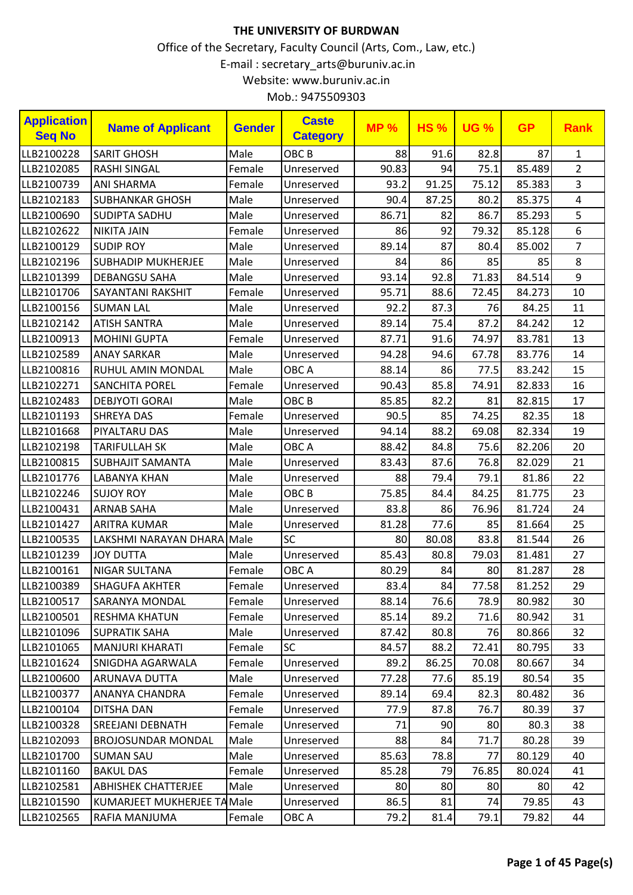| <b>Application</b><br><b>Seq No</b> | <b>Name of Applicant</b>    | <b>Gender</b> | <b>Caste</b><br><b>Category</b> | <b>MP %</b> | <b>HS%</b> | <b>UG %</b> | <b>GP</b> | <b>Rank</b>    |
|-------------------------------------|-----------------------------|---------------|---------------------------------|-------------|------------|-------------|-----------|----------------|
| LLB2100228                          | <b>SARIT GHOSH</b>          | Male          | OBC <sub>B</sub>                | 88          | 91.6       | 82.8        | 87        | $\mathbf{1}$   |
| LLB2102085                          | <b>RASHI SINGAL</b>         | Female        | Unreserved                      | 90.83       | 94         | 75.1        | 85.489    | $\overline{2}$ |
| LLB2100739                          | <b>ANI SHARMA</b>           | Female        | Unreserved                      | 93.2        | 91.25      | 75.12       | 85.383    | 3              |
| LLB2102183                          | <b>SUBHANKAR GHOSH</b>      | Male          | Unreserved                      | 90.4        | 87.25      | 80.2        | 85.375    | 4              |
| LLB2100690                          | <b>SUDIPTA SADHU</b>        | Male          | Unreserved                      | 86.71       | 82         | 86.7        | 85.293    | 5              |
| LLB2102622                          | <b>NIKITA JAIN</b>          | Female        | Unreserved                      | 86          | 92         | 79.32       | 85.128    | 6              |
| LLB2100129                          | <b>SUDIP ROY</b>            | Male          | Unreserved                      | 89.14       | 87         | 80.4        | 85.002    | $\overline{7}$ |
| LLB2102196                          | <b>SUBHADIP MUKHERJEE</b>   | Male          | Unreserved                      | 84          | 86         | 85          | 85        | 8              |
| LLB2101399                          | <b>DEBANGSU SAHA</b>        | Male          | Unreserved                      | 93.14       | 92.8       | 71.83       | 84.514    | 9              |
| LLB2101706                          | <b>SAYANTANI RAKSHIT</b>    | Female        | Unreserved                      | 95.71       | 88.6       | 72.45       | 84.273    | 10             |
| LLB2100156                          | <b>SUMAN LAL</b>            | Male          | Unreserved                      | 92.2        | 87.3       | 76          | 84.25     | 11             |
| LLB2102142                          | <b>ATISH SANTRA</b>         | Male          | Unreserved                      | 89.14       | 75.4       | 87.2        | 84.242    | 12             |
| LLB2100913                          | <b>MOHINI GUPTA</b>         | Female        | Unreserved                      | 87.71       | 91.6       | 74.97       | 83.781    | 13             |
| LLB2102589                          | <b>ANAY SARKAR</b>          | Male          | Unreserved                      | 94.28       | 94.6       | 67.78       | 83.776    | 14             |
| LLB2100816                          | RUHUL AMIN MONDAL           | Male          | OBC A                           | 88.14       | 86         | 77.5        | 83.242    | 15             |
| LLB2102271                          | <b>SANCHITA POREL</b>       | Female        | Unreserved                      | 90.43       | 85.8       | 74.91       | 82.833    | 16             |
| LLB2102483                          | <b>DEBJYOTI GORAI</b>       | Male          | OBC <sub>B</sub>                | 85.85       | 82.2       | 81          | 82.815    | 17             |
| LLB2101193                          | <b>SHREYA DAS</b>           | Female        | Unreserved                      | 90.5        | 85         | 74.25       | 82.35     | 18             |
| LLB2101668                          | PIYALTARU DAS               | Male          | Unreserved                      | 94.14       | 88.2       | 69.08       | 82.334    | 19             |
| LLB2102198                          | <b>TARIFULLAH SK</b>        | Male          | OBC A                           | 88.42       | 84.8       | 75.6        | 82.206    | 20             |
| LLB2100815                          | <b>SUBHAJIT SAMANTA</b>     | Male          | Unreserved                      | 83.43       | 87.6       | 76.8        | 82.029    | 21             |
| LLB2101776                          | <b>LABANYA KHAN</b>         | Male          | Unreserved                      | 88          | 79.4       | 79.1        | 81.86     | 22             |
| LLB2102246                          | <b>SUJOY ROY</b>            | Male          | OBC <sub>B</sub>                | 75.85       | 84.4       | 84.25       | 81.775    | 23             |
| LLB2100431                          | <b>ARNAB SAHA</b>           | Male          | Unreserved                      | 83.8        | 86         | 76.96       | 81.724    | 24             |
| LLB2101427                          | <b>ARITRA KUMAR</b>         | Male          | Unreserved                      | 81.28       | 77.6       | 85          | 81.664    | 25             |
| LLB2100535                          | LAKSHMI NARAYAN DHARA Male  |               | <b>SC</b>                       | 80          | 80.08      | 83.8        | 81.544    | 26             |
| LLB2101239                          | <b>JOY DUTTA</b>            | Male          | Unreserved                      | 85.43       | 80.8       | 79.03       | 81.481    | 27             |
| LLB2100161                          | NIGAR SULTANA               | Female        | OBC A                           | 80.29       | 84         | 80          | 81.287    | 28             |
| LLB2100389                          | SHAGUFA AKHTER              | Female        | Unreserved                      | 83.4        | 84         | 77.58       | 81.252    | 29             |
| LLB2100517                          | <b>SARANYA MONDAL</b>       | Female        | Unreserved                      | 88.14       | 76.6       | 78.9        | 80.982    | 30             |
| LLB2100501                          | <b>RESHMA KHATUN</b>        | Female        | Unreserved                      | 85.14       | 89.2       | 71.6        | 80.942    | 31             |
| LLB2101096                          | <b>SUPRATIK SAHA</b>        | Male          | Unreserved                      | 87.42       | 80.8       | 76          | 80.866    | 32             |
| LLB2101065                          | <b>MANJURI KHARATI</b>      | Female        | <b>SC</b>                       | 84.57       | 88.2       | 72.41       | 80.795    | 33             |
| LLB2101624                          | SNIGDHA AGARWALA            | Female        | Unreserved                      | 89.2        | 86.25      | 70.08       | 80.667    | 34             |
| LLB2100600                          | ARUNAVA DUTTA               | Male          | Unreserved                      | 77.28       | 77.6       | 85.19       | 80.54     | 35             |
| LLB2100377                          | ANANYA CHANDRA              | Female        | Unreserved                      | 89.14       | 69.4       | 82.3        | 80.482    | 36             |
| LLB2100104                          | <b>DITSHA DAN</b>           | Female        | Unreserved                      | 77.9        | 87.8       | 76.7        | 80.39     | 37             |
| LLB2100328                          | <b>SREEJANI DEBNATH</b>     | Female        | Unreserved                      | 71          | 90         | 80          | 80.3      | 38             |
| LLB2102093                          | <b>BROJOSUNDAR MONDAL</b>   | Male          | Unreserved                      | 88          | 84         | 71.7        | 80.28     | 39             |
| LLB2101700                          | <b>SUMAN SAU</b>            | Male          | Unreserved                      | 85.63       | 78.8       | 77          | 80.129    | 40             |
| LLB2101160                          | <b>BAKUL DAS</b>            | Female        | Unreserved                      | 85.28       | 79         | 76.85       | 80.024    | 41             |
| LLB2102581                          | <b>ABHISHEK CHATTERJEE</b>  | Male          | Unreserved                      | 80          | 80         | 80          | 80        | 42             |
| LLB2101590                          | KUMARJEET MUKHERJEE TA Male |               | Unreserved                      | 86.5        | 81         | 74          | 79.85     | 43             |
| LLB2102565                          | RAFIA MANJUMA               | Female        | OBC A                           | 79.2        | 81.4       | 79.1        | 79.82     | 44             |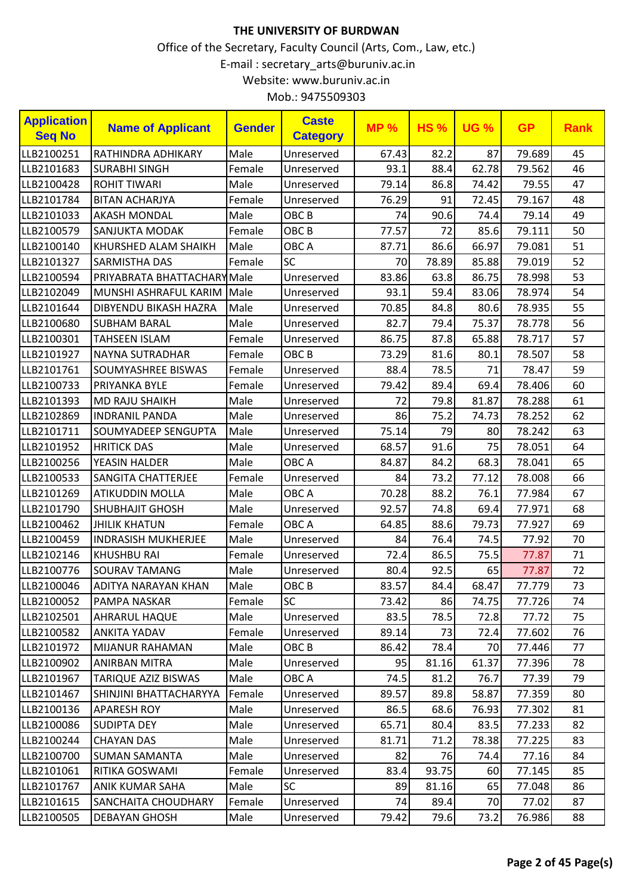| <b>Application</b><br><b>Seq No</b> | <b>Name of Applicant</b>   | <b>Gender</b> | <b>Caste</b><br><b>Category</b> | <b>MP%</b> | <b>HS%</b> | <b>UG %</b> | <b>GP</b> | <b>Rank</b> |
|-------------------------------------|----------------------------|---------------|---------------------------------|------------|------------|-------------|-----------|-------------|
| LLB2100251                          | RATHINDRA ADHIKARY         | Male          | Unreserved                      | 67.43      | 82.2       | 87          | 79.689    | 45          |
| LLB2101683                          | <b>SURABHI SINGH</b>       | Female        | Unreserved                      | 93.1       | 88.4       | 62.78       | 79.562    | 46          |
| LLB2100428                          | <b>ROHIT TIWARI</b>        | Male          | Unreserved                      | 79.14      | 86.8       | 74.42       | 79.55     | 47          |
| LLB2101784                          | <b>BITAN ACHARJYA</b>      | Female        | Unreserved                      | 76.29      | 91         | 72.45       | 79.167    | 48          |
| LLB2101033                          | <b>AKASH MONDAL</b>        | Male          | OBC <sub>B</sub>                | 74         | 90.6       | 74.4        | 79.14     | 49          |
| LLB2100579                          | <b>SANJUKTA MODAK</b>      | Female        | OBC <sub>B</sub>                | 77.57      | 72         | 85.6        | 79.111    | 50          |
| LLB2100140                          | KHURSHED ALAM SHAIKH       | Male          | OBC A                           | 87.71      | 86.6       | 66.97       | 79.081    | 51          |
| LLB2101327                          | <b>SARMISTHA DAS</b>       | Female        | <b>SC</b>                       | 70         | 78.89      | 85.88       | 79.019    | 52          |
| LLB2100594                          | PRIYABRATA BHATTACHARYMale |               | Unreserved                      | 83.86      | 63.8       | 86.75       | 78.998    | 53          |
| LLB2102049                          | MUNSHI ASHRAFUL KARIM      | Male          | Unreserved                      | 93.1       | 59.4       | 83.06       | 78.974    | 54          |
| LLB2101644                          | DIBYENDU BIKASH HAZRA      | Male          | Unreserved                      | 70.85      | 84.8       | 80.6        | 78.935    | 55          |
| LLB2100680                          | <b>SUBHAM BARAL</b>        | Male          | Unreserved                      | 82.7       | 79.4       | 75.37       | 78.778    | 56          |
| LLB2100301                          | <b>TAHSEEN ISLAM</b>       | Female        | Unreserved                      | 86.75      | 87.8       | 65.88       | 78.717    | 57          |
| LLB2101927                          | <b>NAYNA SUTRADHAR</b>     | Female        | OBC <sub>B</sub>                | 73.29      | 81.6       | 80.1        | 78.507    | 58          |
| LLB2101761                          | SOUMYASHREE BISWAS         | Female        | Unreserved                      | 88.4       | 78.5       | 71          | 78.47     | 59          |
| LLB2100733                          | PRIYANKA BYLE              | Female        | Unreserved                      | 79.42      | 89.4       | 69.4        | 78.406    | 60          |
| LLB2101393                          | <b>MD RAJU SHAIKH</b>      | Male          | Unreserved                      | 72         | 79.8       | 81.87       | 78.288    | 61          |
| LLB2102869                          | <b>INDRANIL PANDA</b>      | Male          | Unreserved                      | 86         | 75.2       | 74.73       | 78.252    | 62          |
| LLB2101711                          | <b>SOUMYADEEP SENGUPTA</b> | Male          | Unreserved                      | 75.14      | 79         | 80          | 78.242    | 63          |
| LLB2101952                          | <b>HRITICK DAS</b>         | Male          | Unreserved                      | 68.57      | 91.6       | 75          | 78.051    | 64          |
| LLB2100256                          | YEASIN HALDER              | Male          | OBC A                           | 84.87      | 84.2       | 68.3        | 78.041    | 65          |
| LLB2100533                          | <b>SANGITA CHATTERJEE</b>  | Female        | Unreserved                      | 84         | 73.2       | 77.12       | 78.008    | 66          |
| LLB2101269                          | <b>ATIKUDDIN MOLLA</b>     | Male          | OBC A                           | 70.28      | 88.2       | 76.1        | 77.984    | 67          |
| LLB2101790                          | <b>SHUBHAJIT GHOSH</b>     | Male          | Unreserved                      | 92.57      | 74.8       | 69.4        | 77.971    | 68          |
| LLB2100462                          | <b>JHILIK KHATUN</b>       | Female        | OBC A                           | 64.85      | 88.6       | 79.73       | 77.927    | 69          |
| LLB2100459                          | <b>INDRASISH MUKHERJEE</b> | Male          | Unreserved                      | 84         | 76.4       | 74.5        | 77.92     | 70          |
| LLB2102146                          | <b>KHUSHBU RAI</b>         | Female        | Unreserved                      | 72.4       | 86.5       | 75.5        | 77.87     | 71          |
| LLB2100776                          | <b>SOURAV TAMANG</b>       | Male          | Unreserved                      | 80.4       | 92.5       | 65          | 77.87     | 72          |
| LLB2100046                          | ADITYA NARAYAN KHAN        | Male          | OBC <sub>B</sub>                | 83.57      | 84.4       | 68.47       | 77.779    | 73          |
| LLB2100052                          | <b>PAMPA NASKAR</b>        | Female        | SC                              | 73.42      | 86         | 74.75       | 77.726    | 74          |
| LLB2102501                          | <b>AHRARUL HAQUE</b>       | Male          | Unreserved                      | 83.5       | 78.5       | 72.8        | 77.72     | 75          |
| LLB2100582                          | <b>ANKITA YADAV</b>        | Female        | Unreserved                      | 89.14      | 73         | 72.4        | 77.602    | 76          |
| LLB2101972                          | <b>MIJANUR RAHAMAN</b>     | Male          | OBC B                           | 86.42      | 78.4       | 70          | 77.446    | 77          |
| LLB2100902                          | <b>ANIRBAN MITRA</b>       | Male          | Unreserved                      | 95         | 81.16      | 61.37       | 77.396    | 78          |
| LLB2101967                          | <b>TARIQUE AZIZ BISWAS</b> | Male          | OBC A                           | 74.5       | 81.2       | 76.7        | 77.39     | 79          |
| LLB2101467                          | SHINJINI BHATTACHARYYA     | Female        | Unreserved                      | 89.57      | 89.8       | 58.87       | 77.359    | 80          |
| LLB2100136                          | <b>APARESH ROY</b>         | Male          | Unreserved                      | 86.5       | 68.6       | 76.93       | 77.302    | 81          |
| LLB2100086                          | SUDIPTA DEY                | Male          | Unreserved                      | 65.71      | 80.4       | 83.5        | 77.233    | 82          |
| LLB2100244                          | <b>CHAYAN DAS</b>          | Male          | Unreserved                      | 81.71      | 71.2       | 78.38       | 77.225    | 83          |
| LLB2100700                          | <b>SUMAN SAMANTA</b>       | Male          | Unreserved                      | 82         | 76         | 74.4        | 77.16     | 84          |
| LLB2101061                          | RITIKA GOSWAMI             | Female        | Unreserved                      | 83.4       | 93.75      | 60          | 77.145    | 85          |
| LLB2101767                          | <b>ANIK KUMAR SAHA</b>     | Male          | <b>SC</b>                       | 89         | 81.16      | 65          | 77.048    | 86          |
| LLB2101615                          | <b>SANCHAITA CHOUDHARY</b> | Female        | Unreserved                      | 74         | 89.4       | 70          | 77.02     | 87          |
| LLB2100505                          | <b>DEBAYAN GHOSH</b>       | Male          | Unreserved                      | 79.42      | 79.6       | 73.2        | 76.986    | 88          |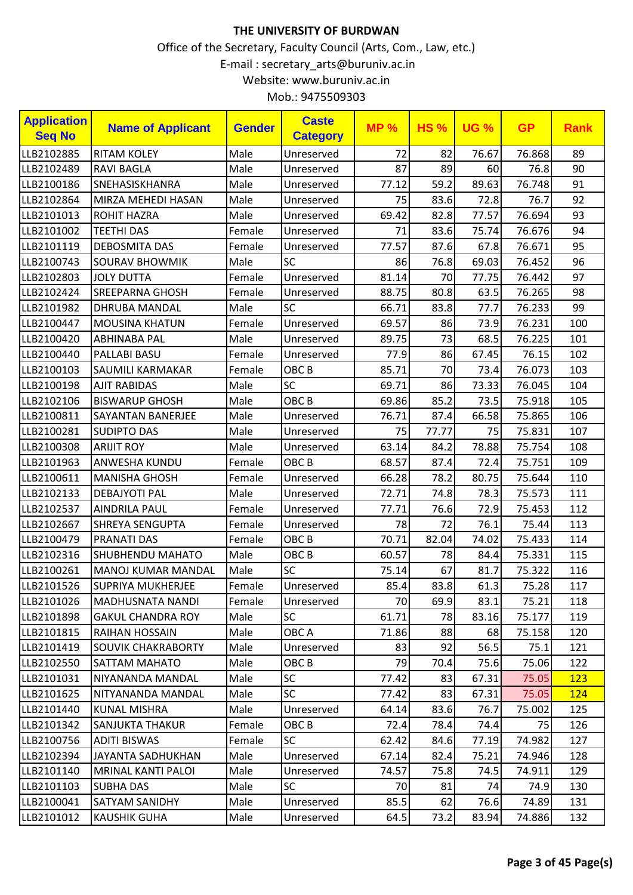| <b>Application</b><br><b>Seq No</b> | <b>Name of Applicant</b>  | <b>Gender</b> | <b>Caste</b><br><b>Category</b> | <b>MP%</b> | <b>HS%</b> | <b>UG %</b> | <b>GP</b> | <b>Rank</b> |
|-------------------------------------|---------------------------|---------------|---------------------------------|------------|------------|-------------|-----------|-------------|
| LLB2102885                          | <b>RITAM KOLEY</b>        | Male          | Unreserved                      | 72         | 82         | 76.67       | 76.868    | 89          |
| LLB2102489                          | <b>RAVI BAGLA</b>         | Male          | Unreserved                      | 87         | 89         | 60          | 76.8      | 90          |
| LLB2100186                          | SNEHASISKHANRA            | Male          | Unreserved                      | 77.12      | 59.2       | 89.63       | 76.748    | 91          |
| LLB2102864                          | MIRZA MEHEDI HASAN        | Male          | Unreserved                      | 75         | 83.6       | 72.8        | 76.7      | 92          |
| LLB2101013                          | <b>ROHIT HAZRA</b>        | Male          | Unreserved                      | 69.42      | 82.8       | 77.57       | 76.694    | 93          |
| LLB2101002                          | <b>TEETHI DAS</b>         | Female        | Unreserved                      | 71         | 83.6       | 75.74       | 76.676    | 94          |
| LLB2101119                          | <b>DEBOSMITA DAS</b>      | Female        | Unreserved                      | 77.57      | 87.6       | 67.8        | 76.671    | 95          |
| LLB2100743                          | <b>SOURAV BHOWMIK</b>     | Male          | SC                              | 86         | 76.8       | 69.03       | 76.452    | 96          |
| LLB2102803                          | <b>JOLY DUTTA</b>         | Female        | Unreserved                      | 81.14      | 70         | 77.75       | 76.442    | 97          |
| LLB2102424                          | <b>SREEPARNA GHOSH</b>    | Female        | Unreserved                      | 88.75      | 80.8       | 63.5        | 76.265    | 98          |
| LLB2101982                          | <b>DHRUBA MANDAL</b>      | Male          | <b>SC</b>                       | 66.71      | 83.8       | 77.7        | 76.233    | 99          |
| LLB2100447                          | <b>MOUSINA KHATUN</b>     | Female        | Unreserved                      | 69.57      | 86         | 73.9        | 76.231    | 100         |
| LLB2100420                          | <b>ABHINABA PAL</b>       | Male          | Unreserved                      | 89.75      | 73         | 68.5        | 76.225    | 101         |
| LLB2100440                          | PALLABI BASU              | Female        | Unreserved                      | 77.9       | 86         | 67.45       | 76.15     | 102         |
| LLB2100103                          | SAUMILI KARMAKAR          | Female        | OBC <sub>B</sub>                | 85.71      | 70         | 73.4        | 76.073    | 103         |
| LLB2100198                          | <b>AJIT RABIDAS</b>       | Male          | SC                              | 69.71      | 86         | 73.33       | 76.045    | 104         |
| LLB2102106                          | <b>BISWARUP GHOSH</b>     | Male          | OBC <sub>B</sub>                | 69.86      | 85.2       | 73.5        | 75.918    | 105         |
| LLB2100811                          | <b>SAYANTAN BANERJEE</b>  | Male          | Unreserved                      | 76.71      | 87.4       | 66.58       | 75.865    | 106         |
| LLB2100281                          | <b>SUDIPTO DAS</b>        | Male          | Unreserved                      | 75         | 77.77      | 75          | 75.831    | 107         |
| LLB2100308                          | <b>ARIJIT ROY</b>         | Male          | Unreserved                      | 63.14      | 84.2       | 78.88       | 75.754    | 108         |
| LLB2101963                          | ANWESHA KUNDU             | Female        | OBC <sub>B</sub>                | 68.57      | 87.4       | 72.4        | 75.751    | 109         |
| LLB2100611                          | <b>MANISHA GHOSH</b>      | Female        | Unreserved                      | 66.28      | 78.2       | 80.75       | 75.644    | 110         |
| LLB2102133                          | <b>DEBAJYOTI PAL</b>      | Male          | Unreserved                      | 72.71      | 74.8       | 78.3        | 75.573    | 111         |
| LLB2102537                          | <b>AINDRILA PAUL</b>      | Female        | Unreserved                      | 77.71      | 76.6       | 72.9        | 75.453    | 112         |
| LLB2102667                          | <b>SHREYA SENGUPTA</b>    | Female        | Unreserved                      | 78         | 72         | 76.1        | 75.44     | 113         |
| LLB2100479                          | PRANATI DAS               | Female        | OBC <sub>B</sub>                | 70.71      | 82.04      | 74.02       | 75.433    | 114         |
| LLB2102316                          | <b>SHUBHENDU MAHATO</b>   | Male          | OBC <sub>B</sub>                | 60.57      | 78         | 84.4        | 75.331    | 115         |
| LLB2100261                          | MANOJ KUMAR MANDAL        | Male          | SC                              | 75.14      | 67         | 81.7        | 75.322    | 116         |
| LLB2101526                          | <b>SUPRIYA MUKHERJEE</b>  | Female        | Unreserved                      | 85.4       | 83.8       | 61.3        | 75.28     | 117         |
| LLB2101026                          | <b>MADHUSNATA NANDI</b>   | Female        | Unreserved                      | 70         | 69.9       | 83.1        | 75.21     | 118         |
| LLB2101898                          | <b>GAKUL CHANDRA ROY</b>  | Male          | <b>SC</b>                       | 61.71      | 78         | 83.16       | 75.177    | 119         |
| LLB2101815                          | <b>RAIHAN HOSSAIN</b>     | Male          | OBC A                           | 71.86      | 88         | 68          | 75.158    | 120         |
| LLB2101419                          | <b>SOUVIK CHAKRABORTY</b> | Male          | Unreserved                      | 83         | 92         | 56.5        | 75.1      | 121         |
| LLB2102550                          | <b>SATTAM MAHATO</b>      | Male          | OBC <sub>B</sub>                | 79         | 70.4       | 75.6        | 75.06     | 122         |
| LLB2101031                          | NIYANANDA MANDAL          | Male          | <b>SC</b>                       | 77.42      | 83         | 67.31       | 75.05     | 123         |
| LLB2101625                          | NITYANANDA MANDAL         | Male          | <b>SC</b>                       | 77.42      | 83         | 67.31       | 75.05     | 124         |
| LLB2101440                          | <b>KUNAL MISHRA</b>       | Male          | Unreserved                      | 64.14      | 83.6       | 76.7        | 75.002    | 125         |
| LLB2101342                          | <b>SANJUKTA THAKUR</b>    | Female        | OBC <sub>B</sub>                | 72.4       | 78.4       | 74.4        | 75        | 126         |
| LLB2100756                          | <b>ADITI BISWAS</b>       | Female        | <b>SC</b>                       | 62.42      | 84.6       | 77.19       | 74.982    | 127         |
| LLB2102394                          | JAYANTA SADHUKHAN         | Male          | Unreserved                      | 67.14      | 82.4       | 75.21       | 74.946    | 128         |
| LLB2101140                          | <b>MRINAL KANTI PALOI</b> | Male          | Unreserved                      | 74.57      | 75.8       | 74.5        | 74.911    | 129         |
| LLB2101103                          | <b>SUBHA DAS</b>          | Male          | <b>SC</b>                       | 70         | 81         | 74          | 74.9      | 130         |
| LLB2100041                          | <b>SATYAM SANIDHY</b>     | Male          | Unreserved                      | 85.5       | 62         | 76.6        | 74.89     | 131         |
| LLB2101012                          | <b>KAUSHIK GUHA</b>       | Male          | Unreserved                      | 64.5       | 73.2       | 83.94       | 74.886    | 132         |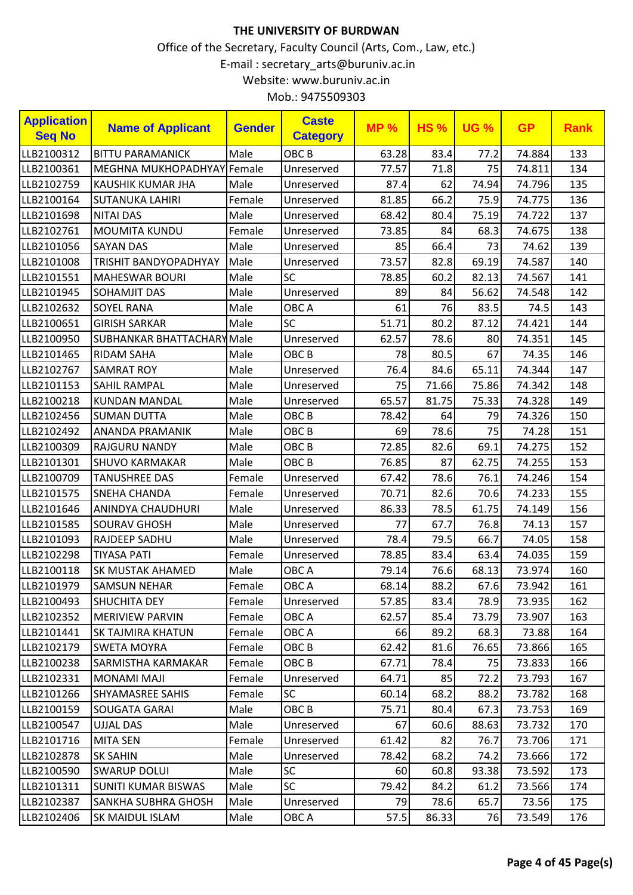| <b>Application</b><br><b>Seq No</b> | <b>Name of Applicant</b>          | <b>Gender</b> | <b>Caste</b><br><b>Category</b> | MP <sub>2</sub> | <b>HS%</b> | <b>UG %</b> | <b>GP</b> | <b>Rank</b> |
|-------------------------------------|-----------------------------------|---------------|---------------------------------|-----------------|------------|-------------|-----------|-------------|
| LLB2100312                          | <b>BITTU PARAMANICK</b>           | Male          | OBC <sub>B</sub>                | 63.28           | 83.4       | 77.2        | 74.884    | 133         |
| LLB2100361                          | MEGHNA MUKHOPADHYAY Female        |               | Unreserved                      | 77.57           | 71.8       | 75          | 74.811    | 134         |
| LLB2102759                          | KAUSHIK KUMAR JHA                 | Male          | Unreserved                      | 87.4            | 62         | 74.94       | 74.796    | 135         |
| LLB2100164                          | <b>SUTANUKA LAHIRI</b>            | Female        | Unreserved                      | 81.85           | 66.2       | 75.9        | 74.775    | 136         |
| LLB2101698                          | <b>NITAI DAS</b>                  | Male          | Unreserved                      | 68.42           | 80.4       | 75.19       | 74.722    | 137         |
| LLB2102761                          | <b>MOUMITA KUNDU</b>              | Female        | Unreserved                      | 73.85           | 84         | 68.3        | 74.675    | 138         |
| LLB2101056                          | <b>SAYAN DAS</b>                  | Male          | Unreserved                      | 85              | 66.4       | 73          | 74.62     | 139         |
| LLB2101008                          | <b>TRISHIT BANDYOPADHYAY</b>      | Male          | Unreserved                      | 73.57           | 82.8       | 69.19       | 74.587    | 140         |
| LLB2101551                          | <b>MAHESWAR BOURI</b>             | Male          | SC                              | 78.85           | 60.2       | 82.13       | 74.567    | 141         |
| LLB2101945                          | <b>SOHAMJIT DAS</b>               | Male          | Unreserved                      | 89              | 84         | 56.62       | 74.548    | 142         |
| LLB2102632                          | <b>SOYEL RANA</b>                 | Male          | OBC A                           | 61              | 76         | 83.5        | 74.5      | 143         |
| LLB2100651                          | <b>GIRISH SARKAR</b>              | Male          | <b>SC</b>                       | 51.71           | 80.2       | 87.12       | 74.421    | 144         |
| LLB2100950                          | <b>SUBHANKAR BHATTACHARY Male</b> |               | Unreserved                      | 62.57           | 78.6       | 80          | 74.351    | 145         |
| LLB2101465                          | <b>RIDAM SAHA</b>                 | Male          | OBC <sub>B</sub>                | 78              | 80.5       | 67          | 74.35     | 146         |
| LLB2102767                          | <b>SAMRAT ROY</b>                 | Male          | Unreserved                      | 76.4            | 84.6       | 65.11       | 74.344    | 147         |
| LLB2101153                          | SAHIL RAMPAL                      | Male          | Unreserved                      | 75              | 71.66      | 75.86       | 74.342    | 148         |
| LLB2100218                          | <b>KUNDAN MANDAL</b>              | Male          | Unreserved                      | 65.57           | 81.75      | 75.33       | 74.328    | 149         |
| LLB2102456                          | <b>SUMAN DUTTA</b>                | Male          | OBC <sub>B</sub>                | 78.42           | 64         | 79          | 74.326    | 150         |
| LLB2102492                          | ANANDA PRAMANIK                   | Male          | OBC <sub>B</sub>                | 69              | 78.6       | 75          | 74.28     | 151         |
| LLB2100309                          | <b>RAJGURU NANDY</b>              | Male          | OBC <sub>B</sub>                | 72.85           | 82.6       | 69.1        | 74.275    | 152         |
| LLB2101301                          | <b>SHUVO KARMAKAR</b>             | Male          | OBC <sub>B</sub>                | 76.85           | 87         | 62.75       | 74.255    | 153         |
| LLB2100709                          | <b>TANUSHREE DAS</b>              | Female        | Unreserved                      | 67.42           | 78.6       | 76.1        | 74.246    | 154         |
| LLB2101575                          | <b>SNEHA CHANDA</b>               | Female        | Unreserved                      | 70.71           | 82.6       | 70.6        | 74.233    | 155         |
| LLB2101646                          | ANINDYA CHAUDHURI                 | Male          | Unreserved                      | 86.33           | 78.5       | 61.75       | 74.149    | 156         |
| LLB2101585                          | <b>SOURAV GHOSH</b>               | Male          | Unreserved                      | 77              | 67.7       | 76.8        | 74.13     | 157         |
| LLB2101093                          | RAJDEEP SADHU                     | Male          | Unreserved                      | 78.4            | 79.5       | 66.7        | 74.05     | 158         |
| LLB2102298                          | <b>TIYASA PATI</b>                | Female        | Unreserved                      | 78.85           | 83.4       | 63.4        | 74.035    | 159         |
| LLB2100118                          | SK MUSTAK AHAMED                  | Male          | OBC A                           | 79.14           | 76.6       | 68.13       | 73.974    | 160         |
| LLB2101979                          | <b>SAMSUN NEHAR</b>               | Female        | OBC A                           | 68.14           | 88.2       | 67.6        | 73.942    | 161         |
| LLB2100493                          | <b>SHUCHITA DEY</b>               | Female        | Unreserved                      | 57.85           | 83.4       | 78.9        | 73.935    | 162         |
| LLB2102352                          | <b>MERIVIEW PARVIN</b>            | Female        | OBC A                           | 62.57           | 85.4       | 73.79       | 73.907    | 163         |
| LLB2101441                          | <b>SK TAJMIRA KHATUN</b>          | Female        | OBC A                           | 66              | 89.2       | 68.3        | 73.88     | 164         |
| LLB2102179                          | <b>SWETA MOYRA</b>                | Female        | OBC B                           | 62.42           | 81.6       | 76.65       | 73.866    | 165         |
| LLB2100238                          | SARMISTHA KARMAKAR                | Female        | OBC <sub>B</sub>                | 67.71           | 78.4       | 75          | 73.833    | 166         |
| LLB2102331                          | MONAMI MAJI                       | Female        | Unreserved                      | 64.71           | 85         | 72.2        | 73.793    | 167         |
| LLB2101266                          | <b>SHYAMASREE SAHIS</b>           | Female        | <b>SC</b>                       | 60.14           | 68.2       | 88.2        | 73.782    | 168         |
| LLB2100159                          | <b>SOUGATA GARAI</b>              | Male          | OBC B                           | 75.71           | 80.4       | 67.3        | 73.753    | 169         |
| LLB2100547                          | UJJAL DAS                         | Male          | Unreserved                      | 67              | 60.6       | 88.63       | 73.732    | 170         |
| LLB2101716                          | <b>MITA SEN</b>                   | Female        | Unreserved                      | 61.42           | 82         | 76.7        | 73.706    | 171         |
| LLB2102878                          | <b>SK SAHIN</b>                   | Male          | Unreserved                      | 78.42           | 68.2       | 74.2        | 73.666    | 172         |
| LLB2100590                          | <b>SWARUP DOLUI</b>               | Male          | <b>SC</b>                       | 60              | 60.8       | 93.38       | 73.592    | 173         |
| LLB2101311                          | <b>SUNITI KUMAR BISWAS</b>        | Male          | <b>SC</b>                       | 79.42           | 84.2       | 61.2        | 73.566    | 174         |
| LLB2102387                          | <b>SANKHA SUBHRA GHOSH</b>        | Male          | Unreserved                      | 79              | 78.6       | 65.7        | 73.56     | 175         |
| LLB2102406                          | <b>SK MAIDUL ISLAM</b>            | Male          | OBC A                           | 57.5            | 86.33      | 76          | 73.549    | 176         |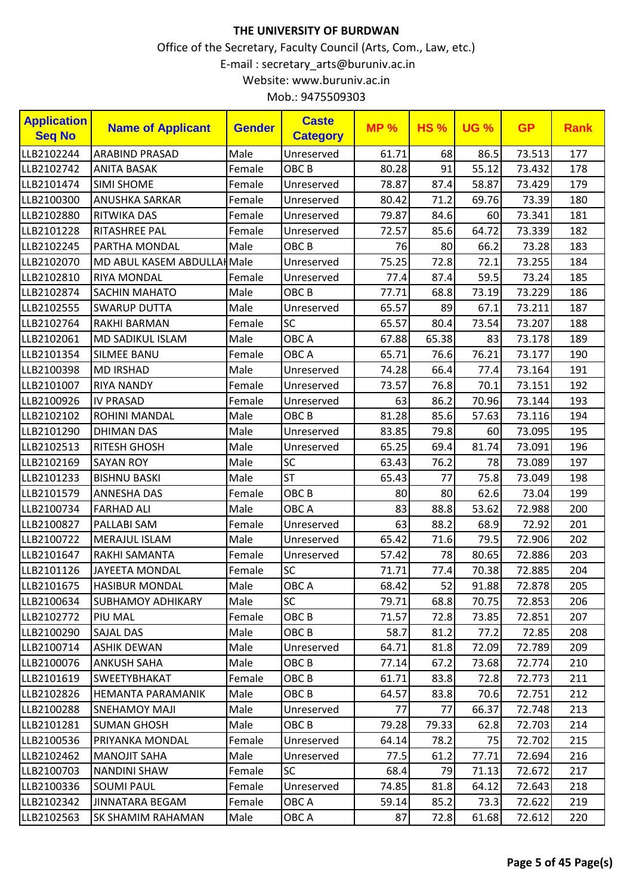| <b>Application</b><br><b>Seq No</b> | <b>Name of Applicant</b>    | <b>Gender</b> | <b>Caste</b><br><b>Category</b> | <b>MP%</b> | <b>HS%</b> | <b>UG %</b> | <b>GP</b> | <b>Rank</b> |
|-------------------------------------|-----------------------------|---------------|---------------------------------|------------|------------|-------------|-----------|-------------|
| LLB2102244                          | <b>ARABIND PRASAD</b>       | Male          | Unreserved                      | 61.71      | 68         | 86.5        | 73.513    | 177         |
| LLB2102742                          | <b>ANITA BASAK</b>          | Female        | OBC <sub>B</sub>                | 80.28      | 91         | 55.12       | 73.432    | 178         |
| LLB2101474                          | <b>SIMI SHOME</b>           | Female        | Unreserved                      | 78.87      | 87.4       | 58.87       | 73.429    | 179         |
| LLB2100300                          | <b>ANUSHKA SARKAR</b>       | Female        | Unreserved                      | 80.42      | 71.2       | 69.76       | 73.39     | 180         |
| LLB2102880                          | <b>RITWIKA DAS</b>          | Female        | Unreserved                      | 79.87      | 84.6       | 60          | 73.341    | 181         |
| LLB2101228                          | <b>RITASHREE PAL</b>        | Female        | Unreserved                      | 72.57      | 85.6       | 64.72       | 73.339    | 182         |
| LLB2102245                          | PARTHA MONDAL               | Male          | OBC <sub>B</sub>                | 76         | 80         | 66.2        | 73.28     | 183         |
| LLB2102070                          | MD ABUL KASEM ABDULLAH Male |               | Unreserved                      | 75.25      | 72.8       | 72.1        | 73.255    | 184         |
| LLB2102810                          | <b>RIYA MONDAL</b>          | Female        | Unreserved                      | 77.4       | 87.4       | 59.5        | 73.24     | 185         |
| LLB2102874                          | <b>SACHIN MAHATO</b>        | Male          | OBC <sub>B</sub>                | 77.71      | 68.8       | 73.19       | 73.229    | 186         |
| LLB2102555                          | <b>SWARUP DUTTA</b>         | Male          | Unreserved                      | 65.57      | 89         | 67.1        | 73.211    | 187         |
| LLB2102764                          | <b>RAKHI BARMAN</b>         | Female        | SC                              | 65.57      | 80.4       | 73.54       | 73.207    | 188         |
| LLB2102061                          | <b>MD SADIKUL ISLAM</b>     | Male          | OBC A                           | 67.88      | 65.38      | 83          | 73.178    | 189         |
| LLB2101354                          | <b>SILMEE BANU</b>          | Female        | OBC A                           | 65.71      | 76.6       | 76.21       | 73.177    | 190         |
| LLB2100398                          | <b>MD IRSHAD</b>            | Male          | Unreserved                      | 74.28      | 66.4       | 77.4        | 73.164    | 191         |
| LLB2101007                          | <b>RIYA NANDY</b>           | Female        | Unreserved                      | 73.57      | 76.8       | 70.1        | 73.151    | 192         |
| LLB2100926                          | <b>IV PRASAD</b>            | Female        | Unreserved                      | 63         | 86.2       | 70.96       | 73.144    | 193         |
| LLB2102102                          | ROHINI MANDAL               | Male          | OBC <sub>B</sub>                | 81.28      | 85.6       | 57.63       | 73.116    | 194         |
| LLB2101290                          | <b>DHIMAN DAS</b>           | Male          | Unreserved                      | 83.85      | 79.8       | 60          | 73.095    | 195         |
| LLB2102513                          | RITESH GHOSH                | Male          | Unreserved                      | 65.25      | 69.4       | 81.74       | 73.091    | 196         |
| LLB2102169                          | <b>SAYAN ROY</b>            | Male          | SC                              | 63.43      | 76.2       | 78          | 73.089    | 197         |
| LLB2101233                          | <b>BISHNU BASKI</b>         | Male          | <b>ST</b>                       | 65.43      | 77         | 75.8        | 73.049    | 198         |
| LLB2101579                          | <b>ANNESHA DAS</b>          | Female        | OBC <sub>B</sub>                | 80         | 80         | 62.6        | 73.04     | 199         |
| LLB2100734                          | <b>FARHAD ALI</b>           | Male          | OBC A                           | 83         | 88.8       | 53.62       | 72.988    | 200         |
| LLB2100827                          | PALLABI SAM                 | Female        | Unreserved                      | 63         | 88.2       | 68.9        | 72.92     | 201         |
| LLB2100722                          | <b>MERAJUL ISLAM</b>        | Male          | Unreserved                      | 65.42      | 71.6       | 79.5        | 72.906    | 202         |
| LLB2101647                          | RAKHI SAMANTA               | Female        | Unreserved                      | 57.42      | 78         | 80.65       | 72.886    | 203         |
| LLB2101126                          | JAYEETA MONDAL              | Female        | SC                              | 71.71      | 77.4       | 70.38       | 72.885    | 204         |
| LLB2101675                          | <b>HASIBUR MONDAL</b>       | Male          | $\sf OBC$ A                     | 68.42      | 52         | 91.88       | 72.878    | 205         |
| LLB2100634                          | <b>SUBHAMOY ADHIKARY</b>    | Male          | SC.                             | 79.71      | 68.8       | 70.75       | 72.853    | 206         |
| LLB2102772                          | PIU MAL                     | Female        | OBC B                           | 71.57      | 72.8       | 73.85       | 72.851    | 207         |
| LLB2100290                          | <b>SAJAL DAS</b>            | Male          | OBC <sub>B</sub>                | 58.7       | 81.2       | 77.2        | 72.85     | 208         |
| LLB2100714                          | <b>ASHIK DEWAN</b>          | Male          | Unreserved                      | 64.71      | 81.8       | 72.09       | 72.789    | 209         |
| LLB2100076                          | <b>ANKUSH SAHA</b>          | Male          | OBC <sub>B</sub>                | 77.14      | 67.2       | 73.68       | 72.774    | 210         |
| LLB2101619                          | <b>SWEETYBHAKAT</b>         | Female        | OBC B                           | 61.71      | 83.8       | 72.8        | 72.773    | 211         |
| LLB2102826                          | <b>HEMANTA PARAMANIK</b>    | Male          | OBC B                           | 64.57      | 83.8       | 70.6        | 72.751    | 212         |
| LLB2100288                          | <b>SNEHAMOY MAJI</b>        | Male          | Unreserved                      | 77         | 77         | 66.37       | 72.748    | 213         |
| LLB2101281                          | <b>SUMAN GHOSH</b>          | Male          | OBC B                           | 79.28      | 79.33      | 62.8        | 72.703    | 214         |
| LLB2100536                          | PRIYANKA MONDAL             | Female        | Unreserved                      | 64.14      | 78.2       | 75          | 72.702    | 215         |
| LLB2102462                          | <b>MANOJIT SAHA</b>         | Male          | Unreserved                      | 77.5       | 61.2       | 77.71       | 72.694    | 216         |
| LLB2100703                          | <b>NANDINI SHAW</b>         | Female        | <b>SC</b>                       | 68.4       | 79         | 71.13       | 72.672    | 217         |
| LLB2100336                          | <b>SOUMI PAUL</b>           | Female        | Unreserved                      | 74.85      | 81.8       | 64.12       | 72.643    | 218         |
| LLB2102342                          | <b>JINNATARA BEGAM</b>      | Female        | OBC A                           | 59.14      | 85.2       | 73.3        | 72.622    | 219         |
| LLB2102563                          | SK SHAMIM RAHAMAN           | Male          | OBC A                           | 87         | 72.8       | 61.68       | 72.612    | 220         |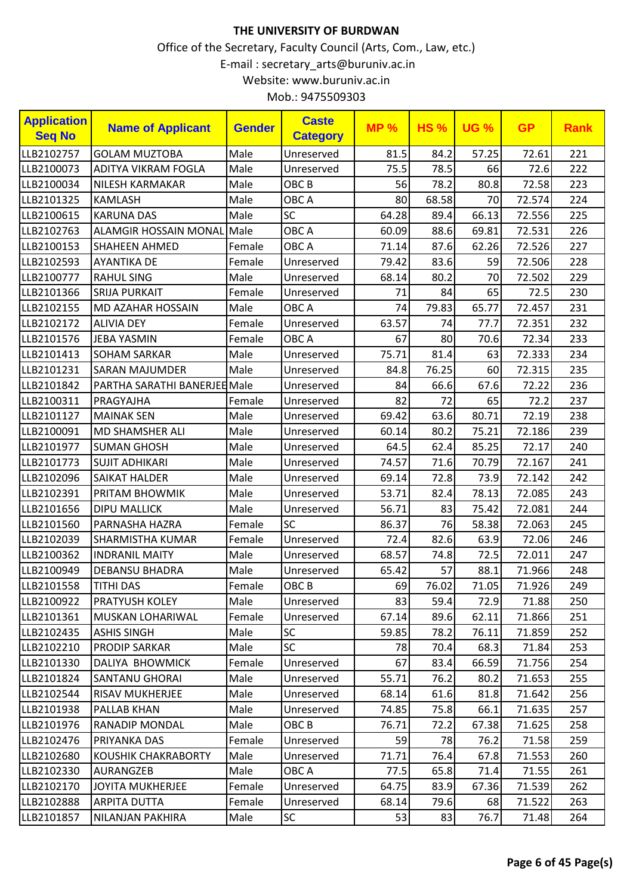| Mob.: 9475509303 |  |
|------------------|--|
|------------------|--|

| <b>Application</b><br><b>Seq No</b> | <b>Name of Applicant</b>     | <b>Gender</b> | <b>Caste</b><br><b>Category</b> | <b>MP%</b> | <b>HS%</b> | <b>UG %</b> | <b>GP</b> | <b>Rank</b> |
|-------------------------------------|------------------------------|---------------|---------------------------------|------------|------------|-------------|-----------|-------------|
| LLB2102757                          | <b>GOLAM MUZTOBA</b>         | Male          | Unreserved                      | 81.5       | 84.2       | 57.25       | 72.61     | 221         |
| LLB2100073                          | ADITYA VIKRAM FOGLA          | Male          | Unreserved                      | 75.5       | 78.5       | 66          | 72.6      | 222         |
| LLB2100034                          | <b>NILESH KARMAKAR</b>       | Male          | OBC <sub>B</sub>                | 56         | 78.2       | 80.8        | 72.58     | 223         |
| LLB2101325                          | <b>KAMLASH</b>               | Male          | OBC A                           | 80         | 68.58      | 70          | 72.574    | 224         |
| LLB2100615                          | <b>KARUNA DAS</b>            | Male          | SC                              | 64.28      | 89.4       | 66.13       | 72.556    | 225         |
| LLB2102763                          | <b>ALAMGIR HOSSAIN MONAL</b> | Male          | OBC A                           | 60.09      | 88.6       | 69.81       | 72.531    | 226         |
| LLB2100153                          | <b>SHAHEEN AHMED</b>         | Female        | OBC A                           | 71.14      | 87.6       | 62.26       | 72.526    | 227         |
| LLB2102593                          | <b>AYANTIKA DE</b>           | Female        | Unreserved                      | 79.42      | 83.6       | 59          | 72.506    | 228         |
| LLB2100777                          | <b>RAHUL SING</b>            | Male          | Unreserved                      | 68.14      | 80.2       | 70          | 72.502    | 229         |
| LLB2101366                          | <b>SRIJA PURKAIT</b>         | Female        | Unreserved                      | 71         | 84         | 65          | 72.5      | 230         |
| LLB2102155                          | <b>MD AZAHAR HOSSAIN</b>     | Male          | OBC A                           | 74         | 79.83      | 65.77       | 72.457    | 231         |
| LLB2102172                          | <b>ALIVIA DEY</b>            | Female        | Unreserved                      | 63.57      | 74         | 77.7        | 72.351    | 232         |
| LLB2101576                          | <b>JEBA YASMIN</b>           | Female        | OBC A                           | 67         | 80         | 70.6        | 72.34     | 233         |
| LLB2101413                          | <b>SOHAM SARKAR</b>          | Male          | Unreserved                      | 75.71      | 81.4       | 63          | 72.333    | 234         |
| LLB2101231                          | <b>SARAN MAJUMDER</b>        | Male          | Unreserved                      | 84.8       | 76.25      | 60          | 72.315    | 235         |
| LLB2101842                          | PARTHA SARATHI BANERJEE Male |               | Unreserved                      | 84         | 66.6       | 67.6        | 72.22     | 236         |
| LLB2100311                          | PRAGYAJHA                    | Female        | Unreserved                      | 82         | 72         | 65          | 72.2      | 237         |
| LLB2101127                          | <b>MAINAK SEN</b>            | Male          | Unreserved                      | 69.42      | 63.6       | 80.71       | 72.19     | 238         |
| LLB2100091                          | <b>MD SHAMSHER ALI</b>       | Male          | Unreserved                      | 60.14      | 80.2       | 75.21       | 72.186    | 239         |
| LLB2101977                          | <b>SUMAN GHOSH</b>           | Male          | Unreserved                      | 64.5       | 62.4       | 85.25       | 72.17     | 240         |
| LLB2101773                          | <b>SUJIT ADHIKARI</b>        | Male          | Unreserved                      | 74.57      | 71.6       | 70.79       | 72.167    | 241         |
| LLB2102096                          | <b>SAIKAT HALDER</b>         | Male          | Unreserved                      | 69.14      | 72.8       | 73.9        | 72.142    | 242         |
| LLB2102391                          | PRITAM BHOWMIK               | Male          | Unreserved                      | 53.71      | 82.4       | 78.13       | 72.085    | 243         |
| LLB2101656                          | <b>DIPU MALLICK</b>          | Male          | Unreserved                      | 56.71      | 83         | 75.42       | 72.081    | 244         |
| LLB2101560                          | PARNASHA HAZRA               | Female        | <b>SC</b>                       | 86.37      | 76         | 58.38       | 72.063    | 245         |
| LLB2102039                          | <b>SHARMISTHA KUMAR</b>      | Female        | Unreserved                      | 72.4       | 82.6       | 63.9        | 72.06     | 246         |
| LLB2100362                          | <b>INDRANIL MAITY</b>        | Male          | Unreserved                      | 68.57      | 74.8       | 72.5        | 72.011    | 247         |
| LLB2100949                          | <b>DEBANSU BHADRA</b>        | Male          | Unreserved                      | 65.42      | 57         | 88.1        | 71.966    | 248         |
| LLB2101558                          | <b>TITHI DAS</b>             | Female        | OBC <sub>B</sub>                | 69         | 76.02      | 71.05       | 71.926    | 249         |
| LLB2100922                          | <b>PRATYUSH KOLEY</b>        | Male          | Unreserved                      | 83         | 59.4       | 72.9        | 71.88     | 250         |
| LLB2101361                          | MUSKAN LOHARIWAL             | Female        | Unreserved                      | 67.14      | 89.6       | 62.11       | 71.866    | 251         |
| LLB2102435                          | <b>ASHIS SINGH</b>           | Male          | <b>SC</b>                       | 59.85      | 78.2       | 76.11       | 71.859    | 252         |
| LLB2102210                          | <b>PRODIP SARKAR</b>         | Male          | <b>SC</b>                       | 78         | 70.4       | 68.3        | 71.84     | 253         |
| LLB2101330                          | DALIYA BHOWMICK              | Female        | Unreserved                      | 67         | 83.4       | 66.59       | 71.756    | 254         |
| LLB2101824                          | <b>SANTANU GHORAI</b>        | Male          | Unreserved                      | 55.71      | 76.2       | 80.2        | 71.653    | 255         |
| LLB2102544                          | <b>RISAV MUKHERJEE</b>       | Male          | Unreserved                      | 68.14      | 61.6       | 81.8        | 71.642    | 256         |
| LLB2101938                          | <b>PALLAB KHAN</b>           | Male          | Unreserved                      | 74.85      | 75.8       | 66.1        | 71.635    | 257         |
| LLB2101976                          | <b>RANADIP MONDAL</b>        | Male          | OBC B                           | 76.71      | 72.2       | 67.38       | 71.625    | 258         |
| LLB2102476                          | PRIYANKA DAS                 | Female        | Unreserved                      | 59         | 78         | 76.2        | 71.58     | 259         |
| LLB2102680                          | <b>KOUSHIK CHAKRABORTY</b>   | Male          | Unreserved                      | 71.71      | 76.4       | 67.8        | 71.553    | 260         |
| LLB2102330                          | <b>AURANGZEB</b>             | Male          | OBC A                           | 77.5       | 65.8       | 71.4        | 71.55     | 261         |
| LLB2102170                          | <b>JOYITA MUKHERJEE</b>      | Female        | Unreserved                      | 64.75      | 83.9       | 67.36       | 71.539    | 262         |
| LLB2102888                          | <b>ARPITA DUTTA</b>          | Female        | Unreserved                      | 68.14      | 79.6       | 68          | 71.522    | 263         |
| LLB2101857                          | NILANJAN PAKHIRA             | Male          | <b>SC</b>                       | 53         | 83         | 76.7        | 71.48     | 264         |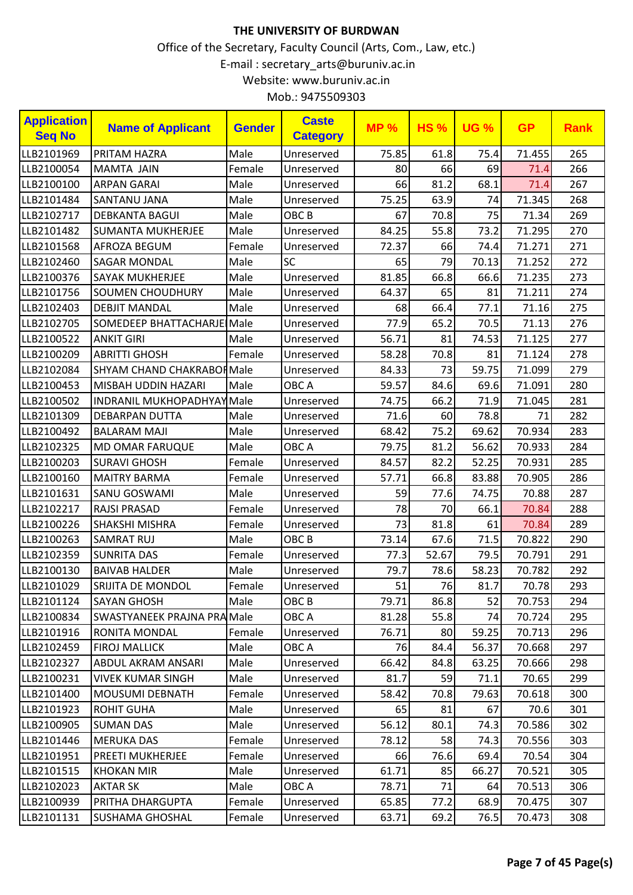|  | Mob.: 9475509303 |
|--|------------------|
|--|------------------|

| <b>Application</b><br><b>Seq No</b> | <b>Name of Applicant</b>           | <b>Gender</b> | <b>Caste</b><br><b>Category</b> | <b>MP%</b> | <b>HS%</b> | <b>UG %</b> | <b>GP</b> | <b>Rank</b> |
|-------------------------------------|------------------------------------|---------------|---------------------------------|------------|------------|-------------|-----------|-------------|
| LLB2101969                          | PRITAM HAZRA                       | Male          | Unreserved                      | 75.85      | 61.8       | 75.4        | 71.455    | 265         |
| LLB2100054                          | <b>MAMTA JAIN</b>                  | Female        | Unreserved                      | 80         | 66         | 69          | 71.4      | 266         |
| LLB2100100                          | <b>ARPAN GARAI</b>                 | Male          | Unreserved                      | 66         | 81.2       | 68.1        | 71.4      | 267         |
| LLB2101484                          | <b>SANTANU JANA</b>                | Male          | Unreserved                      | 75.25      | 63.9       | 74          | 71.345    | 268         |
| LLB2102717                          | <b>DEBKANTA BAGUI</b>              | Male          | OBC <sub>B</sub>                | 67         | 70.8       | 75          | 71.34     | 269         |
| LLB2101482                          | <b>SUMANTA MUKHERJEE</b>           | Male          | Unreserved                      | 84.25      | 55.8       | 73.2        | 71.295    | 270         |
| LLB2101568                          | AFROZA BEGUM                       | Female        | Unreserved                      | 72.37      | 66         | 74.4        | 71.271    | 271         |
| LLB2102460                          | <b>SAGAR MONDAL</b>                | Male          | SC                              | 65         | 79         | 70.13       | 71.252    | 272         |
| LLB2100376                          | <b>SAYAK MUKHERJEE</b>             | Male          | Unreserved                      | 81.85      | 66.8       | 66.6        | 71.235    | 273         |
| LLB2101756                          | <b>SOUMEN CHOUDHURY</b>            | Male          | Unreserved                      | 64.37      | 65         | 81          | 71.211    | 274         |
| LLB2102403                          | <b>DEBJIT MANDAL</b>               | Male          | Unreserved                      | 68         | 66.4       | 77.1        | 71.16     | 275         |
| LLB2102705                          | SOMEDEEP BHATTACHARJE Male         |               | Unreserved                      | 77.9       | 65.2       | 70.5        | 71.13     | 276         |
| LLB2100522                          | <b>ANKIT GIRI</b>                  | Male          | Unreserved                      | 56.71      | 81         | 74.53       | 71.125    | 277         |
| LLB2100209                          | <b>ABRITTI GHOSH</b>               | Female        | Unreserved                      | 58.28      | 70.8       | 81          | 71.124    | 278         |
| LLB2102084                          | <b>SHYAM CHAND CHAKRABOH Male</b>  |               | Unreserved                      | 84.33      | 73         | 59.75       | 71.099    | 279         |
| LLB2100453                          | MISBAH UDDIN HAZARI                | Male          | OBC A                           | 59.57      | 84.6       | 69.6        | 71.091    | 280         |
| LLB2100502                          | <b>INDRANIL MUKHOPADHYAYMale</b>   |               | Unreserved                      | 74.75      | 66.2       | 71.9        | 71.045    | 281         |
| LLB2101309                          | <b>DEBARPAN DUTTA</b>              | Male          | Unreserved                      | 71.6       | 60         | 78.8        | 71        | 282         |
| LLB2100492                          | <b>BALARAM MAJI</b>                | Male          | Unreserved                      | 68.42      | 75.2       | 69.62       | 70.934    | 283         |
| LLB2102325                          | <b>MD OMAR FARUQUE</b>             | Male          | OBC A                           | 79.75      | 81.2       | 56.62       | 70.933    | 284         |
| LLB2100203                          | <b>SURAVI GHOSH</b>                | Female        | Unreserved                      | 84.57      | 82.2       | 52.25       | 70.931    | 285         |
| LLB2100160                          | <b>MAITRY BARMA</b>                | Female        | Unreserved                      | 57.71      | 66.8       | 83.88       | 70.905    | 286         |
| LLB2101631                          | <b>SANU GOSWAMI</b>                | Male          | Unreserved                      | 59         | 77.6       | 74.75       | 70.88     | 287         |
| LLB2102217                          | <b>RAJSI PRASAD</b>                | Female        | Unreserved                      | 78         | 70         | 66.1        | 70.84     | 288         |
| LLB2100226                          | <b>SHAKSHI MISHRA</b>              | Female        | Unreserved                      | 73         | 81.8       | 61          | 70.84     | 289         |
| LLB2100263                          | <b>SAMRAT RUJ</b>                  | Male          | OBC <sub>B</sub>                | 73.14      | 67.6       | 71.5        | 70.822    | 290         |
| LLB2102359                          | <b>SUNRITA DAS</b>                 | Female        | Unreserved                      | 77.3       | 52.67      | 79.5        | 70.791    | 291         |
| LLB2100130                          | <b>BAIVAB HALDER</b>               | Male          | Unreserved                      | 79.7       | 78.6       | 58.23       | 70.782    | 292         |
| LLB2101029                          | SRIJITA DE MONDOL                  | Female        | Unreserved                      | 51         | 76         | 81.7        | 70.78     | 293         |
| LLB2101124                          | ISAYAN GHOSH                       | Male          | OBC B                           | 79.71      | 86.8       | 52          | 70.753    | 294         |
| LLB2100834                          | <b>SWASTYANEEK PRAJNA PRAMMale</b> |               | OBC A                           | 81.28      | 55.8       | 74          | 70.724    | 295         |
| LLB2101916                          | <b>RONITA MONDAL</b>               | Female        | Unreserved                      | 76.71      | 80         | 59.25       | 70.713    | 296         |
| LLB2102459                          | <b>FIROJ MALLICK</b>               | Male          | OBC A                           | 76         | 84.4       | 56.37       | 70.668    | 297         |
| LLB2102327                          | <b>ABDUL AKRAM ANSARI</b>          | Male          | Unreserved                      | 66.42      | 84.8       | 63.25       | 70.666    | 298         |
| LLB2100231                          | <b>VIVEK KUMAR SINGH</b>           | Male          | Unreserved                      | 81.7       | 59         | 71.1        | 70.65     | 299         |
| LLB2101400                          | <b>MOUSUMI DEBNATH</b>             | Female        | Unreserved                      | 58.42      | 70.8       | 79.63       | 70.618    | 300         |
| LLB2101923                          | <b>ROHIT GUHA</b>                  | Male          | Unreserved                      | 65         | 81         | 67          | 70.6      | 301         |
| LLB2100905                          | <b>SUMAN DAS</b>                   | Male          | Unreserved                      | 56.12      | 80.1       | 74.3        | 70.586    | 302         |
| LLB2101446                          | <b>MERUKA DAS</b>                  | Female        | Unreserved                      | 78.12      | 58         | 74.3        | 70.556    | 303         |
| LLB2101951                          | <b>PREETI MUKHERJEE</b>            | Female        | Unreserved                      | 66         | 76.6       | 69.4        | 70.54     | 304         |
| LLB2101515                          | <b>KHOKAN MIR</b>                  | Male          | Unreserved                      | 61.71      | 85         | 66.27       | 70.521    | 305         |
| LLB2102023                          | <b>AKTAR SK</b>                    | Male          | OBC A                           | 78.71      | 71         | 64          | 70.513    | 306         |
| LLB2100939                          | PRITHA DHARGUPTA                   | Female        | Unreserved                      | 65.85      | 77.2       | 68.9        | 70.475    | 307         |
| LLB2101131                          | <b>SUSHAMA GHOSHAL</b>             | Female        | Unreserved                      | 63.71      | 69.2       | 76.5        | 70.473    | 308         |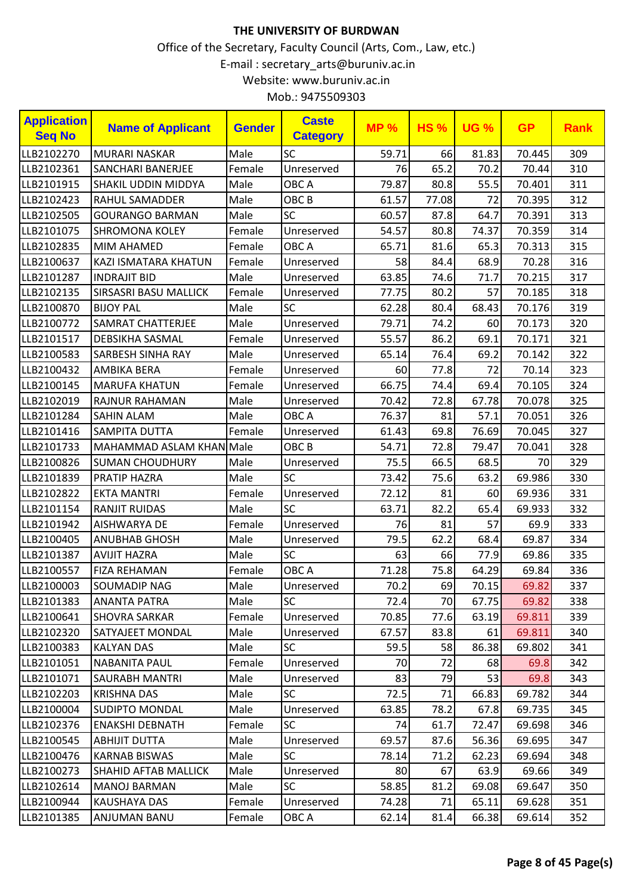| <b>Application</b><br><b>Seq No</b> | <b>Name of Applicant</b>     | <b>Gender</b> | <b>Caste</b><br><b>Category</b> | <b>MP%</b> | <b>HS%</b> | <b>UG %</b> | <b>GP</b> | <b>Rank</b> |
|-------------------------------------|------------------------------|---------------|---------------------------------|------------|------------|-------------|-----------|-------------|
| LLB2102270                          | <b>MURARI NASKAR</b>         | Male          | <b>SC</b>                       | 59.71      | 66         | 81.83       | 70.445    | 309         |
| LLB2102361                          | <b>SANCHARI BANERJEE</b>     | Female        | Unreserved                      | 76         | 65.2       | 70.2        | 70.44     | 310         |
| LLB2101915                          | <b>SHAKIL UDDIN MIDDYA</b>   | Male          | OBC A                           | 79.87      | 80.8       | 55.5        | 70.401    | 311         |
| LLB2102423                          | <b>RAHUL SAMADDER</b>        | Male          | OBC <sub>B</sub>                | 61.57      | 77.08      | 72          | 70.395    | 312         |
| LLB2102505                          | <b>GOURANGO BARMAN</b>       | Male          | <b>SC</b>                       | 60.57      | 87.8       | 64.7        | 70.391    | 313         |
| LLB2101075                          | <b>SHROMONA KOLEY</b>        | Female        | Unreserved                      | 54.57      | 80.8       | 74.37       | 70.359    | 314         |
| LLB2102835                          | <b>MIM AHAMED</b>            | Female        | OBC A                           | 65.71      | 81.6       | 65.3        | 70.313    | 315         |
| LLB2100637                          | KAZI ISMATARA KHATUN         | Female        | Unreserved                      | 58         | 84.4       | 68.9        | 70.28     | 316         |
| LLB2101287                          | <b>INDRAJIT BID</b>          | Male          | Unreserved                      | 63.85      | 74.6       | 71.7        | 70.215    | 317         |
| LLB2102135                          | <b>SIRSASRI BASU MALLICK</b> | Female        | Unreserved                      | 77.75      | 80.2       | 57          | 70.185    | 318         |
| LLB2100870                          | <b>BIJOY PAL</b>             | Male          | <b>SC</b>                       | 62.28      | 80.4       | 68.43       | 70.176    | 319         |
| LLB2100772                          | <b>SAMRAT CHATTERJEE</b>     | Male          | Unreserved                      | 79.71      | 74.2       | 60          | 70.173    | 320         |
| LLB2101517                          | <b>DEBSIKHA SASMAL</b>       | Female        | Unreserved                      | 55.57      | 86.2       | 69.1        | 70.171    | 321         |
| LLB2100583                          | <b>SARBESH SINHA RAY</b>     | Male          | Unreserved                      | 65.14      | 76.4       | 69.2        | 70.142    | 322         |
| LLB2100432                          | <b>AMBIKA BERA</b>           | Female        | Unreserved                      | 60         | 77.8       | 72          | 70.14     | 323         |
| LLB2100145                          | <b>MARUFA KHATUN</b>         | Female        | Unreserved                      | 66.75      | 74.4       | 69.4        | 70.105    | 324         |
| LLB2102019                          | <b>RAJNUR RAHAMAN</b>        | Male          | Unreserved                      | 70.42      | 72.8       | 67.78       | 70.078    | 325         |
| LLB2101284                          | <b>SAHIN ALAM</b>            | Male          | OBC A                           | 76.37      | 81         | 57.1        | 70.051    | 326         |
| LLB2101416                          | <b>SAMPITA DUTTA</b>         | Female        | Unreserved                      | 61.43      | 69.8       | 76.69       | 70.045    | 327         |
| LLB2101733                          | MAHAMMAD ASLAM KHAN Male     |               | OBC <sub>B</sub>                | 54.71      | 72.8       | 79.47       | 70.041    | 328         |
| LLB2100826                          | <b>SUMAN CHOUDHURY</b>       | Male          | Unreserved                      | 75.5       | 66.5       | 68.5        | 70        | 329         |
| LLB2101839                          | <b>PRATIP HAZRA</b>          | Male          | <b>SC</b>                       | 73.42      | 75.6       | 63.2        | 69.986    | 330         |
| LLB2102822                          | <b>EKTA MANTRI</b>           | Female        | Unreserved                      | 72.12      | 81         | 60          | 69.936    | 331         |
| LLB2101154                          | <b>RANJIT RUIDAS</b>         | Male          | <b>SC</b>                       | 63.71      | 82.2       | 65.4        | 69.933    | 332         |
| LLB2101942                          | <b>AISHWARYA DE</b>          | Female        | Unreserved                      | 76         | 81         | 57          | 69.9      | 333         |
| LLB2100405                          | <b>ANUBHAB GHOSH</b>         | Male          | Unreserved                      | 79.5       | 62.2       | 68.4        | 69.87     | 334         |
| LLB2101387                          | <b>AVIJIT HAZRA</b>          | Male          | SC                              | 63         | 66         | 77.9        | 69.86     | 335         |
| LLB2100557                          | <b>FIZA REHAMAN</b>          | Female        | OBC A                           | 71.28      | 75.8       | 64.29       | 69.84     | 336         |
| LLB2100003                          | SOUMADIP NAG                 | Male          | Unreserved                      | 70.2       | 69         | 70.15       | 69.82     | 337         |
| LLB2101383                          | <b>ANANTA PATRA</b>          | Male          | SC                              | 72.4       | 70         | 67.75       | 69.82     | 338         |
| LLB2100641                          | <b>SHOVRA SARKAR</b>         | Female        | Unreserved                      | 70.85      | 77.6       | 63.19       | 69.811    | 339         |
| LLB2102320                          | SATYAJEET MONDAL             | Male          | Unreserved                      | 67.57      | 83.8       | 61          | 69.811    | 340         |
| LLB2100383                          | <b>KALYAN DAS</b>            | Male          | SC                              | 59.5       | 58         | 86.38       | 69.802    | 341         |
| LLB2101051                          | <b>NABANITA PAUL</b>         | Female        | Unreserved                      | 70         | 72         | 68          | 69.8      | 342         |
| LLB2101071                          | <b>SAURABH MANTRI</b>        | Male          | Unreserved                      | 83         | 79         | 53          | 69.8      | 343         |
| LLB2102203                          | <b>KRISHNA DAS</b>           | Male          | <b>SC</b>                       | 72.5       | 71         | 66.83       | 69.782    | 344         |
| LLB2100004                          | <b>SUDIPTO MONDAL</b>        | Male          | Unreserved                      | 63.85      | 78.2       | 67.8        | 69.735    | 345         |
| LLB2102376                          | <b>ENAKSHI DEBNATH</b>       | Female        | <b>SC</b>                       | 74         | 61.7       | 72.47       | 69.698    | 346         |
| LLB2100545                          | <b>ABHIJIT DUTTA</b>         | Male          | Unreserved                      | 69.57      | 87.6       | 56.36       | 69.695    | 347         |
| LLB2100476                          | <b>KARNAB BISWAS</b>         | Male          | <b>SC</b>                       | 78.14      | 71.2       | 62.23       | 69.694    | 348         |
| LLB2100273                          | <b>SHAHID AFTAB MALLICK</b>  | Male          | Unreserved                      | 80         | 67         | 63.9        | 69.66     | 349         |
| LLB2102614                          | <b>MANOJ BARMAN</b>          | Male          | <b>SC</b>                       | 58.85      | 81.2       | 69.08       | 69.647    | 350         |
| LLB2100944                          | KAUSHAYA DAS                 | Female        | Unreserved                      | 74.28      | 71         | 65.11       | 69.628    | 351         |
| LLB2101385                          | ANJUMAN BANU                 | Female        | OBC A                           | 62.14      | 81.4       | 66.38       | 69.614    | 352         |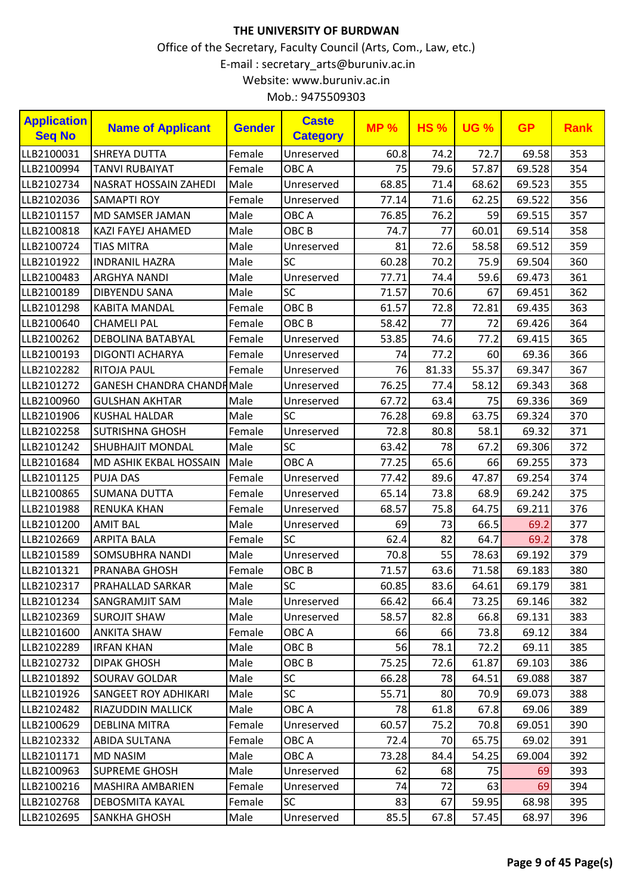| <b>Application</b><br><b>Seq No</b> | <b>Name of Applicant</b>          | <b>Gender</b> | <b>Caste</b><br><b>Category</b> | <b>MP%</b> | <b>HS%</b> | <b>UG %</b> | <b>GP</b> | <b>Rank</b> |
|-------------------------------------|-----------------------------------|---------------|---------------------------------|------------|------------|-------------|-----------|-------------|
| LLB2100031                          | <b>SHREYA DUTTA</b>               | Female        | Unreserved                      | 60.8       | 74.2       | 72.7        | 69.58     | 353         |
| LLB2100994                          | <b>TANVI RUBAIYAT</b>             | Female        | OBC A                           | 75         | 79.6       | 57.87       | 69.528    | 354         |
| LLB2102734                          | <b>NASRAT HOSSAIN ZAHEDI</b>      | Male          | Unreserved                      | 68.85      | 71.4       | 68.62       | 69.523    | 355         |
| LLB2102036                          | <b>SAMAPTI ROY</b>                | Female        | Unreserved                      | 77.14      | 71.6       | 62.25       | 69.522    | 356         |
| LLB2101157                          | MD SAMSER JAMAN                   | Male          | OBC A                           | 76.85      | 76.2       | 59          | 69.515    | 357         |
| LLB2100818                          | <b>KAZI FAYEJ AHAMED</b>          | Male          | OBC <sub>B</sub>                | 74.7       | 77         | 60.01       | 69.514    | 358         |
| LLB2100724                          | <b>TIAS MITRA</b>                 | Male          | Unreserved                      | 81         | 72.6       | 58.58       | 69.512    | 359         |
| LLB2101922                          | <b>INDRANIL HAZRA</b>             | Male          | SC                              | 60.28      | 70.2       | 75.9        | 69.504    | 360         |
| LLB2100483                          | <b>ARGHYA NANDI</b>               | Male          | Unreserved                      | 77.71      | 74.4       | 59.6        | 69.473    | 361         |
| LLB2100189                          | <b>DIBYENDU SANA</b>              | Male          | <b>SC</b>                       | 71.57      | 70.6       | 67          | 69.451    | 362         |
| LLB2101298                          | <b>KABITA MANDAL</b>              | Female        | OBC <sub>B</sub>                | 61.57      | 72.8       | 72.81       | 69.435    | 363         |
| LLB2100640                          | <b>CHAMELI PAL</b>                | Female        | OBC <sub>B</sub>                | 58.42      | 77         | 72          | 69.426    | 364         |
| LLB2100262                          | <b>DEBOLINA BATABYAL</b>          | Female        | Unreserved                      | 53.85      | 74.6       | 77.2        | 69.415    | 365         |
| LLB2100193                          | <b>DIGONTI ACHARYA</b>            | Female        | Unreserved                      | 74         | 77.2       | 60          | 69.36     | 366         |
| LLB2102282                          | <b>RITOJA PAUL</b>                | Female        | Unreserved                      | 76         | 81.33      | 55.37       | 69.347    | 367         |
| LLB2101272                          | <b>GANESH CHANDRA CHANDR Male</b> |               | Unreserved                      | 76.25      | 77.4       | 58.12       | 69.343    | 368         |
| LLB2100960                          | <b>GULSHAN AKHTAR</b>             | Male          | Unreserved                      | 67.72      | 63.4       | 75          | 69.336    | 369         |
| LLB2101906                          | <b>KUSHAL HALDAR</b>              | Male          | <b>SC</b>                       | 76.28      | 69.8       | 63.75       | 69.324    | 370         |
| LLB2102258                          | <b>SUTRISHNA GHOSH</b>            | Female        | Unreserved                      | 72.8       | 80.8       | 58.1        | 69.32     | 371         |
| LLB2101242                          | <b>SHUBHAJIT MONDAL</b>           | Male          | SC                              | 63.42      | 78         | 67.2        | 69.306    | 372         |
| LLB2101684                          | MD ASHIK EKBAL HOSSAIN            | Male          | OBC A                           | 77.25      | 65.6       | 66          | 69.255    | 373         |
| LLB2101125                          | <b>PUJA DAS</b>                   | Female        | Unreserved                      | 77.42      | 89.6       | 47.87       | 69.254    | 374         |
| LLB2100865                          | <b>SUMANA DUTTA</b>               | Female        | Unreserved                      | 65.14      | 73.8       | 68.9        | 69.242    | 375         |
| LLB2101988                          | <b>RENUKA KHAN</b>                | Female        | Unreserved                      | 68.57      | 75.8       | 64.75       | 69.211    | 376         |
| LLB2101200                          | <b>AMIT BAL</b>                   | Male          | Unreserved                      | 69         | 73         | 66.5        | 69.2      | 377         |
| LLB2102669                          | <b>ARPITA BALA</b>                | Female        | <b>SC</b>                       | 62.4       | 82         | 64.7        | 69.2      | 378         |
| LLB2101589                          | SOMSUBHRA NANDI                   | Male          | Unreserved                      | 70.8       | 55         | 78.63       | 69.192    | 379         |
| LLB2101321                          | PRANABA GHOSH                     | Female        | OBC <sub>B</sub>                | 71.57      | 63.6       | 71.58       | 69.183    | 380         |
| LLB2102317                          | PRAHALLAD SARKAR                  | Male          | SC                              | 60.85      | 83.6       | 64.61       | 69.179    | 381         |
| LLB2101234                          | SANGRAMJIT SAM                    | Male          | Unreserved                      | 66.42      | 66.4       | 73.25       | 69.146    | 382         |
| LLB2102369                          | <b>SUROJIT SHAW</b>               | Male          | Unreserved                      | 58.57      | 82.8       | 66.8        | 69.131    | 383         |
| LLB2101600                          | <b>ANKITA SHAW</b>                | Female        | OBC A                           | 66         | 66         | 73.8        | 69.12     | 384         |
| LLB2102289                          | <b>IRFAN KHAN</b>                 | Male          | OBC B                           | 56         | 78.1       | 72.2        | 69.11     | 385         |
| LLB2102732                          | <b>DIPAK GHOSH</b>                | Male          | OBC <sub>B</sub>                | 75.25      | 72.6       | 61.87       | 69.103    | 386         |
| LLB2101892                          | <b>SOURAV GOLDAR</b>              | Male          | <b>SC</b>                       | 66.28      | 78         | 64.51       | 69.088    | 387         |
| LLB2101926                          | <b>SANGEET ROY ADHIKARI</b>       | Male          | <b>SC</b>                       | 55.71      | 80         | 70.9        | 69.073    | 388         |
| LLB2102482                          | <b>RIAZUDDIN MALLICK</b>          | Male          | OBC A                           | 78         | 61.8       | 67.8        | 69.06     | 389         |
| LLB2100629                          | DEBLINA MITRA                     | Female        | Unreserved                      | 60.57      | 75.2       | 70.8        | 69.051    | 390         |
| LLB2102332                          | <b>ABIDA SULTANA</b>              | Female        | OBC A                           | 72.4       | 70         | 65.75       | 69.02     | 391         |
| LLB2101171                          | <b>MD NASIM</b>                   | Male          | OBC A                           | 73.28      | 84.4       | 54.25       | 69.004    | 392         |
| LLB2100963                          | <b>SUPREME GHOSH</b>              | Male          | Unreserved                      | 62         | 68         | 75          | 69        | 393         |
| LLB2100216                          | MASHIRA AMBARIEN                  | Female        | Unreserved                      | 74         | 72         | 63          | 69        | 394         |
| LLB2102768                          | DEBOSMITA KAYAL                   | Female        | <b>SC</b>                       | 83         | 67         | 59.95       | 68.98     | 395         |
| LLB2102695                          | <b>SANKHA GHOSH</b>               | Male          | Unreserved                      | 85.5       | 67.8       | 57.45       | 68.97     | 396         |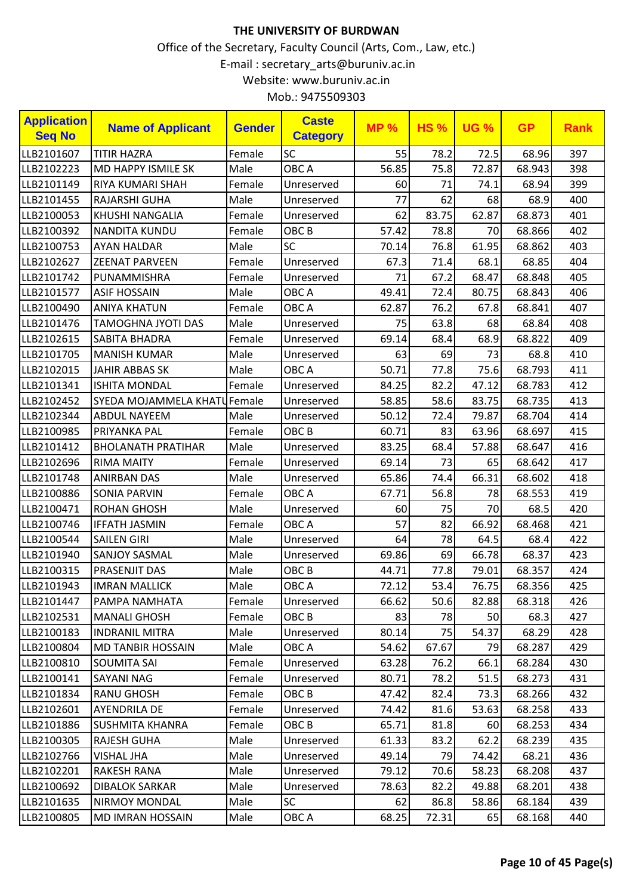| <b>Application</b><br><b>Seq No</b> | <b>Name of Applicant</b>    | <b>Gender</b> | <b>Caste</b><br><b>Category</b> | <b>MP%</b> | <b>HS%</b> | <b>UG %</b> | <b>GP</b> | <b>Rank</b> |
|-------------------------------------|-----------------------------|---------------|---------------------------------|------------|------------|-------------|-----------|-------------|
| LLB2101607                          | <b>TITIR HAZRA</b>          | Female        | SC                              | 55         | 78.2       | 72.5        | 68.96     | 397         |
| LLB2102223                          | <b>MD HAPPY ISMILE SK</b>   | Male          | OBC A                           | 56.85      | 75.8       | 72.87       | 68.943    | 398         |
| LLB2101149                          | RIYA KUMARI SHAH            | Female        | Unreserved                      | 60         | 71         | 74.1        | 68.94     | 399         |
| LLB2101455                          | RAJARSHI GUHA               | Male          | Unreserved                      | 77         | 62         | 68          | 68.9      | 400         |
| LLB2100053                          | KHUSHI NANGALIA             | Female        | Unreserved                      | 62         | 83.75      | 62.87       | 68.873    | 401         |
| LLB2100392                          | <b>NANDITA KUNDU</b>        | Female        | OBC <sub>B</sub>                | 57.42      | 78.8       | 70          | 68.866    | 402         |
| LLB2100753                          | <b>AYAN HALDAR</b>          | Male          | SC                              | 70.14      | 76.8       | 61.95       | 68.862    | 403         |
| LLB2102627                          | <b>ZEENAT PARVEEN</b>       | Female        | Unreserved                      | 67.3       | 71.4       | 68.1        | 68.85     | 404         |
| LLB2101742                          | PUNAMMISHRA                 | Female        | Unreserved                      | 71         | 67.2       | 68.47       | 68.848    | 405         |
| LLB2101577                          | <b>ASIF HOSSAIN</b>         | Male          | OBC A                           | 49.41      | 72.4       | 80.75       | 68.843    | 406         |
| LLB2100490                          | <b>ANIYA KHATUN</b>         | Female        | OBC A                           | 62.87      | 76.2       | 67.8        | 68.841    | 407         |
| LLB2101476                          | <b>TAMOGHNA JYOTI DAS</b>   | Male          | Unreserved                      | 75         | 63.8       | 68          | 68.84     | 408         |
| LLB2102615                          | <b>SABITA BHADRA</b>        | Female        | Unreserved                      | 69.14      | 68.4       | 68.9        | 68.822    | 409         |
| LLB2101705                          | <b>MANISH KUMAR</b>         | Male          | Unreserved                      | 63         | 69         | 73          | 68.8      | 410         |
| LLB2102015                          | <b>JAHIR ABBAS SK</b>       | Male          | OBC A                           | 50.71      | 77.8       | 75.6        | 68.793    | 411         |
| LLB2101341                          | <b>ISHITA MONDAL</b>        | Female        | Unreserved                      | 84.25      | 82.2       | 47.12       | 68.783    | 412         |
| LLB2102452                          | SYEDA MOJAMMELA KHATUFemale |               | Unreserved                      | 58.85      | 58.6       | 83.75       | 68.735    | 413         |
| LLB2102344                          | <b>ABDUL NAYEEM</b>         | Male          | Unreserved                      | 50.12      | 72.4       | 79.87       | 68.704    | 414         |
| LLB2100985                          | PRIYANKA PAL                | Female        | OBC <sub>B</sub>                | 60.71      | 83         | 63.96       | 68.697    | 415         |
| LLB2101412                          | <b>BHOLANATH PRATIHAR</b>   | Male          | Unreserved                      | 83.25      | 68.4       | 57.88       | 68.647    | 416         |
| LLB2102696                          | <b>RIMA MAITY</b>           | Female        | Unreserved                      | 69.14      | 73         | 65          | 68.642    | 417         |
| LLB2101748                          | <b>ANIRBAN DAS</b>          | Male          | Unreserved                      | 65.86      | 74.4       | 66.31       | 68.602    | 418         |
| LLB2100886                          | <b>SONIA PARVIN</b>         | Female        | OBC A                           | 67.71      | 56.8       | 78          | 68.553    | 419         |
| LLB2100471                          | <b>ROHAN GHOSH</b>          | Male          | Unreserved                      | 60         | 75         | 70          | 68.5      | 420         |
| LLB2100746                          | <b>IFFATH JASMIN</b>        | Female        | OBC A                           | 57         | 82         | 66.92       | 68.468    | 421         |
| LLB2100544                          | <b>SAILEN GIRI</b>          | Male          | Unreserved                      | 64         | 78         | 64.5        | 68.4      | 422         |
| LLB2101940                          | <b>SANJOY SASMAL</b>        | Male          | Unreserved                      | 69.86      | 69         | 66.78       | 68.37     | 423         |
| LLB2100315                          | PRASENJIT DAS               | Male          | OBC <sub>B</sub>                | 44.71      | 77.8       | 79.01       | 68.357    | 424         |
| LLB2101943                          | <b>IMRAN MALLICK</b>        | Male          | OBC A                           | 72.12      | 53.4       | 76.75       | 68.356    | 425         |
| LLB2101447                          | PAMPA NAMHATA               | Female        | Unreserved                      | 66.62      | 50.6       | 82.88       | 68.318    | 426         |
| LLB2102531                          | <b>MANALI GHOSH</b>         | Female        | OBC B                           | 83         | 78         | 50          | 68.3      | 427         |
| LLB2100183                          | <b>INDRANIL MITRA</b>       | Male          | Unreserved                      | 80.14      | 75         | 54.37       | 68.29     | 428         |
| LLB2100804                          | <b>MD TANBIR HOSSAIN</b>    | Male          | OBC A                           | 54.62      | 67.67      | 79          | 68.287    | 429         |
| LLB2100810                          | <b>SOUMITA SAI</b>          | Female        | Unreserved                      | 63.28      | 76.2       | 66.1        | 68.284    | 430         |
| LLB2100141                          | SAYANI NAG                  | Female        | Unreserved                      | 80.71      | 78.2       | 51.5        | 68.273    | 431         |
| LLB2101834                          | <b>RANU GHOSH</b>           | Female        | OBC B                           | 47.42      | 82.4       | 73.3        | 68.266    | 432         |
| LLB2102601                          | <b>AYENDRILA DE</b>         | Female        | Unreserved                      | 74.42      | 81.6       | 53.63       | 68.258    | 433         |
| LLB2101886                          | <b>SUSHMITA KHANRA</b>      | Female        | OBC B                           | 65.71      | 81.8       | 60          | 68.253    | 434         |
| LLB2100305                          | <b>RAJESH GUHA</b>          | Male          | Unreserved                      | 61.33      | 83.2       | 62.2        | 68.239    | 435         |
| LLB2102766                          | <b>VISHAL JHA</b>           | Male          | Unreserved                      | 49.14      | 79         | 74.42       | 68.21     | 436         |
| LLB2102201                          | <b>RAKESH RANA</b>          | Male          | Unreserved                      | 79.12      | 70.6       | 58.23       | 68.208    | 437         |
| LLB2100692                          | <b>DIBALOK SARKAR</b>       | Male          | Unreserved                      | 78.63      | 82.2       | 49.88       | 68.201    | 438         |
| LLB2101635                          | <b>NIRMOY MONDAL</b>        | Male          | <b>SC</b>                       | 62         | 86.8       | 58.86       | 68.184    | 439         |
| LLB2100805                          | <b>MD IMRAN HOSSAIN</b>     | Male          | OBC A                           | 68.25      | 72.31      | 65          | 68.168    | 440         |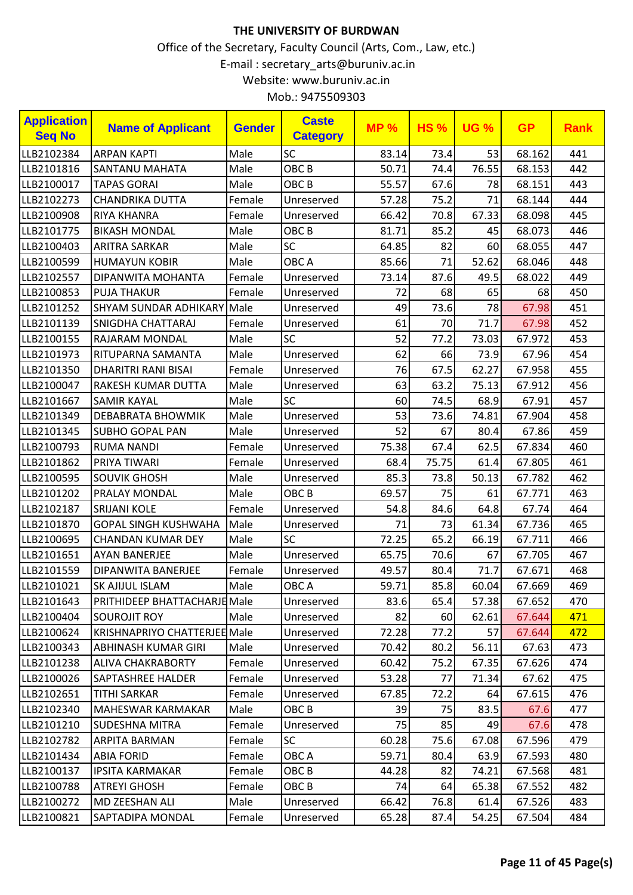| <b>Application</b><br><b>Seq No</b> | <b>Name of Applicant</b>            | <b>Gender</b> | <b>Caste</b><br><b>Category</b> | <b>MP%</b> | <b>HS%</b> | <b>UG %</b> | <b>GP</b> | <b>Rank</b> |
|-------------------------------------|-------------------------------------|---------------|---------------------------------|------------|------------|-------------|-----------|-------------|
| LLB2102384                          | <b>ARPAN KAPTI</b>                  | Male          | <b>SC</b>                       | 83.14      | 73.4       | 53          | 68.162    | 441         |
| LLB2101816                          | <b>SANTANU MAHATA</b>               | Male          | OBC <sub>B</sub>                | 50.71      | 74.4       | 76.55       | 68.153    | 442         |
| LLB2100017                          | <b>TAPAS GORAI</b>                  | Male          | OBC <sub>B</sub>                | 55.57      | 67.6       | 78          | 68.151    | 443         |
| LLB2102273                          | <b>CHANDRIKA DUTTA</b>              | Female        | Unreserved                      | 57.28      | 75.2       | 71          | 68.144    | 444         |
| LLB2100908                          | RIYA KHANRA                         | Female        | Unreserved                      | 66.42      | 70.8       | 67.33       | 68.098    | 445         |
| LLB2101775                          | <b>BIKASH MONDAL</b>                | Male          | OBC <sub>B</sub>                | 81.71      | 85.2       | 45          | 68.073    | 446         |
| LLB2100403                          | <b>ARITRA SARKAR</b>                | Male          | <b>SC</b>                       | 64.85      | 82         | 60          | 68.055    | 447         |
| LLB2100599                          | <b>HUMAYUN KOBIR</b>                | Male          | OBC A                           | 85.66      | 71         | 52.62       | 68.046    | 448         |
| LLB2102557                          | DIPANWITA MOHANTA                   | Female        | Unreserved                      | 73.14      | 87.6       | 49.5        | 68.022    | 449         |
| LLB2100853                          | <b>PUJA THAKUR</b>                  | Female        | Unreserved                      | 72         | 68         | 65          | 68        | 450         |
| LLB2101252                          | <b>SHYAM SUNDAR ADHIKARY Male</b>   |               | Unreserved                      | 49         | 73.6       | 78          | 67.98     | 451         |
| LLB2101139                          | SNIGDHA CHATTARAJ                   | Female        | Unreserved                      | 61         | 70         | 71.7        | 67.98     | 452         |
| LLB2100155                          | RAJARAM MONDAL                      | Male          | <b>SC</b>                       | 52         | 77.2       | 73.03       | 67.972    | 453         |
| LLB2101973                          | RITUPARNA SAMANTA                   | Male          | Unreserved                      | 62         | 66         | 73.9        | 67.96     | 454         |
| LLB2101350                          | <b>DHARITRI RANI BISAI</b>          | Female        | Unreserved                      | 76         | 67.5       | 62.27       | 67.958    | 455         |
| LLB2100047                          | RAKESH KUMAR DUTTA                  | Male          | Unreserved                      | 63         | 63.2       | 75.13       | 67.912    | 456         |
| LLB2101667                          | <b>SAMIR KAYAL</b>                  | Male          | <b>SC</b>                       | 60         | 74.5       | 68.9        | 67.91     | 457         |
| LLB2101349                          | <b>DEBABRATA BHOWMIK</b>            | Male          | Unreserved                      | 53         | 73.6       | 74.81       | 67.904    | 458         |
| LLB2101345                          | <b>SUBHO GOPAL PAN</b>              | Male          | Unreserved                      | 52         | 67         | 80.4        | 67.86     | 459         |
| LLB2100793                          | <b>RUMA NANDI</b>                   | Female        | Unreserved                      | 75.38      | 67.4       | 62.5        | 67.834    | 460         |
| LLB2101862                          | PRIYA TIWARI                        | Female        | Unreserved                      | 68.4       | 75.75      | 61.4        | 67.805    | 461         |
| LLB2100595                          | <b>SOUVIK GHOSH</b>                 | Male          | Unreserved                      | 85.3       | 73.8       | 50.13       | 67.782    | 462         |
| LLB2101202                          | <b>PRALAY MONDAL</b>                | Male          | OBC <sub>B</sub>                | 69.57      | 75         | 61          | 67.771    | 463         |
| LLB2102187                          | <b>SRIJANI KOLE</b>                 | Female        | Unreserved                      | 54.8       | 84.6       | 64.8        | 67.74     | 464         |
| LLB2101870                          | <b>GOPAL SINGH KUSHWAHA</b>         | Male          | Unreserved                      | 71         | 73         | 61.34       | 67.736    | 465         |
| LLB2100695                          | <b>CHANDAN KUMAR DEY</b>            | Male          | SC                              | 72.25      | 65.2       | 66.19       | 67.711    | 466         |
| LLB2101651                          | <b>AYAN BANERJEE</b>                | Male          | Unreserved                      | 65.75      | 70.6       | 67          | 67.705    | 467         |
| LLB2101559                          | DIPANWITA BANERJEE                  | Female        | Unreserved                      | 49.57      | 80.4       | 71.7        | 67.671    | 468         |
| LLB2101021                          | SK AJIJUL ISLAM                     | Male          | OBC A                           | 59.71      | 85.8       | 60.04       | 67.669    | 469         |
| LLB2101643                          | <b>PRITHIDEEP BHATTACHARJEMale</b>  |               | Unreserved                      | 83.6       | 65.4       | 57.38       | 67.652    | 470         |
| LLB2100404                          | <b>SOUROJIT ROY</b>                 | Male          | Unreserved                      | 82         | 60         | 62.61       | 67.644    | 471         |
| LLB2100624                          | <b>KRISHNAPRIYO CHATTERJEE Male</b> |               | Unreserved                      | 72.28      | 77.2       | 57          | 67.644    | 472         |
| LLB2100343                          | ABHINASH KUMAR GIRI                 | Male          | Unreserved                      | 70.42      | 80.2       | 56.11       | 67.63     | 473         |
| LLB2101238                          | ALIVA CHAKRABORTY                   | Female        | Unreserved                      | 60.42      | 75.2       | 67.35       | 67.626    | 474         |
| LLB2100026                          | SAPTASHREE HALDER                   | Female        | Unreserved                      | 53.28      | 77         | 71.34       | 67.62     | 475         |
| LLB2102651                          | TITHI SARKAR                        | Female        | Unreserved                      | 67.85      | 72.2       | 64          | 67.615    | 476         |
| LLB2102340                          | MAHESWAR KARMAKAR                   | Male          | OBC B                           | 39         | 75         | 83.5        | 67.6      | 477         |
| LLB2101210                          | <b>SUDESHNA MITRA</b>               | Female        | Unreserved                      | 75         | 85         | 49          | 67.6      | 478         |
| LLB2102782                          | ARPITA BARMAN                       | Female        | <b>SC</b>                       | 60.28      | 75.6       | 67.08       | 67.596    | 479         |
| LLB2101434                          | <b>ABIA FORID</b>                   | Female        | OBC A                           | 59.71      | 80.4       | 63.9        | 67.593    | 480         |
| LLB2100137                          | <b>IPSITA KARMAKAR</b>              | Female        | OBC B                           | 44.28      | 82         | 74.21       | 67.568    | 481         |
| LLB2100788                          | <b>ATREYI GHOSH</b>                 | Female        | OBC B                           | 74         | 64         | 65.38       | 67.552    | 482         |
| LLB2100272                          | MD ZEESHAN ALI                      | Male          | Unreserved                      | 66.42      | 76.8       | 61.4        | 67.526    | 483         |
| LLB2100821                          | SAPTADIPA MONDAL                    | Female        | Unreserved                      | 65.28      | 87.4       | 54.25       | 67.504    | 484         |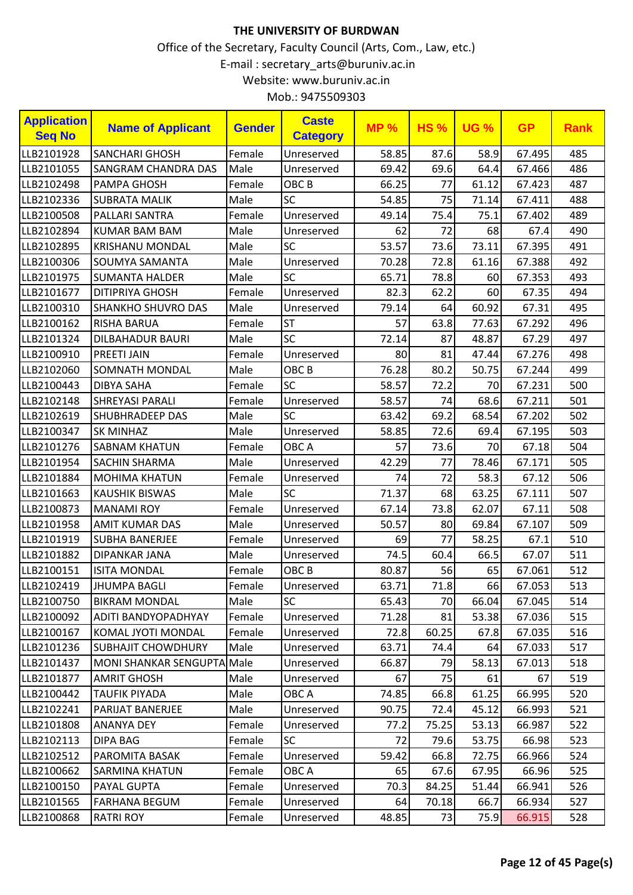| <b>Application</b><br><b>Seq No</b> | <b>Name of Applicant</b>   | <b>Gender</b> | <b>Caste</b><br><b>Category</b> | <b>MP%</b> | <b>HS%</b> | <b>UG %</b> | <b>GP</b> | <b>Rank</b> |
|-------------------------------------|----------------------------|---------------|---------------------------------|------------|------------|-------------|-----------|-------------|
| LLB2101928                          | <b>SANCHARI GHOSH</b>      | Female        | Unreserved                      | 58.85      | 87.6       | 58.9        | 67.495    | 485         |
| LLB2101055                          | <b>SANGRAM CHANDRA DAS</b> | Male          | Unreserved                      | 69.42      | 69.6       | 64.4        | 67.466    | 486         |
| LLB2102498                          | <b>PAMPA GHOSH</b>         | Female        | OBC <sub>B</sub>                | 66.25      | 77         | 61.12       | 67.423    | 487         |
| LLB2102336                          | <b>SUBRATA MALIK</b>       | Male          | <b>SC</b>                       | 54.85      | 75         | 71.14       | 67.411    | 488         |
| LLB2100508                          | PALLARI SANTRA             | Female        | Unreserved                      | 49.14      | 75.4       | 75.1        | 67.402    | 489         |
| LLB2102894                          | <b>KUMAR BAM BAM</b>       | Male          | Unreserved                      | 62         | 72         | 68          | 67.4      | 490         |
| LLB2102895                          | <b>KRISHANU MONDAL</b>     | Male          | <b>SC</b>                       | 53.57      | 73.6       | 73.11       | 67.395    | 491         |
| LLB2100306                          | <b>SOUMYA SAMANTA</b>      | Male          | Unreserved                      | 70.28      | 72.8       | 61.16       | 67.388    | 492         |
| LLB2101975                          | <b>SUMANTA HALDER</b>      | Male          | SC                              | 65.71      | 78.8       | 60          | 67.353    | 493         |
| LLB2101677                          | <b>DITIPRIYA GHOSH</b>     | Female        | Unreserved                      | 82.3       | 62.2       | 60          | 67.35     | 494         |
| LLB2100310                          | <b>SHANKHO SHUVRO DAS</b>  | Male          | Unreserved                      | 79.14      | 64         | 60.92       | 67.31     | 495         |
| LLB2100162                          | <b>RISHA BARUA</b>         | Female        | <b>ST</b>                       | 57         | 63.8       | 77.63       | 67.292    | 496         |
| LLB2101324                          | <b>DILBAHADUR BAURI</b>    | Male          | SC                              | 72.14      | 87         | 48.87       | 67.29     | 497         |
| LLB2100910                          | <b>PREETI JAIN</b>         | Female        | Unreserved                      | 80         | 81         | 47.44       | 67.276    | 498         |
| LLB2102060                          | <b>SOMNATH MONDAL</b>      | Male          | OBC <sub>B</sub>                | 76.28      | 80.2       | 50.75       | 67.244    | 499         |
| LLB2100443                          | <b>DIBYA SAHA</b>          | Female        | SC                              | 58.57      | 72.2       | 70          | 67.231    | 500         |
| LLB2102148                          | <b>SHREYASI PARALI</b>     | Female        | Unreserved                      | 58.57      | 74         | 68.6        | 67.211    | 501         |
| LLB2102619                          | <b>SHUBHRADEEP DAS</b>     | Male          | <b>SC</b>                       | 63.42      | 69.2       | 68.54       | 67.202    | 502         |
| LLB2100347                          | <b>SK MINHAZ</b>           | Male          | Unreserved                      | 58.85      | 72.6       | 69.4        | 67.195    | 503         |
| LLB2101276                          | <b>SABNAM KHATUN</b>       | Female        | OBC A                           | 57         | 73.6       | 70          | 67.18     | 504         |
| LLB2101954                          | SACHIN SHARMA              | Male          | Unreserved                      | 42.29      | 77         | 78.46       | 67.171    | 505         |
| LLB2101884                          | <b>MOHIMA KHATUN</b>       | Female        | Unreserved                      | 74         | 72         | 58.3        | 67.12     | 506         |
| LLB2101663                          | <b>KAUSHIK BISWAS</b>      | Male          | <b>SC</b>                       | 71.37      | 68         | 63.25       | 67.111    | 507         |
| LLB2100873                          | <b>MANAMI ROY</b>          | Female        | Unreserved                      | 67.14      | 73.8       | 62.07       | 67.11     | 508         |
| LLB2101958                          | <b>AMIT KUMAR DAS</b>      | Male          | Unreserved                      | 50.57      | 80         | 69.84       | 67.107    | 509         |
| LLB2101919                          | <b>SUBHA BANERJEE</b>      | Female        | Unreserved                      | 69         | 77         | 58.25       | 67.1      | 510         |
| LLB2101882                          | <b>DIPANKAR JANA</b>       | Male          | Unreserved                      | 74.5       | 60.4       | 66.5        | 67.07     | 511         |
| LLB2100151                          | <b>ISITA MONDAL</b>        | Female        | OBC <sub>B</sub>                | 80.87      | 56         | 65          | 67.061    | 512         |
| LLB2102419                          | <b>JHUMPA BAGLI</b>        | Female        | Unreserved                      | 63.71      | 71.8       | 66          | 67.053    | 513         |
| LLB2100750                          | <b>BIKRAM MONDAL</b>       | Male          | <b>SC</b>                       | 65.43      | 70         | 66.04       | 67.045    | 514         |
| LLB2100092                          | <b>ADITI BANDYOPADHYAY</b> | Female        | Unreserved                      | 71.28      | 81         | 53.38       | 67.036    | 515         |
| LLB2100167                          | KOMAL JYOTI MONDAL         | Female        | Unreserved                      | 72.8       | 60.25      | 67.8        | 67.035    | 516         |
| LLB2101236                          | <b>SUBHAJIT CHOWDHURY</b>  | Male          | Unreserved                      | 63.71      | 74.4       | 64          | 67.033    | 517         |
| LLB2101437                          | MONI SHANKAR SENGUPTA Male |               | Unreserved                      | 66.87      | 79         | 58.13       | 67.013    | 518         |
| LLB2101877                          | <b>AMRIT GHOSH</b>         | Male          | Unreserved                      | 67         | 75         | 61          | 67        | 519         |
| LLB2100442                          | <b>TAUFIK PIYADA</b>       | Male          | OBC A                           | 74.85      | 66.8       | 61.25       | 66.995    | 520         |
| LLB2102241                          | <b>PARIJAT BANERJEE</b>    | Male          | Unreserved                      | 90.75      | 72.4       | 45.12       | 66.993    | 521         |
| LLB2101808                          | <b>ANANYA DEY</b>          | Female        | Unreserved                      | 77.2       | 75.25      | 53.13       | 66.987    | 522         |
| LLB2102113                          | <b>DIPA BAG</b>            | Female        | <b>SC</b>                       | 72         | 79.6       | 53.75       | 66.98     | 523         |
| LLB2102512                          | PAROMITA BASAK             | Female        | Unreserved                      | 59.42      | 66.8       | 72.75       | 66.966    | 524         |
| LLB2100662                          | <b>SARMINA KHATUN</b>      | Female        | OBC A                           | 65         | 67.6       | 67.95       | 66.96     | 525         |
| LLB2100150                          | <b>PAYAL GUPTA</b>         | Female        | Unreserved                      | 70.3       | 84.25      | 51.44       | 66.941    | 526         |
| LLB2101565                          | <b>FARHANA BEGUM</b>       | Female        | Unreserved                      | 64         | 70.18      | 66.7        | 66.934    | 527         |
| LLB2100868                          | <b>RATRI ROY</b>           | Female        | Unreserved                      | 48.85      | 73         | 75.9        | 66.915    | 528         |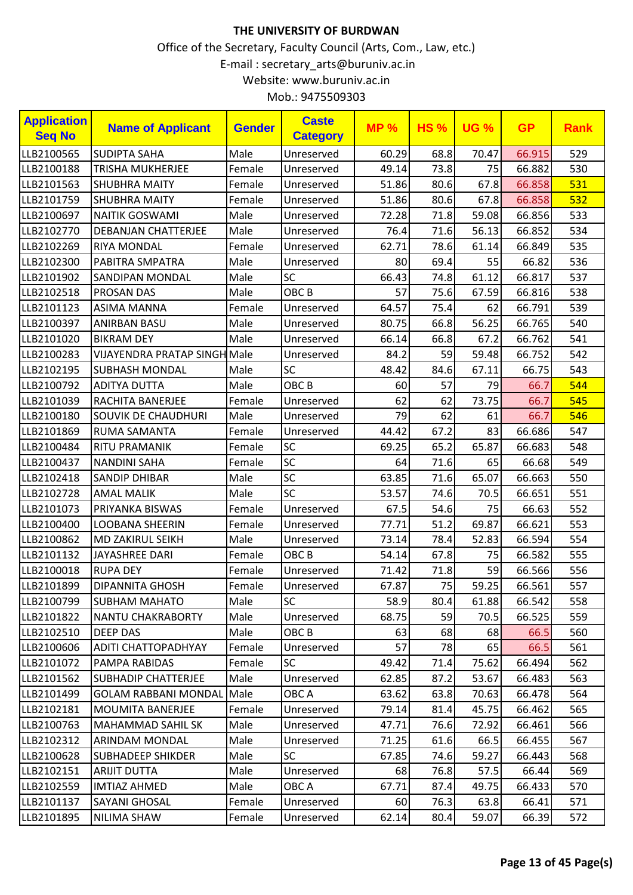| <b>Application</b><br><b>Caste</b><br><b>MP%</b><br><b>HS%</b><br><b>UG %</b><br><b>Name of Applicant</b><br><b>Gender</b><br><b>Seq No</b><br><b>Category</b> | <b>GP</b>    | <b>Rank</b> |
|----------------------------------------------------------------------------------------------------------------------------------------------------------------|--------------|-------------|
| LLB2100565<br>Male<br>68.8<br><b>SUDIPTA SAHA</b><br>60.29<br>70.47<br>Unreserved                                                                              | 66.915       | 529         |
| 73.8<br>LLB2100188<br>Female<br>49.14<br><b>TRISHA MUKHERJEE</b><br>Unreserved                                                                                 | 75<br>66.882 | 530         |
| 80.6<br>67.8<br>LLB2101563<br><b>SHUBHRA MAITY</b><br>Female<br>51.86<br>Unreserved                                                                            | 66.858       | 531         |
| 80.6<br>LLB2101759<br>51.86<br>67.8<br><b>SHUBHRA MAITY</b><br>Female<br>Unreserved                                                                            | 66.858       | 532         |
| 71.8<br>Male<br>72.28<br>59.08<br>LLB2100697<br><b>NAITIK GOSWAMI</b><br>Unreserved                                                                            | 66.856       | 533         |
| 76.4<br>71.6<br>56.13<br>LLB2102770<br>Male<br><b>DEBANJAN CHATTERJEE</b><br>Unreserved                                                                        | 66.852       | 534         |
| LLB2102269<br><b>RIYA MONDAL</b><br>62.71<br>78.6<br>61.14<br>Female<br>Unreserved                                                                             | 66.849       | 535         |
| 69.4<br>LLB2102300<br>Male<br>55<br>PABITRA SMPATRA<br>80<br>Unreserved                                                                                        | 66.82        | 536         |
| <b>SC</b><br>66.43<br>61.12<br>Male<br>74.8<br>LLB2101902<br><b>SANDIPAN MONDAL</b>                                                                            | 66.817       | 537         |
| LLB2102518<br><b>PROSAN DAS</b><br>Male<br>OBC <sub>B</sub><br>57<br>75.6<br>67.59                                                                             | 66.816       | 538         |
| 64.57<br>75.4<br>62<br>LLB2101123<br><b>ASIMA MANNA</b><br>Female<br>Unreserved                                                                                | 66.791       | 539         |
| 56.25<br>66.8<br>LLB2100397<br><b>ANIRBAN BASU</b><br>Male<br>Unreserved<br>80.75                                                                              | 66.765       | 540         |
| Male<br>66.14<br>67.2<br>LLB2101020<br><b>BIKRAM DEY</b><br>66.8<br>Unreserved                                                                                 | 66.762       | 541         |
| <b>VIJAYENDRA PRATAP SINGH Male</b><br>84.2<br>59<br>59.48<br>LLB2100283<br>Unreserved                                                                         | 66.752       | 542         |
| LLB2102195<br>SC<br>67.11<br><b>SUBHASH MONDAL</b><br>Male<br>48.42<br>84.6                                                                                    | 66.75        | 543         |
| OBC <sub>B</sub><br>57<br>LLB2100792<br>Male<br>79<br><b>ADITYA DUTTA</b><br>60                                                                                | 66.7         | 544         |
| 73.75<br>LLB2101039<br>62<br>62<br>RACHITA BANERJEE<br>Female<br>Unreserved                                                                                    | 66.7         | 545         |
| 79<br>62<br>Male<br>61<br>LLB2100180<br><b>SOUVIK DE CHAUDHURI</b><br>Unreserved                                                                               | 66.7         | 546         |
| 67.2<br>83<br>LLB2101869<br>RUMA SAMANTA<br>Female<br>44.42<br>Unreserved                                                                                      | 66.686       | 547         |
| 65.87<br><b>SC</b><br>69.25<br>65.2<br>LLB2100484<br><b>RITU PRAMANIK</b><br>Female                                                                            | 66.683       | 548         |
| SC<br>71.6<br>64<br>65<br>LLB2100437<br><b>NANDINI SAHA</b><br>Female                                                                                          | 66.68        | 549         |
| SC<br>71.6<br>65.07<br>LLB2102418<br><b>SANDIP DHIBAR</b><br>Male<br>63.85                                                                                     | 66.663       | 550         |
| <b>SC</b><br>LLB2102728<br><b>AMAL MALIK</b><br>Male<br>53.57<br>74.6<br>70.5                                                                                  | 66.651       | 551         |
| 67.5<br>54.6<br>LLB2101073<br>PRIYANKA BISWAS<br>Female<br>Unreserved                                                                                          | 75<br>66.63  | 552         |
| 77.71<br>69.87<br>LLB2100400<br>51.2<br><b>LOOBANA SHEERIN</b><br>Female<br>Unreserved                                                                         | 66.621       | 553         |
| 73.14<br>78.4<br>52.83<br>LLB2100862<br>MD ZAKIRUL SEIKH<br>Male<br>Unreserved                                                                                 | 66.594       | 554         |
| 67.8<br>OBC <sub>B</sub><br>54.14<br>LLB2101132<br>JAYASHREE DARI<br>75<br>Female                                                                              | 66.582       | 555         |
| 71.8<br>LLB2100018<br><b>RUPA DEY</b><br>71.42<br>Female<br>Unreserved                                                                                         | 59<br>66.566 | 556         |
| 75<br>59.25<br>67.87<br>LLB2101899<br><b>DIPANNITA GHOSH</b><br>Female<br>Unreserved                                                                           | 66.561       | 557         |
| Male<br><b>SC</b><br>58.9<br>80.4<br>61.88<br>LLB2100799<br><b>SUBHAM MAHATO</b>                                                                               | 66.542       | 558         |
| LLB2101822<br>Male<br>68.75<br>59<br>70.5<br><b>NANTU CHAKRABORTY</b><br>Unreserved                                                                            | 66.525       | 559         |
| Male<br>OBC <sub>B</sub><br>63<br>68<br>LLB2102510<br><b>DEEP DAS</b>                                                                                          | 68<br>66.5   | 560         |
| 57<br>78<br>LLB2100606<br>ADITI CHATTOPADHYAY<br>Female<br>Unreserved                                                                                          | 65<br>66.5   | 561         |
| LLB2101072<br>49.42<br>71.4<br>PAMPA RABIDAS<br>Female<br><b>SC</b><br>75.62                                                                                   | 66.494       | 562         |
| Male<br>LLB2101562<br><b>SUBHADIP CHATTERJEE</b><br>62.85<br>87.2<br>53.67<br>Unreserved                                                                       | 66.483       | 563         |
| LLB2101499<br><b>GOLAM RABBANI MONDAL</b><br>Male<br>OBC A<br>63.8<br>70.63<br>63.62                                                                           | 66.478       | 564         |
| LLB2102181<br><b>MOUMITA BANERJEE</b><br>Female<br>Unreserved<br>79.14<br>81.4<br>45.75                                                                        | 66.462       | 565         |
| LLB2100763<br>Male<br>47.71<br>76.6<br><b>MAHAMMAD SAHIL SK</b><br>Unreserved<br>72.92                                                                         | 66.461       | 566         |
| LLB2102312<br>Male<br>71.25<br>66.5<br><b>ARINDAM MONDAL</b><br>61.6<br>Unreserved                                                                             | 66.455       | 567         |
| Male<br>LLB2100628<br><b>SC</b><br>67.85<br>74.6<br>59.27<br>SUBHADEEP SHIKDER                                                                                 | 66.443       | 568         |
| LLB2102151<br><b>ARIJIT DUTTA</b><br>Male<br>Unreserved<br>68<br>76.8<br>57.5                                                                                  | 66.44        | 569         |
| Male<br>87.4<br>LLB2102559<br><b>IMTIAZ AHMED</b><br>OBC A<br>67.71<br>49.75                                                                                   | 66.433       | 570         |
| LLB2101137<br>Unreserved<br>60<br>76.3<br>63.8<br>SAYANI GHOSAL<br>Female                                                                                      | 66.41        | 571         |
| LLB2101895<br>Female<br>62.14<br>80.4<br>59.07<br>NILIMA SHAW<br>Unreserved                                                                                    | 66.39        | 572         |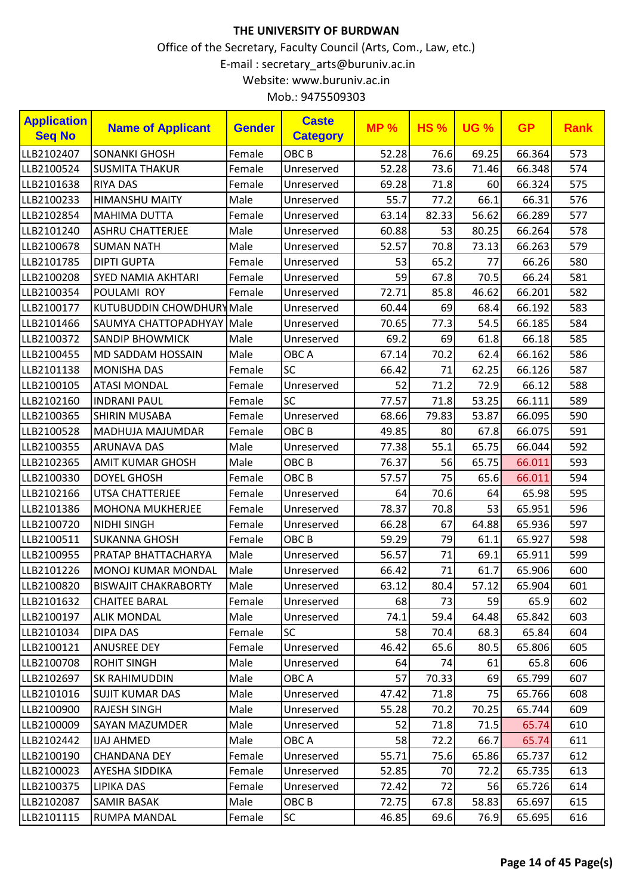| <b>Application</b><br><b>Seq No</b> | <b>Name of Applicant</b>    | <b>Gender</b> | <b>Caste</b><br><b>Category</b> | <b>MP%</b> | <b>HS%</b> | <b>UG %</b> | <b>GP</b> | <b>Rank</b> |
|-------------------------------------|-----------------------------|---------------|---------------------------------|------------|------------|-------------|-----------|-------------|
| LLB2102407                          | <b>SONANKI GHOSH</b>        | Female        | OBC <sub>B</sub>                | 52.28      | 76.6       | 69.25       | 66.364    | 573         |
| LLB2100524                          | <b>SUSMITA THAKUR</b>       | Female        | Unreserved                      | 52.28      | 73.6       | 71.46       | 66.348    | 574         |
| LLB2101638                          | <b>RIYA DAS</b>             | Female        | Unreserved                      | 69.28      | 71.8       | 60          | 66.324    | 575         |
| LLB2100233                          | <b>HIMANSHU MAITY</b>       | Male          | Unreserved                      | 55.7       | 77.2       | 66.1        | 66.31     | 576         |
| LLB2102854                          | <b>MAHIMA DUTTA</b>         | Female        | Unreserved                      | 63.14      | 82.33      | 56.62       | 66.289    | 577         |
| LLB2101240                          | <b>ASHRU CHATTERJEE</b>     | Male          | Unreserved                      | 60.88      | 53         | 80.25       | 66.264    | 578         |
| LLB2100678                          | <b>SUMAN NATH</b>           | Male          | Unreserved                      | 52.57      | 70.8       | 73.13       | 66.263    | 579         |
| LLB2101785                          | <b>DIPTI GUPTA</b>          | Female        | Unreserved                      | 53         | 65.2       | 77          | 66.26     | 580         |
| LLB2100208                          | <b>SYED NAMIA AKHTARI</b>   | Female        | Unreserved                      | 59         | 67.8       | 70.5        | 66.24     | 581         |
| LLB2100354                          | POULAMI ROY                 | Female        | Unreserved                      | 72.71      | 85.8       | 46.62       | 66.201    | 582         |
| LLB2100177                          | KUTUBUDDIN CHOWDHURYMale    |               | Unreserved                      | 60.44      | 69         | 68.4        | 66.192    | 583         |
| LLB2101466                          | SAUMYA CHATTOPADHYAY Male   |               | Unreserved                      | 70.65      | 77.3       | 54.5        | 66.185    | 584         |
| LLB2100372                          | <b>SANDIP BHOWMICK</b>      | Male          | Unreserved                      | 69.2       | 69         | 61.8        | 66.18     | 585         |
| LLB2100455                          | MD SADDAM HOSSAIN           | Male          | OBC A                           | 67.14      | 70.2       | 62.4        | 66.162    | 586         |
| LLB2101138                          | <b>MONISHA DAS</b>          | Female        | <b>SC</b>                       | 66.42      | 71         | 62.25       | 66.126    | 587         |
| LLB2100105                          | <b>ATASI MONDAL</b>         | Female        | Unreserved                      | 52         | 71.2       | 72.9        | 66.12     | 588         |
| LLB2102160                          | <b>INDRANI PAUL</b>         | Female        | <b>SC</b>                       | 77.57      | 71.8       | 53.25       | 66.111    | 589         |
| LLB2100365                          | <b>SHIRIN MUSABA</b>        | Female        | Unreserved                      | 68.66      | 79.83      | 53.87       | 66.095    | 590         |
| LLB2100528                          | MADHUJA MAJUMDAR            | Female        | OBC <sub>B</sub>                | 49.85      | 80         | 67.8        | 66.075    | 591         |
| LLB2100355                          | <b>ARUNAVA DAS</b>          | Male          | Unreserved                      | 77.38      | 55.1       | 65.75       | 66.044    | 592         |
| LLB2102365                          | <b>AMIT KUMAR GHOSH</b>     | Male          | OBC <sub>B</sub>                | 76.37      | 56         | 65.75       | 66.011    | 593         |
| LLB2100330                          | <b>DOYEL GHOSH</b>          | Female        | OBC <sub>B</sub>                | 57.57      | 75         | 65.6        | 66.011    | 594         |
| LLB2102166                          | <b>UTSA CHATTERJEE</b>      | Female        | Unreserved                      | 64         | 70.6       | 64          | 65.98     | 595         |
| LLB2101386                          | <b>MOHONA MUKHERJEE</b>     | Female        | Unreserved                      | 78.37      | 70.8       | 53          | 65.951    | 596         |
| LLB2100720                          | <b>NIDHI SINGH</b>          | Female        | Unreserved                      | 66.28      | 67         | 64.88       | 65.936    | 597         |
| LLB2100511                          | <b>SUKANNA GHOSH</b>        | Female        | OBC <sub>B</sub>                | 59.29      | 79         | 61.1        | 65.927    | 598         |
| LLB2100955                          | PRATAP BHATTACHARYA         | Male          | Unreserved                      | 56.57      | 71         | 69.1        | 65.911    | 599         |
| LLB2101226                          | <b>MONOJ KUMAR MONDAL</b>   | Male          | Unreserved                      | 66.42      | 71         | 61.7        | 65.906    | 600         |
| LLB2100820                          | <b>BISWAJIT CHAKRABORTY</b> | Male          | Unreserved                      | 63.12      | 80.4       | 57.12       | 65.904    | 601         |
| LLB2101632                          | <b>CHAITEE BARAL</b>        | Female        | Unreserved                      | 68         | 73         | 59          | 65.9      | 602         |
| LLB2100197                          | <b>ALIK MONDAL</b>          | Male          | Unreserved                      | 74.1       | 59.4       | 64.48       | 65.842    | 603         |
| LLB2101034                          | <b>DIPA DAS</b>             | Female        | <b>SC</b>                       | 58         | 70.4       | 68.3        | 65.84     | 604         |
| LLB2100121                          | <b>ANUSREE DEY</b>          | Female        | Unreserved                      | 46.42      | 65.6       | 80.5        | 65.806    | 605         |
| LLB2100708                          | <b>ROHIT SINGH</b>          | Male          | Unreserved                      | 64         | 74         | 61          | 65.8      | 606         |
| LLB2102697                          | <b>SK RAHIMUDDIN</b>        | Male          | OBC A                           | 57         | 70.33      | 69          | 65.799    | 607         |
| LLB2101016                          | <b>SUJIT KUMAR DAS</b>      | Male          | Unreserved                      | 47.42      | 71.8       | 75          | 65.766    | 608         |
| LLB2100900                          | <b>RAJESH SINGH</b>         | Male          | Unreserved                      | 55.28      | 70.2       | 70.25       | 65.744    | 609         |
| LLB2100009                          | SAYAN MAZUMDER              | Male          | Unreserved                      | 52         | 71.8       | 71.5        | 65.74     | 610         |
| LLB2102442                          | <b>IJAJ AHMED</b>           | Male          | OBC A                           | 58         | 72.2       | 66.7        | 65.74     | 611         |
| LLB2100190                          | <b>CHANDANA DEY</b>         | Female        | Unreserved                      | 55.71      | 75.6       | 65.86       | 65.737    | 612         |
| LLB2100023                          | AYESHA SIDDIKA              | Female        | Unreserved                      | 52.85      | 70         | 72.2        | 65.735    | 613         |
| LLB2100375                          | <b>LIPIKA DAS</b>           | Female        | Unreserved                      | 72.42      | 72         | 56          | 65.726    | 614         |
| LLB2102087                          | <b>SAMIR BASAK</b>          | Male          | OBC <sub>B</sub>                | 72.75      | 67.8       | 58.83       | 65.697    | 615         |
| LLB2101115                          | <b>RUMPA MANDAL</b>         | Female        | <b>SC</b>                       | 46.85      | 69.6       | 76.9        | 65.695    | 616         |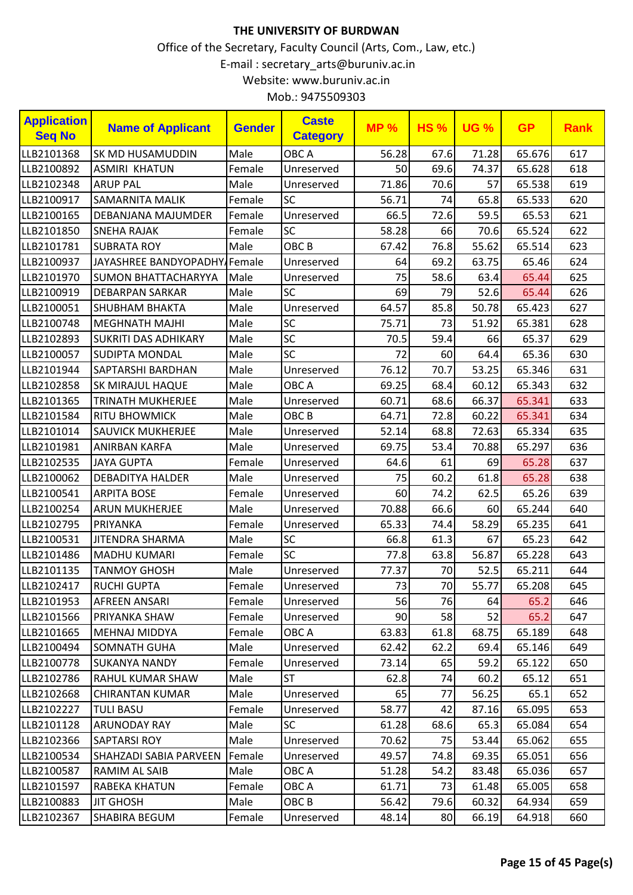| <b>Application</b><br><b>Seq No</b> | <b>Name of Applicant</b>     | <b>Gender</b> | <b>Caste</b><br><b>Category</b> | <b>MP%</b> | <b>HS%</b> | <b>UG %</b> | <b>GP</b> | <b>Rank</b> |
|-------------------------------------|------------------------------|---------------|---------------------------------|------------|------------|-------------|-----------|-------------|
| LLB2101368                          | <b>SK MD HUSAMUDDIN</b>      | Male          | OBC A                           | 56.28      | 67.6       | 71.28       | 65.676    | 617         |
| LLB2100892                          | <b>ASMIRI KHATUN</b>         | Female        | Unreserved                      | 50         | 69.6       | 74.37       | 65.628    | 618         |
| LLB2102348                          | <b>ARUP PAL</b>              | Male          | Unreserved                      | 71.86      | 70.6       | 57          | 65.538    | 619         |
| LLB2100917                          | <b>SAMARNITA MALIK</b>       | Female        | <b>SC</b>                       | 56.71      | 74         | 65.8        | 65.533    | 620         |
| LLB2100165                          | DEBANJANA MAJUMDER           | Female        | Unreserved                      | 66.5       | 72.6       | 59.5        | 65.53     | 621         |
| LLB2101850                          | <b>SNEHA RAJAK</b>           | Female        | SC                              | 58.28      | 66         | 70.6        | 65.524    | 622         |
| LLB2101781                          | <b>SUBRATA ROY</b>           | Male          | OBC <sub>B</sub>                | 67.42      | 76.8       | 55.62       | 65.514    | 623         |
| LLB2100937                          | JAYASHREE BANDYOPADHY/Female |               | Unreserved                      | 64         | 69.2       | 63.75       | 65.46     | 624         |
| LLB2101970                          | <b>SUMON BHATTACHARYYA</b>   | Male          | Unreserved                      | 75         | 58.6       | 63.4        | 65.44     | 625         |
| LLB2100919                          | <b>DEBARPAN SARKAR</b>       | Male          | <b>SC</b>                       | 69         | 79         | 52.6        | 65.44     | 626         |
| LLB2100051                          | <b>SHUBHAM BHAKTA</b>        | Male          | Unreserved                      | 64.57      | 85.8       | 50.78       | 65.423    | 627         |
| LLB2100748                          | <b>MEGHNATH MAJHI</b>        | Male          | SC                              | 75.71      | 73         | 51.92       | 65.381    | 628         |
| LLB2102893                          | <b>SUKRITI DAS ADHIKARY</b>  | Male          | SC                              | 70.5       | 59.4       | 66          | 65.37     | 629         |
| LLB2100057                          | <b>SUDIPTA MONDAL</b>        | Male          | SC                              | 72         | 60         | 64.4        | 65.36     | 630         |
| LLB2101944                          | SAPTARSHI BARDHAN            | Male          | Unreserved                      | 76.12      | 70.7       | 53.25       | 65.346    | 631         |
| LLB2102858                          | <b>SK MIRAJUL HAQUE</b>      | Male          | OBC A                           | 69.25      | 68.4       | 60.12       | 65.343    | 632         |
| LLB2101365                          | <b>TRINATH MUKHERJEE</b>     | Male          | Unreserved                      | 60.71      | 68.6       | 66.37       | 65.341    | 633         |
| LLB2101584                          | <b>RITU BHOWMICK</b>         | Male          | OBC <sub>B</sub>                | 64.71      | 72.8       | 60.22       | 65.341    | 634         |
| LLB2101014                          | <b>SAUVICK MUKHERJEE</b>     | Male          | Unreserved                      | 52.14      | 68.8       | 72.63       | 65.334    | 635         |
| LLB2101981                          | <b>ANIRBAN KARFA</b>         | Male          | Unreserved                      | 69.75      | 53.4       | 70.88       | 65.297    | 636         |
| LLB2102535                          | <b>JAYA GUPTA</b>            | Female        | Unreserved                      | 64.6       | 61         | 69          | 65.28     | 637         |
| LLB2100062                          | <b>DEBADITYA HALDER</b>      | Male          | Unreserved                      | 75         | 60.2       | 61.8        | 65.28     | 638         |
| LLB2100541                          | <b>ARPITA BOSE</b>           | Female        | Unreserved                      | 60         | 74.2       | 62.5        | 65.26     | 639         |
| LLB2100254                          | <b>ARUN MUKHERJEE</b>        | Male          | Unreserved                      | 70.88      | 66.6       | 60          | 65.244    | 640         |
| LLB2102795                          | PRIYANKA                     | Female        | Unreserved                      | 65.33      | 74.4       | 58.29       | 65.235    | 641         |
| LLB2100531                          | <b>JITENDRA SHARMA</b>       | Male          | SC                              | 66.8       | 61.3       | 67          | 65.23     | 642         |
| LLB2101486                          | <b>MADHU KUMARI</b>          | Female        | SC                              | 77.8       | 63.8       | 56.87       | 65.228    | 643         |
| LLB2101135                          | <b>TANMOY GHOSH</b>          | Male          | Unreserved                      | 77.37      | 70         | 52.5        | 65.211    | 644         |
| LLB2102417                          | <b>RUCHI GUPTA</b>           | Female        | Unreserved                      | 73         | 70         | 55.77       | 65.208    | 645         |
| LLB2101953                          | AFREEN ANSARI                | Female        | Unreserved                      | 56         | 76         | 64          | 65.2      | 646         |
| LLB2101566                          | <b>PRIYANKA SHAW</b>         | Female        | Unreserved                      | 90         | 58         | 52          | 65.2      | 647         |
| LLB2101665                          | <b>MEHNAJ MIDDYA</b>         | Female        | OBC A                           | 63.83      | 61.8       | 68.75       | 65.189    | 648         |
| LLB2100494                          | <b>SOMNATH GUHA</b>          | Male          | Unreserved                      | 62.42      | 62.2       | 69.4        | 65.146    | 649         |
| LLB2100778                          | <b>SUKANYA NANDY</b>         | Female        | Unreserved                      | 73.14      | 65         | 59.2        | 65.122    | 650         |
| LLB2102786                          | <b>RAHUL KUMAR SHAW</b>      | Male          | <b>ST</b>                       | 62.8       | 74         | 60.2        | 65.12     | 651         |
| LLB2102668                          | <b>CHIRANTAN KUMAR</b>       | Male          | Unreserved                      | 65         | 77         | 56.25       | 65.1      | 652         |
| LLB2102227                          | <b>TULI BASU</b>             | Female        | Unreserved                      | 58.77      | 42         | 87.16       | 65.095    | 653         |
| LLB2101128                          | <b>ARUNODAY RAY</b>          | Male          | <b>SC</b>                       | 61.28      | 68.6       | 65.3        | 65.084    | 654         |
| LLB2102366                          | <b>SAPTARSI ROY</b>          | Male          | Unreserved                      | 70.62      | 75         | 53.44       | 65.062    | 655         |
| LLB2100534                          | SHAHZADI SABIA PARVEEN       | Female        | Unreserved                      | 49.57      | 74.8       | 69.35       | 65.051    | 656         |
| LLB2100587                          | RAMIM AL SAIB                | Male          | OBC A                           | 51.28      | 54.2       | 83.48       | 65.036    | 657         |
| LLB2101597                          | <b>RABEKA KHATUN</b>         | Female        | OBC A                           | 61.71      | 73         | 61.48       | 65.005    | 658         |
| LLB2100883                          | <b>JIT GHOSH</b>             | Male          | OBC B                           | 56.42      | 79.6       | 60.32       | 64.934    | 659         |
| LLB2102367                          | SHABIRA BEGUM                | Female        | Unreserved                      | 48.14      | 80         | 66.19       | 64.918    | 660         |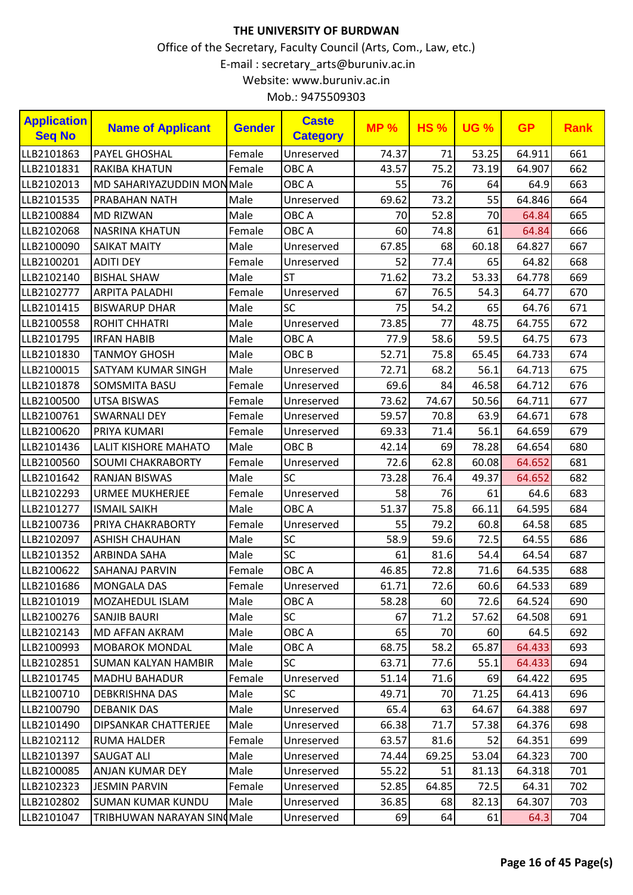| <b>Application</b><br><b>Seq No</b> | <b>Name of Applicant</b>          | <b>Gender</b> | <b>Caste</b><br><b>Category</b> | <b>MP%</b> | <b>HS%</b> | <b>UG %</b> | <b>GP</b> | <b>Rank</b> |
|-------------------------------------|-----------------------------------|---------------|---------------------------------|------------|------------|-------------|-----------|-------------|
| LLB2101863                          | PAYEL GHOSHAL                     | Female        | Unreserved                      | 74.37      | 71         | 53.25       | 64.911    | 661         |
| LLB2101831                          | <b>RAKIBA KHATUN</b>              | Female        | OBC A                           | 43.57      | 75.2       | 73.19       | 64.907    | 662         |
| LLB2102013                          | <b>MD SAHARIYAZUDDIN MON Male</b> |               | OBC A                           | 55         | 76         | 64          | 64.9      | 663         |
| LLB2101535                          | <b>PRABAHAN NATH</b>              | Male          | Unreserved                      | 69.62      | 73.2       | 55          | 64.846    | 664         |
| LLB2100884                          | <b>MD RIZWAN</b>                  | Male          | OBC A                           | 70         | 52.8       | 70          | 64.84     | 665         |
| LLB2102068                          | <b>NASRINA KHATUN</b>             | Female        | OBC A                           | 60         | 74.8       | 61          | 64.84     | 666         |
| LLB2100090                          | <b>SAIKAT MAITY</b>               | Male          | Unreserved                      | 67.85      | 68         | 60.18       | 64.827    | 667         |
| LLB2100201                          | <b>ADITI DEY</b>                  | Female        | Unreserved                      | 52         | 77.4       | 65          | 64.82     | 668         |
| LLB2102140                          | <b>BISHAL SHAW</b>                | Male          | <b>ST</b>                       | 71.62      | 73.2       | 53.33       | 64.778    | 669         |
| LLB2102777                          | <b>ARPITA PALADHI</b>             | Female        | Unreserved                      | 67         | 76.5       | 54.3        | 64.77     | 670         |
| LLB2101415                          | <b>BISWARUP DHAR</b>              | Male          | <b>SC</b>                       | 75         | 54.2       | 65          | 64.76     | 671         |
| LLB2100558                          | <b>ROHIT CHHATRI</b>              | Male          | Unreserved                      | 73.85      | 77         | 48.75       | 64.755    | 672         |
| LLB2101795                          | <b>IRFAN HABIB</b>                | Male          | OBC A                           | 77.9       | 58.6       | 59.5        | 64.75     | 673         |
| LLB2101830                          | <b>TANMOY GHOSH</b>               | Male          | OBC <sub>B</sub>                | 52.71      | 75.8       | 65.45       | 64.733    | 674         |
| LLB2100015                          | <b>SATYAM KUMAR SINGH</b>         | Male          | Unreserved                      | 72.71      | 68.2       | 56.1        | 64.713    | 675         |
| LLB2101878                          | <b>SOMSMITA BASU</b>              | Female        | Unreserved                      | 69.6       | 84         | 46.58       | 64.712    | 676         |
| LLB2100500                          | <b>UTSA BISWAS</b>                | Female        | Unreserved                      | 73.62      | 74.67      | 50.56       | 64.711    | 677         |
| LLB2100761                          | <b>SWARNALI DEY</b>               | Female        | Unreserved                      | 59.57      | 70.8       | 63.9        | 64.671    | 678         |
| LLB2100620                          | PRIYA KUMARI                      | Female        | Unreserved                      | 69.33      | 71.4       | 56.1        | 64.659    | 679         |
| LLB2101436                          | LALIT KISHORE MAHATO              | Male          | OBC <sub>B</sub>                | 42.14      | 69         | 78.28       | 64.654    | 680         |
| LLB2100560                          | <b>SOUMI CHAKRABORTY</b>          | Female        | Unreserved                      | 72.6       | 62.8       | 60.08       | 64.652    | 681         |
| LLB2101642                          | <b>RANJAN BISWAS</b>              | Male          | SC                              | 73.28      | 76.4       | 49.37       | 64.652    | 682         |
| LLB2102293                          | <b>URMEE MUKHERJEE</b>            | Female        | Unreserved                      | 58         | 76         | 61          | 64.6      | 683         |
| LLB2101277                          | <b>ISMAIL SAIKH</b>               | Male          | OBC A                           | 51.37      | 75.8       | 66.11       | 64.595    | 684         |
| LLB2100736                          | PRIYA CHAKRABORTY                 | Female        | Unreserved                      | 55         | 79.2       | 60.8        | 64.58     | 685         |
| LLB2102097                          | <b>ASHISH CHAUHAN</b>             | Male          | SC                              | 58.9       | 59.6       | 72.5        | 64.55     | 686         |
| LLB2101352                          | <b>ARBINDA SAHA</b>               | Male          | SC                              | 61         | 81.6       | 54.4        | 64.54     | 687         |
| LLB2100622                          | <b>SAHANAJ PARVIN</b>             | Female        | OBC A                           | 46.85      | 72.8       | 71.6        | 64.535    | 688         |
| LLB2101686                          | MONGALA DAS                       | Female        | Unreserved                      | 61.71      | 72.6       | 60.6        | 64.533    | 689         |
| LLB2101019                          | MOZAHEDUL ISLAM                   | Male          | OBC A                           | 58.28      | 60         | 72.6        | 64.524    | 690         |
| LLB2100276                          | <b>SANJIB BAURI</b>               | Male          | <b>SC</b>                       | 67         | 71.2       | 57.62       | 64.508    | 691         |
| LLB2102143                          | MD AFFAN AKRAM                    | Male          | OBC A                           | 65         | 70         | 60          | 64.5      | 692         |
| LLB2100993                          | <b>MOBAROK MONDAL</b>             | Male          | OBC A                           | 68.75      | 58.2       | 65.87       | 64.433    | 693         |
| LLB2102851                          | <b>SUMAN KALYAN HAMBIR</b>        | Male          | <b>SC</b>                       | 63.71      | 77.6       | 55.1        | 64.433    | 694         |
| LLB2101745                          | <b>MADHU BAHADUR</b>              | Female        | Unreserved                      | 51.14      | 71.6       | 69          | 64.422    | 695         |
| LLB2100710                          | DEBKRISHNA DAS                    | Male          | <b>SC</b>                       | 49.71      | 70         | 71.25       | 64.413    | 696         |
| LLB2100790                          | <b>DEBANIK DAS</b>                | Male          | Unreserved                      | 65.4       | 63         | 64.67       | 64.388    | 697         |
| LLB2101490                          | DIPSANKAR CHATTERJEE              | Male          | Unreserved                      | 66.38      | 71.7       | 57.38       | 64.376    | 698         |
| LLB2102112                          | <b>RUMA HALDER</b>                | Female        | Unreserved                      | 63.57      | 81.6       | 52          | 64.351    | 699         |
| LLB2101397                          | <b>SAUGAT ALI</b>                 | Male          | Unreserved                      | 74.44      | 69.25      | 53.04       | 64.323    | 700         |
| LLB2100085                          | <b>ANJAN KUMAR DEY</b>            | Male          | Unreserved                      | 55.22      | 51         | 81.13       | 64.318    | 701         |
| LLB2102323                          | <b>JESMIN PARVIN</b>              | Female        | Unreserved                      | 52.85      | 64.85      | 72.5        | 64.31     | 702         |
| LLB2102802                          | <b>SUMAN KUMAR KUNDU</b>          | Male          | Unreserved                      | 36.85      | 68         | 82.13       | 64.307    | 703         |
| LLB2101047                          | TRIBHUWAN NARAYAN SIN Male        |               | Unreserved                      | 69         | 64         | 61          | 64.3      | 704         |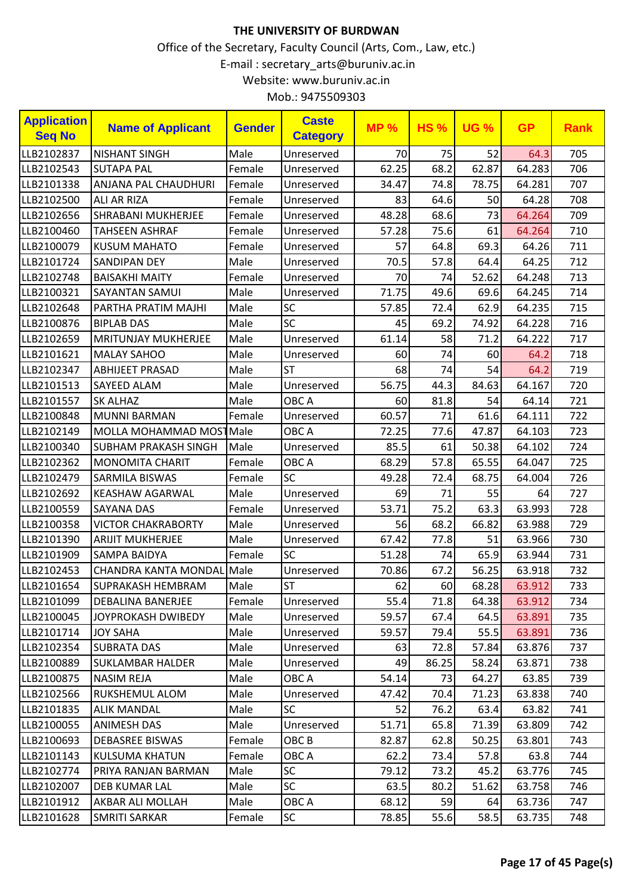| <b>Application</b><br><b>Seq No</b> | <b>Name of Applicant</b>    | <b>Gender</b> | <b>Caste</b><br><b>Category</b> | <b>MP%</b> | <b>HS%</b> | <b>UG %</b> | <b>GP</b> | <b>Rank</b> |
|-------------------------------------|-----------------------------|---------------|---------------------------------|------------|------------|-------------|-----------|-------------|
| LLB2102837                          | <b>NISHANT SINGH</b>        | Male          | Unreserved                      | 70         | 75         | 52          | 64.3      | 705         |
| LLB2102543                          | <b>SUTAPA PAL</b>           | Female        | Unreserved                      | 62.25      | 68.2       | 62.87       | 64.283    | 706         |
| LLB2101338                          | <b>ANJANA PAL CHAUDHURI</b> | Female        | Unreserved                      | 34.47      | 74.8       | 78.75       | 64.281    | 707         |
| LLB2102500                          | <b>ALI AR RIZA</b>          | Female        | Unreserved                      | 83         | 64.6       | 50          | 64.28     | 708         |
| LLB2102656                          | <b>SHRABANI MUKHERJEE</b>   | Female        | Unreserved                      | 48.28      | 68.6       | 73          | 64.264    | 709         |
| LLB2100460                          | <b>TAHSEEN ASHRAF</b>       | Female        | Unreserved                      | 57.28      | 75.6       | 61          | 64.264    | 710         |
| LLB2100079                          | <b>KUSUM MAHATO</b>         | Female        | Unreserved                      | 57         | 64.8       | 69.3        | 64.26     | 711         |
| LLB2101724                          | <b>SANDIPAN DEY</b>         | Male          | Unreserved                      | 70.5       | 57.8       | 64.4        | 64.25     | 712         |
| LLB2102748                          | <b>BAISAKHI MAITY</b>       | Female        | Unreserved                      | 70         | 74         | 52.62       | 64.248    | 713         |
| LLB2100321                          | SAYANTAN SAMUI              | Male          | Unreserved                      | 71.75      | 49.6       | 69.6        | 64.245    | 714         |
| LLB2102648                          | PARTHA PRATIM MAJHI         | Male          | <b>SC</b>                       | 57.85      | 72.4       | 62.9        | 64.235    | 715         |
| LLB2100876                          | <b>BIPLAB DAS</b>           | Male          | <b>SC</b>                       | 45         | 69.2       | 74.92       | 64.228    | 716         |
| LLB2102659                          | <b>MRITUNJAY MUKHERJEE</b>  | Male          | Unreserved                      | 61.14      | 58         | 71.2        | 64.222    | 717         |
| LLB2101621                          | <b>MALAY SAHOO</b>          | Male          | Unreserved                      | 60         | 74         | 60          | 64.2      | 718         |
| LLB2102347                          | <b>ABHIJEET PRASAD</b>      | Male          | <b>ST</b>                       | 68         | 74         | 54          | 64.2      | 719         |
| LLB2101513                          | SAYEED ALAM                 | Male          | Unreserved                      | 56.75      | 44.3       | 84.63       | 64.167    | 720         |
| LLB2101557                          | <b>SK ALHAZ</b>             | Male          | OBC A                           | 60         | 81.8       | 54          | 64.14     | 721         |
| LLB2100848                          | <b>MUNNI BARMAN</b>         | Female        | Unreserved                      | 60.57      | 71         | 61.6        | 64.111    | 722         |
| LLB2102149                          | MOLLA MOHAMMAD MOSTMale     |               | OBC A                           | 72.25      | 77.6       | 47.87       | 64.103    | 723         |
| LLB2100340                          | <b>SUBHAM PRAKASH SINGH</b> | Male          | Unreserved                      | 85.5       | 61         | 50.38       | 64.102    | 724         |
| LLB2102362                          | <b>MONOMITA CHARIT</b>      | Female        | OBC A                           | 68.29      | 57.8       | 65.55       | 64.047    | 725         |
| LLB2102479                          | <b>SARMILA BISWAS</b>       | Female        | SC                              | 49.28      | 72.4       | 68.75       | 64.004    | 726         |
| LLB2102692                          | <b>KEASHAW AGARWAL</b>      | Male          | Unreserved                      | 69         | 71         | 55          | 64        | 727         |
| LLB2100559                          | <b>SAYANA DAS</b>           | Female        | Unreserved                      | 53.71      | 75.2       | 63.3        | 63.993    | 728         |
| LLB2100358                          | <b>VICTOR CHAKRABORTY</b>   | Male          | Unreserved                      | 56         | 68.2       | 66.82       | 63.988    | 729         |
| LLB2101390                          | <b>ARIJIT MUKHERJEE</b>     | Male          | Unreserved                      | 67.42      | 77.8       | 51          | 63.966    | 730         |
| LLB2101909                          | <b>SAMPA BAIDYA</b>         | Female        | SC                              | 51.28      | 74         | 65.9        | 63.944    | 731         |
| LLB2102453                          | <b>CHANDRA KANTA MONDAL</b> | Male          | Unreserved                      | 70.86      | 67.2       | 56.25       | 63.918    | 732         |
| LLB2101654                          | <b>SUPRAKASH HEMBRAM</b>    | Male          | <b>ST</b>                       | 62         | 60         | 68.28       | 63.912    | 733         |
| LLB2101099                          | <b>DEBALINA BANERJEE</b>    | Female        | Unreserved                      | 55.4       | 71.8       | 64.38       | 63.912    | 734         |
| LLB2100045                          | JOYPROKASH DWIBEDY          | Male          | Unreserved                      | 59.57      | 67.4       | 64.5        | 63.891    | 735         |
| LLB2101714                          | <b>JOY SAHA</b>             | Male          | Unreserved                      | 59.57      | 79.4       | 55.5        | 63.891    | 736         |
| LLB2102354                          | <b>SUBRATA DAS</b>          | Male          | Unreserved                      | 63         | 72.8       | 57.84       | 63.876    | 737         |
| LLB2100889                          | <b>SUKLAMBAR HALDER</b>     | Male          | Unreserved                      | 49         | 86.25      | 58.24       | 63.871    | 738         |
| LLB2100875                          | <b>NASIM REJA</b>           | Male          | OBC A                           | 54.14      | 73         | 64.27       | 63.85     | 739         |
| LLB2102566                          | <b>RUKSHEMUL ALOM</b>       | Male          | Unreserved                      | 47.42      | 70.4       | 71.23       | 63.838    | 740         |
| LLB2101835                          | <b>ALIK MANDAL</b>          | Male          | <b>SC</b>                       | 52         | 76.2       | 63.4        | 63.82     | 741         |
| LLB2100055                          | <b>ANIMESH DAS</b>          | Male          | Unreserved                      | 51.71      | 65.8       | 71.39       | 63.809    | 742         |
| LLB2100693                          | <b>DEBASREE BISWAS</b>      | Female        | OBC <sub>B</sub>                | 82.87      | 62.8       | 50.25       | 63.801    | 743         |
| LLB2101143                          | KULSUMA KHATUN              | Female        | OBC A                           | 62.2       | 73.4       | 57.8        | 63.8      | 744         |
| LLB2102774                          | PRIYA RANJAN BARMAN         | Male          | <b>SC</b>                       | 79.12      | 73.2       | 45.2        | 63.776    | 745         |
| LLB2102007                          | DEB KUMAR LAL               | Male          | <b>SC</b>                       | 63.5       | 80.2       | 51.62       | 63.758    | 746         |
| LLB2101912                          | AKBAR ALI MOLLAH            | Male          | OBC A                           | 68.12      | 59         | 64          | 63.736    | 747         |
| LLB2101628                          | <b>SMRITI SARKAR</b>        | Female        | <b>SC</b>                       | 78.85      | 55.6       | 58.5        | 63.735    | 748         |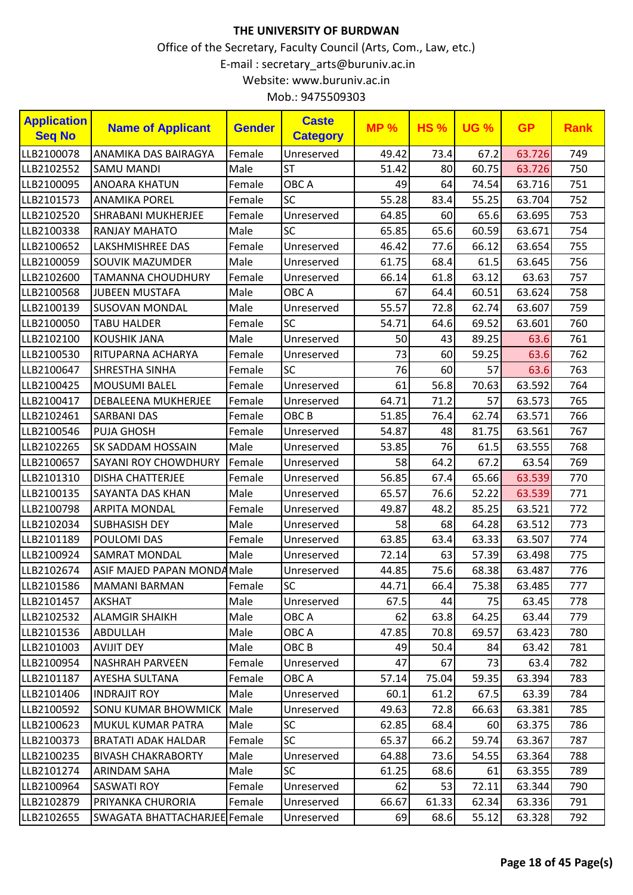| <b>Application</b><br><b>Seq No</b> | <b>Name of Applicant</b>     | <b>Gender</b> | <b>Caste</b><br><b>Category</b> | <b>MP%</b> | <b>HS%</b> | <b>UG %</b> | <b>GP</b> | <b>Rank</b> |
|-------------------------------------|------------------------------|---------------|---------------------------------|------------|------------|-------------|-----------|-------------|
| LLB2100078                          | ANAMIKA DAS BAIRAGYA         | Female        | Unreserved                      | 49.42      | 73.4       | 67.2        | 63.726    | 749         |
| LLB2102552                          | <b>SAMU MANDI</b>            | Male          | <b>ST</b>                       | 51.42      | 80         | 60.75       | 63.726    | 750         |
| LLB2100095                          | <b>ANOARA KHATUN</b>         | Female        | OBC A                           | 49         | 64         | 74.54       | 63.716    | 751         |
| LLB2101573                          | <b>ANAMIKA POREL</b>         | Female        | <b>SC</b>                       | 55.28      | 83.4       | 55.25       | 63.704    | 752         |
| LLB2102520                          | <b>SHRABANI MUKHERJEE</b>    | Female        | Unreserved                      | 64.85      | 60         | 65.6        | 63.695    | 753         |
| LLB2100338                          | <b>RANJAY MAHATO</b>         | Male          | <b>SC</b>                       | 65.85      | 65.6       | 60.59       | 63.671    | 754         |
| LLB2100652                          | LAKSHMISHREE DAS             | Female        | Unreserved                      | 46.42      | 77.6       | 66.12       | 63.654    | 755         |
| LLB2100059                          | SOUVIK MAZUMDER              | Male          | Unreserved                      | 61.75      | 68.4       | 61.5        | 63.645    | 756         |
| LLB2102600                          | <b>TAMANNA CHOUDHURY</b>     | Female        | Unreserved                      | 66.14      | 61.8       | 63.12       | 63.63     | 757         |
| LLB2100568                          | <b>JUBEEN MUSTAFA</b>        | Male          | OBC A                           | 67         | 64.4       | 60.51       | 63.624    | 758         |
| LLB2100139                          | <b>SUSOVAN MONDAL</b>        | Male          | Unreserved                      | 55.57      | 72.8       | 62.74       | 63.607    | 759         |
| LLB2100050                          | <b>TABU HALDER</b>           | Female        | <b>SC</b>                       | 54.71      | 64.6       | 69.52       | 63.601    | 760         |
| LLB2102100                          | <b>KOUSHIK JANA</b>          | Male          | Unreserved                      | 50         | 43         | 89.25       | 63.6      | 761         |
| LLB2100530                          | RITUPARNA ACHARYA            | Female        | Unreserved                      | 73         | 60         | 59.25       | 63.6      | 762         |
| LLB2100647                          | SHRESTHA SINHA               | Female        | <b>SC</b>                       | 76         | 60         | 57          | 63.6      | 763         |
| LLB2100425                          | <b>MOUSUMI BALEL</b>         | Female        | Unreserved                      | 61         | 56.8       | 70.63       | 63.592    | 764         |
| LLB2100417                          | <b>DEBALEENA MUKHERJEE</b>   | Female        | Unreserved                      | 64.71      | 71.2       | 57          | 63.573    | 765         |
| LLB2102461                          | <b>SARBANI DAS</b>           | Female        | OBC <sub>B</sub>                | 51.85      | 76.4       | 62.74       | 63.571    | 766         |
| LLB2100546                          | <b>PUJA GHOSH</b>            | Female        | Unreserved                      | 54.87      | 48         | 81.75       | 63.561    | 767         |
| LLB2102265                          | SK SADDAM HOSSAIN            | Male          | Unreserved                      | 53.85      | 76         | 61.5        | 63.555    | 768         |
| LLB2100657                          | SAYANI ROY CHOWDHURY         | Female        | Unreserved                      | 58         | 64.2       | 67.2        | 63.54     | 769         |
| LLB2101310                          | <b>DISHA CHATTERJEE</b>      | Female        | Unreserved                      | 56.85      | 67.4       | 65.66       | 63.539    | 770         |
| LLB2100135                          | SAYANTA DAS KHAN             | Male          | Unreserved                      | 65.57      | 76.6       | 52.22       | 63.539    | 771         |
| LLB2100798                          | <b>ARPITA MONDAL</b>         | Female        | Unreserved                      | 49.87      | 48.2       | 85.25       | 63.521    | 772         |
| LLB2102034                          | <b>SUBHASISH DEY</b>         | Male          | Unreserved                      | 58         | 68         | 64.28       | 63.512    | 773         |
| LLB2101189                          | POULOMI DAS                  | Female        | Unreserved                      | 63.85      | 63.4       | 63.33       | 63.507    | 774         |
| LLB2100924                          | <b>SAMRAT MONDAL</b>         | Male          | Unreserved                      | 72.14      | 63         | 57.39       | 63.498    | 775         |
| LLB2102674                          | ASIF MAJED PAPAN MONDA Male  |               | Unreserved                      | 44.85      | 75.6       | 68.38       | 63.487    | 776         |
| LLB2101586                          | <b>MAMANI BARMAN</b>         | Female        | SC                              | 44.71      | 66.4       | 75.38       | 63.485    | 777         |
| LLB2101457                          | AKSHAT                       | Male          | Unreserved                      | 67.5       | 44         | 75          | 63.45     | 778         |
| LLB2102532                          | <b>ALAMGIR SHAIKH</b>        | Male          | OBC A                           | 62         | 63.8       | 64.25       | 63.44     | 779         |
| LLB2101536                          | <b>ABDULLAH</b>              | Male          | OBC A                           | 47.85      | 70.8       | 69.57       | 63.423    | 780         |
| LLB2101003                          | AVIJIT DEY                   | Male          | OBC B                           | 49         | 50.4       | 84          | 63.42     | 781         |
| LLB2100954                          | <b>NASHRAH PARVEEN</b>       | Female        | Unreserved                      | 47         | 67         | 73          | 63.4      | 782         |
| LLB2101187                          | AYESHA SULTANA               | Female        | OBC A                           | 57.14      | 75.04      | 59.35       | 63.394    | 783         |
| LLB2101406                          | <b>INDRAJIT ROY</b>          | Male          | Unreserved                      | 60.1       | 61.2       | 67.5        | 63.39     | 784         |
| LLB2100592                          | <b>SONU KUMAR BHOWMICK</b>   | Male          | Unreserved                      | 49.63      | 72.8       | 66.63       | 63.381    | 785         |
| LLB2100623                          | <b>MUKUL KUMAR PATRA</b>     | Male          | <b>SC</b>                       | 62.85      | 68.4       | 60          | 63.375    | 786         |
| LLB2100373                          | <b>BRATATI ADAK HALDAR</b>   | Female        | <b>SC</b>                       | 65.37      | 66.2       | 59.74       | 63.367    | 787         |
| LLB2100235                          | <b>BIVASH CHAKRABORTY</b>    | Male          | Unreserved                      | 64.88      | 73.6       | 54.55       | 63.364    | 788         |
| LLB2101274                          | <b>ARINDAM SAHA</b>          | Male          | SC                              | 61.25      | 68.6       | 61          | 63.355    | 789         |
| LLB2100964                          | <b>SASWATI ROY</b>           | Female        | Unreserved                      | 62         | 53         | 72.11       | 63.344    | 790         |
| LLB2102879                          | PRIYANKA CHURORIA            | Female        | Unreserved                      | 66.67      | 61.33      | 62.34       | 63.336    | 791         |
| LLB2102655                          | SWAGATA BHATTACHARJEE Female |               | Unreserved                      | 69         | 68.6       | 55.12       | 63.328    | 792         |
|                                     |                              |               |                                 |            |            |             |           |             |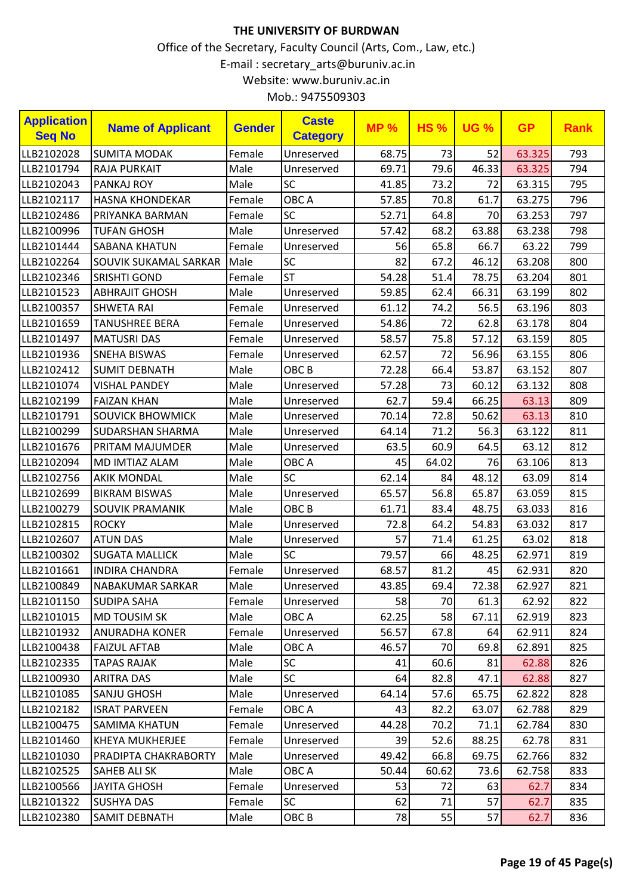| <b>Application</b><br><b>Seq No</b> | <b>Name of Applicant</b> | <b>Gender</b> | <b>Caste</b><br><b>Category</b> | <b>MP%</b> | <b>HS%</b> | <b>UG %</b> | <b>GP</b> | <b>Rank</b> |
|-------------------------------------|--------------------------|---------------|---------------------------------|------------|------------|-------------|-----------|-------------|
| LLB2102028                          | <b>SUMITA MODAK</b>      | Female        | Unreserved                      | 68.75      | 73         | 52          | 63.325    | 793         |
| LLB2101794                          | <b>RAJA PURKAIT</b>      | Male          | Unreserved                      | 69.71      | 79.6       | 46.33       | 63.325    | 794         |
| LLB2102043                          | <b>PANKAJ ROY</b>        | Male          | SC                              | 41.85      | 73.2       | 72          | 63.315    | 795         |
| LLB2102117                          | <b>HASNA KHONDEKAR</b>   | Female        | OBC A                           | 57.85      | 70.8       | 61.7        | 63.275    | 796         |
| LLB2102486                          | PRIYANKA BARMAN          | Female        | <b>SC</b>                       | 52.71      | 64.8       | 70          | 63.253    | 797         |
| LLB2100996                          | <b>TUFAN GHOSH</b>       | Male          | Unreserved                      | 57.42      | 68.2       | 63.88       | 63.238    | 798         |
| LLB2101444                          | SABANA KHATUN            | Female        | Unreserved                      | 56         | 65.8       | 66.7        | 63.22     | 799         |
| LLB2102264                          | SOUVIK SUKAMAL SARKAR    | Male          | SC                              | 82         | 67.2       | 46.12       | 63.208    | 800         |
| LLB2102346                          | <b>SRISHTI GOND</b>      | Female        | <b>ST</b>                       | 54.28      | 51.4       | 78.75       | 63.204    | 801         |
| LLB2101523                          | <b>ABHRAJIT GHOSH</b>    | Male          | Unreserved                      | 59.85      | 62.4       | 66.31       | 63.199    | 802         |
| LLB2100357                          | <b>SHWETA RAI</b>        | Female        | Unreserved                      | 61.12      | 74.2       | 56.5        | 63.196    | 803         |
| LLB2101659                          | <b>TANUSHREE BERA</b>    | Female        | Unreserved                      | 54.86      | 72         | 62.8        | 63.178    | 804         |
| LLB2101497                          | <b>MATUSRI DAS</b>       | Female        | Unreserved                      | 58.57      | 75.8       | 57.12       | 63.159    | 805         |
| LLB2101936                          | <b>SNEHA BISWAS</b>      | Female        | Unreserved                      | 62.57      | 72         | 56.96       | 63.155    | 806         |
| LLB2102412                          | <b>SUMIT DEBNATH</b>     | Male          | OBC <sub>B</sub>                | 72.28      | 66.4       | 53.87       | 63.152    | 807         |
| LLB2101074                          | <b>VISHAL PANDEY</b>     | Male          | Unreserved                      | 57.28      | 73         | 60.12       | 63.132    | 808         |
| LLB2102199                          | <b>FAIZAN KHAN</b>       | Male          | Unreserved                      | 62.7       | 59.4       | 66.25       | 63.13     | 809         |
| LLB2101791                          | <b>SOUVICK BHOWMICK</b>  | Male          | Unreserved                      | 70.14      | 72.8       | 50.62       | 63.13     | 810         |
| LLB2100299                          | <b>SUDARSHAN SHARMA</b>  | Male          | Unreserved                      | 64.14      | 71.2       | 56.3        | 63.122    | 811         |
| LLB2101676                          | <b>PRITAM MAJUMDER</b>   | Male          | Unreserved                      | 63.5       | 60.9       | 64.5        | 63.12     | 812         |
| LLB2102094                          | <b>MD IMTIAZ ALAM</b>    | Male          | OBC A                           | 45         | 64.02      | 76          | 63.106    | 813         |
| LLB2102756                          | <b>AKIK MONDAL</b>       | Male          | SC                              | 62.14      | 84         | 48.12       | 63.09     | 814         |
| LLB2102699                          | <b>BIKRAM BISWAS</b>     | Male          | Unreserved                      | 65.57      | 56.8       | 65.87       | 63.059    | 815         |
| LLB2100279                          | SOUVIK PRAMANIK          | Male          | OBC <sub>B</sub>                | 61.71      | 83.4       | 48.75       | 63.033    | 816         |
| LLB2102815                          | <b>ROCKY</b>             | Male          | Unreserved                      | 72.8       | 64.2       | 54.83       | 63.032    | 817         |
| LLB2102607                          | <b>ATUN DAS</b>          | Male          | Unreserved                      | 57         | 71.4       | 61.25       | 63.02     | 818         |
| LLB2100302                          | <b>SUGATA MALLICK</b>    | Male          | <b>SC</b>                       | 79.57      | 66         | 48.25       | 62.971    | 819         |
| LLB2101661                          | <b>INDIRA CHANDRA</b>    | Female        | Unreserved                      | 68.57      | 81.2       | 45          | 62.931    | 820         |
| LLB2100849                          | NABAKUMAR SARKAR         | Male          | Unreserved                      | 43.85      | 69.4       | 72.38       | 62.927    | 821         |
| LLB2101150                          | SUDIPA SAHA              | Female        | Unreserved                      | 58         | 70         | 61.3        | 62.92     | 822         |
| LLB2101015                          | <b>MD TOUSIM SK</b>      | Male          | OBC A                           | 62.25      | 58         | 67.11       | 62.919    | 823         |
| LLB2101932                          | ANURADHA KONER           | Female        | Unreserved                      | 56.57      | 67.8       | 64          | 62.911    | 824         |
| LLB2100438                          | <b>FAIZUL AFTAB</b>      | Male          | OBC A                           | 46.57      | 70         | 69.8        | 62.891    | 825         |
| LLB2102335                          | <b>TAPAS RAJAK</b>       | Male          | <b>SC</b>                       | 41         | 60.6       | 81          | 62.88     | 826         |
| LLB2100930                          | <b>ARITRA DAS</b>        | Male          | <b>SC</b>                       | 64         | 82.8       | 47.1        | 62.88     | 827         |
| LLB2101085                          | <b>SANJU GHOSH</b>       | Male          | Unreserved                      | 64.14      | 57.6       | 65.75       | 62.822    | 828         |
| LLB2102182                          | <b>ISRAT PARVEEN</b>     | Female        | OBC A                           | 43         | 82.2       | 63.07       | 62.788    | 829         |
| LLB2100475                          | <b>SAMIMA KHATUN</b>     | Female        | Unreserved                      | 44.28      | 70.2       | 71.1        | 62.784    | 830         |
| LLB2101460                          | <b>KHEYA MUKHERJEE</b>   | Female        | Unreserved                      | 39         | 52.6       | 88.25       | 62.78     | 831         |
| LLB2101030                          | PRADIPTA CHAKRABORTY     | Male          | Unreserved                      | 49.42      | 66.8       | 69.75       | 62.766    | 832         |
| LLB2102525                          | <b>SAHEB ALI SK</b>      | Male          | OBC A                           | 50.44      | 60.62      | 73.6        | 62.758    | 833         |
| LLB2100566                          | <b>JAYITA GHOSH</b>      | Female        | Unreserved                      | 53         | 72         | 63          | 62.7      | 834         |
| LLB2101322                          | <b>SUSHYA DAS</b>        | Female        | <b>SC</b>                       | 62         | 71         | 57          | 62.7      | 835         |
| LLB2102380                          | SAMIT DEBNATH            | Male          | OBC <sub>B</sub>                | 78         | 55         | 57          | 62.7      | 836         |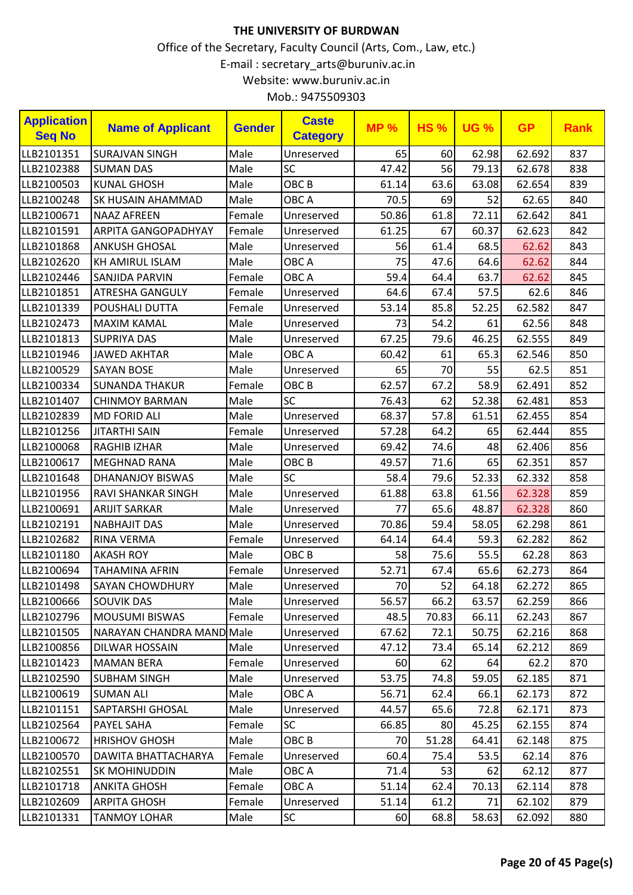| Mob.: 9475509303 |  |
|------------------|--|
|------------------|--|

| <b>Application</b><br><b>Seq No</b> | <b>Name of Applicant</b>   | <b>Gender</b> | <b>Caste</b><br><b>Category</b> | <b>MP%</b> | <b>HS%</b> | <b>UG %</b> | <b>GP</b> | <b>Rank</b> |
|-------------------------------------|----------------------------|---------------|---------------------------------|------------|------------|-------------|-----------|-------------|
| LLB2101351                          | <b>SURAJVAN SINGH</b>      | Male          | Unreserved                      | 65         | 60         | 62.98       | 62.692    | 837         |
| LLB2102388                          | <b>SUMAN DAS</b>           | Male          | SC                              | 47.42      | 56         | 79.13       | 62.678    | 838         |
| LLB2100503                          | <b>KUNAL GHOSH</b>         | Male          | OBC <sub>B</sub>                | 61.14      | 63.6       | 63.08       | 62.654    | 839         |
| LLB2100248                          | <b>SK HUSAIN AHAMMAD</b>   | Male          | OBC A                           | 70.5       | 69         | 52          | 62.65     | 840         |
| LLB2100671                          | <b>NAAZ AFREEN</b>         | Female        | Unreserved                      | 50.86      | 61.8       | 72.11       | 62.642    | 841         |
| LLB2101591                          | <b>ARPITA GANGOPADHYAY</b> | Female        | Unreserved                      | 61.25      | 67         | 60.37       | 62.623    | 842         |
| LLB2101868                          | <b>ANKUSH GHOSAL</b>       | Male          | Unreserved                      | 56         | 61.4       | 68.5        | 62.62     | 843         |
| LLB2102620                          | <b>KH AMIRUL ISLAM</b>     | Male          | OBC A                           | 75         | 47.6       | 64.6        | 62.62     | 844         |
| LLB2102446                          | <b>SANJIDA PARVIN</b>      | Female        | OBC A                           | 59.4       | 64.4       | 63.7        | 62.62     | 845         |
| LLB2101851                          | <b>ATRESHA GANGULY</b>     | Female        | Unreserved                      | 64.6       | 67.4       | 57.5        | 62.6      | 846         |
| LLB2101339                          | POUSHALI DUTTA             | Female        | Unreserved                      | 53.14      | 85.8       | 52.25       | 62.582    | 847         |
| LLB2102473                          | <b>MAXIM KAMAL</b>         | Male          | Unreserved                      | 73         | 54.2       | 61          | 62.56     | 848         |
| LLB2101813                          | <b>SUPRIYA DAS</b>         | Male          | Unreserved                      | 67.25      | 79.6       | 46.25       | 62.555    | 849         |
| LLB2101946                          | <b>JAWED AKHTAR</b>        | Male          | OBC A                           | 60.42      | 61         | 65.3        | 62.546    | 850         |
| LLB2100529                          | <b>SAYAN BOSE</b>          | Male          | Unreserved                      | 65         | 70         | 55          | 62.5      | 851         |
| LLB2100334                          | <b>SUNANDA THAKUR</b>      | Female        | OBC <sub>B</sub>                | 62.57      | 67.2       | 58.9        | 62.491    | 852         |
| LLB2101407                          | <b>CHINMOY BARMAN</b>      | Male          | <b>SC</b>                       | 76.43      | 62         | 52.38       | 62.481    | 853         |
| LLB2102839                          | <b>MD FORID ALI</b>        | Male          | Unreserved                      | 68.37      | 57.8       | 61.51       | 62.455    | 854         |
| LLB2101256                          | <b>JITARTHI SAIN</b>       | Female        | Unreserved                      | 57.28      | 64.2       | 65          | 62.444    | 855         |
| LLB2100068                          | <b>RAGHIB IZHAR</b>        | Male          | Unreserved                      | 69.42      | 74.6       | 48          | 62.406    | 856         |
| LLB2100617                          | <b>MEGHNAD RANA</b>        | Male          | OBC <sub>B</sub>                | 49.57      | 71.6       | 65          | 62.351    | 857         |
| LLB2101648                          | DHANANJOY BISWAS           | Male          | SC                              | 58.4       | 79.6       | 52.33       | 62.332    | 858         |
| LLB2101956                          | <b>RAVI SHANKAR SINGH</b>  | Male          | Unreserved                      | 61.88      | 63.8       | 61.56       | 62.328    | 859         |
| LLB2100691                          | <b>ARIJIT SARKAR</b>       | Male          | Unreserved                      | 77         | 65.6       | 48.87       | 62.328    | 860         |
| LLB2102191                          | <b>NABHAJIT DAS</b>        | Male          | Unreserved                      | 70.86      | 59.4       | 58.05       | 62.298    | 861         |
| LLB2102682                          | RINA VERMA                 | Female        | Unreserved                      | 64.14      | 64.4       | 59.3        | 62.282    | 862         |
| LLB2101180                          | <b>AKASH ROY</b>           | Male          | OBC <sub>B</sub>                | 58         | 75.6       | 55.5        | 62.28     | 863         |
| LLB2100694                          | <b>TAHAMINA AFRIN</b>      | Female        | Unreserved                      | 52.71      | 67.4       | 65.6        | 62.273    | 864         |
| LLB2101498                          | SAYAN CHOWDHURY            | Male          | Unreserved                      | 70         | 52         | 64.18       | 62.272    | 865         |
| LLB2100666                          | <b>SOUVIK DAS</b>          | Male          | Unreserved                      | 56.57      | 66.2       | 63.57       | 62.259    | 866         |
| LLB2102796                          | <b>MOUSUMI BISWAS</b>      | Female        | Unreserved                      | 48.5       | 70.83      | 66.11       | 62.243    | 867         |
| LLB2101505                          | NARAYAN CHANDRA MAND Male  |               | Unreserved                      | 67.62      | 72.1       | 50.75       | 62.216    | 868         |
| LLB2100856                          | DILWAR HOSSAIN             | Male          | Unreserved                      | 47.12      | 73.4       | 65.14       | 62.212    | 869         |
| LLB2101423                          | <b>MAMAN BERA</b>          | Female        | Unreserved                      | 60         | 62         | 64          | 62.2      | 870         |
| LLB2102590                          | <b>SUBHAM SINGH</b>        | Male          | Unreserved                      | 53.75      | 74.8       | 59.05       | 62.185    | 871         |
| LLB2100619                          | <b>SUMAN ALI</b>           | Male          | OBC A                           | 56.71      | 62.4       | 66.1        | 62.173    | 872         |
| LLB2101151                          | <b>SAPTARSHI GHOSAL</b>    | Male          | Unreserved                      | 44.57      | 65.6       | 72.8        | 62.171    | 873         |
| LLB2102564                          | PAYEL SAHA                 | Female        | <b>SC</b>                       | 66.85      | 80         | 45.25       | 62.155    | 874         |
| LLB2100672                          | <b>HRISHOV GHOSH</b>       | Male          | OBC <sub>B</sub>                | 70         | 51.28      | 64.41       | 62.148    | 875         |
| LLB2100570                          | DAWITA BHATTACHARYA        | Female        | Unreserved                      | 60.4       | 75.4       | 53.5        | 62.14     | 876         |
| LLB2102551                          | <b>SK MOHINUDDIN</b>       | Male          | OBC A                           | 71.4       | 53         | 62          | 62.12     | 877         |
| LLB2101718                          | <b>ANKITA GHOSH</b>        | Female        | OBC A                           | 51.14      | 62.4       | 70.13       | 62.114    | 878         |
| LLB2102609                          | <b>ARPITA GHOSH</b>        | Female        | Unreserved                      | 51.14      | 61.2       | 71          | 62.102    | 879         |
| LLB2101331                          | <b>TANMOY LOHAR</b>        | Male          | <b>SC</b>                       | 60         | 68.8       | 58.63       | 62.092    | 880         |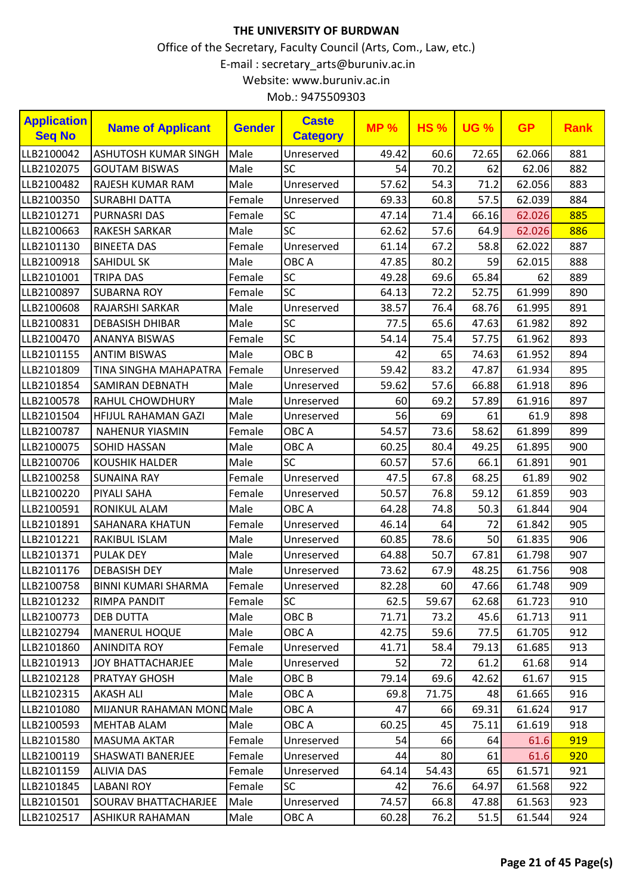| <b>Application</b><br><b>Seq No</b> | <b>Name of Applicant</b>    | <b>Gender</b> | <b>Caste</b><br><b>Category</b> | <b>MP%</b> | <b>HS%</b> | <b>UG %</b> | <b>GP</b> | <b>Rank</b> |
|-------------------------------------|-----------------------------|---------------|---------------------------------|------------|------------|-------------|-----------|-------------|
| LLB2100042                          | <b>ASHUTOSH KUMAR SINGH</b> | Male          | Unreserved                      | 49.42      | 60.6       | 72.65       | 62.066    | 881         |
| LLB2102075                          | <b>GOUTAM BISWAS</b>        | Male          | <b>SC</b>                       | 54         | 70.2       | 62          | 62.06     | 882         |
| LLB2100482                          | RAJESH KUMAR RAM            | Male          | Unreserved                      | 57.62      | 54.3       | 71.2        | 62.056    | 883         |
| LLB2100350                          | <b>SURABHI DATTA</b>        | Female        | Unreserved                      | 69.33      | 60.8       | 57.5        | 62.039    | 884         |
| LLB2101271                          | <b>PURNASRI DAS</b>         | Female        | <b>SC</b>                       | 47.14      | 71.4       | 66.16       | 62.026    | 885         |
| LLB2100663                          | <b>RAKESH SARKAR</b>        | Male          | <b>SC</b>                       | 62.62      | 57.6       | 64.9        | 62.026    | 886         |
| LLB2101130                          | <b>BINEETA DAS</b>          | Female        | Unreserved                      | 61.14      | 67.2       | 58.8        | 62.022    | 887         |
| LLB2100918                          | <b>SAHIDUL SK</b>           | Male          | OBC A                           | 47.85      | 80.2       | 59          | 62.015    | 888         |
| LLB2101001                          | <b>TRIPA DAS</b>            | Female        | <b>SC</b>                       | 49.28      | 69.6       | 65.84       | 62        | 889         |
| LLB2100897                          | <b>SUBARNA ROY</b>          | Female        | SC                              | 64.13      | 72.2       | 52.75       | 61.999    | 890         |
| LLB2100608                          | <b>RAJARSHI SARKAR</b>      | Male          | Unreserved                      | 38.57      | 76.4       | 68.76       | 61.995    | 891         |
| LLB2100831                          | <b>DEBASISH DHIBAR</b>      | Male          | SC                              | 77.5       | 65.6       | 47.63       | 61.982    | 892         |
| LLB2100470                          | <b>ANANYA BISWAS</b>        | Female        | SC                              | 54.14      | 75.4       | 57.75       | 61.962    | 893         |
| LLB2101155                          | <b>ANTIM BISWAS</b>         | Male          | OBC <sub>B</sub>                | 42         | 65         | 74.63       | 61.952    | 894         |
| LLB2101809                          | TINA SINGHA MAHAPATRA       | Female        | Unreserved                      | 59.42      | 83.2       | 47.87       | 61.934    | 895         |
| LLB2101854                          | <b>SAMIRAN DEBNATH</b>      | Male          | Unreserved                      | 59.62      | 57.6       | 66.88       | 61.918    | 896         |
| LLB2100578                          | <b>RAHUL CHOWDHURY</b>      | Male          | Unreserved                      | 60         | 69.2       | 57.89       | 61.916    | 897         |
| LLB2101504                          | HFIJUL RAHAMAN GAZI         | Male          | Unreserved                      | 56         | 69         | 61          | 61.9      | 898         |
| LLB2100787                          | <b>NAHENUR YIASMIN</b>      | Female        | OBC A                           | 54.57      | 73.6       | 58.62       | 61.899    | 899         |
| LLB2100075                          | <b>SOHID HASSAN</b>         | Male          | OBC A                           | 60.25      | 80.4       | 49.25       | 61.895    | 900         |
| LLB2100706                          | <b>KOUSHIK HALDER</b>       | Male          | <b>SC</b>                       | 60.57      | 57.6       | 66.1        | 61.891    | 901         |
| LLB2100258                          | <b>SUNAINA RAY</b>          | Female        | Unreserved                      | 47.5       | 67.8       | 68.25       | 61.89     | 902         |
| LLB2100220                          | <b>PIYALI SAHA</b>          | Female        | Unreserved                      | 50.57      | 76.8       | 59.12       | 61.859    | 903         |
| LLB2100591                          | RONIKUL ALAM                | Male          | OBC A                           | 64.28      | 74.8       | 50.3        | 61.844    | 904         |
| LLB2101891                          | <b>SAHANARA KHATUN</b>      | Female        | Unreserved                      | 46.14      | 64         | 72          | 61.842    | 905         |
| LLB2101221                          | RAKIBUL ISLAM               | Male          | Unreserved                      | 60.85      | 78.6       | 50          | 61.835    | 906         |
| LLB2101371                          | <b>PULAK DEY</b>            | Male          | Unreserved                      | 64.88      | 50.7       | 67.81       | 61.798    | 907         |
| LLB2101176                          | <b>DEBASISH DEY</b>         | Male          | Unreserved                      | 73.62      | 67.9       | 48.25       | 61.756    | 908         |
| LLB2100758                          | <b>BINNI KUMARI SHARMA</b>  | Female        | Unreserved                      | 82.28      | 60         | 47.66       | 61.748    | 909         |
| LLB2101232                          | <b>RIMPA PANDIT</b>         | Female        | <b>SC</b>                       | 62.5       | 59.67      | 62.68       | 61.723    | 910         |
| LLB2100773                          | <b>DEB DUTTA</b>            | Male          | OBC <sub>B</sub>                | 71.71      | 73.2       | 45.6        | 61.713    | 911         |
| LLB2102794                          | <b>MANERUL HOQUE</b>        | Male          | OBC A                           | 42.75      | 59.6       | 77.5        | 61.705    | 912         |
| LLB2101860                          | <b>ANINDITA ROY</b>         | Female        | Unreserved                      | 41.71      | 58.4       | 79.13       | 61.685    | 913         |
| LLB2101913                          | <b>JOY BHATTACHARJEE</b>    | Male          | Unreserved                      | 52         | 72         | 61.2        | 61.68     | 914         |
| LLB2102128                          | <b>PRATYAY GHOSH</b>        | Male          | OBC <sub>B</sub>                | 79.14      | 69.6       | 42.62       | 61.67     | 915         |
| LLB2102315                          | <b>AKASH ALI</b>            | Male          | OBC A                           | 69.8       | 71.75      | 48          | 61.665    | 916         |
| LLB2101080                          | MIJANUR RAHAMAN MOND Male   |               | OBC A                           | 47         | 66         | 69.31       | 61.624    | 917         |
| LLB2100593                          | <b>MEHTAB ALAM</b>          | Male          | OBC A                           | 60.25      | 45         | 75.11       | 61.619    | 918         |
| LLB2101580                          | <b>MASUMA AKTAR</b>         | Female        | Unreserved                      | 54         | 66         | 64          | 61.6      | 919         |
| LLB2100119                          | SHASWATI BANERJEE           | Female        | Unreserved                      | 44         | 80         | 61          | 61.6      | 920         |
| LLB2101159                          | <b>ALIVIA DAS</b>           | Female        | Unreserved                      | 64.14      | 54.43      | 65          | 61.571    | 921         |
| LLB2101845                          | <b>LABANI ROY</b>           | Female        | <b>SC</b>                       | 42         | 76.6       | 64.97       | 61.568    | 922         |
| LLB2101501                          | <b>SOURAV BHATTACHARJEE</b> | Male          | Unreserved                      | 74.57      | 66.8       | 47.88       | 61.563    | 923         |
| LLB2102517                          | <b>ASHIKUR RAHAMAN</b>      | Male          | OBC A                           | 60.28      | 76.2       | 51.5        | 61.544    | 924         |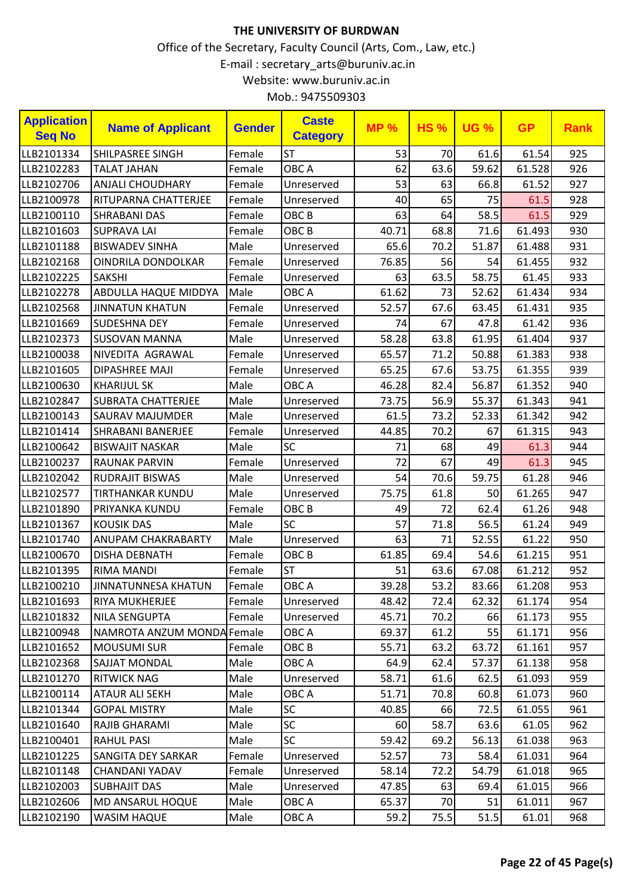| Mob.: 9475509303 |  |
|------------------|--|
|------------------|--|

| <b>Application</b><br><b>Seq No</b> | <b>Name of Applicant</b>    | <b>Gender</b> | <b>Caste</b><br><b>Category</b> | <b>MP%</b> | <b>HS%</b> | <b>UG %</b> | <b>GP</b> | <b>Rank</b> |
|-------------------------------------|-----------------------------|---------------|---------------------------------|------------|------------|-------------|-----------|-------------|
| LLB2101334                          | <b>SHILPASREE SINGH</b>     | Female        | <b>ST</b>                       | 53         | 70         | 61.6        | 61.54     | 925         |
| LLB2102283                          | <b>TALAT JAHAN</b>          | Female        | OBC A                           | 62         | 63.6       | 59.62       | 61.528    | 926         |
| LLB2102706                          | <b>ANJALI CHOUDHARY</b>     | Female        | Unreserved                      | 53         | 63         | 66.8        | 61.52     | 927         |
| LLB2100978                          | RITUPARNA CHATTERJEE        | Female        | Unreserved                      | 40         | 65         | 75          | 61.5      | 928         |
| LLB2100110                          | <b>SHRABANI DAS</b>         | Female        | OBC <sub>B</sub>                | 63         | 64         | 58.5        | 61.5      | 929         |
| LLB2101603                          | <b>SUPRAVA LAI</b>          | Female        | OBC <sub>B</sub>                | 40.71      | 68.8       | 71.6        | 61.493    | 930         |
| LLB2101188                          | <b>BISWADEV SINHA</b>       | Male          | Unreserved                      | 65.6       | 70.2       | 51.87       | 61.488    | 931         |
| LLB2102168                          | OINDRILA DONDOLKAR          | Female        | Unreserved                      | 76.85      | 56         | 54          | 61.455    | 932         |
| LLB2102225                          | <b>SAKSHI</b>               | Female        | Unreserved                      | 63         | 63.5       | 58.75       | 61.45     | 933         |
| LLB2102278                          | <b>ABDULLA HAQUE MIDDYA</b> | Male          | OBC A                           | 61.62      | 73         | 52.62       | 61.434    | 934         |
| LLB2102568                          | <b>JINNATUN KHATUN</b>      | Female        | Unreserved                      | 52.57      | 67.6       | 63.45       | 61.431    | 935         |
| LLB2101669                          | <b>SUDESHNA DEY</b>         | Female        | Unreserved                      | 74         | 67         | 47.8        | 61.42     | 936         |
| LLB2102373                          | <b>SUSOVAN MANNA</b>        | Male          | Unreserved                      | 58.28      | 63.8       | 61.95       | 61.404    | 937         |
| LLB2100038                          | NIVEDITA AGRAWAL            | Female        | Unreserved                      | 65.57      | 71.2       | 50.88       | 61.383    | 938         |
| LLB2101605                          | <b>DIPASHREE MAJI</b>       | Female        | Unreserved                      | 65.25      | 67.6       | 53.75       | 61.355    | 939         |
| LLB2100630                          | <b>KHARIJUL SK</b>          | Male          | OBC A                           | 46.28      | 82.4       | 56.87       | 61.352    | 940         |
| LLB2102847                          | <b>SUBRATA CHATTERJEE</b>   | Male          | Unreserved                      | 73.75      | 56.9       | 55.37       | 61.343    | 941         |
| LLB2100143                          | <b>SAURAV MAJUMDER</b>      | Male          | Unreserved                      | 61.5       | 73.2       | 52.33       | 61.342    | 942         |
| LLB2101414                          | <b>SHRABANI BANERJEE</b>    | Female        | Unreserved                      | 44.85      | 70.2       | 67          | 61.315    | 943         |
| LLB2100642                          | <b>BISWAJIT NASKAR</b>      | Male          | SC                              | 71         | 68         | 49          | 61.3      | 944         |
| LLB2100237                          | <b>RAUNAK PARVIN</b>        | Female        | Unreserved                      | 72         | 67         | 49          | 61.3      | 945         |
| LLB2102042                          | <b>RUDRAJIT BISWAS</b>      | Male          | Unreserved                      | 54         | 70.6       | 59.75       | 61.28     | 946         |
| LLB2102577                          | <b>TIRTHANKAR KUNDU</b>     | Male          | Unreserved                      | 75.75      | 61.8       | 50          | 61.265    | 947         |
| LLB2101890                          | PRIYANKA KUNDU              | Female        | OBC <sub>B</sub>                | 49         | 72         | 62.4        | 61.26     | 948         |
| LLB2101367                          | <b>KOUSIK DAS</b>           | Male          | SC                              | 57         | 71.8       | 56.5        | 61.24     | 949         |
| LLB2101740                          | <b>ANUPAM CHAKRABARTY</b>   | Male          | Unreserved                      | 63         | 71         | 52.55       | 61.22     | 950         |
| LLB2100670                          | <b>DISHA DEBNATH</b>        | Female        | OBC <sub>B</sub>                | 61.85      | 69.4       | 54.6        | 61.215    | 951         |
| LLB2101395                          | <b>RIMA MANDI</b>           | Female        | <b>ST</b>                       | 51         | 63.6       | 67.08       | 61.212    | 952         |
| LLB2100210                          | JINNATUNNESA KHATUN         | Female        | OBC A                           | 39.28      | $53.2$     | 83.66       | 61.208    | 953         |
| LLB2101693                          | RIYA MUKHERJEE              | Female        | Unreserved                      | 48.42      | 72.4       | 62.32       | 61.174    | 954         |
| LLB2101832                          | <b>NILA SENGUPTA</b>        | Female        | Unreserved                      | 45.71      | 70.2       | 66          | 61.173    | 955         |
| LLB2100948                          | NAMROTA ANZUM MONDA Female  |               | OBC A                           | 69.37      | 61.2       | 55          | 61.171    | 956         |
| LLB2101652                          | <b>MOUSUMI SUR</b>          | Female        | OBC B                           | 55.71      | 63.2       | 63.72       | 61.161    | 957         |
| LLB2102368                          | <b>SAJJAT MONDAL</b>        | Male          | OBC A                           | 64.9       | 62.4       | 57.37       | 61.138    | 958         |
| LLB2101270                          | <b>RITWICK NAG</b>          | Male          | Unreserved                      | 58.71      | 61.6       | 62.5        | 61.093    | 959         |
| LLB2100114                          | <b>ATAUR ALI SEKH</b>       | Male          | OBC A                           | 51.71      | 70.8       | 60.8        | 61.073    | 960         |
| LLB2101344                          | <b>GOPAL MISTRY</b>         | Male          | <b>SC</b>                       | 40.85      | 66         | 72.5        | 61.055    | 961         |
| LLB2101640                          | RAJIB GHARAMI               | Male          | <b>SC</b>                       | 60         | 58.7       | 63.6        | 61.05     | 962         |
| LLB2100401                          | <b>RAHUL PASI</b>           | Male          | <b>SC</b>                       | 59.42      | 69.2       | 56.13       | 61.038    | 963         |
| LLB2101225                          | SANGITA DEY SARKAR          | Female        | Unreserved                      | 52.57      | 73         | 58.4        | 61.031    | 964         |
| LLB2101148                          | CHANDANI YADAV              | Female        | Unreserved                      | 58.14      | 72.2       | 54.79       | 61.018    | 965         |
| LLB2102003                          | <b>SUBHAJIT DAS</b>         | Male          | Unreserved                      | 47.85      | 63         | 69.4        | 61.015    | 966         |
| LLB2102606                          | MD ANSARUL HOQUE            | Male          | OBC A                           | 65.37      | 70         | 51          | 61.011    | 967         |
| LLB2102190                          | <b>WASIM HAQUE</b>          | Male          | OBC A                           | 59.2       | 75.5       | 51.5        | 61.01     | 968         |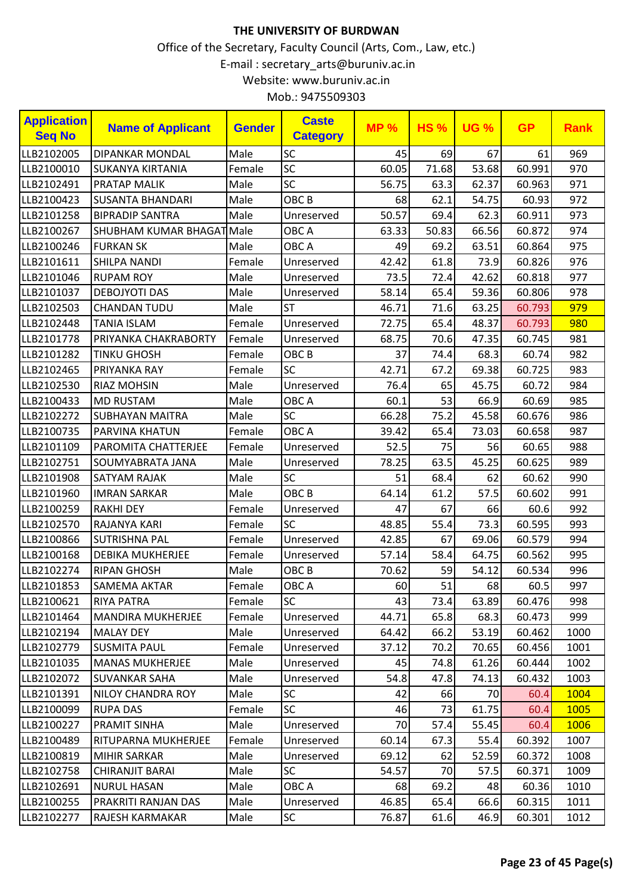| <b>Application</b><br><b>Seq No</b> | <b>Name of Applicant</b>  | <b>Gender</b> | <b>Caste</b><br><b>Category</b> | <b>MP%</b> | <b>HS%</b> | <b>UG %</b> | <b>GP</b> | <b>Rank</b> |
|-------------------------------------|---------------------------|---------------|---------------------------------|------------|------------|-------------|-----------|-------------|
| LLB2102005                          | <b>DIPANKAR MONDAL</b>    | Male          | SC                              | 45         | 69         | 67          | 61        | 969         |
| LLB2100010                          | <b>SUKANYA KIRTANIA</b>   | Female        | SC                              | 60.05      | 71.68      | 53.68       | 60.991    | 970         |
| LLB2102491                          | <b>PRATAP MALIK</b>       | Male          | SC                              | 56.75      | 63.3       | 62.37       | 60.963    | 971         |
| LLB2100423                          | <b>SUSANTA BHANDARI</b>   | Male          | OBC <sub>B</sub>                | 68         | 62.1       | 54.75       | 60.93     | 972         |
| LLB2101258                          | <b>BIPRADIP SANTRA</b>    | Male          | Unreserved                      | 50.57      | 69.4       | 62.3        | 60.911    | 973         |
| LLB2100267                          | SHUBHAM KUMAR BHAGAT Male |               | OBC A                           | 63.33      | 50.83      | 66.56       | 60.872    | 974         |
| LLB2100246                          | <b>FURKAN SK</b>          | Male          | OBC A                           | 49         | 69.2       | 63.51       | 60.864    | 975         |
| LLB2101611                          | <b>SHILPA NANDI</b>       | Female        | Unreserved                      | 42.42      | 61.8       | 73.9        | 60.826    | 976         |
| LLB2101046                          | <b>RUPAM ROY</b>          | Male          | Unreserved                      | 73.5       | 72.4       | 42.62       | 60.818    | 977         |
| LLB2101037                          | <b>DEBOJYOTI DAS</b>      | Male          | Unreserved                      | 58.14      | 65.4       | 59.36       | 60.806    | 978         |
| LLB2102503                          | <b>CHANDAN TUDU</b>       | Male          | <b>ST</b>                       | 46.71      | 71.6       | 63.25       | 60.793    | 979         |
| LLB2102448                          | <b>TANIA ISLAM</b>        | Female        | Unreserved                      | 72.75      | 65.4       | 48.37       | 60.793    | 980         |
| LLB2101778                          | PRIYANKA CHAKRABORTY      | Female        | Unreserved                      | 68.75      | 70.6       | 47.35       | 60.745    | 981         |
| LLB2101282                          | <b>TINKU GHOSH</b>        | Female        | OBC <sub>B</sub>                | 37         | 74.4       | 68.3        | 60.74     | 982         |
| LLB2102465                          | PRIYANKA RAY              | Female        | <b>SC</b>                       | 42.71      | 67.2       | 69.38       | 60.725    | 983         |
| LLB2102530                          | <b>RIAZ MOHSIN</b>        | Male          | Unreserved                      | 76.4       | 65         | 45.75       | 60.72     | 984         |
| LLB2100433                          | <b>MD RUSTAM</b>          | Male          | OBC A                           | 60.1       | 53         | 66.9        | 60.69     | 985         |
| LLB2102272                          | <b>SUBHAYAN MAITRA</b>    | Male          | SC                              | 66.28      | 75.2       | 45.58       | 60.676    | 986         |
| LLB2100735                          | PARVINA KHATUN            | Female        | OBC A                           | 39.42      | 65.4       | 73.03       | 60.658    | 987         |
| LLB2101109                          | PAROMITA CHATTERJEE       | Female        | Unreserved                      | 52.5       | 75         | 56          | 60.65     | 988         |
| LLB2102751                          | SOUMYABRATA JANA          | Male          | Unreserved                      | 78.25      | 63.5       | 45.25       | 60.625    | 989         |
| LLB2101908                          | <b>SATYAM RAJAK</b>       | Male          | <b>SC</b>                       | 51         | 68.4       | 62          | 60.62     | 990         |
| LLB2101960                          | <b>IMRAN SARKAR</b>       | Male          | OBC <sub>B</sub>                | 64.14      | 61.2       | 57.5        | 60.602    | 991         |
| LLB2100259                          | <b>RAKHI DEY</b>          | Female        | Unreserved                      | 47         | 67         | 66          | 60.6      | 992         |
| LLB2102570                          | RAJANYA KARI              | Female        | <b>SC</b>                       | 48.85      | 55.4       | 73.3        | 60.595    | 993         |
| LLB2100866                          | <b>SUTRISHNA PAL</b>      | Female        | Unreserved                      | 42.85      | 67         | 69.06       | 60.579    | 994         |
| LLB2100168                          | <b>DEBIKA MUKHERJEE</b>   | Female        | Unreserved                      | 57.14      | 58.4       | 64.75       | 60.562    | 995         |
| LLB2102274                          | <b>RIPAN GHOSH</b>        | Male          | OBC <sub>B</sub>                | 70.62      | 59         | 54.12       | 60.534    | 996         |
| LLB2101853                          | SAMEMA AKTAR              | Female        | OBC A                           | 60         | 51         | 68          | 60.5      | 997         |
| LLB2100621                          | <b>RIYA PATRA</b>         | Female        | <b>SC</b>                       | 43         | 73.4       | 63.89       | 60.476    | 998         |
| LLB2101464                          | <b>MANDIRA MUKHERJEE</b>  | Female        | Unreserved                      | 44.71      | 65.8       | 68.3        | 60.473    | 999         |
| LLB2102194                          | <b>MALAY DEY</b>          | Male          | Unreserved                      | 64.42      | 66.2       | 53.19       | 60.462    | 1000        |
| LLB2102779                          | <b>SUSMITA PAUL</b>       | Female        | Unreserved                      | 37.12      | 70.2       | 70.65       | 60.456    | 1001        |
| LLB2101035                          | <b>MANAS MUKHERJEE</b>    | Male          | Unreserved                      | 45         | 74.8       | 61.26       | 60.444    | 1002        |
| LLB2102072                          | <b>SUVANKAR SAHA</b>      | Male          | Unreserved                      | 54.8       | 47.8       | 74.13       | 60.432    | 1003        |
| LLB2101391                          | <b>NILOY CHANDRA ROY</b>  | Male          | <b>SC</b>                       | 42         | 66         | 70          | 60.4      | 1004        |
| LLB2100099                          | <b>RUPA DAS</b>           | Female        | <b>SC</b>                       | 46         | 73         | 61.75       | 60.4      | 1005        |
| LLB2100227                          | PRAMIT SINHA              | Male          | Unreserved                      | 70         | 57.4       | 55.45       | 60.4      | 1006        |
| LLB2100489                          | RITUPARNA MUKHERJEE       | Female        | Unreserved                      | 60.14      | 67.3       | 55.4        | 60.392    | 1007        |
| LLB2100819                          | MIHIR SARKAR              | Male          | Unreserved                      | 69.12      | 62         | 52.59       | 60.372    | 1008        |
| LLB2102758                          | <b>CHIRANJIT BARAI</b>    | Male          | <b>SC</b>                       | 54.57      | 70         | 57.5        | 60.371    | 1009        |
| LLB2102691                          | <b>NURUL HASAN</b>        | Male          | OBC A                           | 68         | 69.2       | 48          | 60.36     | 1010        |
| LLB2100255                          | PRAKRITI RANJAN DAS       | Male          | Unreserved                      | 46.85      | 65.4       | 66.6        | 60.315    | 1011        |
| LLB2102277                          | <b>RAJESH KARMAKAR</b>    | Male          | <b>SC</b>                       | 76.87      | 61.6       | 46.9        | 60.301    | 1012        |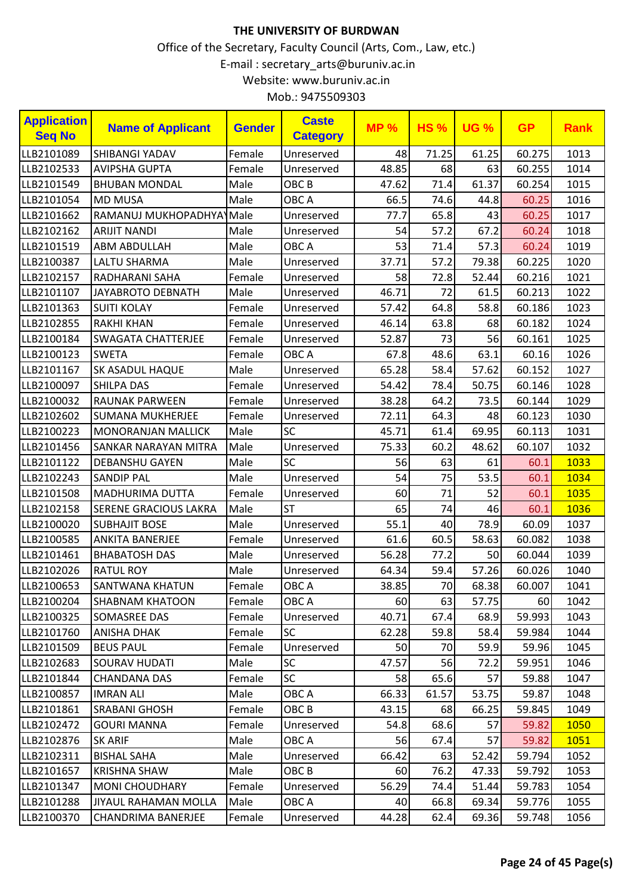| 60.275<br>1013<br>SHIBANGI YADAV<br>Female<br>Unreserved<br>48<br>71.25<br>61.25<br>48.85<br>1014<br><b>AVIPSHA GUPTA</b><br>Female<br>68<br>60.255<br>63<br>Unreserved<br>71.4<br>61.37<br>47.62<br>60.254<br><b>BHUBAN MONDAL</b><br>Male<br>OBC <sub>B</sub><br>1015<br>Male<br>OBC A<br>66.5<br>74.6<br>44.8<br>60.25<br>1016<br><b>MD MUSA</b><br>RAMANUJ MUKHOPADHYA Male<br>77.7<br>65.8<br>Unreserved<br>43<br>60.25<br>1017<br>Male<br>54<br>57.2<br>67.2<br>60.24<br>1018<br><b>ARIJIT NANDI</b><br>Unreserved<br>Male<br>OBC A<br>53<br>71.4<br>57.3<br>1019<br><b>ABM ABDULLAH</b><br>60.24<br>37.71<br>57.2<br>79.38<br>60.225<br>1020<br><b>LALTU SHARMA</b><br>Male<br>Unreserved<br>72.8<br>60.216<br>1021<br>RADHARANI SAHA<br>Female<br>58<br>52.44<br>Unreserved<br>72<br>46.71<br>60.213<br>1022<br>JAYABROTO DEBNATH<br>Male<br>61.5<br>Unreserved<br>57.42<br>64.8<br>1023<br><b>SUITI KOLAY</b><br>58.8<br>60.186<br>Female<br>Unreserved<br>46.14<br>63.8<br>60.182<br>1024<br><b>RAKHI KHAN</b><br>Female<br>68<br>Unreserved<br>52.87<br>73<br>56<br>1025<br><b>SWAGATA CHATTERJEE</b><br>Female<br>60.161<br>Unreserved<br>63.1<br>1026<br>OBC A<br>48.6<br><b>SWETA</b><br>Female<br>67.8<br>60.16<br>58.4<br>Male<br>65.28<br>57.62<br>60.152<br>1027<br>SK ASADUL HAQUE<br>Unreserved<br>54.42<br>78.4<br>1028<br><b>SHILPA DAS</b><br>Female<br>50.75<br>60.146<br>Unreserved<br>64.2<br>73.5<br>60.144<br>1029<br>RAUNAK PARWEEN<br>Female<br>38.28<br>Unreserved<br>Female<br>72.11<br>64.3<br>48<br>60.123<br>1030<br><b>SUMANA MUKHERJEE</b><br>Unreserved<br>SC<br>61.4<br>69.95<br>Male<br>45.71<br>60.113<br>1031<br><b>MONORANJAN MALLICK</b><br>75.33<br>60.2<br>48.62<br>1032<br>SANKAR NARAYAN MITRA<br>Male<br>60.107<br>Unreserved<br>SC<br>56<br>Male<br>63<br>61<br>1033<br><b>DEBANSHU GAYEN</b><br>60.1<br>54<br>75<br>53.5<br>1034<br><b>SANDIP PAL</b><br>Male<br>Unreserved<br>60.1<br>71<br>1035<br><b>MADHURIMA DUTTA</b><br>Female<br>60<br>52<br>60.1<br>Unreserved<br><b>ST</b><br>74<br>Male<br>65<br>60.1<br>1036<br><b>SERENE GRACIOUS LAKRA</b><br>46<br><b>SUBHAJIT BOSE</b><br>Male<br>55.1<br>40<br>78.9<br>1037<br>Unreserved<br>60.09<br>61.6<br>60.5<br>58.63<br>1038<br><b>ANKITA BANERJEE</b><br>Female<br>60.082<br>Unreserved<br>56.28<br>77.2<br>1039<br><b>BHABATOSH DAS</b><br>Male<br>50<br>60.044<br>Unreserved<br>59.4<br>57.26<br>1040<br><b>RATUL ROY</b><br>Male<br>64.34<br>60.026<br>Unreserved<br>70<br>38.85<br>68.38<br>60.007<br>1041<br>Female<br>OBC A<br>SANTWANA KHATUN<br>63<br><b>SHABNAM KHATOON</b><br>Female<br>OBC A<br>60<br>57.75<br>60<br>1042<br>Female<br>40.71<br>SOMASREE DAS<br>Unreserved<br>67.4<br>68.9<br>59.993<br>1043<br><b>ANISHA DHAK</b><br>Female<br><b>SC</b><br>62.28<br>59.8<br>58.4<br>59.984<br>1044<br><b>BEUS PAUL</b><br>Female<br>Unreserved<br>50<br>70<br>59.9<br>59.96<br>1045<br><b>SC</b><br>47.57<br><b>SOURAV HUDATI</b><br>Male<br>56<br>72.2<br>59.951<br>1046<br><b>SC</b><br>58<br>65.6<br>59.88<br>1047<br><b>CHANDANA DAS</b><br>Female<br>57<br><b>IMRAN ALI</b><br>Male<br>OBC A<br>66.33<br>61.57<br>53.75<br>59.87<br>1048<br><b>SRABANI GHOSH</b><br>Female<br>OBC <sub>B</sub><br>43.15<br>68<br>66.25<br>59.845<br>1049<br>68.6<br><b>GOURI MANNA</b><br>Female<br>Unreserved<br>54.8<br>57<br>59.82<br>1050<br>Male<br>OBC A<br>56<br>67.4<br>57<br>59.82<br>1051<br><b>SK ARIF</b><br><b>BISHAL SAHA</b><br>Male<br>Unreserved<br>66.42<br>52.42<br>1052<br>63<br>59.794<br>Male<br>OBC <sub>B</sub><br>60<br>76.2<br>59.792<br>1053<br>KRISHNA SHAW<br>47.33<br><b>MONI CHOUDHARY</b><br>Female<br>56.29<br>74.4<br>51.44<br>59.783<br>1054<br>Unreserved<br><b>JIYAUL RAHAMAN MOLLA</b><br>Male<br>OBC A<br>66.8<br>69.34<br>59.776<br>1055<br>40<br>Unreserved<br>CHANDRIMA BANERJEE<br>Female<br>44.28<br>62.4<br>69.36<br>59.748<br>1056 | <b>Application</b><br><b>Seq No</b> | <b>Name of Applicant</b> | <b>Gender</b> | <b>Caste</b><br><b>Category</b> | <b>MP%</b> | <b>HS%</b> | <b>UG %</b> | <b>GP</b> | <b>Rank</b> |
|------------------------------------------------------------------------------------------------------------------------------------------------------------------------------------------------------------------------------------------------------------------------------------------------------------------------------------------------------------------------------------------------------------------------------------------------------------------------------------------------------------------------------------------------------------------------------------------------------------------------------------------------------------------------------------------------------------------------------------------------------------------------------------------------------------------------------------------------------------------------------------------------------------------------------------------------------------------------------------------------------------------------------------------------------------------------------------------------------------------------------------------------------------------------------------------------------------------------------------------------------------------------------------------------------------------------------------------------------------------------------------------------------------------------------------------------------------------------------------------------------------------------------------------------------------------------------------------------------------------------------------------------------------------------------------------------------------------------------------------------------------------------------------------------------------------------------------------------------------------------------------------------------------------------------------------------------------------------------------------------------------------------------------------------------------------------------------------------------------------------------------------------------------------------------------------------------------------------------------------------------------------------------------------------------------------------------------------------------------------------------------------------------------------------------------------------------------------------------------------------------------------------------------------------------------------------------------------------------------------------------------------------------------------------------------------------------------------------------------------------------------------------------------------------------------------------------------------------------------------------------------------------------------------------------------------------------------------------------------------------------------------------------------------------------------------------------------------------------------------------------------------------------------------------------------------------------------------------------------------------------------------------------------------------------------------------------------------------------------------------------------------------------------------------------------------------------------------------------------------------------------------------------------------------------------------------------------------------------------------------------------------------------------------------------------------------------------------------------------------------------------------------------------------------------------------------------------------------------------------------------------------------|-------------------------------------|--------------------------|---------------|---------------------------------|------------|------------|-------------|-----------|-------------|
|                                                                                                                                                                                                                                                                                                                                                                                                                                                                                                                                                                                                                                                                                                                                                                                                                                                                                                                                                                                                                                                                                                                                                                                                                                                                                                                                                                                                                                                                                                                                                                                                                                                                                                                                                                                                                                                                                                                                                                                                                                                                                                                                                                                                                                                                                                                                                                                                                                                                                                                                                                                                                                                                                                                                                                                                                                                                                                                                                                                                                                                                                                                                                                                                                                                                                                                                                                                                                                                                                                                                                                                                                                                                                                                                                                                                                                                                                                | LLB2101089                          |                          |               |                                 |            |            |             |           |             |
|                                                                                                                                                                                                                                                                                                                                                                                                                                                                                                                                                                                                                                                                                                                                                                                                                                                                                                                                                                                                                                                                                                                                                                                                                                                                                                                                                                                                                                                                                                                                                                                                                                                                                                                                                                                                                                                                                                                                                                                                                                                                                                                                                                                                                                                                                                                                                                                                                                                                                                                                                                                                                                                                                                                                                                                                                                                                                                                                                                                                                                                                                                                                                                                                                                                                                                                                                                                                                                                                                                                                                                                                                                                                                                                                                                                                                                                                                                | LLB2102533                          |                          |               |                                 |            |            |             |           |             |
|                                                                                                                                                                                                                                                                                                                                                                                                                                                                                                                                                                                                                                                                                                                                                                                                                                                                                                                                                                                                                                                                                                                                                                                                                                                                                                                                                                                                                                                                                                                                                                                                                                                                                                                                                                                                                                                                                                                                                                                                                                                                                                                                                                                                                                                                                                                                                                                                                                                                                                                                                                                                                                                                                                                                                                                                                                                                                                                                                                                                                                                                                                                                                                                                                                                                                                                                                                                                                                                                                                                                                                                                                                                                                                                                                                                                                                                                                                | LLB2101549                          |                          |               |                                 |            |            |             |           |             |
|                                                                                                                                                                                                                                                                                                                                                                                                                                                                                                                                                                                                                                                                                                                                                                                                                                                                                                                                                                                                                                                                                                                                                                                                                                                                                                                                                                                                                                                                                                                                                                                                                                                                                                                                                                                                                                                                                                                                                                                                                                                                                                                                                                                                                                                                                                                                                                                                                                                                                                                                                                                                                                                                                                                                                                                                                                                                                                                                                                                                                                                                                                                                                                                                                                                                                                                                                                                                                                                                                                                                                                                                                                                                                                                                                                                                                                                                                                | LLB2101054                          |                          |               |                                 |            |            |             |           |             |
|                                                                                                                                                                                                                                                                                                                                                                                                                                                                                                                                                                                                                                                                                                                                                                                                                                                                                                                                                                                                                                                                                                                                                                                                                                                                                                                                                                                                                                                                                                                                                                                                                                                                                                                                                                                                                                                                                                                                                                                                                                                                                                                                                                                                                                                                                                                                                                                                                                                                                                                                                                                                                                                                                                                                                                                                                                                                                                                                                                                                                                                                                                                                                                                                                                                                                                                                                                                                                                                                                                                                                                                                                                                                                                                                                                                                                                                                                                | LLB2101662                          |                          |               |                                 |            |            |             |           |             |
|                                                                                                                                                                                                                                                                                                                                                                                                                                                                                                                                                                                                                                                                                                                                                                                                                                                                                                                                                                                                                                                                                                                                                                                                                                                                                                                                                                                                                                                                                                                                                                                                                                                                                                                                                                                                                                                                                                                                                                                                                                                                                                                                                                                                                                                                                                                                                                                                                                                                                                                                                                                                                                                                                                                                                                                                                                                                                                                                                                                                                                                                                                                                                                                                                                                                                                                                                                                                                                                                                                                                                                                                                                                                                                                                                                                                                                                                                                | LLB2102162                          |                          |               |                                 |            |            |             |           |             |
|                                                                                                                                                                                                                                                                                                                                                                                                                                                                                                                                                                                                                                                                                                                                                                                                                                                                                                                                                                                                                                                                                                                                                                                                                                                                                                                                                                                                                                                                                                                                                                                                                                                                                                                                                                                                                                                                                                                                                                                                                                                                                                                                                                                                                                                                                                                                                                                                                                                                                                                                                                                                                                                                                                                                                                                                                                                                                                                                                                                                                                                                                                                                                                                                                                                                                                                                                                                                                                                                                                                                                                                                                                                                                                                                                                                                                                                                                                | LLB2101519                          |                          |               |                                 |            |            |             |           |             |
|                                                                                                                                                                                                                                                                                                                                                                                                                                                                                                                                                                                                                                                                                                                                                                                                                                                                                                                                                                                                                                                                                                                                                                                                                                                                                                                                                                                                                                                                                                                                                                                                                                                                                                                                                                                                                                                                                                                                                                                                                                                                                                                                                                                                                                                                                                                                                                                                                                                                                                                                                                                                                                                                                                                                                                                                                                                                                                                                                                                                                                                                                                                                                                                                                                                                                                                                                                                                                                                                                                                                                                                                                                                                                                                                                                                                                                                                                                | LLB2100387                          |                          |               |                                 |            |            |             |           |             |
|                                                                                                                                                                                                                                                                                                                                                                                                                                                                                                                                                                                                                                                                                                                                                                                                                                                                                                                                                                                                                                                                                                                                                                                                                                                                                                                                                                                                                                                                                                                                                                                                                                                                                                                                                                                                                                                                                                                                                                                                                                                                                                                                                                                                                                                                                                                                                                                                                                                                                                                                                                                                                                                                                                                                                                                                                                                                                                                                                                                                                                                                                                                                                                                                                                                                                                                                                                                                                                                                                                                                                                                                                                                                                                                                                                                                                                                                                                | LLB2102157                          |                          |               |                                 |            |            |             |           |             |
|                                                                                                                                                                                                                                                                                                                                                                                                                                                                                                                                                                                                                                                                                                                                                                                                                                                                                                                                                                                                                                                                                                                                                                                                                                                                                                                                                                                                                                                                                                                                                                                                                                                                                                                                                                                                                                                                                                                                                                                                                                                                                                                                                                                                                                                                                                                                                                                                                                                                                                                                                                                                                                                                                                                                                                                                                                                                                                                                                                                                                                                                                                                                                                                                                                                                                                                                                                                                                                                                                                                                                                                                                                                                                                                                                                                                                                                                                                | LLB2101107                          |                          |               |                                 |            |            |             |           |             |
|                                                                                                                                                                                                                                                                                                                                                                                                                                                                                                                                                                                                                                                                                                                                                                                                                                                                                                                                                                                                                                                                                                                                                                                                                                                                                                                                                                                                                                                                                                                                                                                                                                                                                                                                                                                                                                                                                                                                                                                                                                                                                                                                                                                                                                                                                                                                                                                                                                                                                                                                                                                                                                                                                                                                                                                                                                                                                                                                                                                                                                                                                                                                                                                                                                                                                                                                                                                                                                                                                                                                                                                                                                                                                                                                                                                                                                                                                                | LLB2101363                          |                          |               |                                 |            |            |             |           |             |
|                                                                                                                                                                                                                                                                                                                                                                                                                                                                                                                                                                                                                                                                                                                                                                                                                                                                                                                                                                                                                                                                                                                                                                                                                                                                                                                                                                                                                                                                                                                                                                                                                                                                                                                                                                                                                                                                                                                                                                                                                                                                                                                                                                                                                                                                                                                                                                                                                                                                                                                                                                                                                                                                                                                                                                                                                                                                                                                                                                                                                                                                                                                                                                                                                                                                                                                                                                                                                                                                                                                                                                                                                                                                                                                                                                                                                                                                                                | LLB2102855                          |                          |               |                                 |            |            |             |           |             |
|                                                                                                                                                                                                                                                                                                                                                                                                                                                                                                                                                                                                                                                                                                                                                                                                                                                                                                                                                                                                                                                                                                                                                                                                                                                                                                                                                                                                                                                                                                                                                                                                                                                                                                                                                                                                                                                                                                                                                                                                                                                                                                                                                                                                                                                                                                                                                                                                                                                                                                                                                                                                                                                                                                                                                                                                                                                                                                                                                                                                                                                                                                                                                                                                                                                                                                                                                                                                                                                                                                                                                                                                                                                                                                                                                                                                                                                                                                | LLB2100184                          |                          |               |                                 |            |            |             |           |             |
|                                                                                                                                                                                                                                                                                                                                                                                                                                                                                                                                                                                                                                                                                                                                                                                                                                                                                                                                                                                                                                                                                                                                                                                                                                                                                                                                                                                                                                                                                                                                                                                                                                                                                                                                                                                                                                                                                                                                                                                                                                                                                                                                                                                                                                                                                                                                                                                                                                                                                                                                                                                                                                                                                                                                                                                                                                                                                                                                                                                                                                                                                                                                                                                                                                                                                                                                                                                                                                                                                                                                                                                                                                                                                                                                                                                                                                                                                                | LLB2100123                          |                          |               |                                 |            |            |             |           |             |
|                                                                                                                                                                                                                                                                                                                                                                                                                                                                                                                                                                                                                                                                                                                                                                                                                                                                                                                                                                                                                                                                                                                                                                                                                                                                                                                                                                                                                                                                                                                                                                                                                                                                                                                                                                                                                                                                                                                                                                                                                                                                                                                                                                                                                                                                                                                                                                                                                                                                                                                                                                                                                                                                                                                                                                                                                                                                                                                                                                                                                                                                                                                                                                                                                                                                                                                                                                                                                                                                                                                                                                                                                                                                                                                                                                                                                                                                                                | LLB2101167                          |                          |               |                                 |            |            |             |           |             |
|                                                                                                                                                                                                                                                                                                                                                                                                                                                                                                                                                                                                                                                                                                                                                                                                                                                                                                                                                                                                                                                                                                                                                                                                                                                                                                                                                                                                                                                                                                                                                                                                                                                                                                                                                                                                                                                                                                                                                                                                                                                                                                                                                                                                                                                                                                                                                                                                                                                                                                                                                                                                                                                                                                                                                                                                                                                                                                                                                                                                                                                                                                                                                                                                                                                                                                                                                                                                                                                                                                                                                                                                                                                                                                                                                                                                                                                                                                | LLB2100097                          |                          |               |                                 |            |            |             |           |             |
|                                                                                                                                                                                                                                                                                                                                                                                                                                                                                                                                                                                                                                                                                                                                                                                                                                                                                                                                                                                                                                                                                                                                                                                                                                                                                                                                                                                                                                                                                                                                                                                                                                                                                                                                                                                                                                                                                                                                                                                                                                                                                                                                                                                                                                                                                                                                                                                                                                                                                                                                                                                                                                                                                                                                                                                                                                                                                                                                                                                                                                                                                                                                                                                                                                                                                                                                                                                                                                                                                                                                                                                                                                                                                                                                                                                                                                                                                                | LLB2100032                          |                          |               |                                 |            |            |             |           |             |
|                                                                                                                                                                                                                                                                                                                                                                                                                                                                                                                                                                                                                                                                                                                                                                                                                                                                                                                                                                                                                                                                                                                                                                                                                                                                                                                                                                                                                                                                                                                                                                                                                                                                                                                                                                                                                                                                                                                                                                                                                                                                                                                                                                                                                                                                                                                                                                                                                                                                                                                                                                                                                                                                                                                                                                                                                                                                                                                                                                                                                                                                                                                                                                                                                                                                                                                                                                                                                                                                                                                                                                                                                                                                                                                                                                                                                                                                                                | LLB2102602                          |                          |               |                                 |            |            |             |           |             |
|                                                                                                                                                                                                                                                                                                                                                                                                                                                                                                                                                                                                                                                                                                                                                                                                                                                                                                                                                                                                                                                                                                                                                                                                                                                                                                                                                                                                                                                                                                                                                                                                                                                                                                                                                                                                                                                                                                                                                                                                                                                                                                                                                                                                                                                                                                                                                                                                                                                                                                                                                                                                                                                                                                                                                                                                                                                                                                                                                                                                                                                                                                                                                                                                                                                                                                                                                                                                                                                                                                                                                                                                                                                                                                                                                                                                                                                                                                | LLB2100223                          |                          |               |                                 |            |            |             |           |             |
|                                                                                                                                                                                                                                                                                                                                                                                                                                                                                                                                                                                                                                                                                                                                                                                                                                                                                                                                                                                                                                                                                                                                                                                                                                                                                                                                                                                                                                                                                                                                                                                                                                                                                                                                                                                                                                                                                                                                                                                                                                                                                                                                                                                                                                                                                                                                                                                                                                                                                                                                                                                                                                                                                                                                                                                                                                                                                                                                                                                                                                                                                                                                                                                                                                                                                                                                                                                                                                                                                                                                                                                                                                                                                                                                                                                                                                                                                                | LLB2101456                          |                          |               |                                 |            |            |             |           |             |
|                                                                                                                                                                                                                                                                                                                                                                                                                                                                                                                                                                                                                                                                                                                                                                                                                                                                                                                                                                                                                                                                                                                                                                                                                                                                                                                                                                                                                                                                                                                                                                                                                                                                                                                                                                                                                                                                                                                                                                                                                                                                                                                                                                                                                                                                                                                                                                                                                                                                                                                                                                                                                                                                                                                                                                                                                                                                                                                                                                                                                                                                                                                                                                                                                                                                                                                                                                                                                                                                                                                                                                                                                                                                                                                                                                                                                                                                                                | LLB2101122                          |                          |               |                                 |            |            |             |           |             |
|                                                                                                                                                                                                                                                                                                                                                                                                                                                                                                                                                                                                                                                                                                                                                                                                                                                                                                                                                                                                                                                                                                                                                                                                                                                                                                                                                                                                                                                                                                                                                                                                                                                                                                                                                                                                                                                                                                                                                                                                                                                                                                                                                                                                                                                                                                                                                                                                                                                                                                                                                                                                                                                                                                                                                                                                                                                                                                                                                                                                                                                                                                                                                                                                                                                                                                                                                                                                                                                                                                                                                                                                                                                                                                                                                                                                                                                                                                | LLB2102243                          |                          |               |                                 |            |            |             |           |             |
|                                                                                                                                                                                                                                                                                                                                                                                                                                                                                                                                                                                                                                                                                                                                                                                                                                                                                                                                                                                                                                                                                                                                                                                                                                                                                                                                                                                                                                                                                                                                                                                                                                                                                                                                                                                                                                                                                                                                                                                                                                                                                                                                                                                                                                                                                                                                                                                                                                                                                                                                                                                                                                                                                                                                                                                                                                                                                                                                                                                                                                                                                                                                                                                                                                                                                                                                                                                                                                                                                                                                                                                                                                                                                                                                                                                                                                                                                                | LLB2101508                          |                          |               |                                 |            |            |             |           |             |
|                                                                                                                                                                                                                                                                                                                                                                                                                                                                                                                                                                                                                                                                                                                                                                                                                                                                                                                                                                                                                                                                                                                                                                                                                                                                                                                                                                                                                                                                                                                                                                                                                                                                                                                                                                                                                                                                                                                                                                                                                                                                                                                                                                                                                                                                                                                                                                                                                                                                                                                                                                                                                                                                                                                                                                                                                                                                                                                                                                                                                                                                                                                                                                                                                                                                                                                                                                                                                                                                                                                                                                                                                                                                                                                                                                                                                                                                                                | LLB2102158                          |                          |               |                                 |            |            |             |           |             |
|                                                                                                                                                                                                                                                                                                                                                                                                                                                                                                                                                                                                                                                                                                                                                                                                                                                                                                                                                                                                                                                                                                                                                                                                                                                                                                                                                                                                                                                                                                                                                                                                                                                                                                                                                                                                                                                                                                                                                                                                                                                                                                                                                                                                                                                                                                                                                                                                                                                                                                                                                                                                                                                                                                                                                                                                                                                                                                                                                                                                                                                                                                                                                                                                                                                                                                                                                                                                                                                                                                                                                                                                                                                                                                                                                                                                                                                                                                | LLB2100020                          |                          |               |                                 |            |            |             |           |             |
|                                                                                                                                                                                                                                                                                                                                                                                                                                                                                                                                                                                                                                                                                                                                                                                                                                                                                                                                                                                                                                                                                                                                                                                                                                                                                                                                                                                                                                                                                                                                                                                                                                                                                                                                                                                                                                                                                                                                                                                                                                                                                                                                                                                                                                                                                                                                                                                                                                                                                                                                                                                                                                                                                                                                                                                                                                                                                                                                                                                                                                                                                                                                                                                                                                                                                                                                                                                                                                                                                                                                                                                                                                                                                                                                                                                                                                                                                                | LLB2100585                          |                          |               |                                 |            |            |             |           |             |
|                                                                                                                                                                                                                                                                                                                                                                                                                                                                                                                                                                                                                                                                                                                                                                                                                                                                                                                                                                                                                                                                                                                                                                                                                                                                                                                                                                                                                                                                                                                                                                                                                                                                                                                                                                                                                                                                                                                                                                                                                                                                                                                                                                                                                                                                                                                                                                                                                                                                                                                                                                                                                                                                                                                                                                                                                                                                                                                                                                                                                                                                                                                                                                                                                                                                                                                                                                                                                                                                                                                                                                                                                                                                                                                                                                                                                                                                                                | LLB2101461                          |                          |               |                                 |            |            |             |           |             |
|                                                                                                                                                                                                                                                                                                                                                                                                                                                                                                                                                                                                                                                                                                                                                                                                                                                                                                                                                                                                                                                                                                                                                                                                                                                                                                                                                                                                                                                                                                                                                                                                                                                                                                                                                                                                                                                                                                                                                                                                                                                                                                                                                                                                                                                                                                                                                                                                                                                                                                                                                                                                                                                                                                                                                                                                                                                                                                                                                                                                                                                                                                                                                                                                                                                                                                                                                                                                                                                                                                                                                                                                                                                                                                                                                                                                                                                                                                | LLB2102026                          |                          |               |                                 |            |            |             |           |             |
|                                                                                                                                                                                                                                                                                                                                                                                                                                                                                                                                                                                                                                                                                                                                                                                                                                                                                                                                                                                                                                                                                                                                                                                                                                                                                                                                                                                                                                                                                                                                                                                                                                                                                                                                                                                                                                                                                                                                                                                                                                                                                                                                                                                                                                                                                                                                                                                                                                                                                                                                                                                                                                                                                                                                                                                                                                                                                                                                                                                                                                                                                                                                                                                                                                                                                                                                                                                                                                                                                                                                                                                                                                                                                                                                                                                                                                                                                                | LLB2100653                          |                          |               |                                 |            |            |             |           |             |
|                                                                                                                                                                                                                                                                                                                                                                                                                                                                                                                                                                                                                                                                                                                                                                                                                                                                                                                                                                                                                                                                                                                                                                                                                                                                                                                                                                                                                                                                                                                                                                                                                                                                                                                                                                                                                                                                                                                                                                                                                                                                                                                                                                                                                                                                                                                                                                                                                                                                                                                                                                                                                                                                                                                                                                                                                                                                                                                                                                                                                                                                                                                                                                                                                                                                                                                                                                                                                                                                                                                                                                                                                                                                                                                                                                                                                                                                                                | LLB2100204                          |                          |               |                                 |            |            |             |           |             |
|                                                                                                                                                                                                                                                                                                                                                                                                                                                                                                                                                                                                                                                                                                                                                                                                                                                                                                                                                                                                                                                                                                                                                                                                                                                                                                                                                                                                                                                                                                                                                                                                                                                                                                                                                                                                                                                                                                                                                                                                                                                                                                                                                                                                                                                                                                                                                                                                                                                                                                                                                                                                                                                                                                                                                                                                                                                                                                                                                                                                                                                                                                                                                                                                                                                                                                                                                                                                                                                                                                                                                                                                                                                                                                                                                                                                                                                                                                | LLB2100325                          |                          |               |                                 |            |            |             |           |             |
|                                                                                                                                                                                                                                                                                                                                                                                                                                                                                                                                                                                                                                                                                                                                                                                                                                                                                                                                                                                                                                                                                                                                                                                                                                                                                                                                                                                                                                                                                                                                                                                                                                                                                                                                                                                                                                                                                                                                                                                                                                                                                                                                                                                                                                                                                                                                                                                                                                                                                                                                                                                                                                                                                                                                                                                                                                                                                                                                                                                                                                                                                                                                                                                                                                                                                                                                                                                                                                                                                                                                                                                                                                                                                                                                                                                                                                                                                                | LLB2101760                          |                          |               |                                 |            |            |             |           |             |
|                                                                                                                                                                                                                                                                                                                                                                                                                                                                                                                                                                                                                                                                                                                                                                                                                                                                                                                                                                                                                                                                                                                                                                                                                                                                                                                                                                                                                                                                                                                                                                                                                                                                                                                                                                                                                                                                                                                                                                                                                                                                                                                                                                                                                                                                                                                                                                                                                                                                                                                                                                                                                                                                                                                                                                                                                                                                                                                                                                                                                                                                                                                                                                                                                                                                                                                                                                                                                                                                                                                                                                                                                                                                                                                                                                                                                                                                                                | LLB2101509                          |                          |               |                                 |            |            |             |           |             |
|                                                                                                                                                                                                                                                                                                                                                                                                                                                                                                                                                                                                                                                                                                                                                                                                                                                                                                                                                                                                                                                                                                                                                                                                                                                                                                                                                                                                                                                                                                                                                                                                                                                                                                                                                                                                                                                                                                                                                                                                                                                                                                                                                                                                                                                                                                                                                                                                                                                                                                                                                                                                                                                                                                                                                                                                                                                                                                                                                                                                                                                                                                                                                                                                                                                                                                                                                                                                                                                                                                                                                                                                                                                                                                                                                                                                                                                                                                | LLB2102683                          |                          |               |                                 |            |            |             |           |             |
|                                                                                                                                                                                                                                                                                                                                                                                                                                                                                                                                                                                                                                                                                                                                                                                                                                                                                                                                                                                                                                                                                                                                                                                                                                                                                                                                                                                                                                                                                                                                                                                                                                                                                                                                                                                                                                                                                                                                                                                                                                                                                                                                                                                                                                                                                                                                                                                                                                                                                                                                                                                                                                                                                                                                                                                                                                                                                                                                                                                                                                                                                                                                                                                                                                                                                                                                                                                                                                                                                                                                                                                                                                                                                                                                                                                                                                                                                                | LLB2101844                          |                          |               |                                 |            |            |             |           |             |
|                                                                                                                                                                                                                                                                                                                                                                                                                                                                                                                                                                                                                                                                                                                                                                                                                                                                                                                                                                                                                                                                                                                                                                                                                                                                                                                                                                                                                                                                                                                                                                                                                                                                                                                                                                                                                                                                                                                                                                                                                                                                                                                                                                                                                                                                                                                                                                                                                                                                                                                                                                                                                                                                                                                                                                                                                                                                                                                                                                                                                                                                                                                                                                                                                                                                                                                                                                                                                                                                                                                                                                                                                                                                                                                                                                                                                                                                                                | LLB2100857                          |                          |               |                                 |            |            |             |           |             |
|                                                                                                                                                                                                                                                                                                                                                                                                                                                                                                                                                                                                                                                                                                                                                                                                                                                                                                                                                                                                                                                                                                                                                                                                                                                                                                                                                                                                                                                                                                                                                                                                                                                                                                                                                                                                                                                                                                                                                                                                                                                                                                                                                                                                                                                                                                                                                                                                                                                                                                                                                                                                                                                                                                                                                                                                                                                                                                                                                                                                                                                                                                                                                                                                                                                                                                                                                                                                                                                                                                                                                                                                                                                                                                                                                                                                                                                                                                | LLB2101861                          |                          |               |                                 |            |            |             |           |             |
|                                                                                                                                                                                                                                                                                                                                                                                                                                                                                                                                                                                                                                                                                                                                                                                                                                                                                                                                                                                                                                                                                                                                                                                                                                                                                                                                                                                                                                                                                                                                                                                                                                                                                                                                                                                                                                                                                                                                                                                                                                                                                                                                                                                                                                                                                                                                                                                                                                                                                                                                                                                                                                                                                                                                                                                                                                                                                                                                                                                                                                                                                                                                                                                                                                                                                                                                                                                                                                                                                                                                                                                                                                                                                                                                                                                                                                                                                                | LLB2102472                          |                          |               |                                 |            |            |             |           |             |
|                                                                                                                                                                                                                                                                                                                                                                                                                                                                                                                                                                                                                                                                                                                                                                                                                                                                                                                                                                                                                                                                                                                                                                                                                                                                                                                                                                                                                                                                                                                                                                                                                                                                                                                                                                                                                                                                                                                                                                                                                                                                                                                                                                                                                                                                                                                                                                                                                                                                                                                                                                                                                                                                                                                                                                                                                                                                                                                                                                                                                                                                                                                                                                                                                                                                                                                                                                                                                                                                                                                                                                                                                                                                                                                                                                                                                                                                                                | LLB2102876                          |                          |               |                                 |            |            |             |           |             |
|                                                                                                                                                                                                                                                                                                                                                                                                                                                                                                                                                                                                                                                                                                                                                                                                                                                                                                                                                                                                                                                                                                                                                                                                                                                                                                                                                                                                                                                                                                                                                                                                                                                                                                                                                                                                                                                                                                                                                                                                                                                                                                                                                                                                                                                                                                                                                                                                                                                                                                                                                                                                                                                                                                                                                                                                                                                                                                                                                                                                                                                                                                                                                                                                                                                                                                                                                                                                                                                                                                                                                                                                                                                                                                                                                                                                                                                                                                | LLB2102311                          |                          |               |                                 |            |            |             |           |             |
|                                                                                                                                                                                                                                                                                                                                                                                                                                                                                                                                                                                                                                                                                                                                                                                                                                                                                                                                                                                                                                                                                                                                                                                                                                                                                                                                                                                                                                                                                                                                                                                                                                                                                                                                                                                                                                                                                                                                                                                                                                                                                                                                                                                                                                                                                                                                                                                                                                                                                                                                                                                                                                                                                                                                                                                                                                                                                                                                                                                                                                                                                                                                                                                                                                                                                                                                                                                                                                                                                                                                                                                                                                                                                                                                                                                                                                                                                                | LLB2101657                          |                          |               |                                 |            |            |             |           |             |
|                                                                                                                                                                                                                                                                                                                                                                                                                                                                                                                                                                                                                                                                                                                                                                                                                                                                                                                                                                                                                                                                                                                                                                                                                                                                                                                                                                                                                                                                                                                                                                                                                                                                                                                                                                                                                                                                                                                                                                                                                                                                                                                                                                                                                                                                                                                                                                                                                                                                                                                                                                                                                                                                                                                                                                                                                                                                                                                                                                                                                                                                                                                                                                                                                                                                                                                                                                                                                                                                                                                                                                                                                                                                                                                                                                                                                                                                                                | LLB2101347                          |                          |               |                                 |            |            |             |           |             |
|                                                                                                                                                                                                                                                                                                                                                                                                                                                                                                                                                                                                                                                                                                                                                                                                                                                                                                                                                                                                                                                                                                                                                                                                                                                                                                                                                                                                                                                                                                                                                                                                                                                                                                                                                                                                                                                                                                                                                                                                                                                                                                                                                                                                                                                                                                                                                                                                                                                                                                                                                                                                                                                                                                                                                                                                                                                                                                                                                                                                                                                                                                                                                                                                                                                                                                                                                                                                                                                                                                                                                                                                                                                                                                                                                                                                                                                                                                | LLB2101288                          |                          |               |                                 |            |            |             |           |             |
|                                                                                                                                                                                                                                                                                                                                                                                                                                                                                                                                                                                                                                                                                                                                                                                                                                                                                                                                                                                                                                                                                                                                                                                                                                                                                                                                                                                                                                                                                                                                                                                                                                                                                                                                                                                                                                                                                                                                                                                                                                                                                                                                                                                                                                                                                                                                                                                                                                                                                                                                                                                                                                                                                                                                                                                                                                                                                                                                                                                                                                                                                                                                                                                                                                                                                                                                                                                                                                                                                                                                                                                                                                                                                                                                                                                                                                                                                                | LLB2100370                          |                          |               |                                 |            |            |             |           |             |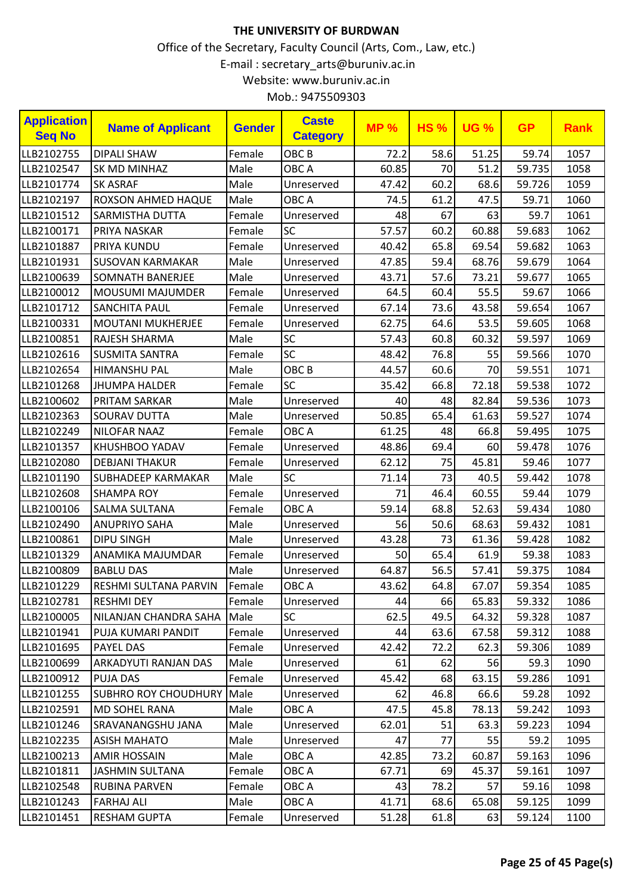| <b>Application</b><br><b>Seq No</b> | <b>Name of Applicant</b>    | <b>Gender</b> | <b>Caste</b><br><b>Category</b> | <b>MP%</b> | <b>HS%</b> | <b>UG %</b> | <b>GP</b> | <b>Rank</b> |
|-------------------------------------|-----------------------------|---------------|---------------------------------|------------|------------|-------------|-----------|-------------|
| LLB2102755                          | <b>DIPALI SHAW</b>          | Female        | OBC <sub>B</sub>                | 72.2       | 58.6       | 51.25       | 59.74     | 1057        |
| LLB2102547                          | <b>SK MD MINHAZ</b>         | Male          | OBC A                           | 60.85      | 70         | 51.2        | 59.735    | 1058        |
| LLB2101774                          | <b>SK ASRAF</b>             | Male          | Unreserved                      | 47.42      | 60.2       | 68.6        | 59.726    | 1059        |
| LLB2102197                          | ROXSON AHMED HAQUE          | Male          | OBC A                           | 74.5       | 61.2       | 47.5        | 59.71     | 1060        |
| LLB2101512                          | SARMISTHA DUTTA             | Female        | Unreserved                      | 48         | 67         | 63          | 59.7      | 1061        |
| LLB2100171                          | PRIYA NASKAR                | Female        | SC                              | 57.57      | 60.2       | 60.88       | 59.683    | 1062        |
| LLB2101887                          | PRIYA KUNDU                 | Female        | Unreserved                      | 40.42      | 65.8       | 69.54       | 59.682    | 1063        |
| LLB2101931                          | <b>SUSOVAN KARMAKAR</b>     | Male          | Unreserved                      | 47.85      | 59.4       | 68.76       | 59.679    | 1064        |
| LLB2100639                          | <b>SOMNATH BANERJEE</b>     | Male          | Unreserved                      | 43.71      | 57.6       | 73.21       | 59.677    | 1065        |
| LLB2100012                          | <b>MOUSUMI MAJUMDER</b>     | Female        | Unreserved                      | 64.5       | 60.4       | 55.5        | 59.67     | 1066        |
| LLB2101712                          | <b>SANCHITA PAUL</b>        | Female        | Unreserved                      | 67.14      | 73.6       | 43.58       | 59.654    | 1067        |
| LLB2100331                          | <b>MOUTANI MUKHERJEE</b>    | Female        | Unreserved                      | 62.75      | 64.6       | 53.5        | 59.605    | 1068        |
| LLB2100851                          | RAJESH SHARMA               | Male          | SC                              | 57.43      | 60.8       | 60.32       | 59.597    | 1069        |
| LLB2102616                          | <b>SUSMITA SANTRA</b>       | Female        | SC                              | 48.42      | 76.8       | 55          | 59.566    | 1070        |
| LLB2102654                          | <b>HIMANSHU PAL</b>         | Male          | OBC <sub>B</sub>                | 44.57      | 60.6       | 70          | 59.551    | 1071        |
| LLB2101268                          | <b>JHUMPA HALDER</b>        | Female        | SC                              | 35.42      | 66.8       | 72.18       | 59.538    | 1072        |
| LLB2100602                          | PRITAM SARKAR               | Male          | Unreserved                      | 40         | 48         | 82.84       | 59.536    | 1073        |
| LLB2102363                          | <b>SOURAV DUTTA</b>         | Male          | Unreserved                      | 50.85      | 65.4       | 61.63       | 59.527    | 1074        |
| LLB2102249                          | <b>NILOFAR NAAZ</b>         | Female        | OBC A                           | 61.25      | 48         | 66.8        | 59.495    | 1075        |
| LLB2101357                          | KHUSHBOO YADAV              | Female        | Unreserved                      | 48.86      | 69.4       | 60          | 59.478    | 1076        |
| LLB2102080                          | <b>DEBJANI THAKUR</b>       | Female        | Unreserved                      | 62.12      | 75         | 45.81       | 59.46     | 1077        |
| LLB2101190                          | <b>SUBHADEEP KARMAKAR</b>   | Male          | SC                              | 71.14      | 73         | 40.5        | 59.442    | 1078        |
| LLB2102608                          | <b>SHAMPA ROY</b>           | Female        | Unreserved                      | 71         | 46.4       | 60.55       | 59.44     | 1079        |
| LLB2100106                          | SALMA SULTANA               | Female        | OBC A                           | 59.14      | 68.8       | 52.63       | 59.434    | 1080        |
| LLB2102490                          | <b>ANUPRIYO SAHA</b>        | Male          | Unreserved                      | 56         | 50.6       | 68.63       | 59.432    | 1081        |
| LLB2100861                          | <b>DIPU SINGH</b>           | Male          | Unreserved                      | 43.28      | 73         | 61.36       | 59.428    | 1082        |
| LLB2101329                          | ANAMIKA MAJUMDAR            | Female        | Unreserved                      | 50         | 65.4       | 61.9        | 59.38     | 1083        |
| LLB2100809                          | <b>BABLU DAS</b>            | Male          | Unreserved                      | 64.87      | 56.5       | 57.41       | 59.375    | 1084        |
| LLB2101229                          | RESHMI SULTANA PARVIN       | Female        | OBC A                           | 43.62      | 64.8       | 67.07       | 59.354    | 1085        |
| LLB2102781                          | <b>RESHMI DEY</b>           | Female        | Unreserved                      | 44         | 66         | 65.83       | 59.332    | 1086        |
| LLB2100005                          | NILANJAN CHANDRA SAHA       | Male          | <b>SC</b>                       | 62.5       | 49.5       | 64.32       | 59.328    | 1087        |
| LLB2101941                          | PUJA KUMARI PANDIT          | Female        | Unreserved                      | 44         | 63.6       | 67.58       | 59.312    | 1088        |
| LLB2101695                          | PAYEL DAS                   | Female        | Unreserved                      | 42.42      | 72.2       | 62.3        | 59.306    | 1089        |
| LLB2100699                          | ARKADYUTI RANJAN DAS        | Male          | Unreserved                      | 61         | 62         | 56          | 59.3      | 1090        |
| LLB2100912                          | PUJA DAS                    | Female        | Unreserved                      | 45.42      | 68         | 63.15       | 59.286    | 1091        |
| LLB2101255                          | <b>SUBHRO ROY CHOUDHURY</b> | Male          | Unreserved                      | 62         | 46.8       | 66.6        | 59.28     | 1092        |
| LLB2102591                          | <b>MD SOHEL RANA</b>        | Male          | OBC A                           | 47.5       | 45.8       | 78.13       | 59.242    | 1093        |
| LLB2101246                          | SRAVANANGSHU JANA           | Male          | Unreserved                      | 62.01      | 51         | 63.3        | 59.223    | 1094        |
| LLB2102235                          | <b>ASISH MAHATO</b>         | Male          | Unreserved                      | 47         | 77         | 55          | 59.2      | 1095        |
| LLB2100213                          | AMIR HOSSAIN                | Male          | OBC A                           | 42.85      | 73.2       | 60.87       | 59.163    | 1096        |
| LLB2101811                          | <b>JASHMIN SULTANA</b>      | Female        | OBC A                           | 67.71      | 69         | 45.37       | 59.161    | 1097        |
| LLB2102548                          | <b>RUBINA PARVEN</b>        | Female        | OBC A                           | 43         | 78.2       | 57          | 59.16     | 1098        |
| LLB2101243                          | FARHAJ ALI                  | Male          | OBC A                           | 41.71      | 68.6       | 65.08       | 59.125    | 1099        |
| LLB2101451                          | <b>RESHAM GUPTA</b>         | Female        | Unreserved                      | 51.28      | 61.8       | 63          | 59.124    | 1100        |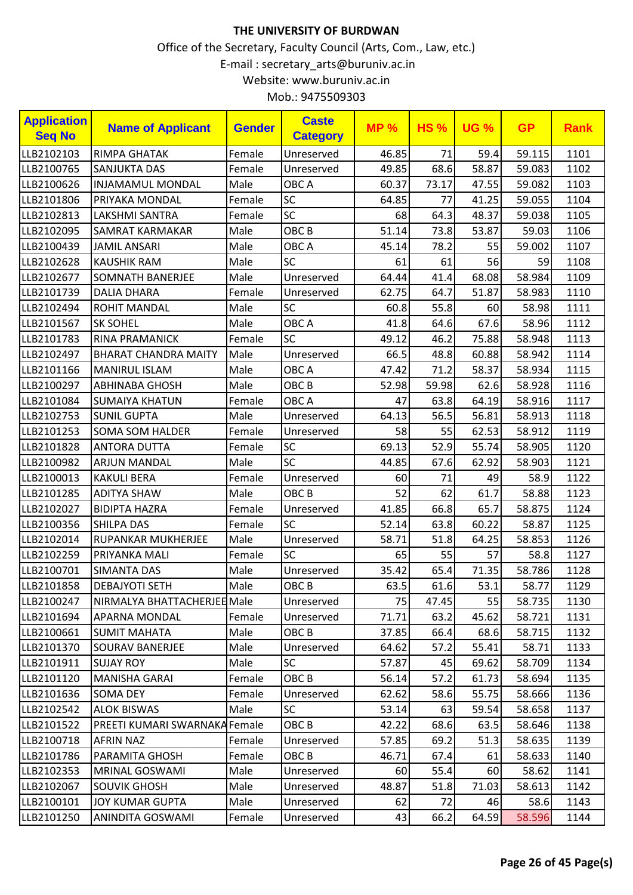| <b>Application</b><br><b>Seq No</b> | <b>Name of Applicant</b>             | <b>Gender</b> | <b>Caste</b><br><b>Category</b> | <b>MP%</b> | <b>HS%</b> | <b>UG %</b> | <b>GP</b> | <b>Rank</b> |
|-------------------------------------|--------------------------------------|---------------|---------------------------------|------------|------------|-------------|-----------|-------------|
| LLB2102103                          | <b>RIMPA GHATAK</b>                  | Female        | Unreserved                      | 46.85      | 71         | 59.4        | 59.115    | 1101        |
| LLB2100765                          | <b>SANJUKTA DAS</b>                  | Female        | Unreserved                      | 49.85      | 68.6       | 58.87       | 59.083    | 1102        |
| LLB2100626                          | <b>INJAMAMUL MONDAL</b>              | Male          | OBC A                           | 60.37      | 73.17      | 47.55       | 59.082    | 1103        |
| LLB2101806                          | PRIYAKA MONDAL                       | Female        | <b>SC</b>                       | 64.85      | 77         | 41.25       | 59.055    | 1104        |
| LLB2102813                          | LAKSHMI SANTRA                       | Female        | SC                              | 68         | 64.3       | 48.37       | 59.038    | 1105        |
| LLB2102095                          | <b>SAMRAT KARMAKAR</b>               | Male          | OBC <sub>B</sub>                | 51.14      | 73.8       | 53.87       | 59.03     | 1106        |
| LLB2100439                          | <b>JAMIL ANSARI</b>                  | Male          | OBC A                           | 45.14      | 78.2       | 55          | 59.002    | 1107        |
| LLB2102628                          | <b>KAUSHIK RAM</b>                   | Male          | SC                              | 61         | 61         | 56          | 59        | 1108        |
| LLB2102677                          | <b>SOMNATH BANERJEE</b>              | Male          | Unreserved                      | 64.44      | 41.4       | 68.08       | 58.984    | 1109        |
| LLB2101739                          | <b>DALIA DHARA</b>                   | Female        | Unreserved                      | 62.75      | 64.7       | 51.87       | 58.983    | 1110        |
| LLB2102494                          | <b>ROHIT MANDAL</b>                  | Male          | <b>SC</b>                       | 60.8       | 55.8       | 60          | 58.98     | 1111        |
| LLB2101567                          | <b>SK SOHEL</b>                      | Male          | OBC A                           | 41.8       | 64.6       | 67.6        | 58.96     | 1112        |
| LLB2101783                          | <b>RINA PRAMANICK</b>                | Female        | SC                              | 49.12      | 46.2       | 75.88       | 58.948    | 1113        |
| LLB2102497                          | <b>BHARAT CHANDRA MAITY</b>          | Male          | Unreserved                      | 66.5       | 48.8       | 60.88       | 58.942    | 1114        |
| LLB2101166                          | <b>MANIRUL ISLAM</b>                 | Male          | OBC A                           | 47.42      | 71.2       | 58.37       | 58.934    | 1115        |
| LLB2100297                          | <b>ABHINABA GHOSH</b>                | Male          | OBC <sub>B</sub>                | 52.98      | 59.98      | 62.6        | 58.928    | 1116        |
| LLB2101084                          | <b>SUMAIYA KHATUN</b>                | Female        | OBC A                           | 47         | 63.8       | 64.19       | 58.916    | 1117        |
| LLB2102753                          | <b>SUNIL GUPTA</b>                   | Male          | Unreserved                      | 64.13      | 56.5       | 56.81       | 58.913    | 1118        |
| LLB2101253                          | <b>SOMA SOM HALDER</b>               | Female        | Unreserved                      | 58         | 55         | 62.53       | 58.912    | 1119        |
| LLB2101828                          | <b>ANTORA DUTTA</b>                  | Female        | SC                              | 69.13      | 52.9       | 55.74       | 58.905    | 1120        |
| LLB2100982                          | <b>ARJUN MANDAL</b>                  | Male          | SC                              | 44.85      | 67.6       | 62.92       | 58.903    | 1121        |
| LLB2100013                          | <b>KAKULI BERA</b>                   | Female        | Unreserved                      | 60         | 71         | 49          | 58.9      | 1122        |
| LLB2101285                          | <b>ADITYA SHAW</b>                   | Male          | OBC <sub>B</sub>                | 52         | 62         | 61.7        | 58.88     | 1123        |
| LLB2102027                          | <b>BIDIPTA HAZRA</b>                 | Female        | Unreserved                      | 41.85      | 66.8       | 65.7        | 58.875    | 1124        |
| LLB2100356                          | <b>SHILPA DAS</b>                    | Female        | <b>SC</b>                       | 52.14      | 63.8       | 60.22       | 58.87     | 1125        |
| LLB2102014                          | <b>RUPANKAR MUKHERJEE</b>            | Male          | Unreserved                      | 58.71      | 51.8       | 64.25       | 58.853    | 1126        |
| LLB2102259                          | PRIYANKA MALI                        | Female        | <b>SC</b>                       | 65         | 55         | 57          | 58.8      | 1127        |
| LLB2100701                          | SIMANTA DAS                          | Male          | Unreserved                      | 35.42      | 65.4       | 71.35       | 58.786    | 1128        |
| LLB2101858                          | <b>DEBAJYOTI SETH</b>                | Male          | OBC <sub>B</sub>                | 63.5       | 61.6       | 53.1        | 58.77     | 1129        |
| LLB2100247                          | NIRMALYA BHATTACHERJEE Male          |               | Unreserved                      | 75         | 47.45      | 55          | 58.735    | 1130        |
| LLB2101694                          | APARNA MONDAL                        | Female        | Unreserved                      | 71.71      | 63.2       | 45.62       | 58.721    | 1131        |
| LLB2100661                          | <b>SUMIT MAHATA</b>                  | Male          | OBC <sub>B</sub>                | 37.85      | 66.4       | 68.6        | 58.715    | 1132        |
| LLB2101370                          | <b>SOURAV BANERJEE</b>               | Male          | Unreserved                      | 64.62      | 57.2       | 55.41       | 58.71     | 1133        |
| LLB2101911                          | <b>SUJAY ROY</b>                     | Male          | <b>SC</b>                       | 57.87      | 45         | 69.62       | 58.709    | 1134        |
| LLB2101120                          | <b>MANISHA GARAI</b>                 | Female        | OBC B                           | 56.14      | 57.2       | 61.73       | 58.694    | 1135        |
| LLB2101636                          | SOMA DEY                             | Female        | Unreserved                      | 62.62      | 58.6       | 55.75       | 58.666    | 1136        |
| LLB2102542                          | <b>ALOK BISWAS</b>                   | Male          | <b>SC</b>                       | 53.14      | 63         | 59.54       | 58.658    | 1137        |
| LLB2101522                          | <b>PREETI KUMARI SWARNAKA Female</b> |               | OBC B                           | 42.22      | 68.6       | 63.5        | 58.646    | 1138        |
| LLB2100718                          | <b>AFRIN NAZ</b>                     | Female        | Unreserved                      | 57.85      | 69.2       | 51.3        | 58.635    | 1139        |
| LLB2101786                          | PARAMITA GHOSH                       | Female        | OBC <sub>B</sub>                | 46.71      | 67.4       | 61          | 58.633    | 1140        |
| LLB2102353                          | MRINAL GOSWAMI                       | Male          | Unreserved                      | 60         | 55.4       | 60          | 58.62     | 1141        |
| LLB2102067                          | <b>SOUVIK GHOSH</b>                  | Male          | Unreserved                      | 48.87      | 51.8       | 71.03       | 58.613    | 1142        |
| LLB2100101                          | <b>JOY KUMAR GUPTA</b>               | Male          | Unreserved                      | 62         | 72         | 46          | 58.6      | 1143        |
| LLB2101250                          | ANINDITA GOSWAMI                     | Female        | Unreserved                      | 43         | 66.2       | 64.59       | 58.596    | 1144        |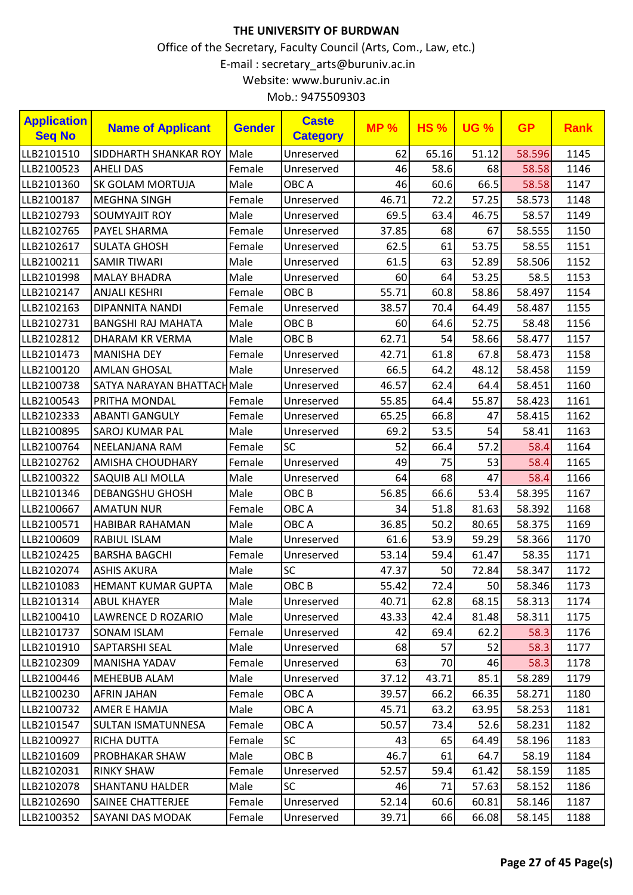| <b>Application</b><br><b>Seq No</b> | <b>Name of Applicant</b>   | <b>Gender</b> | <b>Caste</b><br><b>Category</b> | <b>MP%</b> | <b>HS%</b> | <b>UG %</b> | <b>GP</b> | <b>Rank</b> |
|-------------------------------------|----------------------------|---------------|---------------------------------|------------|------------|-------------|-----------|-------------|
| LLB2101510                          | SIDDHARTH SHANKAR ROY      | Male          | Unreserved                      | 62         | 65.16      | 51.12       | 58.596    | 1145        |
| LLB2100523                          | <b>AHELI DAS</b>           | Female        | Unreserved                      | 46         | 58.6       | 68          | 58.58     | 1146        |
| LLB2101360                          | <b>SK GOLAM MORTUJA</b>    | Male          | OBC A                           | 46         | 60.6       | 66.5        | 58.58     | 1147        |
| LLB2100187                          | <b>MEGHNA SINGH</b>        | Female        | Unreserved                      | 46.71      | 72.2       | 57.25       | 58.573    | 1148        |
| LLB2102793                          | <b>SOUMYAJIT ROY</b>       | Male          | Unreserved                      | 69.5       | 63.4       | 46.75       | 58.57     | 1149        |
| LLB2102765                          | <b>PAYEL SHARMA</b>        | Female        | Unreserved                      | 37.85      | 68         | 67          | 58.555    | 1150        |
| LLB2102617                          | <b>SULATA GHOSH</b>        | Female        | Unreserved                      | 62.5       | 61         | 53.75       | 58.55     | 1151        |
| LLB2100211                          | <b>SAMIR TIWARI</b>        | Male          | Unreserved                      | 61.5       | 63         | 52.89       | 58.506    | 1152        |
| LLB2101998                          | <b>MALAY BHADRA</b>        | Male          | Unreserved                      | 60         | 64         | 53.25       | 58.5      | 1153        |
| LLB2102147                          | <b>ANJALI KESHRI</b>       | Female        | OBC <sub>B</sub>                | 55.71      | 60.8       | 58.86       | 58.497    | 1154        |
| LLB2102163                          | <b>DIPANNITA NANDI</b>     | Female        | Unreserved                      | 38.57      | 70.4       | 64.49       | 58.487    | 1155        |
| LLB2102731                          | <b>BANGSHI RAJ MAHATA</b>  | Male          | OBC <sub>B</sub>                | 60         | 64.6       | 52.75       | 58.48     | 1156        |
| LLB2102812                          | <b>DHARAM KR VERMA</b>     | Male          | OBC <sub>B</sub>                | 62.71      | 54         | 58.66       | 58.477    | 1157        |
| LLB2101473                          | <b>MANISHA DEY</b>         | Female        | Unreserved                      | 42.71      | 61.8       | 67.8        | 58.473    | 1158        |
| LLB2100120                          | <b>AMLAN GHOSAL</b>        | Male          | Unreserved                      | 66.5       | 64.2       | 48.12       | 58.458    | 1159        |
| LLB2100738                          | SATYA NARAYAN BHATTACHMale |               | Unreserved                      | 46.57      | 62.4       | 64.4        | 58.451    | 1160        |
| LLB2100543                          | PRITHA MONDAL              | Female        | Unreserved                      | 55.85      | 64.4       | 55.87       | 58.423    | 1161        |
| LLB2102333                          | <b>ABANTI GANGULY</b>      | Female        | Unreserved                      | 65.25      | 66.8       | 47          | 58.415    | 1162        |
| LLB2100895                          | <b>SAROJ KUMAR PAL</b>     | Male          | Unreserved                      | 69.2       | 53.5       | 54          | 58.41     | 1163        |
| LLB2100764                          | NEELANJANA RAM             | Female        | <b>SC</b>                       | 52         | 66.4       | 57.2        | 58.4      | 1164        |
| LLB2102762                          | <b>AMISHA CHOUDHARY</b>    | Female        | Unreserved                      | 49         | 75         | 53          | 58.4      | 1165        |
| LLB2100322                          | SAQUIB ALI MOLLA           | Male          | Unreserved                      | 64         | 68         | 47          | 58.4      | 1166        |
| LLB2101346                          | <b>DEBANGSHU GHOSH</b>     | Male          | OBC <sub>B</sub>                | 56.85      | 66.6       | 53.4        | 58.395    | 1167        |
| LLB2100667                          | <b>AMATUN NUR</b>          | Female        | OBC A                           | 34         | 51.8       | 81.63       | 58.392    | 1168        |
| LLB2100571                          | <b>HABIBAR RAHAMAN</b>     | Male          | OBC A                           | 36.85      | 50.2       | 80.65       | 58.375    | 1169        |
| LLB2100609                          | <b>RABIUL ISLAM</b>        | Male          | Unreserved                      | 61.6       | 53.9       | 59.29       | 58.366    | 1170        |
| LLB2102425                          | <b>BARSHA BAGCHI</b>       | Female        | Unreserved                      | 53.14      | 59.4       | 61.47       | 58.35     | 1171        |
| LLB2102074                          | <b>ASHIS AKURA</b>         | Male          | SC                              | 47.37      | 50         | 72.84       | 58.347    | 1172        |
| LLB2101083                          | HEMANT KUMAR GUPTA         | Male          | OBC B                           | 55.42      | 72.4       | 50          | 58.346    | 1173        |
| LLB2101314                          | <b>ABUL KHAYER</b>         | Male          | Unreserved                      | 40.71      | 62.8       | 68.15       | 58.313    | 1174        |
| LLB2100410                          | LAWRENCE D ROZARIO         | Male          | Unreserved                      | 43.33      | 42.4       | 81.48       | 58.311    | 1175        |
| LLB2101737                          | SONAM ISLAM                | Female        | Unreserved                      | 42         | 69.4       | 62.2        | 58.3      | 1176        |
| LLB2101910                          | <b>SAPTARSHI SEAL</b>      | Male          | Unreserved                      | 68         | 57         | 52          | 58.3      | 1177        |
| LLB2102309                          | <b>MANISHA YADAV</b>       | Female        | Unreserved                      | 63         | 70         | 46          | 58.3      | 1178        |
| LLB2100446                          | <b>MEHEBUB ALAM</b>        | Male          | Unreserved                      | 37.12      | 43.71      | 85.1        | 58.289    | 1179        |
| LLB2100230                          | <b>AFRIN JAHAN</b>         | Female        | OBC A                           | 39.57      | 66.2       | 66.35       | 58.271    | 1180        |
| LLB2100732                          | <b>AMER E HAMJA</b>        | Male          | OBC A                           | 45.71      | 63.2       | 63.95       | 58.253    | 1181        |
| LLB2101547                          | <b>SULTAN ISMATUNNESA</b>  | Female        | OBC A                           | 50.57      | 73.4       | 52.6        | 58.231    | 1182        |
| LLB2100927                          | <b>RICHA DUTTA</b>         | Female        | <b>SC</b>                       | 43         | 65         | 64.49       | 58.196    | 1183        |
| LLB2101609                          | <b>PROBHAKAR SHAW</b>      | Male          | OBC B                           | 46.7       | 61         | 64.7        | 58.19     | 1184        |
| LLB2102031                          | <b>RINKY SHAW</b>          | Female        | Unreserved                      | 52.57      | 59.4       | 61.42       | 58.159    | 1185        |
| LLB2102078                          | <b>SHANTANU HALDER</b>     | Male          | <b>SC</b>                       | 46         | 71         | 57.63       | 58.152    | 1186        |
| LLB2102690                          | <b>SAINEE CHATTERJEE</b>   | Female        | Unreserved                      | 52.14      | 60.6       | 60.81       | 58.146    | 1187        |
| LLB2100352                          | SAYANI DAS MODAK           | Female        | Unreserved                      | 39.71      | 66         | 66.08       | 58.145    | 1188        |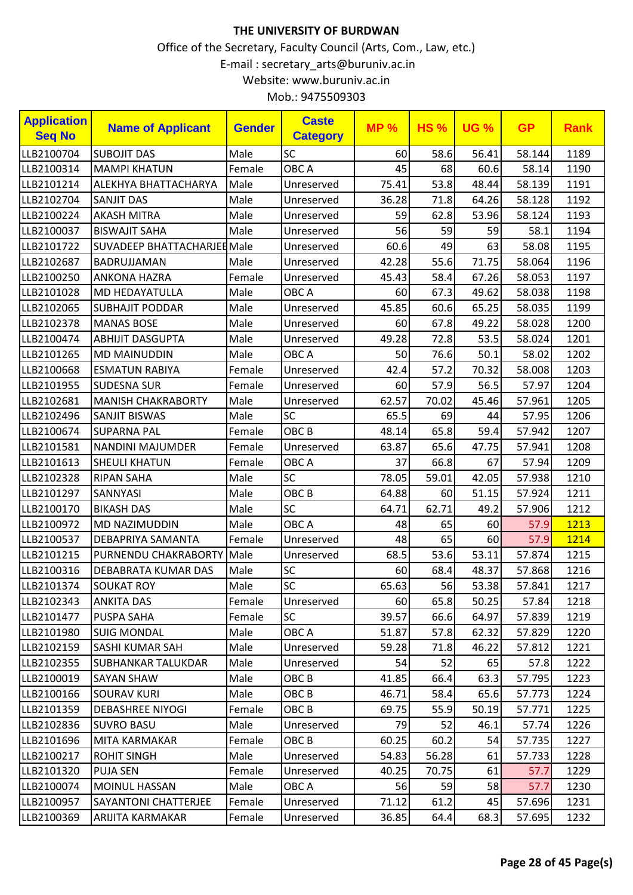| <b>Application</b><br><b>Seq No</b> | <b>Name of Applicant</b>           | <b>Gender</b> | <b>Caste</b><br><b>Category</b> | <b>MP%</b> | <b>HS%</b> | <b>UG %</b> | <b>GP</b> | <b>Rank</b> |
|-------------------------------------|------------------------------------|---------------|---------------------------------|------------|------------|-------------|-----------|-------------|
| LLB2100704                          | <b>SUBOJIT DAS</b>                 | Male          | <b>SC</b>                       | 60         | 58.6       | 56.41       | 58.144    | 1189        |
| LLB2100314                          | <b>MAMPI KHATUN</b>                | Female        | OBC A                           | 45         | 68         | 60.6        | 58.14     | 1190        |
| LLB2101214                          | <b>ALEKHYA BHATTACHARYA</b>        | Male          | Unreserved                      | 75.41      | 53.8       | 48.44       | 58.139    | 1191        |
| LLB2102704                          | <b>SANJIT DAS</b>                  | Male          | Unreserved                      | 36.28      | 71.8       | 64.26       | 58.128    | 1192        |
| LLB2100224                          | <b>AKASH MITRA</b>                 | Male          | Unreserved                      | 59         | 62.8       | 53.96       | 58.124    | 1193        |
| LLB2100037                          | <b>BISWAJIT SAHA</b>               | Male          | Unreserved                      | 56         | 59         | 59          | 58.1      | 1194        |
| LLB2101722                          | <b>SUVADEEP BHATTACHARJEE Male</b> |               | Unreserved                      | 60.6       | 49         | 63          | 58.08     | 1195        |
| LLB2102687                          | BADRUJJAMAN                        | Male          | Unreserved                      | 42.28      | 55.6       | 71.75       | 58.064    | 1196        |
| LLB2100250                          | <b>ANKONA HAZRA</b>                | Female        | Unreserved                      | 45.43      | 58.4       | 67.26       | 58.053    | 1197        |
| LLB2101028                          | <b>MD HEDAYATULLA</b>              | Male          | OBC A                           | 60         | 67.3       | 49.62       | 58.038    | 1198        |
| LLB2102065                          | <b>SUBHAJIT PODDAR</b>             | Male          | Unreserved                      | 45.85      | 60.6       | 65.25       | 58.035    | 1199        |
| LLB2102378                          | <b>MANAS BOSE</b>                  | Male          | Unreserved                      | 60         | 67.8       | 49.22       | 58.028    | 1200        |
| LLB2100474                          | <b>ABHIJIT DASGUPTA</b>            | Male          | Unreserved                      | 49.28      | 72.8       | 53.5        | 58.024    | 1201        |
| LLB2101265                          | <b>MD MAINUDDIN</b>                | Male          | OBC A                           | 50         | 76.6       | 50.1        | 58.02     | 1202        |
| LLB2100668                          | <b>ESMATUN RABIYA</b>              | Female        | Unreserved                      | 42.4       | 57.2       | 70.32       | 58.008    | 1203        |
| LLB2101955                          | <b>SUDESNA SUR</b>                 | Female        | Unreserved                      | 60         | 57.9       | 56.5        | 57.97     | 1204        |
| LLB2102681                          | <b>MANISH CHAKRABORTY</b>          | Male          | Unreserved                      | 62.57      | 70.02      | 45.46       | 57.961    | 1205        |
| LLB2102496                          | <b>SANJIT BISWAS</b>               | Male          | <b>SC</b>                       | 65.5       | 69         | 44          | 57.95     | 1206        |
| LLB2100674                          | <b>SUPARNA PAL</b>                 | Female        | OBC <sub>B</sub>                | 48.14      | 65.8       | 59.4        | 57.942    | 1207        |
| LLB2101581                          | <b>NANDINI MAJUMDER</b>            | Female        | Unreserved                      | 63.87      | 65.6       | 47.75       | 57.941    | 1208        |
| LLB2101613                          | <b>SHEULI KHATUN</b>               | Female        | OBC A                           | 37         | 66.8       | 67          | 57.94     | 1209        |
| LLB2102328                          | <b>RIPAN SAHA</b>                  | Male          | SC                              | 78.05      | 59.01      | 42.05       | 57.938    | 1210        |
| LLB2101297                          | SANNYASI                           | Male          | OBC <sub>B</sub>                | 64.88      | 60         | 51.15       | 57.924    | 1211        |
| LLB2100170                          | <b>BIKASH DAS</b>                  | Male          | SC                              | 64.71      | 62.71      | 49.2        | 57.906    | 1212        |
| LLB2100972                          | MD NAZIMUDDIN                      | Male          | OBC A                           | 48         | 65         | 60          | 57.9      | 1213        |
| LLB2100537                          | DEBAPRIYA SAMANTA                  | Female        | Unreserved                      | 48         | 65         | 60          | 57.9      | 1214        |
| LLB2101215                          | PURNENDU CHAKRABORTY               | Male          | Unreserved                      | 68.5       | 53.6       | 53.11       | 57.874    | 1215        |
| LLB2100316                          | DEBABRATA KUMAR DAS                | Male          | SC                              | 60         | 68.4       | 48.37       | 57.868    | 1216        |
| LLB2101374                          | <b>SOUKAT ROY</b>                  | Male          | SC                              | 65.63      | <b>56</b>  | 53.38       | 57.841    | 1217        |
| LLB2102343                          | <b>ANKITA DAS</b>                  | Female        | Unreserved                      | 60         | 65.8       | 50.25       | 57.84     | 1218        |
| LLB2101477                          | <b>PUSPA SAHA</b>                  | Female        | <b>SC</b>                       | 39.57      | 66.6       | 64.97       | 57.839    | 1219        |
| LLB2101980                          | <b>SUIG MONDAL</b>                 | Male          | OBC A                           | 51.87      | 57.8       | 62.32       | 57.829    | 1220        |
| LLB2102159                          | SASHI KUMAR SAH                    | Male          | Unreserved                      | 59.28      | 71.8       | 46.22       | 57.812    | 1221        |
| LLB2102355                          | <b>SUBHANKAR TALUKDAR</b>          | Male          | Unreserved                      | 54         | 52         | 65          | 57.8      | 1222        |
| LLB2100019                          | <b>SAYAN SHAW</b>                  | Male          | OBC B                           | 41.85      | 66.4       | 63.3        | 57.795    | 1223        |
| LLB2100166                          | <b>SOURAV KURI</b>                 | Male          | OBC <sub>B</sub>                | 46.71      | 58.4       | 65.6        | 57.773    | 1224        |
| LLB2101359                          | <b>DEBASHREE NIYOGI</b>            | Female        | OBC <sub>B</sub>                | 69.75      | 55.9       | 50.19       | 57.771    | 1225        |
| LLB2102836                          | <b>SUVRO BASU</b>                  | Male          | Unreserved                      | 79         | 52         | 46.1        | 57.74     | 1226        |
| LLB2101696                          | MITA KARMAKAR                      | Female        | OBC <sub>B</sub>                | 60.25      | 60.2       | 54          | 57.735    | 1227        |
| LLB2100217                          | <b>ROHIT SINGH</b>                 | Male          | Unreserved                      | 54.83      | 56.28      | 61          | 57.733    | 1228        |
| LLB2101320                          | <b>PUJA SEN</b>                    | Female        | Unreserved                      | 40.25      | 70.75      | 61          | 57.7      | 1229        |
| LLB2100074                          | <b>MOINUL HASSAN</b>               | Male          | OBC A                           | 56         | 59         | 58          | 57.7      | 1230        |
| LLB2100957                          | <b>SAYANTONI CHATTERJEE</b>        | Female        | Unreserved                      | 71.12      | 61.2       | 45          | 57.696    | 1231        |
| LLB2100369                          | ARIJITA KARMAKAR                   | Female        | Unreserved                      | 36.85      | 64.4       | 68.3        | 57.695    | 1232        |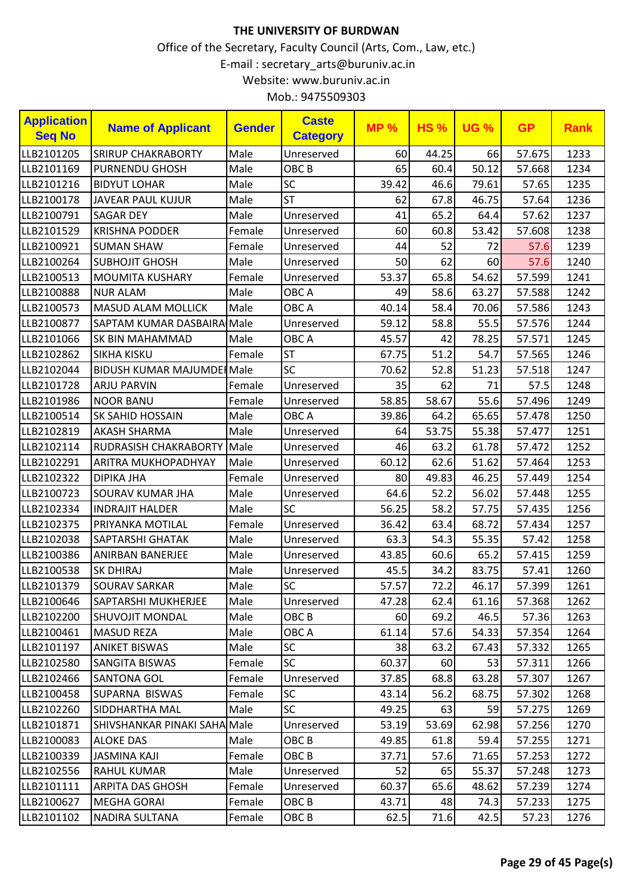| <b>Application</b><br><b>Seq No</b> | <b>Name of Applicant</b>          | <b>Gender</b> | <b>Caste</b><br><b>Category</b> | <b>MP%</b> | <b>HS%</b> | <b>UG %</b> | <b>GP</b> | <b>Rank</b> |
|-------------------------------------|-----------------------------------|---------------|---------------------------------|------------|------------|-------------|-----------|-------------|
| LLB2101205                          | <b>SRIRUP CHAKRABORTY</b>         | Male          | Unreserved                      | 60         | 44.25      | 66          | 57.675    | 1233        |
| LLB2101169                          | <b>PURNENDU GHOSH</b>             | Male          | OBC <sub>B</sub>                | 65         | 60.4       | 50.12       | 57.668    | 1234        |
| LLB2101216                          | <b>BIDYUT LOHAR</b>               | Male          | SC                              | 39.42      | 46.6       | 79.61       | 57.65     | 1235        |
| LLB2100178                          | <b>JAVEAR PAUL KUJUR</b>          | Male          | <b>ST</b>                       | 62         | 67.8       | 46.75       | 57.64     | 1236        |
| LLB2100791                          | <b>SAGAR DEY</b>                  | Male          | Unreserved                      | 41         | 65.2       | 64.4        | 57.62     | 1237        |
| LLB2101529                          | <b>KRISHNA PODDER</b>             | Female        | Unreserved                      | 60         | 60.8       | 53.42       | 57.608    | 1238        |
| LLB2100921                          | <b>SUMAN SHAW</b>                 | Female        | Unreserved                      | 44         | 52         | 72          | 57.6      | 1239        |
| LLB2100264                          | <b>SUBHOJIT GHOSH</b>             | Male          | Unreserved                      | 50         | 62         | 60          | 57.6      | 1240        |
| LLB2100513                          | <b>MOUMITA KUSHARY</b>            | Female        | Unreserved                      | 53.37      | 65.8       | 54.62       | 57.599    | 1241        |
| LLB2100888                          | <b>NUR ALAM</b>                   | Male          | OBC A                           | 49         | 58.6       | 63.27       | 57.588    | 1242        |
| LLB2100573                          | <b>MASUD ALAM MOLLICK</b>         | Male          | OBC A                           | 40.14      | 58.4       | 70.06       | 57.586    | 1243        |
| LLB2100877                          | SAPTAM KUMAR DASBAIRA Male        |               | Unreserved                      | 59.12      | 58.8       | 55.5        | 57.576    | 1244        |
| LLB2101066                          | SK BIN MAHAMMAD                   | Male          | OBC A                           | 45.57      | 42         | 78.25       | 57.571    | 1245        |
| LLB2102862                          | SIKHA KISKU                       | Female        | <b>ST</b>                       | 67.75      | 51.2       | 54.7        | 57.565    | 1246        |
| LLB2102044                          | <b>BIDUSH KUMAR MAJUMDEI Male</b> |               | SC                              | 70.62      | 52.8       | 51.23       | 57.518    | 1247        |
| LLB2101728                          | <b>ARJU PARVIN</b>                | Female        | Unreserved                      | 35         | 62         | 71          | 57.5      | 1248        |
| LLB2101986                          | <b>NOOR BANU</b>                  | Female        | Unreserved                      | 58.85      | 58.67      | 55.6        | 57.496    | 1249        |
| LLB2100514                          | <b>SK SAHID HOSSAIN</b>           | Male          | OBC A                           | 39.86      | 64.2       | 65.65       | 57.478    | 1250        |
| LLB2102819                          | <b>AKASH SHARMA</b>               | Male          | Unreserved                      | 64         | 53.75      | 55.38       | 57.477    | 1251        |
| LLB2102114                          | RUDRASISH CHAKRABORTY Male        |               | Unreserved                      | 46         | 63.2       | 61.78       | 57.472    | 1252        |
| LLB2102291                          | ARITRA MUKHOPADHYAY               | Male          | Unreserved                      | 60.12      | 62.6       | 51.62       | 57.464    | 1253        |
| LLB2102322                          | <b>DIPIKA JHA</b>                 | Female        | Unreserved                      | 80         | 49.83      | 46.25       | 57.449    | 1254        |
| LLB2100723                          | SOURAV KUMAR JHA                  | Male          | Unreserved                      | 64.6       | 52.2       | 56.02       | 57.448    | 1255        |
| LLB2102334                          | <b>INDRAJIT HALDER</b>            | Male          | <b>SC</b>                       | 56.25      | 58.2       | 57.75       | 57.435    | 1256        |
| LLB2102375                          | PRIYANKA MOTILAL                  | Female        | Unreserved                      | 36.42      | 63.4       | 68.72       | 57.434    | 1257        |
| LLB2102038                          | SAPTARSHI GHATAK                  | Male          | Unreserved                      | 63.3       | 54.3       | 55.35       | 57.42     | 1258        |
| LLB2100386                          | ANIRBAN BANERJEE                  | Male          | Unreserved                      | 43.85      | 60.6       | 65.2        | 57.415    | 1259        |
| LLB2100538                          | <b>SK DHIRAJ</b>                  | Male          | Unreserved                      | 45.5       | 34.2       | 83.75       | 57.41     | 1260        |
| LLB2101379                          | <b>SOURAV SARKAR</b>              | Male          | <b>SC</b>                       | 57.57      | 72.2       | 46.17       | 57.399    | 1261        |
| LLB2100646                          | SAPTARSHI MUKHERJEE               | Male          | Unreserved                      | 47.28      | 62.4       | 61.16       | 57.368    | 1262        |
| LLB2102200                          | <b>SHUVOJIT MONDAL</b>            | Male          | OBC B                           | 60         | 69.2       | 46.5        | 57.36     | 1263        |
| LLB2100461                          | <b>MASUD REZA</b>                 | Male          | OBC A                           | 61.14      | 57.6       | 54.33       | 57.354    | 1264        |
| LLB2101197                          | <b>ANIKET BISWAS</b>              | Male          | <b>SC</b>                       | 38         | 63.2       | 67.43       | 57.332    | 1265        |
| LLB2102580                          | SANGITA BISWAS                    | Female        | <b>SC</b>                       | 60.37      | 60         | 53          | 57.311    | 1266        |
| LLB2102466                          | <b>SANTONA GOL</b>                | Female        | Unreserved                      | 37.85      | 68.8       | 63.28       | 57.307    | 1267        |
| LLB2100458                          | SUPARNA BISWAS                    | Female        | <b>SC</b>                       | 43.14      | 56.2       | 68.75       | 57.302    | 1268        |
| LLB2102260                          | SIDDHARTHA MAL                    | Male          | <b>SC</b>                       | 49.25      | 63         | 59          | 57.275    | 1269        |
| LLB2101871                          | SHIVSHANKAR PINAKI SAHA Male      |               | Unreserved                      | 53.19      | 53.69      | 62.98       | 57.256    | 1270        |
| LLB2100083                          | <b>ALOKE DAS</b>                  | Male          | OBC B                           | 49.85      | 61.8       | 59.4        | 57.255    | 1271        |
| LLB2100339                          | <b>JASMINA KAJI</b>               | Female        | OBC B                           | 37.71      | 57.6       | 71.65       | 57.253    | 1272        |
| LLB2102556                          | <b>RAHUL KUMAR</b>                | Male          | Unreserved                      | 52         | 65         | 55.37       | 57.248    | 1273        |
| LLB2101111                          | <b>ARPITA DAS GHOSH</b>           | Female        | Unreserved                      | 60.37      | 65.6       | 48.62       | 57.239    | 1274        |
| LLB2100627                          | <b>MEGHA GORAI</b>                | Female        | OBC <sub>B</sub>                | 43.71      | 48         | 74.3        | 57.233    | 1275        |
| LLB2101102                          | NADIRA SULTANA                    | Female        | OBC B                           | 62.5       | 71.6       | 42.5        | 57.23     | 1276        |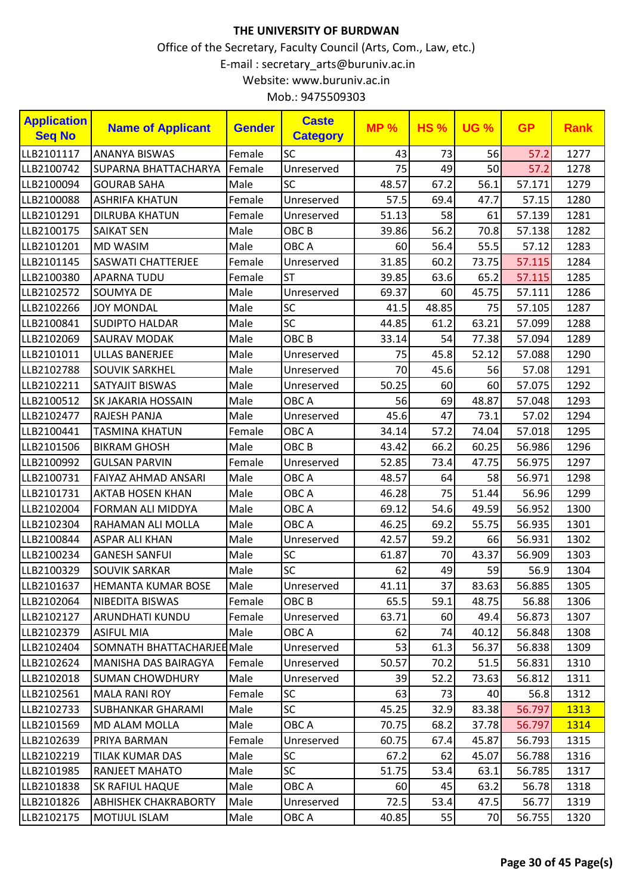| <b>Application</b><br><b>Seq No</b> | <b>Name of Applicant</b>    | <b>Gender</b> | <b>Caste</b><br><b>Category</b> | MP <sub>%</sub> | <b>HS%</b> | <b>UG %</b> | <b>GP</b> | <b>Rank</b> |
|-------------------------------------|-----------------------------|---------------|---------------------------------|-----------------|------------|-------------|-----------|-------------|
| LLB2101117                          | <b>ANANYA BISWAS</b>        | Female        | SC                              | 43              | 73         | 56          | 57.2      | 1277        |
| LLB2100742                          | <b>SUPARNA BHATTACHARYA</b> | Female        | Unreserved                      | 75              | 49         | 50          | 57.2      | 1278        |
| LLB2100094                          | <b>GOURAB SAHA</b>          | Male          | SC                              | 48.57           | 67.2       | 56.1        | 57.171    | 1279        |
| LLB2100088                          | <b>ASHRIFA KHATUN</b>       | Female        | Unreserved                      | 57.5            | 69.4       | 47.7        | 57.15     | 1280        |
| LLB2101291                          | <b>DILRUBA KHATUN</b>       | Female        | Unreserved                      | 51.13           | 58         | 61          | 57.139    | 1281        |
| LLB2100175                          | <b>SAIKAT SEN</b>           | Male          | OBC <sub>B</sub>                | 39.86           | 56.2       | 70.8        | 57.138    | 1282        |
| LLB2101201                          | MD WASIM                    | Male          | OBC A                           | 60              | 56.4       | 55.5        | 57.12     | 1283        |
| LLB2101145                          | <b>SASWATI CHATTERJEE</b>   | Female        | Unreserved                      | 31.85           | 60.2       | 73.75       | 57.115    | 1284        |
| LLB2100380                          | <b>APARNA TUDU</b>          | Female        | <b>ST</b>                       | 39.85           | 63.6       | 65.2        | 57.115    | 1285        |
| LLB2102572                          | SOUMYA DE                   | Male          | Unreserved                      | 69.37           | 60         | 45.75       | 57.111    | 1286        |
| LLB2102266                          | <b>JOY MONDAL</b>           | Male          | SC                              | 41.5            | 48.85      | 75          | 57.105    | 1287        |
| LLB2100841                          | <b>SUDIPTO HALDAR</b>       | Male          | SC                              | 44.85           | 61.2       | 63.21       | 57.099    | 1288        |
| LLB2102069                          | SAURAV MODAK                | Male          | OBC <sub>B</sub>                | 33.14           | 54         | 77.38       | 57.094    | 1289        |
| LLB2101011                          | <b>ULLAS BANERJEE</b>       | Male          | Unreserved                      | 75              | 45.8       | 52.12       | 57.088    | 1290        |
| LLB2102788                          | <b>SOUVIK SARKHEL</b>       | Male          | Unreserved                      | 70              | 45.6       | 56          | 57.08     | 1291        |
| LLB2102211                          | SATYAJIT BISWAS             | Male          | Unreserved                      | 50.25           | 60         | 60          | 57.075    | 1292        |
| LLB2100512                          | SK JAKARIA HOSSAIN          | Male          | OBC A                           | 56              | 69         | 48.87       | 57.048    | 1293        |
| LLB2102477                          | RAJESH PANJA                | Male          | Unreserved                      | 45.6            | 47         | 73.1        | 57.02     | 1294        |
| LLB2100441                          | <b>TASMINA KHATUN</b>       | Female        | OBC A                           | 34.14           | 57.2       | 74.04       | 57.018    | 1295        |
| LLB2101506                          | <b>BIKRAM GHOSH</b>         | Male          | OBC <sub>B</sub>                | 43.42           | 66.2       | 60.25       | 56.986    | 1296        |
| LLB2100992                          | <b>GULSAN PARVIN</b>        | Female        | Unreserved                      | 52.85           | 73.4       | 47.75       | 56.975    | 1297        |
| LLB2100731                          | FAIYAZ AHMAD ANSARI         | Male          | OBC A                           | 48.57           | 64         | 58          | 56.971    | 1298        |
| LLB2101731                          | <b>AKTAB HOSEN KHAN</b>     | Male          | OBC A                           | 46.28           | 75         | 51.44       | 56.96     | 1299        |
| LLB2102004                          | FORMAN ALI MIDDYA           | Male          | OBC A                           | 69.12           | 54.6       | 49.59       | 56.952    | 1300        |
| LLB2102304                          | RAHAMAN ALI MOLLA           | Male          | OBC A                           | 46.25           | 69.2       | 55.75       | 56.935    | 1301        |
| LLB2100844                          | <b>ASPAR ALI KHAN</b>       | Male          | Unreserved                      | 42.57           | 59.2       | 66          | 56.931    | 1302        |
| LLB2100234                          | <b>GANESH SANFUI</b>        | Male          | <b>SC</b>                       | 61.87           | 70         | 43.37       | 56.909    | 1303        |
| LLB2100329                          | <b>SOUVIK SARKAR</b>        | Male          | SC                              | 62              | 49         | 59          | 56.9      | 1304        |
| LLB2101637                          | <b>HEMANTA KUMAR BOSE</b>   | Male          | Unreserved                      | 41.11           | 37         | 83.63       | 56.885    | 1305        |
| LLB2102064                          | NIBEDITA BISWAS             | Female        | OBC B                           | 65.5            | 59.1       | 48.75       | 56.88     | 1306        |
| LLB2102127                          | ARUNDHATI KUNDU             | Female        | Unreserved                      | 63.71           | 60         | 49.4        | 56.873    | 1307        |
| LLB2102379                          | <b>ASIFUL MIA</b>           | Male          | OBC A                           | 62              | 74         | 40.12       | 56.848    | 1308        |
| LLB2102404                          | SOMNATH BHATTACHARJEE Male  |               | Unreserved                      | 53              | 61.3       | 56.37       | 56.838    | 1309        |
| LLB2102624                          | MANISHA DAS BAIRAGYA        | Female        | Unreserved                      | 50.57           | 70.2       | 51.5        | 56.831    | 1310        |
| LLB2102018                          | <b>SUMAN CHOWDHURY</b>      | Male          | Unreserved                      | 39              | 52.2       | 73.63       | 56.812    | 1311        |
| LLB2102561                          | <b>MALA RANI ROY</b>        | Female        | <b>SC</b>                       | 63              | 73         | 40          | 56.8      | 1312        |
| LLB2102733                          | <b>SUBHANKAR GHARAMI</b>    | Male          | <b>SC</b>                       | 45.25           | 32.9       | 83.38       | 56.797    | 1313        |
| LLB2101569                          | MD ALAM MOLLA               | Male          | OBC A                           | 70.75           | 68.2       | 37.78       | 56.797    | 1314        |
| LLB2102639                          | PRIYA BARMAN                | Female        | Unreserved                      | 60.75           | 67.4       | 45.87       | 56.793    | 1315        |
| LLB2102219                          | TILAK KUMAR DAS             | Male          | SC                              | 67.2            | 62         | 45.07       | 56.788    | 1316        |
| LLB2101985                          | RANJEET MAHATO              | Male          | SC                              | 51.75           | 53.4       | 63.1        | 56.785    | 1317        |
| LLB2101838                          | SK RAFIUL HAQUE             | Male          | OBC A                           | 60              | 45         | 63.2        | 56.78     | 1318        |
| LLB2101826                          | <b>ABHISHEK CHAKRABORTY</b> | Male          | Unreserved                      | 72.5            | 53.4       | 47.5        | 56.77     | 1319        |
| LLB2102175                          | MOTIJUL ISLAM               | Male          | OBC A                           | 40.85           | 55         | 70          | 56.755    | 1320        |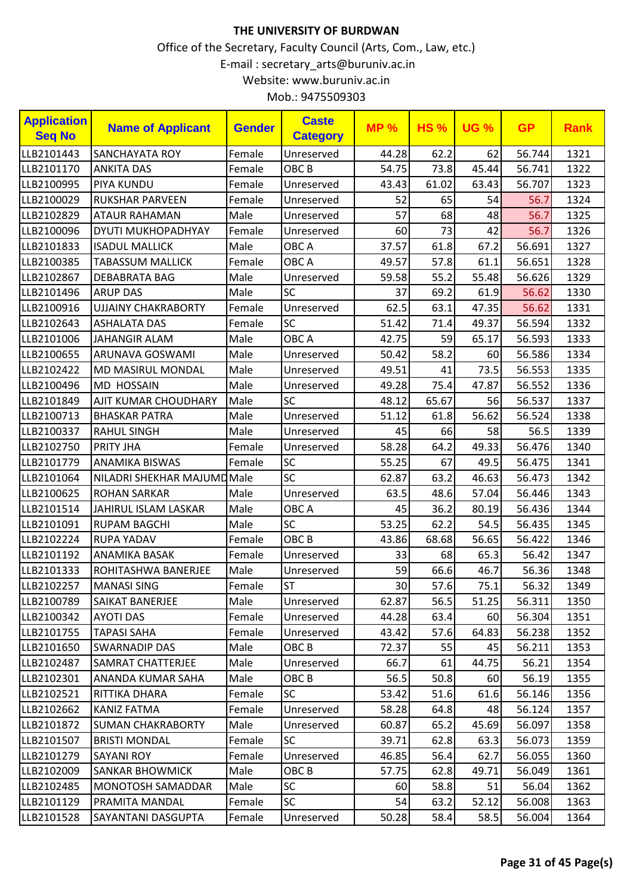|  | Mob.: 9475509303 |
|--|------------------|
|--|------------------|

| <b>Application</b><br><b>Seq No</b> | <b>Name of Applicant</b>   | <b>Gender</b> | <b>Caste</b><br><b>Category</b> | <b>MP%</b>      | <b>HS%</b> | <b>UG %</b> | <b>GP</b> | <b>Rank</b> |
|-------------------------------------|----------------------------|---------------|---------------------------------|-----------------|------------|-------------|-----------|-------------|
| LLB2101443                          | SANCHAYATA ROY             | Female        | Unreserved                      | 44.28           | 62.2       | 62          | 56.744    | 1321        |
| LLB2101170                          | <b>ANKITA DAS</b>          | Female        | OBC <sub>B</sub>                | 54.75           | 73.8       | 45.44       | 56.741    | 1322        |
| LLB2100995                          | PIYA KUNDU                 | Female        | Unreserved                      | 43.43           | 61.02      | 63.43       | 56.707    | 1323        |
| LLB2100029                          | <b>RUKSHAR PARVEEN</b>     | Female        | Unreserved                      | 52              | 65         | 54          | 56.7      | 1324        |
| LLB2102829                          | <b>ATAUR RAHAMAN</b>       | Male          | Unreserved                      | 57              | 68         | 48          | 56.7      | 1325        |
| LLB2100096                          | DYUTI MUKHOPADHYAY         | Female        | Unreserved                      | 60              | 73         | 42          | 56.7      | 1326        |
| LLB2101833                          | <b>ISADUL MALLICK</b>      | Male          | OBC A                           | 37.57           | 61.8       | 67.2        | 56.691    | 1327        |
| LLB2100385                          | <b>TABASSUM MALLICK</b>    | Female        | OBC A                           | 49.57           | 57.8       | 61.1        | 56.651    | 1328        |
| LLB2102867                          | DEBABRATA BAG              | Male          | Unreserved                      | 59.58           | 55.2       | 55.48       | 56.626    | 1329        |
| LLB2101496                          | <b>ARUP DAS</b>            | Male          | SC                              | 37              | 69.2       | 61.9        | 56.62     | 1330        |
| LLB2100916                          | <b>UJJAINY CHAKRABORTY</b> | Female        | Unreserved                      | 62.5            | 63.1       | 47.35       | 56.62     | 1331        |
| LLB2102643                          | <b>ASHALATA DAS</b>        | Female        | <b>SC</b>                       | 51.42           | 71.4       | 49.37       | 56.594    | 1332        |
| LLB2101006                          | <b>JAHANGIR ALAM</b>       | Male          | OBC A                           | 42.75           | 59         | 65.17       | 56.593    | 1333        |
| LLB2100655                          | ARUNAVA GOSWAMI            | Male          | Unreserved                      | 50.42           | 58.2       | 60          | 56.586    | 1334        |
| LLB2102422                          | MD MASIRUL MONDAL          | Male          | Unreserved                      | 49.51           | 41         | 73.5        | 56.553    | 1335        |
| LLB2100496                          | <b>MD HOSSAIN</b>          | Male          | Unreserved                      | 49.28           | 75.4       | 47.87       | 56.552    | 1336        |
| LLB2101849                          | AJIT KUMAR CHOUDHARY       | Male          | <b>SC</b>                       | 48.12           | 65.67      | 56          | 56.537    | 1337        |
| LLB2100713                          | <b>BHASKAR PATRA</b>       | Male          | Unreserved                      | 51.12           | 61.8       | 56.62       | 56.524    | 1338        |
| LLB2100337                          | <b>RAHUL SINGH</b>         | Male          | Unreserved                      | 45              | 66         | 58          | 56.5      | 1339        |
| LLB2102750                          | PRITY JHA                  | Female        | Unreserved                      | 58.28           | 64.2       | 49.33       | 56.476    | 1340        |
| LLB2101779                          | <b>ANAMIKA BISWAS</b>      | Female        | SC                              | 55.25           | 67         | 49.5        | 56.475    | 1341        |
| LLB2101064                          | NILADRI SHEKHAR MAJUMDMale |               | SC                              | 62.87           | 63.2       | 46.63       | 56.473    | 1342        |
| LLB2100625                          | <b>ROHAN SARKAR</b>        | Male          | Unreserved                      | 63.5            | 48.6       | 57.04       | 56.446    | 1343        |
| LLB2101514                          | JAHIRUL ISLAM LASKAR       | Male          | OBC A                           | 45              | 36.2       | 80.19       | 56.436    | 1344        |
| LLB2101091                          | <b>RUPAM BAGCHI</b>        | Male          | SC                              | 53.25           | 62.2       | 54.5        | 56.435    | 1345        |
| LLB2102224                          | <b>RUPA YADAV</b>          | Female        | OBC <sub>B</sub>                | 43.86           | 68.68      | 56.65       | 56.422    | 1346        |
| LLB2101192                          | ANAMIKA BASAK              | Female        | Unreserved                      | 33              | 68         | 65.3        | 56.42     | 1347        |
| LLB2101333                          | ROHITASHWA BANERJEE        | Male          | Unreserved                      | 59              | 66.6       | 46.7        | 56.36     | 1348        |
| LLB2102257                          | <b>MANASI SING</b>         | Female        | ST                              | 30 <sup>°</sup> | $57.6$     | 75.1        | 56.32     | 1349        |
| LLB2100789                          | <b>SAIKAT BANERJEE</b>     | Male          | Unreserved                      | 62.87           | 56.5       | 51.25       | 56.311    | 1350        |
| LLB2100342                          | <b>AYOTI DAS</b>           | Female        | Unreserved                      | 44.28           | 63.4       | 60          | 56.304    | 1351        |
| LLB2101755                          | <b>TAPASI SAHA</b>         | Female        | Unreserved                      | 43.42           | 57.6       | 64.83       | 56.238    | 1352        |
| LLB2101650                          | <b>SWARNADIP DAS</b>       | Male          | OBC <sub>B</sub>                | 72.37           | 55         | 45          | 56.211    | 1353        |
| LLB2102487                          | SAMRAT CHATTERJEE          | Male          | Unreserved                      | 66.7            | 61         | 44.75       | 56.21     | 1354        |
| LLB2102301                          | ANANDA KUMAR SAHA          | Male          | OBC <sub>B</sub>                | 56.5            | 50.8       | 60          | 56.19     | 1355        |
| LLB2102521                          | RITTIKA DHARA              | Female        | <b>SC</b>                       | 53.42           | 51.6       | 61.6        | 56.146    | 1356        |
| LLB2102662                          | KANIZ FATMA                | Female        | Unreserved                      | 58.28           | 64.8       | 48          | 56.124    | 1357        |
| LLB2101872                          | <b>SUMAN CHAKRABORTY</b>   | Male          | Unreserved                      | 60.87           | 65.2       | 45.69       | 56.097    | 1358        |
| LLB2101507                          | <b>BRISTI MONDAL</b>       | Female        | <b>SC</b>                       | 39.71           | 62.8       | 63.3        | 56.073    | 1359        |
| LLB2101279                          | <b>SAYANI ROY</b>          | Female        | Unreserved                      | 46.85           | 56.4       | 62.7        | 56.055    | 1360        |
| LLB2102009                          | <b>SANKAR BHOWMICK</b>     | Male          | OBC <sub>B</sub>                | 57.75           | 62.8       | 49.71       | 56.049    | 1361        |
| LLB2102485                          | <b>MONOTOSH SAMADDAR</b>   | Male          | <b>SC</b>                       | 60              | 58.8       | 51          | 56.04     | 1362        |
| LLB2101129                          | PRAMITA MANDAL             | Female        | <b>SC</b>                       | 54              | 63.2       | 52.12       | 56.008    | 1363        |
| LLB2101528                          | SAYANTANI DASGUPTA         | Female        | Unreserved                      | 50.28           | 58.4       | 58.5        | 56.004    | 1364        |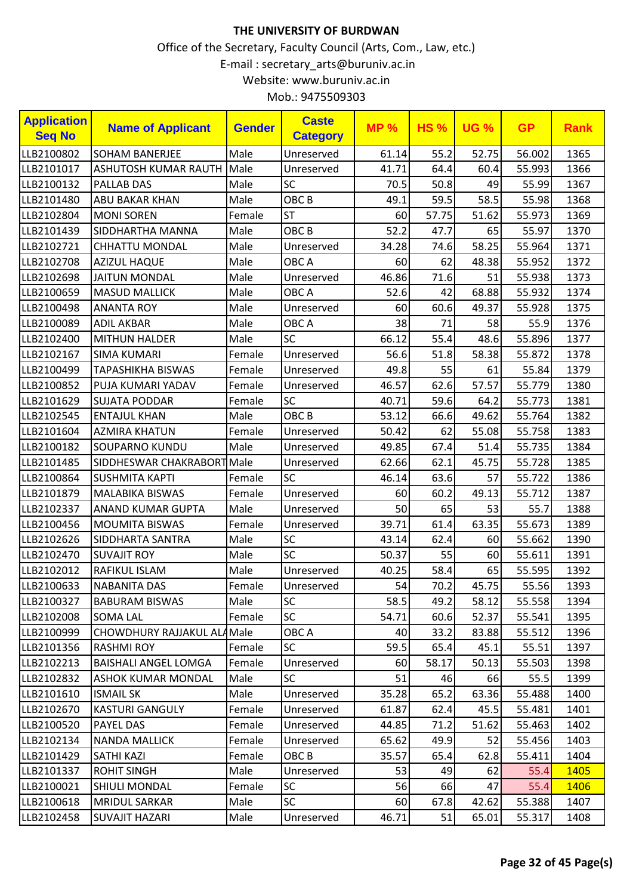| <b>Application</b><br><b>Seq No</b> | <b>Name of Applicant</b>    | <b>Gender</b> | <b>Caste</b><br><b>Category</b> | <b>MP%</b> | <b>HS%</b> | <b>UG %</b> | <b>GP</b> | <b>Rank</b> |
|-------------------------------------|-----------------------------|---------------|---------------------------------|------------|------------|-------------|-----------|-------------|
| LLB2100802                          | <b>SOHAM BANERJEE</b>       | Male          | Unreserved                      | 61.14      | 55.2       | 52.75       | 56.002    | 1365        |
| LLB2101017                          | ASHUTOSH KUMAR RAUTH        | Male          | Unreserved                      | 41.71      | 64.4       | 60.4        | 55.993    | 1366        |
| LLB2100132                          | <b>PALLAB DAS</b>           | Male          | SC                              | 70.5       | 50.8       | 49          | 55.99     | 1367        |
| LLB2101480                          | ABU BAKAR KHAN              | Male          | OBC <sub>B</sub>                | 49.1       | 59.5       | 58.5        | 55.98     | 1368        |
| LLB2102804                          | <b>MONI SOREN</b>           | Female        | <b>ST</b>                       | 60         | 57.75      | 51.62       | 55.973    | 1369        |
| LLB2101439                          | SIDDHARTHA MANNA            | Male          | OBC <sub>B</sub>                | 52.2       | 47.7       | 65          | 55.97     | 1370        |
| LLB2102721                          | <b>CHHATTU MONDAL</b>       | Male          | Unreserved                      | 34.28      | 74.6       | 58.25       | 55.964    | 1371        |
| LLB2102708                          | <b>AZIZUL HAQUE</b>         | Male          | OBC A                           | 60         | 62         | 48.38       | 55.952    | 1372        |
| LLB2102698                          | <b>JAITUN MONDAL</b>        | Male          | Unreserved                      | 46.86      | 71.6       | 51          | 55.938    | 1373        |
| LLB2100659                          | <b>MASUD MALLICK</b>        | Male          | OBC A                           | 52.6       | 42         | 68.88       | 55.932    | 1374        |
| LLB2100498                          | <b>ANANTA ROY</b>           | Male          | Unreserved                      | 60         | 60.6       | 49.37       | 55.928    | 1375        |
| LLB2100089                          | <b>ADIL AKBAR</b>           | Male          | OBC A                           | 38         | 71         | 58          | 55.9      | 1376        |
| LLB2102400                          | MITHUN HALDER               | Male          | SC                              | 66.12      | 55.4       | 48.6        | 55.896    | 1377        |
| LLB2102167                          | <b>SIMA KUMARI</b>          | Female        | Unreserved                      | 56.6       | 51.8       | 58.38       | 55.872    | 1378        |
| LLB2100499                          | <b>TAPASHIKHA BISWAS</b>    | Female        | Unreserved                      | 49.8       | 55         | 61          | 55.84     | 1379        |
| LLB2100852                          | PUJA KUMARI YADAV           | Female        | Unreserved                      | 46.57      | 62.6       | 57.57       | 55.779    | 1380        |
| LLB2101629                          | <b>SUJATA PODDAR</b>        | Female        | <b>SC</b>                       | 40.71      | 59.6       | 64.2        | 55.773    | 1381        |
| LLB2102545                          | <b>ENTAJUL KHAN</b>         | Male          | OBC <sub>B</sub>                | 53.12      | 66.6       | 49.62       | 55.764    | 1382        |
| LLB2101604                          | <b>AZMIRA KHATUN</b>        | Female        | Unreserved                      | 50.42      | 62         | 55.08       | 55.758    | 1383        |
| LLB2100182                          | <b>SOUPARNO KUNDU</b>       | Male          | Unreserved                      | 49.85      | 67.4       | 51.4        | 55.735    | 1384        |
| LLB2101485                          | SIDDHESWAR CHAKRABORT Male  |               | Unreserved                      | 62.66      | 62.1       | 45.75       | 55.728    | 1385        |
| LLB2100864                          | <b>SUSHMITA KAPTI</b>       | Female        | <b>SC</b>                       | 46.14      | 63.6       | 57          | 55.722    | 1386        |
| LLB2101879                          | <b>MALABIKA BISWAS</b>      | Female        | Unreserved                      | 60         | 60.2       | 49.13       | 55.712    | 1387        |
| LLB2102337                          | ANAND KUMAR GUPTA           | Male          | Unreserved                      | 50         | 65         | 53          | 55.7      | 1388        |
| LLB2100456                          | <b>MOUMITA BISWAS</b>       | Female        | Unreserved                      | 39.71      | 61.4       | 63.35       | 55.673    | 1389        |
| LLB2102626                          | SIDDHARTA SANTRA            | Male          | SC                              | 43.14      | 62.4       | 60          | 55.662    | 1390        |
| LLB2102470                          | <b>SUVAJIT ROY</b>          | Male          | SC                              | 50.37      | 55         | 60          | 55.611    | 1391        |
| LLB2102012                          | <b>RAFIKUL ISLAM</b>        | Male          | Unreserved                      | 40.25      | 58.4       | 65          | 55.595    | 1392        |
| LLB2100633                          | <b>NABANITA DAS</b>         | Female        | Unreserved                      | 54         | 70.2       | 45.75       | 55.56     | 1393        |
| LLB2100327                          | <b>BABURAM BISWAS</b>       | Male          | <b>SC</b>                       | 58.5       | 49.2       | 58.12       | 55.558    | 1394        |
| LLB2102008                          | <b>SOMA LAL</b>             | Female        | <b>SC</b>                       | 54.71      | 60.6       | 52.37       | 55.541    | 1395        |
| LLB2100999                          | CHOWDHURY RAJJAKUL ALAMale  |               | OBC A                           | 40         | 33.2       | 83.88       | 55.512    | 1396        |
| LLB2101356                          | <b>RASHMI ROY</b>           | Female        | <b>SC</b>                       | 59.5       | 65.4       | 45.1        | 55.51     | 1397        |
| LLB2102213                          | <b>BAISHALI ANGEL LOMGA</b> | Female        | Unreserved                      | 60         | 58.17      | 50.13       | 55.503    | 1398        |
| LLB2102832                          | ASHOK KUMAR MONDAL          | Male          | <b>SC</b>                       | 51         | 46         | 66          | 55.5      | 1399        |
| LLB2101610                          | <b>ISMAIL SK</b>            | Male          | Unreserved                      | 35.28      | 65.2       | 63.36       | 55.488    | 1400        |
| LLB2102670                          | <b>KASTURI GANGULY</b>      | Female        | Unreserved                      | 61.87      | 62.4       | 45.5        | 55.481    | 1401        |
| LLB2100520                          | <b>PAYEL DAS</b>            | Female        | Unreserved                      | 44.85      | 71.2       | 51.62       | 55.463    | 1402        |
| LLB2102134                          | <b>NANDA MALLICK</b>        | Female        | Unreserved                      | 65.62      | 49.9       | 52          | 55.456    | 1403        |
| LLB2101429                          | <b>SATHI KAZI</b>           | Female        | OBC B                           | 35.57      | 65.4       | 62.8        | 55.411    | 1404        |
| LLB2101337                          | <b>ROHIT SINGH</b>          | Male          | Unreserved                      | 53         | 49         | 62          | 55.4      | 1405        |
| LLB2100021                          | <b>SHIULI MONDAL</b>        | Female        | <b>SC</b>                       | 56         | 66         | 47          | 55.4      | 1406        |
| LLB2100618                          | <b>MRIDUL SARKAR</b>        | Male          | <b>SC</b>                       | 60         | 67.8       | 42.62       | 55.388    | 1407        |
| LLB2102458                          | <b>SUVAJIT HAZARI</b>       | Male          | Unreserved                      | 46.71      | 51         | 65.01       | 55.317    | 1408        |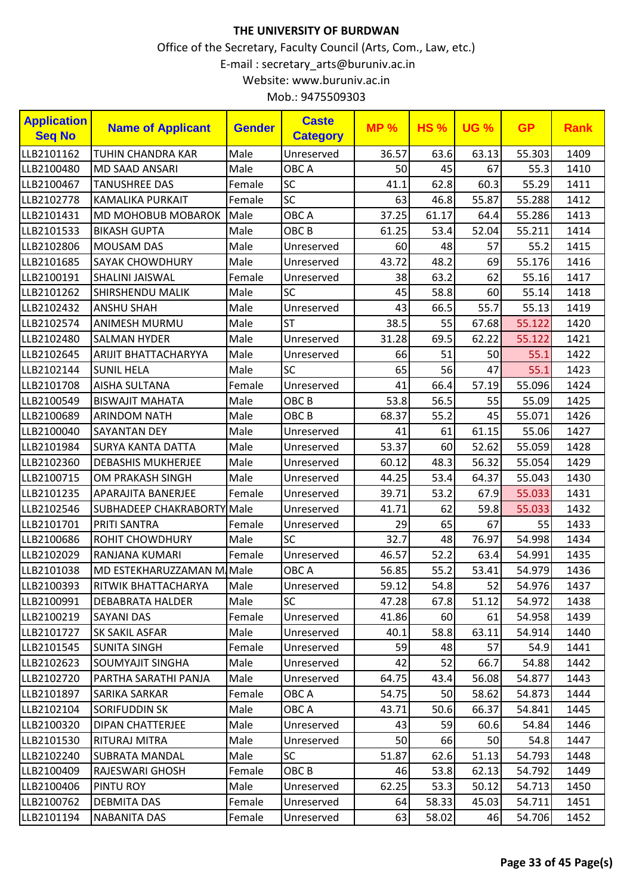| <b>Application</b><br><b>Seq No</b> | <b>Name of Applicant</b>   | <b>Gender</b> | <b>Caste</b><br><b>Category</b> | <b>MP%</b> | <b>HS%</b> | <b>UG %</b> | <b>GP</b> | <b>Rank</b> |
|-------------------------------------|----------------------------|---------------|---------------------------------|------------|------------|-------------|-----------|-------------|
| LLB2101162                          | <b>TUHIN CHANDRA KAR</b>   | Male          | Unreserved                      | 36.57      | 63.6       | 63.13       | 55.303    | 1409        |
| LLB2100480                          | MD SAAD ANSARI             | Male          | OBC A                           | 50         | 45         | 67          | 55.3      | 1410        |
| LLB2100467                          | <b>TANUSHREE DAS</b>       | Female        | SC                              | 41.1       | 62.8       | 60.3        | 55.29     | 1411        |
| LLB2102778                          | <b>KAMALIKA PURKAIT</b>    | Female        | SC                              | 63         | 46.8       | 55.87       | 55.288    | 1412        |
| LLB2101431                          | <b>MD MOHOBUB MOBAROK</b>  | Male          | OBC A                           | 37.25      | 61.17      | 64.4        | 55.286    | 1413        |
| LLB2101533                          | <b>BIKASH GUPTA</b>        | Male          | OBC <sub>B</sub>                | 61.25      | 53.4       | 52.04       | 55.211    | 1414        |
| LLB2102806                          | <b>MOUSAM DAS</b>          | Male          | Unreserved                      | 60         | 48         | 57          | 55.2      | 1415        |
| LLB2101685                          | <b>SAYAK CHOWDHURY</b>     | Male          | Unreserved                      | 43.72      | 48.2       | 69          | 55.176    | 1416        |
| LLB2100191                          | SHALINI JAISWAL            | Female        | Unreserved                      | 38         | 63.2       | 62          | 55.16     | 1417        |
| LLB2101262                          | SHIRSHENDU MALIK           | Male          | <b>SC</b>                       | 45         | 58.8       | 60          | 55.14     | 1418        |
| LLB2102432                          | <b>ANSHU SHAH</b>          | Male          | Unreserved                      | 43         | 66.5       | 55.7        | 55.13     | 1419        |
| LLB2102574                          | ANIMESH MURMU              | Male          | <b>ST</b>                       | 38.5       | 55         | 67.68       | 55.122    | 1420        |
| LLB2102480                          | <b>SALMAN HYDER</b>        | Male          | Unreserved                      | 31.28      | 69.5       | 62.22       | 55.122    | 1421        |
| LLB2102645                          | ARIJIT BHATTACHARYYA       | Male          | Unreserved                      | 66         | 51         | 50          | 55.1      | 1422        |
| LLB2102144                          | <b>SUNIL HELA</b>          | Male          | <b>SC</b>                       | 65         | 56         | 47          | 55.1      | 1423        |
| LLB2101708                          | <b>AISHA SULTANA</b>       | Female        | Unreserved                      | 41         | 66.4       | 57.19       | 55.096    | 1424        |
| LLB2100549                          | <b>BISWAJIT MAHATA</b>     | Male          | OBC <sub>B</sub>                | 53.8       | 56.5       | 55          | 55.09     | 1425        |
| LLB2100689                          | <b>ARINDOM NATH</b>        | Male          | OBC <sub>B</sub>                | 68.37      | 55.2       | 45          | 55.071    | 1426        |
| LLB2100040                          | <b>SAYANTAN DEY</b>        | Male          | Unreserved                      | 41         | 61         | 61.15       | 55.06     | 1427        |
| LLB2101984                          | <b>SURYA KANTA DATTA</b>   | Male          | Unreserved                      | 53.37      | 60         | 52.62       | 55.059    | 1428        |
| LLB2102360                          | <b>DEBASHIS MUKHERJEE</b>  | Male          | Unreserved                      | 60.12      | 48.3       | 56.32       | 55.054    | 1429        |
| LLB2100715                          | OM PRAKASH SINGH           | Male          | Unreserved                      | 44.25      | 53.4       | 64.37       | 55.043    | 1430        |
| LLB2101235                          | APARAJITA BANERJEE         | Female        | Unreserved                      | 39.71      | 53.2       | 67.9        | 55.033    | 1431        |
| LLB2102546                          | SUBHADEEP CHAKRABORTY Male |               | Unreserved                      | 41.71      | 62         | 59.8        | 55.033    | 1432        |
| LLB2101701                          | <b>PRITI SANTRA</b>        | Female        | Unreserved                      | 29         | 65         | 67          | 55        | 1433        |
| LLB2100686                          | <b>ROHIT CHOWDHURY</b>     | Male          | <b>SC</b>                       | 32.7       | 48         | 76.97       | 54.998    | 1434        |
| LLB2102029                          | RANJANA KUMARI             | Female        | Unreserved                      | 46.57      | 52.2       | 63.4        | 54.991    | 1435        |
| LLB2101038                          | MD ESTEKHARUZZAMAN M Male  |               | OBC A                           | 56.85      | 55.2       | 53.41       | 54.979    | 1436        |
| LLB2100393                          | RITWIK BHATTACHARYA        | Male          | Unreserved                      | 59.12      | 54.8       | 52          | 54.976    | 1437        |
| LLB2100991                          | <b>DEBABRATA HALDER</b>    | Male          | <b>SC</b>                       | 47.28      | 67.8       | 51.12       | 54.972    | 1438        |
| LLB2100219                          | <b>SAYANI DAS</b>          | Female        | Unreserved                      | 41.86      | 60         | 61          | 54.958    | 1439        |
| LLB2101727                          | <b>SK SAKIL ASFAR</b>      | Male          | Unreserved                      | 40.1       | 58.8       | 63.11       | 54.914    | 1440        |
| LLB2101545                          | <b>SUNITA SINGH</b>        | Female        | Unreserved                      | 59         | 48         | 57          | 54.9      | 1441        |
| LLB2102623                          | <b>SOUMYAJIT SINGHA</b>    | Male          | Unreserved                      | 42         | 52         | 66.7        | 54.88     | 1442        |
| LLB2102720                          | PARTHA SARATHI PANJA       | Male          | Unreserved                      | 64.75      | 43.4       | 56.08       | 54.877    | 1443        |
| LLB2101897                          | <b>SARIKA SARKAR</b>       | Female        | OBC A                           | 54.75      | 50         | 58.62       | 54.873    | 1444        |
| LLB2102104                          | <b>SORIFUDDIN SK</b>       | Male          | OBC A                           | 43.71      | 50.6       | 66.37       | 54.841    | 1445        |
| LLB2100320                          | <b>DIPAN CHATTERJEE</b>    | Male          | Unreserved                      | 43         | 59         | 60.6        | 54.84     | 1446        |
| LLB2101530                          | <b>RITURAJ MITRA</b>       | Male          | Unreserved                      | 50         | 66         | 50          | 54.8      | 1447        |
| LLB2102240                          | SUBRATA MANDAL             | Male          | <b>SC</b>                       | 51.87      | 62.6       | 51.13       | 54.793    | 1448        |
| LLB2100409                          | RAJESWARI GHOSH            | Female        | OBC B                           | 46         | 53.8       | 62.13       | 54.792    | 1449        |
| LLB2100406                          | PINTU ROY                  | Male          | Unreserved                      | 62.25      | 53.3       | 50.12       | 54.713    | 1450        |
| LLB2100762                          | <b>DEBMITA DAS</b>         | Female        | Unreserved                      | 64         | 58.33      | 45.03       | 54.711    | 1451        |
| LLB2101194                          | <b>NABANITA DAS</b>        | Female        | Unreserved                      | 63         | 58.02      | 46          | 54.706    | 1452        |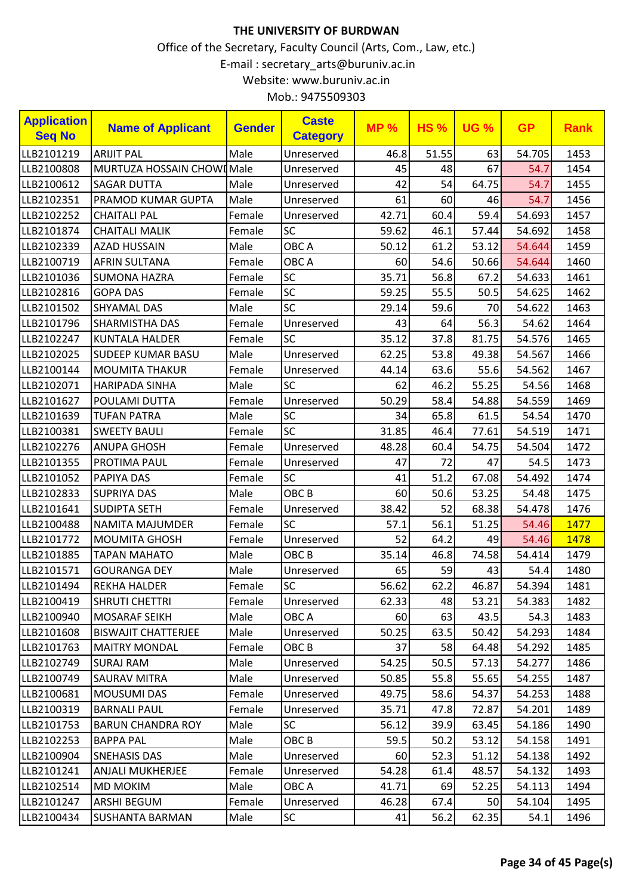| <b>Application</b><br><b>Seq No</b> | <b>Name of Applicant</b>   | <b>Gender</b> | <b>Caste</b><br><b>Category</b> | <b>MP%</b> | <b>HS%</b> | <b>UG %</b> | <b>GP</b> | <b>Rank</b> |
|-------------------------------------|----------------------------|---------------|---------------------------------|------------|------------|-------------|-----------|-------------|
| LLB2101219                          | <b>ARIJIT PAL</b>          | Male          | Unreserved                      | 46.8       | 51.55      | 63          | 54.705    | 1453        |
| LLB2100808                          | MURTUZA HOSSAIN CHOWI Male |               | Unreserved                      | 45         | 48         | 67          | 54.7      | 1454        |
| LLB2100612                          | <b>SAGAR DUTTA</b>         | Male          | Unreserved                      | 42         | 54         | 64.75       | 54.7      | 1455        |
| LLB2102351                          | <b>PRAMOD KUMAR GUPTA</b>  | Male          | Unreserved                      | 61         | 60         | 46          | 54.7      | 1456        |
| LLB2102252                          | <b>CHAITALI PAL</b>        | Female        | Unreserved                      | 42.71      | 60.4       | 59.4        | 54.693    | 1457        |
| LLB2101874                          | <b>CHAITALI MALIK</b>      | Female        | SC                              | 59.62      | 46.1       | 57.44       | 54.692    | 1458        |
| LLB2102339                          | <b>AZAD HUSSAIN</b>        | Male          | OBC A                           | 50.12      | 61.2       | 53.12       | 54.644    | 1459        |
| LLB2100719                          | <b>AFRIN SULTANA</b>       | Female        | OBC A                           | 60         | 54.6       | 50.66       | 54.644    | 1460        |
| LLB2101036                          | <b>SUMONA HAZRA</b>        | Female        | <b>SC</b>                       | 35.71      | 56.8       | 67.2        | 54.633    | 1461        |
| LLB2102816                          | <b>GOPA DAS</b>            | Female        | SC                              | 59.25      | 55.5       | 50.5        | 54.625    | 1462        |
| LLB2101502                          | <b>SHYAMAL DAS</b>         | Male          | <b>SC</b>                       | 29.14      | 59.6       | 70          | 54.622    | 1463        |
| LLB2101796                          | <b>SHARMISTHA DAS</b>      | Female        | Unreserved                      | 43         | 64         | 56.3        | 54.62     | 1464        |
| LLB2102247                          | <b>KUNTALA HALDER</b>      | Female        | SC                              | 35.12      | 37.8       | 81.75       | 54.576    | 1465        |
| LLB2102025                          | <b>SUDEEP KUMAR BASU</b>   | Male          | Unreserved                      | 62.25      | 53.8       | 49.38       | 54.567    | 1466        |
| LLB2100144                          | <b>MOUMITA THAKUR</b>      | Female        | Unreserved                      | 44.14      | 63.6       | 55.6        | 54.562    | 1467        |
| LLB2102071                          | <b>HARIPADA SINHA</b>      | Male          | <b>SC</b>                       | 62         | 46.2       | 55.25       | 54.56     | 1468        |
| LLB2101627                          | POULAMI DUTTA              | Female        | Unreserved                      | 50.29      | 58.4       | 54.88       | 54.559    | 1469        |
| LLB2101639                          | <b>TUFAN PATRA</b>         | Male          | SC                              | 34         | 65.8       | 61.5        | 54.54     | 1470        |
| LLB2100381                          | <b>SWEETY BAULI</b>        | Female        | SC                              | 31.85      | 46.4       | 77.61       | 54.519    | 1471        |
| LLB2102276                          | <b>ANUPA GHOSH</b>         | Female        | Unreserved                      | 48.28      | 60.4       | 54.75       | 54.504    | 1472        |
| LLB2101355                          | PROTIMA PAUL               | Female        | Unreserved                      | 47         | 72         | 47          | 54.5      | 1473        |
| LLB2101052                          | <b>PAPIYA DAS</b>          | Female        | <b>SC</b>                       | 41         | 51.2       | 67.08       | 54.492    | 1474        |
| LLB2102833                          | <b>SUPRIYA DAS</b>         | Male          | OBC <sub>B</sub>                | 60         | 50.6       | 53.25       | 54.48     | 1475        |
| LLB2101641                          | <b>SUDIPTA SETH</b>        | Female        | Unreserved                      | 38.42      | 52         | 68.38       | 54.478    | 1476        |
| LLB2100488                          | NAMITA MAJUMDER            | Female        | SC                              | 57.1       | 56.1       | 51.25       | 54.46     | 1477        |
| LLB2101772                          | <b>MOUMITA GHOSH</b>       | Female        | Unreserved                      | 52         | 64.2       | 49          | 54.46     | 1478        |
| LLB2101885                          | <b>TAPAN MAHATO</b>        | Male          | OBC <sub>B</sub>                | 35.14      | 46.8       | 74.58       | 54.414    | 1479        |
| LLB2101571                          | <b>GOURANGA DEY</b>        | Male          | Unreserved                      | 65         | 59         | 43          | 54.4      | 1480        |
| LLB2101494                          | <b>REKHA HALDER</b>        | Female        | SC                              | 56.62      | 62.2       | 46.87       | 54.394    | 1481        |
| LLB2100419                          | <b>SHRUTI CHETTRI</b>      | Female        | Unreserved                      | 62.33      | 48         | 53.21       | 54.383    | 1482        |
| LLB2100940                          | <b>MOSARAF SEIKH</b>       | Male          | OBC A                           | 60         | 63         | 43.5        | 54.3      | 1483        |
| LLB2101608                          | <b>BISWAJIT CHATTERJEE</b> | Male          | Unreserved                      | 50.25      | 63.5       | 50.42       | 54.293    | 1484        |
| LLB2101763                          | <b>MAITRY MONDAL</b>       | Female        | OBC B                           | 37         | 58         | 64.48       | 54.292    | 1485        |
| LLB2102749                          | <b>SURAJ RAM</b>           | Male          | Unreserved                      | 54.25      | 50.5       | 57.13       | 54.277    | 1486        |
| LLB2100749                          | <b>SAURAV MITRA</b>        | Male          | Unreserved                      | 50.85      | 55.8       | 55.65       | 54.255    | 1487        |
| LLB2100681                          | <b>MOUSUMI DAS</b>         | Female        | Unreserved                      | 49.75      | 58.6       | 54.37       | 54.253    | 1488        |
| LLB2100319                          | <b>BARNALI PAUL</b>        | Female        | Unreserved                      | 35.71      | 47.8       | 72.87       | 54.201    | 1489        |
| LLB2101753                          | <b>BARUN CHANDRA ROY</b>   | Male          | <b>SC</b>                       | 56.12      | 39.9       | 63.45       | 54.186    | 1490        |
| LLB2102253                          | <b>BAPPA PAL</b>           | Male          | OBC <sub>B</sub>                | 59.5       | 50.2       | 53.12       | 54.158    | 1491        |
| LLB2100904                          | <b>SNEHASIS DAS</b>        | Male          | Unreserved                      | 60         | 52.3       | 51.12       | 54.138    | 1492        |
| LLB2101241                          | <b>ANJALI MUKHERJEE</b>    | Female        | Unreserved                      | 54.28      | 61.4       | 48.57       | 54.132    | 1493        |
| LLB2102514                          | <b>MD MOKIM</b>            | Male          | OBC A                           | 41.71      | 69         | 52.25       | 54.113    | 1494        |
| LLB2101247                          | ARSHI BEGUM                | Female        | Unreserved                      | 46.28      | 67.4       | 50          | 54.104    | 1495        |
| LLB2100434                          | <b>SUSHANTA BARMAN</b>     | Male          | <b>SC</b>                       | 41         | 56.2       | 62.35       | 54.1      | 1496        |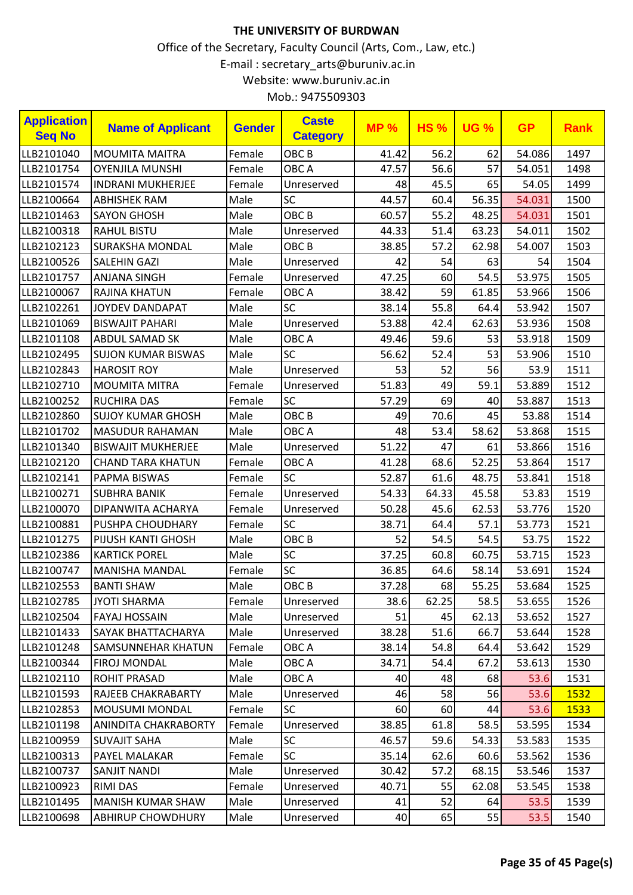| <b>Application</b><br><b>Seq No</b> | <b>Name of Applicant</b>  | <b>Gender</b> | <b>Caste</b><br><b>Category</b> | <b>MP%</b> | <b>HS%</b> | <b>UG %</b> | <b>GP</b> | <b>Rank</b> |
|-------------------------------------|---------------------------|---------------|---------------------------------|------------|------------|-------------|-----------|-------------|
| LLB2101040                          | <b>MOUMITA MAITRA</b>     | Female        | OBC <sub>B</sub>                | 41.42      | 56.2       | 62          | 54.086    | 1497        |
| LLB2101754                          | <b>OYENJILA MUNSHI</b>    | Female        | OBC A                           | 47.57      | 56.6       | 57          | 54.051    | 1498        |
| LLB2101574                          | <b>INDRANI MUKHERJEE</b>  | Female        | Unreserved                      | 48         | 45.5       | 65          | 54.05     | 1499        |
| LLB2100664                          | <b>ABHISHEK RAM</b>       | Male          | SC                              | 44.57      | 60.4       | 56.35       | 54.031    | 1500        |
| LLB2101463                          | <b>SAYON GHOSH</b>        | Male          | OBC <sub>B</sub>                | 60.57      | 55.2       | 48.25       | 54.031    | 1501        |
| LLB2100318                          | <b>RAHUL BISTU</b>        | Male          | Unreserved                      | 44.33      | 51.4       | 63.23       | 54.011    | 1502        |
| LLB2102123                          | <b>SURAKSHA MONDAL</b>    | Male          | OBC <sub>B</sub>                | 38.85      | 57.2       | 62.98       | 54.007    | 1503        |
| LLB2100526                          | <b>SALEHIN GAZI</b>       | Male          | Unreserved                      | 42         | 54         | 63          | 54        | 1504        |
| LLB2101757                          | ANJANA SINGH              | Female        | Unreserved                      | 47.25      | 60         | 54.5        | 53.975    | 1505        |
| LLB2100067                          | RAJINA KHATUN             | Female        | OBC A                           | 38.42      | 59         | 61.85       | 53.966    | 1506        |
| LLB2102261                          | JOYDEV DANDAPAT           | Male          | SC                              | 38.14      | 55.8       | 64.4        | 53.942    | 1507        |
| LLB2101069                          | <b>BISWAJIT PAHARI</b>    | Male          | Unreserved                      | 53.88      | 42.4       | 62.63       | 53.936    | 1508        |
| LLB2101108                          | ABDUL SAMAD SK            | Male          | OBC A                           | 49.46      | 59.6       | 53          | 53.918    | 1509        |
| LLB2102495                          | <b>SUJON KUMAR BISWAS</b> | Male          | <b>SC</b>                       | 56.62      | 52.4       | 53          | 53.906    | 1510        |
| LLB2102843                          | <b>HAROSIT ROY</b>        | Male          | Unreserved                      | 53         | 52         | 56          | 53.9      | 1511        |
| LLB2102710                          | <b>MOUMITA MITRA</b>      | Female        | Unreserved                      | 51.83      | 49         | 59.1        | 53.889    | 1512        |
| LLB2100252                          | <b>RUCHIRA DAS</b>        | Female        | <b>SC</b>                       | 57.29      | 69         | 40          | 53.887    | 1513        |
| LLB2102860                          | <b>SUJOY KUMAR GHOSH</b>  | Male          | OBC <sub>B</sub>                | 49         | 70.6       | 45          | 53.88     | 1514        |
| LLB2101702                          | <b>MASUDUR RAHAMAN</b>    | Male          | OBC A                           | 48         | 53.4       | 58.62       | 53.868    | 1515        |
| LLB2101340                          | <b>BISWAJIT MUKHERJEE</b> | Male          | Unreserved                      | 51.22      | 47         | 61          | 53.866    | 1516        |
| LLB2102120                          | <b>CHAND TARA KHATUN</b>  | Female        | OBC A                           | 41.28      | 68.6       | 52.25       | 53.864    | 1517        |
| LLB2102141                          | PAPMA BISWAS              | Female        | <b>SC</b>                       | 52.87      | 61.6       | 48.75       | 53.841    | 1518        |
| LLB2100271                          | <b>SUBHRA BANIK</b>       | Female        | Unreserved                      | 54.33      | 64.33      | 45.58       | 53.83     | 1519        |
| LLB2100070                          | DIPANWITA ACHARYA         | Female        | Unreserved                      | 50.28      | 45.6       | 62.53       | 53.776    | 1520        |
| LLB2100881                          | PUSHPA CHOUDHARY          | Female        | <b>SC</b>                       | 38.71      | 64.4       | 57.1        | 53.773    | 1521        |
| LLB2101275                          | PIJUSH KANTI GHOSH        | Male          | OBC <sub>B</sub>                | 52         | 54.5       | 54.5        | 53.75     | 1522        |
| LLB2102386                          | <b>KARTICK POREL</b>      | Male          | SC                              | 37.25      | 60.8       | 60.75       | 53.715    | 1523        |
| LLB2100747                          | <b>MANISHA MANDAL</b>     | Female        | SC                              | 36.85      | 64.6       | 58.14       | 53.691    | 1524        |
| LLB2102553                          | <b>BANTI SHAW</b>         | Male          | OBC <sub>B</sub>                | 37.28      | 68         | 55.25       | 53.684    | 1525        |
| LLB2102785                          | <b>JYOTI SHARMA</b>       | Female        | Unreserved                      | 38.6       | 62.25      | 58.5        | 53.655    | 1526        |
| LLB2102504                          | <b>FAYAJ HOSSAIN</b>      | Male          | Unreserved                      | 51         | 45         | 62.13       | 53.652    | 1527        |
| LLB2101433                          | SAYAK BHATTACHARYA        | Male          | Unreserved                      | 38.28      | 51.6       | 66.7        | 53.644    | 1528        |
| LLB2101248                          | SAMSUNNEHAR KHATUN        | Female        | OBC A                           | 38.14      | 54.8       | 64.4        | 53.642    | 1529        |
| LLB2100344                          | FIROJ MONDAL              | Male          | OBC A                           | 34.71      | 54.4       | 67.2        | 53.613    | 1530        |
| LLB2102110                          | <b>ROHIT PRASAD</b>       | Male          | OBC A                           | 40         | 48         | 68          | 53.6      | 1531        |
| LLB2101593                          | RAJEEB CHAKRABARTY        | Male          | Unreserved                      | 46         | 58         | 56          | 53.6      | 1532        |
| LLB2102853                          | <b>MOUSUMI MONDAL</b>     | Female        | <b>SC</b>                       | 60         | 60         | 44          | 53.6      | 1533        |
| LLB2101198                          | ANINDITA CHAKRABORTY      | Female        | Unreserved                      | 38.85      | 61.8       | 58.5        | 53.595    | 1534        |
| LLB2100959                          | <b>SUVAJIT SAHA</b>       | Male          | <b>SC</b>                       | 46.57      | 59.6       | 54.33       | 53.583    | 1535        |
| LLB2100313                          | PAYEL MALAKAR             | Female        | <b>SC</b>                       | 35.14      | 62.6       | 60.6        | 53.562    | 1536        |
| LLB2100737                          | <b>SANJIT NANDI</b>       | Male          | Unreserved                      | 30.42      | 57.2       | 68.15       | 53.546    | 1537        |
| LLB2100923                          | <b>RIMI DAS</b>           | Female        | Unreserved                      | 40.71      | 55         | 62.08       | 53.545    | 1538        |
| LLB2101495                          | <b>MANISH KUMAR SHAW</b>  | Male          | Unreserved                      | 41         | 52         | 64          | 53.5      | 1539        |
| LLB2100698                          | <b>ABHIRUP CHOWDHURY</b>  | Male          | Unreserved                      | 40         | 65         | 55          | 53.5      | 1540        |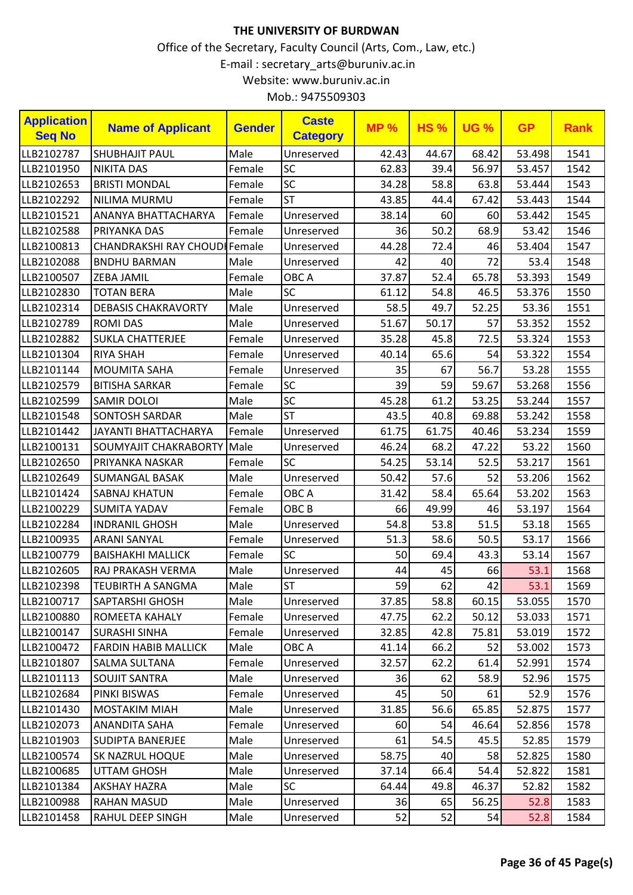| <b>Application</b><br><b>Seq No</b> | <b>Name of Applicant</b>      | <b>Gender</b> | <b>Caste</b><br><b>Category</b> | <b>MP%</b> | <b>HS%</b> | <b>UG %</b> | <b>GP</b> | <b>Rank</b> |
|-------------------------------------|-------------------------------|---------------|---------------------------------|------------|------------|-------------|-----------|-------------|
| LLB2102787                          | <b>SHUBHAJIT PAUL</b>         | Male          | Unreserved                      | 42.43      | 44.67      | 68.42       | 53.498    | 1541        |
| LLB2101950                          | <b>NIKITA DAS</b>             | Female        | <b>SC</b>                       | 62.83      | 39.4       | 56.97       | 53.457    | 1542        |
| LLB2102653                          | <b>BRISTI MONDAL</b>          | Female        | SC                              | 34.28      | 58.8       | 63.8        | 53.444    | 1543        |
| LLB2102292                          | NILIMA MURMU                  | Female        | <b>ST</b>                       | 43.85      | 44.4       | 67.42       | 53.443    | 1544        |
| LLB2101521                          | ANANYA BHATTACHARYA           | Female        | Unreserved                      | 38.14      | 60         | 60          | 53.442    | 1545        |
| LLB2102588                          | PRIYANKA DAS                  | Female        | Unreserved                      | 36         | 50.2       | 68.9        | 53.42     | 1546        |
| LLB2100813                          | CHANDRAKSHI RAY CHOUDI Female |               | Unreserved                      | 44.28      | 72.4       | 46          | 53.404    | 1547        |
| LLB2102088                          | <b>BNDHU BARMAN</b>           | Male          | Unreserved                      | 42         | 40         | 72          | 53.4      | 1548        |
| LLB2100507                          | <b>ZEBA JAMIL</b>             | Female        | OBC A                           | 37.87      | 52.4       | 65.78       | 53.393    | 1549        |
| LLB2102830                          | <b>TOTAN BERA</b>             | Male          | <b>SC</b>                       | 61.12      | 54.8       | 46.5        | 53.376    | 1550        |
| LLB2102314                          | <b>DEBASIS CHAKRAVORTY</b>    | Male          | Unreserved                      | 58.5       | 49.7       | 52.25       | 53.36     | 1551        |
| LLB2102789                          | <b>ROMI DAS</b>               | Male          | Unreserved                      | 51.67      | 50.17      | 57          | 53.352    | 1552        |
| LLB2102882                          | <b>SUKLA CHATTERJEE</b>       | Female        | Unreserved                      | 35.28      | 45.8       | 72.5        | 53.324    | 1553        |
| LLB2101304                          | <b>RIYA SHAH</b>              | Female        | Unreserved                      | 40.14      | 65.6       | 54          | 53.322    | 1554        |
| LLB2101144                          | <b>MOUMITA SAHA</b>           | Female        | Unreserved                      | 35         | 67         | 56.7        | 53.28     | 1555        |
| LLB2102579                          | <b>BITISHA SARKAR</b>         | Female        | <b>SC</b>                       | 39         | 59         | 59.67       | 53.268    | 1556        |
| LLB2102599                          | <b>SAMIR DOLOI</b>            | Male          | SC                              | 45.28      | 61.2       | 53.25       | 53.244    | 1557        |
| LLB2101548                          | <b>SONTOSH SARDAR</b>         | Male          | <b>ST</b>                       | 43.5       | 40.8       | 69.88       | 53.242    | 1558        |
| LLB2101442                          | <b>JAYANTI BHATTACHARYA</b>   | Female        | Unreserved                      | 61.75      | 61.75      | 40.46       | 53.234    | 1559        |
| LLB2100131                          | SOUMYAJIT CHAKRABORTY         | Male          | Unreserved                      | 46.24      | 68.2       | 47.22       | 53.22     | 1560        |
| LLB2102650                          | PRIYANKA NASKAR               | Female        | <b>SC</b>                       | 54.25      | 53.14      | 52.5        | 53.217    | 1561        |
| LLB2102649                          | <b>SUMANGAL BASAK</b>         | Male          | Unreserved                      | 50.42      | 57.6       | 52          | 53.206    | 1562        |
| LLB2101424                          | <b>SABNAJ KHATUN</b>          | Female        | OBC A                           | 31.42      | 58.4       | 65.64       | 53.202    | 1563        |
| LLB2100229                          | <b>SUMITA YADAV</b>           | Female        | OBC <sub>B</sub>                | 66         | 49.99      | 46          | 53.197    | 1564        |
| LLB2102284                          | <b>INDRANIL GHOSH</b>         | Male          | Unreserved                      | 54.8       | 53.8       | 51.5        | 53.18     | 1565        |
| LLB2100935                          | <b>ARANI SANYAL</b>           | Female        | Unreserved                      | 51.3       | 58.6       | 50.5        | 53.17     | 1566        |
| LLB2100779                          | <b>BAISHAKHI MALLICK</b>      | Female        | <b>SC</b>                       | 50         | 69.4       | 43.3        | 53.14     | 1567        |
| LLB2102605                          | RAJ PRAKASH VERMA             | Male          | Unreserved                      | 44         | 45         | 66          | 53.1      | 1568        |
| LLB2102398                          | <b>TEUBIRTH A SANGMA</b>      | Male          | <b>ST</b>                       | 59         | 62         | 42          | 53.1      | 1569        |
| LLB2100717                          | <b>SAPTARSHI GHOSH</b>        | Male          | Unreserved                      | 37.85      | 58.8       | 60.15       | 53.055    | 1570        |
| LLB2100880                          | ROMEETA KAHALY                | Female        | Unreserved                      | 47.75      | 62.2       | 50.12       | 53.033    | 1571        |
| LLB2100147                          | <b>SURASHI SINHA</b>          | Female        | Unreserved                      | 32.85      | 42.8       | 75.81       | 53.019    | 1572        |
| LLB2100472                          | <b>FARDIN HABIB MALLICK</b>   | Male          | OBC A                           | 41.14      | 66.2       | 52          | 53.002    | 1573        |
| LLB2101807                          | <b>SALMA SULTANA</b>          | Female        | Unreserved                      | 32.57      | 62.2       | 61.4        | 52.991    | 1574        |
| LLB2101113                          | <b>SOUJIT SANTRA</b>          | Male          | Unreserved                      | 36         | 62         | 58.9        | 52.96     | 1575        |
| LLB2102684                          | PINKI BISWAS                  | Female        | Unreserved                      | 45         | 50         | 61          | 52.9      | 1576        |
| LLB2101430                          | <b>MOSTAKIM MIAH</b>          | Male          | Unreserved                      | 31.85      | 56.6       | 65.85       | 52.875    | 1577        |
| LLB2102073                          | ANANDITA SAHA                 | Female        | Unreserved                      | 60         | 54         | 46.64       | 52.856    | 1578        |
| LLB2101903                          | <b>SUDIPTA BANERJEE</b>       | Male          | Unreserved                      | 61         | 54.5       | 45.5        | 52.85     | 1579        |
| LLB2100574                          | <b>SK NAZRUL HOQUE</b>        | Male          | Unreserved                      | 58.75      | 40         | 58          | 52.825    | 1580        |
| LLB2100685                          | <b>UTTAM GHOSH</b>            | Male          | Unreserved                      | 37.14      | 66.4       | 54.4        | 52.822    | 1581        |
| LLB2101384                          | <b>AKSHAY HAZRA</b>           | Male          | <b>SC</b>                       | 64.44      | 49.8       | 46.37       | 52.82     | 1582        |
| LLB2100988                          | RAHAN MASUD                   | Male          | Unreserved                      | 36         | 65         | 56.25       | 52.8      | 1583        |
| LLB2101458                          | <b>RAHUL DEEP SINGH</b>       | Male          | Unreserved                      | 52         | 52         | 54          | 52.8      | 1584        |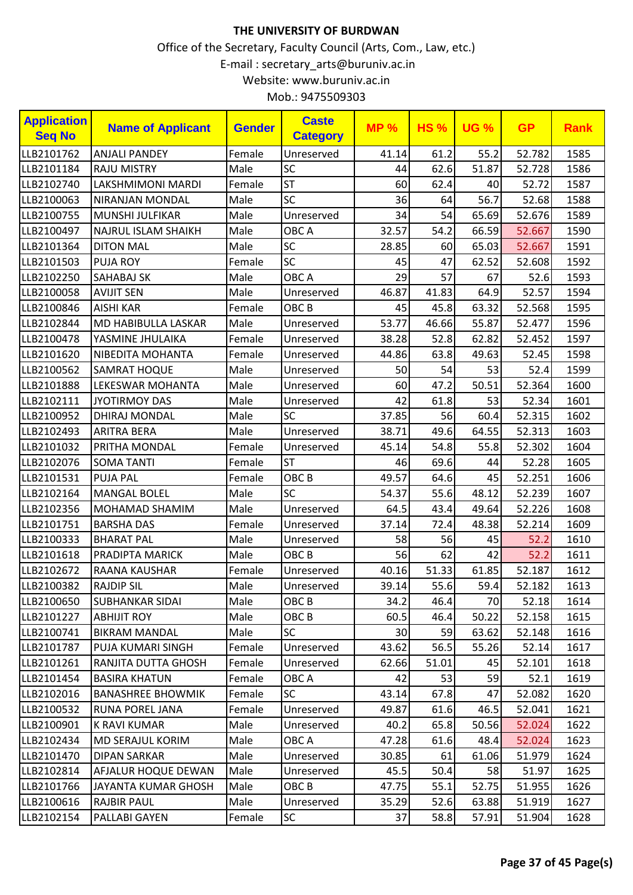| Mob.: 9475509303 |  |
|------------------|--|
|------------------|--|

| <b>Application</b><br><b>Seq No</b> | <b>Name of Applicant</b>   | <b>Gender</b> | <b>Caste</b><br><b>Category</b> | <b>MP%</b> | <b>HS%</b> | <b>UG %</b> | <b>GP</b> | <b>Rank</b> |
|-------------------------------------|----------------------------|---------------|---------------------------------|------------|------------|-------------|-----------|-------------|
| LLB2101762                          | <b>ANJALI PANDEY</b>       | Female        | Unreserved                      | 41.14      | 61.2       | 55.2        | 52.782    | 1585        |
| LLB2101184                          | <b>RAJU MISTRY</b>         | Male          | SC                              | 44         | 62.6       | 51.87       | 52.728    | 1586        |
| LLB2102740                          | LAKSHMIMONI MARDI          | Female        | <b>ST</b>                       | 60         | 62.4       | 40          | 52.72     | 1587        |
| LLB2100063                          | <b>NIRANJAN MONDAL</b>     | Male          | <b>SC</b>                       | 36         | 64         | 56.7        | 52.68     | 1588        |
| LLB2100755                          | MUNSHI JULFIKAR            | Male          | Unreserved                      | 34         | 54         | 65.69       | 52.676    | 1589        |
| LLB2100497                          | <b>NAJRUL ISLAM SHAIKH</b> | Male          | OBC A                           | 32.57      | 54.2       | 66.59       | 52.667    | 1590        |
| LLB2101364                          | <b>DITON MAL</b>           | Male          | SC                              | 28.85      | 60         | 65.03       | 52.667    | 1591        |
| LLB2101503                          | <b>PUJA ROY</b>            | Female        | SC                              | 45         | 47         | 62.52       | 52.608    | 1592        |
| LLB2102250                          | <b>SAHABAJ SK</b>          | Male          | OBC A                           | 29         | 57         | 67          | 52.6      | 1593        |
| LLB2100058                          | <b>AVIJIT SEN</b>          | Male          | Unreserved                      | 46.87      | 41.83      | 64.9        | 52.57     | 1594        |
| LLB2100846                          | <b>AISHI KAR</b>           | Female        | OBC <sub>B</sub>                | 45         | 45.8       | 63.32       | 52.568    | 1595        |
| LLB2102844                          | MD HABIBULLA LASKAR        | Male          | Unreserved                      | 53.77      | 46.66      | 55.87       | 52.477    | 1596        |
| LLB2100478                          | YASMINE JHULAIKA           | Female        | Unreserved                      | 38.28      | 52.8       | 62.82       | 52.452    | 1597        |
| LLB2101620                          | NIBEDITA MOHANTA           | Female        | Unreserved                      | 44.86      | 63.8       | 49.63       | 52.45     | 1598        |
| LLB2100562                          | <b>SAMRAT HOQUE</b>        | Male          | Unreserved                      | 50         | 54         | 53          | 52.4      | 1599        |
| LLB2101888                          | LEKESWAR MOHANTA           | Male          | Unreserved                      | 60         | 47.2       | 50.51       | 52.364    | 1600        |
| LLB2102111                          | <b>JYOTIRMOY DAS</b>       | Male          | Unreserved                      | 42         | 61.8       | 53          | 52.34     | 1601        |
| LLB2100952                          | DHIRAJ MONDAL              | Male          | <b>SC</b>                       | 37.85      | 56         | 60.4        | 52.315    | 1602        |
| LLB2102493                          | <b>ARITRA BERA</b>         | Male          | Unreserved                      | 38.71      | 49.6       | 64.55       | 52.313    | 1603        |
| LLB2101032                          | PRITHA MONDAL              | Female        | Unreserved                      | 45.14      | 54.8       | 55.8        | 52.302    | 1604        |
| LLB2102076                          | <b>SOMA TANTI</b>          | Female        | <b>ST</b>                       | 46         | 69.6       | 44          | 52.28     | 1605        |
| LLB2101531                          | <b>PUJA PAL</b>            | Female        | OBC <sub>B</sub>                | 49.57      | 64.6       | 45          | 52.251    | 1606        |
| LLB2102164                          | <b>MANGAL BOLEL</b>        | Male          | <b>SC</b>                       | 54.37      | 55.6       | 48.12       | 52.239    | 1607        |
| LLB2102356                          | MOHAMAD SHAMIM             | Male          | Unreserved                      | 64.5       | 43.4       | 49.64       | 52.226    | 1608        |
| LLB2101751                          | <b>BARSHA DAS</b>          | Female        | Unreserved                      | 37.14      | 72.4       | 48.38       | 52.214    | 1609        |
| LLB2100333                          | <b>BHARAT PAL</b>          | Male          | Unreserved                      | 58         | 56         | 45          | 52.2      | 1610        |
| LLB2101618                          | PRADIPTA MARICK            | Male          | OBC <sub>B</sub>                | 56         | 62         | 42          | 52.2      | 1611        |
| LLB2102672                          | RAANA KAUSHAR              | Female        | Unreserved                      | 40.16      | 51.33      | 61.85       | 52.187    | 1612        |
| LLB2100382                          | <b>RAJDIP SIL</b>          | Male          | Unreserved                      | 39.14      | 55.6       | 59.4        | 52.182    | 1613        |
| LLB2100650                          | <b>SUBHANKAR SIDAI</b>     | Male          | OBC B                           | 34.2       | 46.4       | 70          | 52.18     | 1614        |
| LLB2101227                          | <b>ABHIJIT ROY</b>         | Male          | OBC <sub>B</sub>                | 60.5       | 46.4       | 50.22       | 52.158    | 1615        |
| LLB2100741                          | <b>BIKRAM MANDAL</b>       | Male          | <b>SC</b>                       | 30         | 59         | 63.62       | 52.148    | 1616        |
| LLB2101787                          | PUJA KUMARI SINGH          | Female        | Unreserved                      | 43.62      | 56.5       | 55.26       | 52.14     | 1617        |
| LLB2101261                          | RANJITA DUTTA GHOSH        | Female        | Unreserved                      | 62.66      | 51.01      | 45          | 52.101    | 1618        |
| LLB2101454                          | <b>BASIRA KHATUN</b>       | Female        | OBC A                           | 42         | 53         | 59          | 52.1      | 1619        |
| LLB2102016                          | <b>BANASHREE BHOWMIK</b>   | Female        | <b>SC</b>                       | 43.14      | 67.8       | 47          | 52.082    | 1620        |
| LLB2100532                          | RUNA POREL JANA            | Female        | Unreserved                      | 49.87      | 61.6       | 46.5        | 52.041    | 1621        |
| LLB2100901                          | <b>K RAVI KUMAR</b>        | Male          | Unreserved                      | 40.2       | 65.8       | 50.56       | 52.024    | 1622        |
| LLB2102434                          | <b>MD SERAJUL KORIM</b>    | Male          | OBC A                           | 47.28      | 61.6       | 48.4        | 52.024    | 1623        |
| LLB2101470                          | <b>DIPAN SARKAR</b>        | Male          | Unreserved                      | 30.85      | 61         | 61.06       | 51.979    | 1624        |
| LLB2102814                          | AFJALUR HOQUE DEWAN        | Male          | Unreserved                      | 45.5       | 50.4       | 58          | 51.97     | 1625        |
| LLB2101766                          | JAYANTA KUMAR GHOSH        | Male          | OBC B                           | 47.75      | 55.1       | 52.75       | 51.955    | 1626        |
| LLB2100616                          | <b>RAJBIR PAUL</b>         | Male          | Unreserved                      | 35.29      | 52.6       | 63.88       | 51.919    | 1627        |
| LLB2102154                          | PALLABI GAYEN              | Female        | <b>SC</b>                       | 37         | 58.8       | 57.91       | 51.904    | 1628        |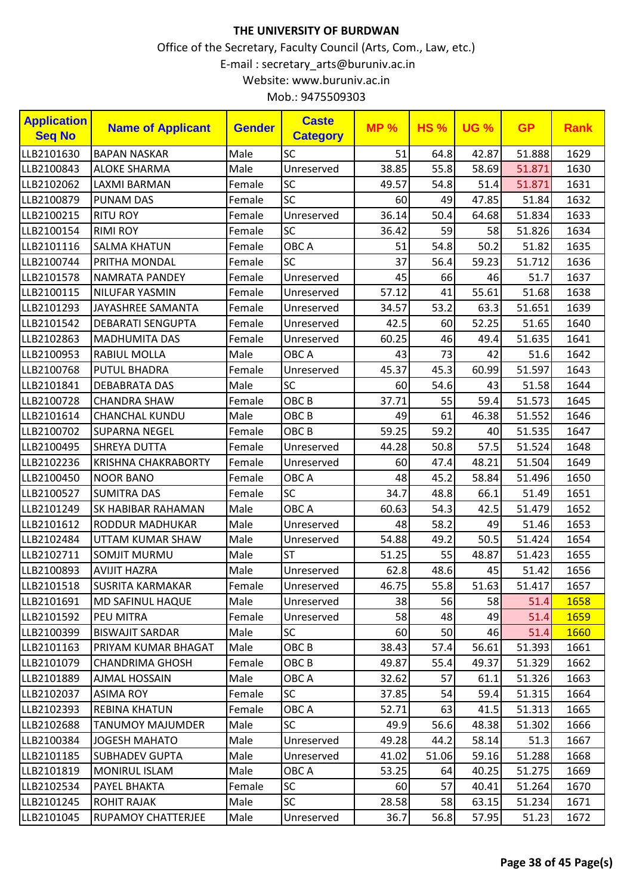Office of the Secretary, Faculty Council (Arts, Com., Law, etc.) E-mail : secretary\_arts@buruniv.ac.in Website: www.buruniv.ac.in Mob.: 9475509303

| <b>Application</b> | <b>Name of Applicant</b>   | <b>Gender</b> | <b>Caste</b>     | <b>MP%</b> | <b>HS%</b> | <b>UG %</b> | <b>GP</b> | <b>Rank</b> |
|--------------------|----------------------------|---------------|------------------|------------|------------|-------------|-----------|-------------|
| <b>Seq No</b>      |                            |               | <b>Category</b>  |            |            |             |           |             |
| LLB2101630         | <b>BAPAN NASKAR</b>        | Male          | SC               | 51         | 64.8       | 42.87       | 51.888    | 1629        |
| LLB2100843         | <b>ALOKE SHARMA</b>        | Male          | Unreserved       | 38.85      | 55.8       | 58.69       | 51.871    | 1630        |
| LLB2102062         | LAXMI BARMAN               | Female        | SC               | 49.57      | 54.8       | 51.4        | 51.871    | 1631        |
| LLB2100879         | <b>PUNAM DAS</b>           | Female        | SC               | 60         | 49         | 47.85       | 51.84     | 1632        |
| LLB2100215         | <b>RITU ROY</b>            | Female        | Unreserved       | 36.14      | 50.4       | 64.68       | 51.834    | 1633        |
| LLB2100154         | <b>RIMI ROY</b>            | Female        | <b>SC</b>        | 36.42      | 59         | 58          | 51.826    | 1634        |
| LLB2101116         | <b>SALMA KHATUN</b>        | Female        | OBC A            | 51         | 54.8       | 50.2        | 51.82     | 1635        |
| LLB2100744         | PRITHA MONDAL              | Female        | <b>SC</b>        | 37         | 56.4       | 59.23       | 51.712    | 1636        |
| LLB2101578         | NAMRATA PANDEY             | Female        | Unreserved       | 45         | 66         | 46          | 51.7      | 1637        |
| LLB2100115         | NILUFAR YASMIN             | Female        | Unreserved       | 57.12      | 41         | 55.61       | 51.68     | 1638        |
| LLB2101293         | JAYASHREE SAMANTA          | Female        | Unreserved       | 34.57      | 53.2       | 63.3        | 51.651    | 1639        |
| LLB2101542         | <b>DEBARATI SENGUPTA</b>   | Female        | Unreserved       | 42.5       | 60         | 52.25       | 51.65     | 1640        |
| LLB2102863         | <b>MADHUMITA DAS</b>       | Female        | Unreserved       | 60.25      | 46         | 49.4        | 51.635    | 1641        |
| LLB2100953         | RABIUL MOLLA               | Male          | OBC A            | 43         | 73         | 42          | 51.6      | 1642        |
| LLB2100768         | <b>PUTUL BHADRA</b>        | Female        | Unreserved       | 45.37      | 45.3       | 60.99       | 51.597    | 1643        |
| LLB2101841         | <b>DEBABRATA DAS</b>       | Male          | SC               | 60         | 54.6       | 43          | 51.58     | 1644        |
| LLB2100728         | <b>CHANDRA SHAW</b>        | Female        | OBC <sub>B</sub> | 37.71      | 55         | 59.4        | 51.573    | 1645        |
| LLB2101614         | <b>CHANCHAL KUNDU</b>      | Male          | OBC <sub>B</sub> | 49         | 61         | 46.38       | 51.552    | 1646        |
| LLB2100702         | <b>SUPARNA NEGEL</b>       | Female        | OBC <sub>B</sub> | 59.25      | 59.2       | 40          | 51.535    | 1647        |
| LLB2100495         | <b>SHREYA DUTTA</b>        | Female        | Unreserved       | 44.28      | 50.8       | 57.5        | 51.524    | 1648        |
| LLB2102236         | <b>KRISHNA CHAKRABORTY</b> | Female        | Unreserved       | 60         | 47.4       | 48.21       | 51.504    | 1649        |
| LLB2100450         | <b>NOOR BANO</b>           | Female        | OBC A            | 48         | 45.2       | 58.84       | 51.496    | 1650        |
| LLB2100527         | <b>SUMITRA DAS</b>         | Female        | <b>SC</b>        | 34.7       | 48.8       | 66.1        | 51.49     | 1651        |
| LLB2101249         | SK HABIBAR RAHAMAN         | Male          | OBC A            | 60.63      | 54.3       | 42.5        | 51.479    | 1652        |
| LLB2101612         | RODDUR MADHUKAR            | Male          | Unreserved       | 48         | 58.2       | 49          | 51.46     | 1653        |
| LLB2102484         | UTTAM KUMAR SHAW           | Male          | Unreserved       | 54.88      | 49.2       | 50.5        | 51.424    | 1654        |
| LLB2102711         | <b>SOMJIT MURMU</b>        | Male          | <b>ST</b>        | 51.25      | 55         | 48.87       | 51.423    | 1655        |
| LLB2100893         | <b>AVIJIT HAZRA</b>        | Male          | Unreserved       | 62.8       | 48.6       | 45          | 51.42     | 1656        |
| LLB2101518         | <b>SUSRITA KARMAKAR</b>    | Female        | Unreserved       | 46.75      | 55.8       | 51.63       | 51.417    | 1657        |
| LLB2101691         | MD SAFINUL HAQUE           | Male          | Unreserved       | 38         | 56         | 58          | 51.4      | 1658        |
| LLB2101592         | PEU MITRA                  | Female        | Unreserved       | 58         | 48         | 49          | 51.4      | 1659        |
| LLB2100399         | <b>BISWAJIT SARDAR</b>     | Male          | <b>SC</b>        | 60         | 50         | 46          | 51.4      | 1660        |
| LLB2101163         | PRIYAM KUMAR BHAGAT        | Male          | OBC <sub>B</sub> | 38.43      | 57.4       | 56.61       | 51.393    | 1661        |
| LLB2101079         | <b>CHANDRIMA GHOSH</b>     | Female        | OBC <sub>B</sub> | 49.87      | 55.4       | 49.37       | 51.329    | 1662        |
| LLB2101889         | <b>AJMAL HOSSAIN</b>       | Male          | OBC A            | 32.62      | 57         | 61.1        | 51.326    | 1663        |
| LLB2102037         | <b>ASIMA ROY</b>           | Female        | <b>SC</b>        | 37.85      | 54         | 59.4        | 51.315    | 1664        |
| LLB2102393         | <b>REBINA KHATUN</b>       | Female        | OBC A            | 52.71      | 63         | 41.5        | 51.313    | 1665        |
| LLB2102688         | TANUMOY MAJUMDER           | Male          | <b>SC</b>        | 49.9       | 56.6       | 48.38       | 51.302    | 1666        |
| LLB2100384         | <b>JOGESH MAHATO</b>       | Male          | Unreserved       | 49.28      | 44.2       | 58.14       | 51.3      | 1667        |
| LLB2101185         | <b>SUBHADEV GUPTA</b>      | Male          | Unreserved       | 41.02      | 51.06      | 59.16       | 51.288    | 1668        |

LLB2101819 MONIRUL ISLAM Male OBC A | 53.25 64 40.25 51.275 1669 LLB2102534 PAYEL BHAKTA Female SC 60 57 40.41 51.264 1670 LLB2101245 |ROHIT RAJAK |Male |SC | 28.58| 58| 63.15| 51.234| 1671 LLB2101045 RUPAMOY CHATTERJEE Male Unreserved 36.7 56.8 57.95 51.23 1672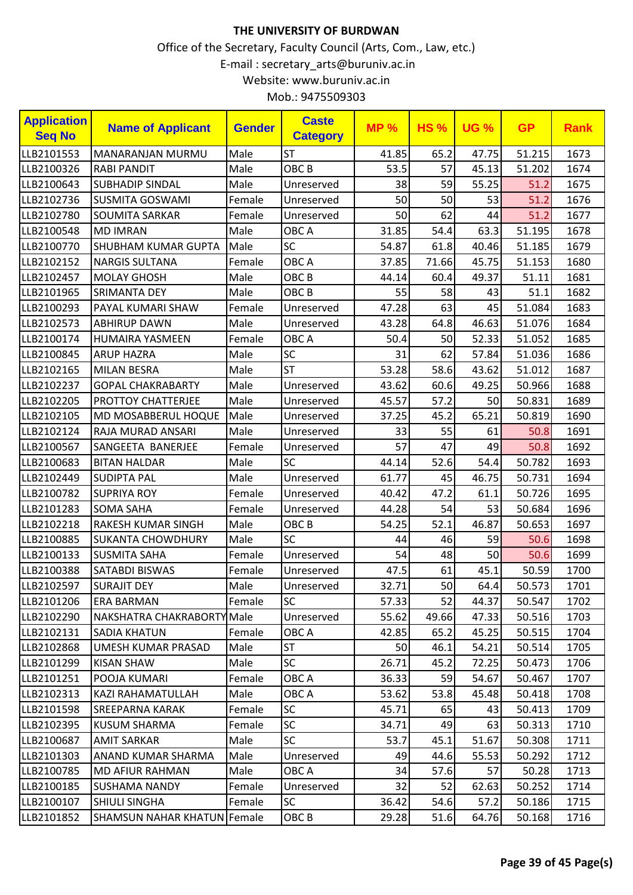| <b>Application</b><br><b>Seq No</b> | <b>Name of Applicant</b>           | <b>Gender</b> | <b>Caste</b><br><b>Category</b> | <b>MP%</b> | <b>HS%</b> | <b>UG %</b> | <b>GP</b> | <b>Rank</b> |
|-------------------------------------|------------------------------------|---------------|---------------------------------|------------|------------|-------------|-----------|-------------|
| LLB2101553                          | <b>MANARANJAN MURMU</b>            | Male          | <b>ST</b>                       | 41.85      | 65.2       | 47.75       | 51.215    | 1673        |
| LLB2100326                          | <b>RABI PANDIT</b>                 | Male          | OBC <sub>B</sub>                | 53.5       | 57         | 45.13       | 51.202    | 1674        |
| LLB2100643                          | <b>SUBHADIP SINDAL</b>             | Male          | Unreserved                      | 38         | 59         | 55.25       | 51.2      | 1675        |
| LLB2102736                          | <b>SUSMITA GOSWAMI</b>             | Female        | Unreserved                      | 50         | 50         | 53          | 51.2      | 1676        |
| LLB2102780                          | <b>SOUMITA SARKAR</b>              | Female        | Unreserved                      | 50         | 62         | 44          | 51.2      | 1677        |
| LLB2100548                          | <b>MD IMRAN</b>                    | Male          | OBC A                           | 31.85      | 54.4       | 63.3        | 51.195    | 1678        |
| LLB2100770                          | SHUBHAM KUMAR GUPTA                | Male          | SC                              | 54.87      | 61.8       | 40.46       | 51.185    | 1679        |
| LLB2102152                          | <b>NARGIS SULTANA</b>              | Female        | OBC A                           | 37.85      | 71.66      | 45.75       | 51.153    | 1680        |
| LLB2102457                          | <b>MOLAY GHOSH</b>                 | Male          | OBC <sub>B</sub>                | 44.14      | 60.4       | 49.37       | 51.11     | 1681        |
| LLB2101965                          | <b>SRIMANTA DEY</b>                | Male          | OBC <sub>B</sub>                | 55         | 58         | 43          | 51.1      | 1682        |
| LLB2100293                          | PAYAL KUMARI SHAW                  | Female        | Unreserved                      | 47.28      | 63         | 45          | 51.084    | 1683        |
| LLB2102573                          | <b>ABHIRUP DAWN</b>                | Male          | Unreserved                      | 43.28      | 64.8       | 46.63       | 51.076    | 1684        |
| LLB2100174                          | <b>HUMAIRA YASMEEN</b>             | Female        | OBC A                           | 50.4       | 50         | 52.33       | 51.052    | 1685        |
| LLB2100845                          | <b>ARUP HAZRA</b>                  | Male          | SC                              | 31         | 62         | 57.84       | 51.036    | 1686        |
| LLB2102165                          | <b>MILAN BESRA</b>                 | Male          | <b>ST</b>                       | 53.28      | 58.6       | 43.62       | 51.012    | 1687        |
| LLB2102237                          | <b>GOPAL CHAKRABARTY</b>           | Male          | Unreserved                      | 43.62      | 60.6       | 49.25       | 50.966    | 1688        |
| LLB2102205                          | <b>PROTTOY CHATTERJEE</b>          | Male          | Unreserved                      | 45.57      | 57.2       | 50          | 50.831    | 1689        |
| LLB2102105                          | MD MOSABBERUL HOQUE                | Male          | Unreserved                      | 37.25      | 45.2       | 65.21       | 50.819    | 1690        |
| LLB2102124                          | RAJA MURAD ANSARI                  | Male          | Unreserved                      | 33         | 55         | 61          | 50.8      | 1691        |
| LLB2100567                          | SANGEETA BANERJEE                  | Female        | Unreserved                      | 57         | 47         | 49          | 50.8      | 1692        |
| LLB2100683                          | <b>BITAN HALDAR</b>                | Male          | SC                              | 44.14      | 52.6       | 54.4        | 50.782    | 1693        |
| LLB2102449                          | <b>SUDIPTA PAL</b>                 | Male          | Unreserved                      | 61.77      | 45         | 46.75       | 50.731    | 1694        |
| LLB2100782                          | <b>SUPRIYA ROY</b>                 | Female        | Unreserved                      | 40.42      | 47.2       | 61.1        | 50.726    | 1695        |
| LLB2101283                          | <b>SOMA SAHA</b>                   | Female        | Unreserved                      | 44.28      | 54         | 53          | 50.684    | 1696        |
| LLB2102218                          | <b>RAKESH KUMAR SINGH</b>          | Male          | OBC <sub>B</sub>                | 54.25      | 52.1       | 46.87       | 50.653    | 1697        |
| LLB2100885                          | <b>SUKANTA CHOWDHURY</b>           | Male          | SC                              | 44         | 46         | 59          | 50.6      | 1698        |
| LLB2100133                          | <b>SUSMITA SAHA</b>                | Female        | Unreserved                      | 54         | 48         | 50          | 50.6      | 1699        |
| LLB2100388                          | SATABDI BISWAS                     | Female        | Unreserved                      | 47.5       | 61         | 45.1        | 50.59     | 1700        |
| LLB2102597                          | <b>SURAJIT DEY</b>                 | Male          | Unreserved                      | 32.71      | 50         | 64.4        | 50.573    | 1701        |
| LLB2101206                          | <b>ERA BARMAN</b>                  | Female        | <b>SC</b>                       | 57.33      | 52         | 44.37       | 50.547    | 1702        |
| LLB2102290                          | NAKSHATRA CHAKRABORTY Male         |               | Unreserved                      | 55.62      | 49.66      | 47.33       | 50.516    | 1703        |
| LLB2102131                          | <b>SADIA KHATUN</b>                | Female        | OBC A                           | 42.85      | 65.2       | 45.25       | 50.515    | 1704        |
| LLB2102868                          | UMESH KUMAR PRASAD                 | Male          | <b>ST</b>                       | 50         | 46.1       | 54.21       | 50.514    | 1705        |
| LLB2101299                          | <b>KISAN SHAW</b>                  | Male          | <b>SC</b>                       | 26.71      | 45.2       | 72.25       | 50.473    | 1706        |
| LLB2101251                          | POOJA KUMARI                       | Female        | OBC A                           | 36.33      | 59         | 54.67       | 50.467    | 1707        |
| LLB2102313                          | KAZI RAHAMATULLAH                  | Male          | OBC A                           | 53.62      | 53.8       | 45.48       | 50.418    | 1708        |
| LLB2101598                          | <b>SREEPARNA KARAK</b>             | Female        | <b>SC</b>                       | 45.71      | 65         | 43          | 50.413    | 1709        |
| LLB2102395                          | <b>KUSUM SHARMA</b>                | Female        | <b>SC</b>                       | 34.71      | 49         | 63          | 50.313    | 1710        |
| LLB2100687                          | <b>AMIT SARKAR</b>                 | Male          | <b>SC</b>                       | 53.7       | 45.1       | 51.67       | 50.308    | 1711        |
| LLB2101303                          | ANAND KUMAR SHARMA                 | Male          | Unreserved                      | 49         | 44.6       | 55.53       | 50.292    | 1712        |
| LLB2100785                          | <b>MD AFIUR RAHMAN</b>             | Male          | OBC A                           | 34         | 57.6       | 57          | 50.28     | 1713        |
| LLB2100185                          | <b>SUSHAMA NANDY</b>               | Female        | Unreserved                      | 32         | 52         | 62.63       | 50.252    | 1714        |
| LLB2100107                          | <b>SHIULI SINGHA</b>               | Female        | <b>SC</b>                       | 36.42      | 54.6       | 57.2        | 50.186    | 1715        |
| LLB2101852                          | <b>SHAMSUN NAHAR KHATUN Female</b> |               | OBC <sub>B</sub>                | 29.28      | 51.6       | 64.76       | 50.168    | 1716        |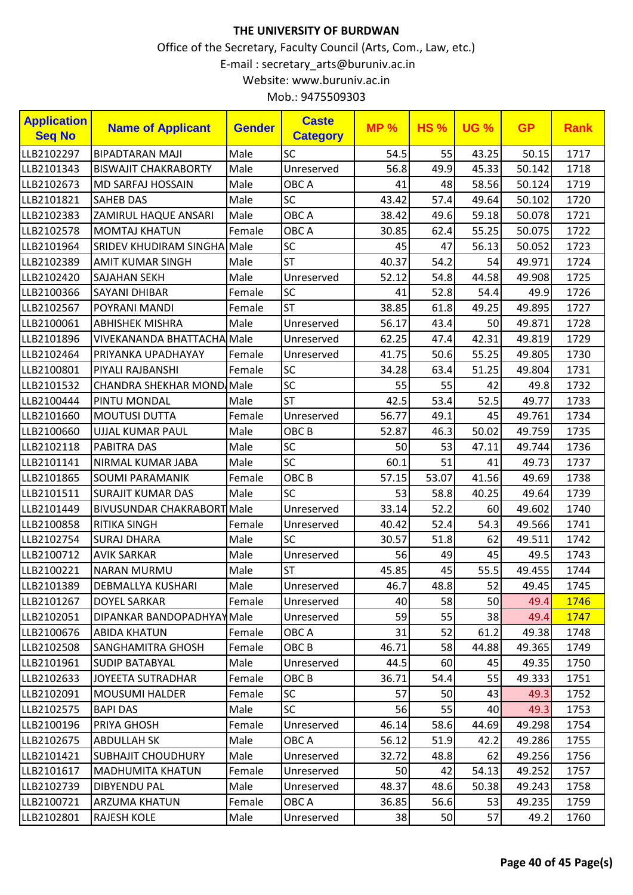| <b>Application</b><br><b>Seq No</b> | <b>Name of Applicant</b>          | <b>Gender</b> | <b>Caste</b><br><b>Category</b> | <b>MP%</b> | <b>HS%</b> | <b>UG %</b> | <b>GP</b> | <b>Rank</b> |
|-------------------------------------|-----------------------------------|---------------|---------------------------------|------------|------------|-------------|-----------|-------------|
| LLB2102297                          | <b>BIPADTARAN MAJI</b>            | Male          | SC                              | 54.5       | 55         | 43.25       | 50.15     | 1717        |
| LLB2101343                          | <b>BISWAJIT CHAKRABORTY</b>       | Male          | Unreserved                      | 56.8       | 49.9       | 45.33       | 50.142    | 1718        |
| LLB2102673                          | <b>MD SARFAJ HOSSAIN</b>          | Male          | OBC A                           | 41         | 48         | 58.56       | 50.124    | 1719        |
| LLB2101821                          | <b>SAHEB DAS</b>                  | Male          | SC                              | 43.42      | 57.4       | 49.64       | 50.102    | 1720        |
| LLB2102383                          | <b>ZAMIRUL HAQUE ANSARI</b>       | Male          | OBC A                           | 38.42      | 49.6       | 59.18       | 50.078    | 1721        |
| LLB2102578                          | <b>MOMTAJ KHATUN</b>              | Female        | OBC A                           | 30.85      | 62.4       | 55.25       | 50.075    | 1722        |
| LLB2101964                          | <b>SRIDEV KHUDIRAM SINGHA</b>     | Male          | SC                              | 45         | 47         | 56.13       | 50.052    | 1723        |
| LLB2102389                          | <b>AMIT KUMAR SINGH</b>           | Male          | <b>ST</b>                       | 40.37      | 54.2       | 54          | 49.971    | 1724        |
| LLB2102420                          | SAJAHAN SEKH                      | Male          | Unreserved                      | 52.12      | 54.8       | 44.58       | 49.908    | 1725        |
| LLB2100366                          | <b>SAYANI DHIBAR</b>              | Female        | <b>SC</b>                       | 41         | 52.8       | 54.4        | 49.9      | 1726        |
| LLB2102567                          | POYRANI MANDI                     | Female        | <b>ST</b>                       | 38.85      | 61.8       | 49.25       | 49.895    | 1727        |
| LLB2100061                          | <b>ABHISHEK MISHRA</b>            | Male          | Unreserved                      | 56.17      | 43.4       | 50          | 49.871    | 1728        |
| LLB2101896                          | VIVEKANANDA BHATTACHA Male        |               | Unreserved                      | 62.25      | 47.4       | 42.31       | 49.819    | 1729        |
| LLB2102464                          | PRIYANKA UPADHAYAY                | Female        | Unreserved                      | 41.75      | 50.6       | 55.25       | 49.805    | 1730        |
| LLB2100801                          | PIYALI RAJBANSHI                  | Female        | <b>SC</b>                       | 34.28      | 63.4       | 51.25       | 49.804    | 1731        |
| LLB2101532                          | <b>CHANDRA SHEKHAR MOND Male</b>  |               | SC                              | 55         | 55         | 42          | 49.8      | 1732        |
| LLB2100444                          | PINTU MONDAL                      | Male          | <b>ST</b>                       | 42.5       | 53.4       | 52.5        | 49.77     | 1733        |
| LLB2101660                          | <b>MOUTUSI DUTTA</b>              | Female        | Unreserved                      | 56.77      | 49.1       | 45          | 49.761    | 1734        |
| LLB2100660                          | <b>UJJAL KUMAR PAUL</b>           | Male          | OBC <sub>B</sub>                | 52.87      | 46.3       | 50.02       | 49.759    | 1735        |
| LLB2102118                          | <b>PABITRA DAS</b>                | Male          | SC                              | 50         | 53         | 47.11       | 49.744    | 1736        |
| LLB2101141                          | NIRMAL KUMAR JABA                 | Male          | SC                              | 60.1       | 51         | 41          | 49.73     | 1737        |
| LLB2101865                          | <b>SOUMI PARAMANIK</b>            | Female        | OBC <sub>B</sub>                | 57.15      | 53.07      | 41.56       | 49.69     | 1738        |
| LLB2101511                          | <b>SURAJIT KUMAR DAS</b>          | Male          | <b>SC</b>                       | 53         | 58.8       | 40.25       | 49.64     | 1739        |
| LLB2101449                          | <b>BIVUSUNDAR CHAKRABORT Male</b> |               | Unreserved                      | 33.14      | 52.2       | 60          | 49.602    | 1740        |
| LLB2100858                          | <b>RITIKA SINGH</b>               | Female        | Unreserved                      | 40.42      | 52.4       | 54.3        | 49.566    | 1741        |
| LLB2102754                          | <b>SURAJ DHARA</b>                | Male          | <b>SC</b>                       | 30.57      | 51.8       | 62          | 49.511    | 1742        |
| LLB2100712                          | <b>AVIK SARKAR</b>                | Male          | Unreserved                      | 56         | 49         | 45          | 49.5      | 1743        |
| LLB2100221                          | <b>NARAN MURMU</b>                | Male          | <b>ST</b>                       | 45.85      | 45         | 55.5        | 49.455    | 1744        |
| LLB2101389                          | DEBMALLYA KUSHARI                 | Male          | Unreserved                      | 46.7       | 48.8       | 52          | 49.45     | 1745        |
| LLB2101267                          | <b>DOYEL SARKAR</b>               | Female        | Unreserved                      | 40         | 58         | 50          | 49.4      | 1746        |
| LLB2102051                          | DIPANKAR BANDOPADHYAY Male        |               | Unreserved                      | 59         | 55         | 38          | 49.4      | 1747        |
| LLB2100676                          | <b>ABIDA KHATUN</b>               | Female        | OBC A                           | 31         | 52         | 61.2        | 49.38     | 1748        |
| LLB2102508                          | <b>SANGHAMITRA GHOSH</b>          | Female        | OBC B                           | 46.71      | 58         | 44.88       | 49.365    | 1749        |
| LLB2101961                          | <b>SUDIP BATABYAL</b>             | Male          | Unreserved                      | 44.5       | 60         | 45          | 49.35     | 1750        |
| LLB2102633                          | <b>JOYEETA SUTRADHAR</b>          | Female        | OBC <sub>B</sub>                | 36.71      | 54.4       | 55          | 49.333    | 1751        |
| LLB2102091                          | <b>MOUSUMI HALDER</b>             | Female        | <b>SC</b>                       | 57         | 50         | 43          | 49.3      | 1752        |
| LLB2102575                          | <b>BAPI DAS</b>                   | Male          | <b>SC</b>                       | 56         | 55         | 40          | 49.3      | 1753        |
| LLB2100196                          | PRIYA GHOSH                       | Female        | Unreserved                      | 46.14      | 58.6       | 44.69       | 49.298    | 1754        |
| LLB2102675                          | <b>ABDULLAH SK</b>                | Male          | OBC A                           | 56.12      | 51.9       | 42.2        | 49.286    | 1755        |
| LLB2101421                          | <b>SUBHAJIT CHOUDHURY</b>         | Male          | Unreserved                      | 32.72      | 48.8       | 62          | 49.256    | 1756        |
| LLB2101617                          | <b>MADHUMITA KHATUN</b>           | Female        | Unreserved                      | 50         | 42         | 54.13       | 49.252    | 1757        |
| LLB2102739                          | <b>DIBYENDU PAL</b>               | Male          | Unreserved                      | 48.37      | 48.6       | 50.38       | 49.243    | 1758        |
| LLB2100721                          | <b>ARZUMA KHATUN</b>              | Female        | OBC A                           | 36.85      | 56.6       | 53          | 49.235    | 1759        |
| LLB2102801                          | <b>RAJESH KOLE</b>                | Male          | Unreserved                      | 38         | 50         | 57          | 49.2      | 1760        |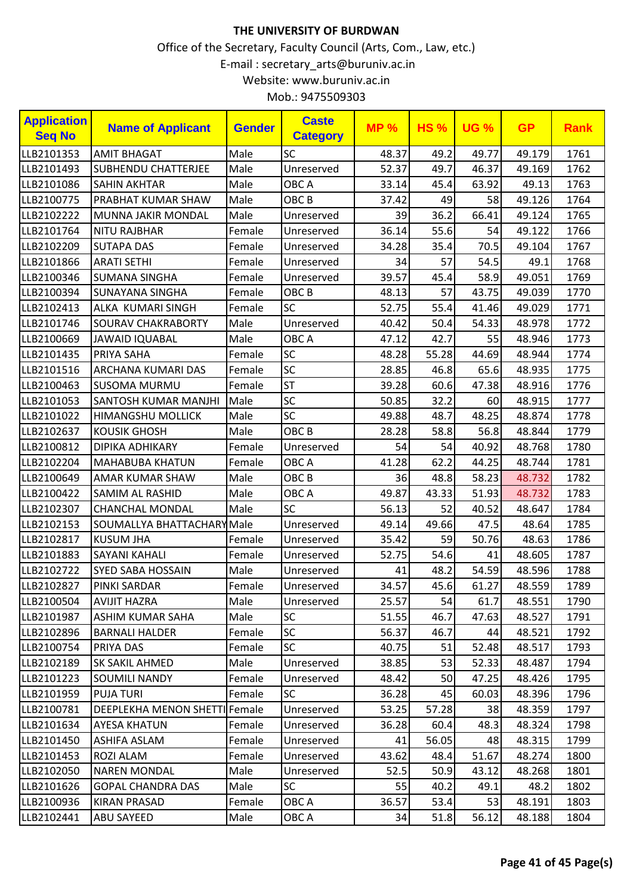| Mob.: 9475509303 |  |
|------------------|--|
|------------------|--|

| <b>Application</b><br><b>Seq No</b> | <b>Name of Applicant</b>      | <b>Gender</b> | <b>Caste</b><br><b>Category</b> | <b>MP%</b> | <b>HS%</b> | <b>UG %</b> | <b>GP</b> | <b>Rank</b> |
|-------------------------------------|-------------------------------|---------------|---------------------------------|------------|------------|-------------|-----------|-------------|
| LLB2101353                          | <b>AMIT BHAGAT</b>            | Male          | <b>SC</b>                       | 48.37      | 49.2       | 49.77       | 49.179    | 1761        |
| LLB2101493                          | <b>SUBHENDU CHATTERJEE</b>    | Male          | Unreserved                      | 52.37      | 49.7       | 46.37       | 49.169    | 1762        |
| LLB2101086                          | <b>SAHIN AKHTAR</b>           | Male          | OBC A                           | 33.14      | 45.4       | 63.92       | 49.13     | 1763        |
| LLB2100775                          | PRABHAT KUMAR SHAW            | Male          | OBC <sub>B</sub>                | 37.42      | 49         | 58          | 49.126    | 1764        |
| LLB2102222                          | MUNNA JAKIR MONDAL            | Male          | Unreserved                      | 39         | 36.2       | 66.41       | 49.124    | 1765        |
| LLB2101764                          | <b>NITU RAJBHAR</b>           | Female        | Unreserved                      | 36.14      | 55.6       | 54          | 49.122    | 1766        |
| LLB2102209                          | <b>SUTAPA DAS</b>             | Female        | Unreserved                      | 34.28      | 35.4       | 70.5        | 49.104    | 1767        |
| LLB2101866                          | <b>ARATI SETHI</b>            | Female        | Unreserved                      | 34         | 57         | 54.5        | 49.1      | 1768        |
| LLB2100346                          | <b>SUMANA SINGHA</b>          | Female        | Unreserved                      | 39.57      | 45.4       | 58.9        | 49.051    | 1769        |
| LLB2100394                          | <b>SUNAYANA SINGHA</b>        | Female        | OBC <sub>B</sub>                | 48.13      | 57         | 43.75       | 49.039    | 1770        |
| LLB2102413                          | ALKA KUMARI SINGH             | Female        | <b>SC</b>                       | 52.75      | 55.4       | 41.46       | 49.029    | 1771        |
| LLB2101746                          | <b>SOURAV CHAKRABORTY</b>     | Male          | Unreserved                      | 40.42      | 50.4       | 54.33       | 48.978    | 1772        |
| LLB2100669                          | <b>JAWAID IQUABAL</b>         | Male          | OBC A                           | 47.12      | 42.7       | 55          | 48.946    | 1773        |
| LLB2101435                          | PRIYA SAHA                    | Female        | SC                              | 48.28      | 55.28      | 44.69       | 48.944    | 1774        |
| LLB2101516                          | ARCHANA KUMARI DAS            | Female        | SC                              | 28.85      | 46.8       | 65.6        | 48.935    | 1775        |
| LLB2100463                          | <b>SUSOMA MURMU</b>           | Female        | <b>ST</b>                       | 39.28      | 60.6       | 47.38       | 48.916    | 1776        |
| LLB2101053                          | <b>SANTOSH KUMAR MANJHI</b>   | Male          | SC                              | 50.85      | 32.2       | 60          | 48.915    | 1777        |
| LLB2101022                          | <b>HIMANGSHU MOLLICK</b>      | Male          | <b>SC</b>                       | 49.88      | 48.7       | 48.25       | 48.874    | 1778        |
| LLB2102637                          | <b>KOUSIK GHOSH</b>           | Male          | OBC <sub>B</sub>                | 28.28      | 58.8       | 56.8        | 48.844    | 1779        |
| LLB2100812                          | DIPIKA ADHIKARY               | Female        | Unreserved                      | 54         | 54         | 40.92       | 48.768    | 1780        |
| LLB2102204                          | <b>MAHABUBA KHATUN</b>        | Female        | OBC A                           | 41.28      | 62.2       | 44.25       | 48.744    | 1781        |
| LLB2100649                          | AMAR KUMAR SHAW               | Male          | OBC <sub>B</sub>                | 36         | 48.8       | 58.23       | 48.732    | 1782        |
| LLB2100422                          | <b>SAMIM AL RASHID</b>        | Male          | OBC A                           | 49.87      | 43.33      | 51.93       | 48.732    | 1783        |
| LLB2102307                          | <b>CHANCHAL MONDAL</b>        | Male          | SC                              | 56.13      | 52         | 40.52       | 48.647    | 1784        |
| LLB2102153                          | SOUMALLYA BHATTACHARYMale     |               | Unreserved                      | 49.14      | 49.66      | 47.5        | 48.64     | 1785        |
| LLB2102817                          | <b>KUSUM JHA</b>              | Female        | Unreserved                      | 35.42      | 59         | 50.76       | 48.63     | 1786        |
| LLB2101883                          | <b>SAYANI KAHALI</b>          | Female        | Unreserved                      | 52.75      | 54.6       | 41          | 48.605    | 1787        |
| LLB2102722                          | <b>SYED SABA HOSSAIN</b>      | Male          | Unreserved                      | 41         | 48.2       | 54.59       | 48.596    | 1788        |
| LLB2102827                          | PINKI SARDAR                  | Female        | Unreserved                      | 34.57      | 45.6       | 61.27       | 48.559    | 1789        |
| LLB2100504                          | <b>AVIJIT HAZRA</b>           | Male          | Unreserved                      | 25.57      | 54         | 61.7        | 48.551    | 1790        |
| LLB2101987                          | ASHIM KUMAR SAHA              | Male          | <b>SC</b>                       | 51.55      | 46.7       | 47.63       | 48.527    | 1791        |
| LLB2102896                          | <b>BARNALI HALDER</b>         | Female        | <b>SC</b>                       | 56.37      | 46.7       | 44          | 48.521    | 1792        |
| LLB2100754                          | PRIYA DAS                     | Female        | <b>SC</b>                       | 40.75      | 51         | 52.48       | 48.517    | 1793        |
| LLB2102189                          | SK SAKIL AHMED                | Male          | Unreserved                      | 38.85      | 53         | 52.33       | 48.487    | 1794        |
| LLB2101223                          | <b>SOUMILI NANDY</b>          | Female        | Unreserved                      | 48.42      | 50         | 47.25       | 48.426    | 1795        |
| LLB2101959                          | <b>PUJA TURI</b>              | Female        | <b>SC</b>                       | 36.28      | 45         | 60.03       | 48.396    | 1796        |
| LLB2100781                          | DEEPLEKHA MENON SHETTI Female |               | Unreserved                      | 53.25      | 57.28      | 38          | 48.359    | 1797        |
| LLB2101634                          | AYESA KHATUN                  | Female        | Unreserved                      | 36.28      | 60.4       | 48.3        | 48.324    | 1798        |
| LLB2101450                          | ASHIFA ASLAM                  | Female        | Unreserved                      | 41         | 56.05      | 48          | 48.315    | 1799        |
| LLB2101453                          | ROZI ALAM                     | Female        | Unreserved                      | 43.62      | 48.4       | 51.67       | 48.274    | 1800        |
| LLB2102050                          | <b>NAREN MONDAL</b>           | Male          | Unreserved                      | 52.5       | 50.9       | 43.12       | 48.268    | 1801        |
| LLB2101626                          | <b>GOPAL CHANDRA DAS</b>      | Male          | <b>SC</b>                       | 55         | 40.2       | 49.1        | 48.2      | 1802        |
| LLB2100936                          | KIRAN PRASAD                  | Female        | OBC A                           | 36.57      | 53.4       | 53          | 48.191    | 1803        |
| LLB2102441                          | <b>ABU SAYEED</b>             | Male          | OBC A                           | 34         | 51.8       | 56.12       | 48.188    | 1804        |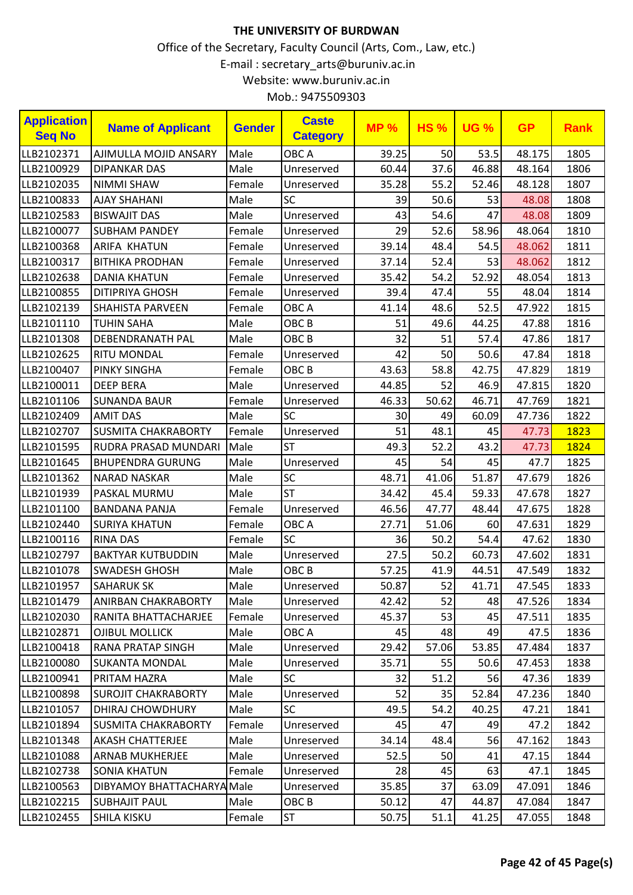| LLB2102371<br>Male<br>OBC A<br>AJIMULLA MOJID ANSARY<br>39.25<br>50<br>53.5<br>48.175<br>37.6<br>LLB2100929<br><b>DIPANKAR DAS</b><br>Male<br>60.44<br>46.88<br>48.164<br>Unreserved | 1805<br>1806<br>1807 |
|--------------------------------------------------------------------------------------------------------------------------------------------------------------------------------------|----------------------|
|                                                                                                                                                                                      |                      |
|                                                                                                                                                                                      |                      |
| LLB2102035<br><b>NIMMI SHAW</b><br>Female<br>Unreserved<br>35.28<br>55.2<br>52.46<br>48.128                                                                                          |                      |
| SC<br>LLB2100833<br>Male<br>39<br>50.6<br>48.08<br><b>AJAY SHAHANI</b><br>53                                                                                                         | 1808                 |
| 43<br>LLB2102583<br>54.6<br>47<br>48.08<br><b>BISWAJIT DAS</b><br>Male<br>Unreserved                                                                                                 | 1809                 |
| 29<br>52.6<br>58.96<br>LLB2100077<br>48.064<br><b>SUBHAM PANDEY</b><br>Female<br>Unreserved                                                                                          | 1810                 |
| 39.14<br>48.4<br>48.062<br>LLB2100368<br><b>ARIFA KHATUN</b><br>Female<br>54.5<br>Unreserved                                                                                         | 1811                 |
| 52.4<br>37.14<br>53<br>LLB2100317<br><b>BITHIKA PRODHAN</b><br>Female<br>48.062<br>Unreserved                                                                                        | 1812                 |
| 52.92<br>LLB2102638<br>54.2<br>48.054<br><b>DANIA KHATUN</b><br>Female<br>35.42<br>Unreserved                                                                                        | 1813                 |
| 47.4<br>LLB2100855<br><b>DITIPRIYA GHOSH</b><br>39.4<br>48.04<br>Female<br>Unreserved<br>55                                                                                          | 1814                 |
| 52.5<br>OBC A<br>41.14<br>48.6<br>47.922<br>LLB2102139<br><b>SHAHISTA PARVEEN</b><br>Female                                                                                          | 1815                 |
| OBC <sub>B</sub><br>49.6<br>44.25<br>47.88<br>LLB2101110<br><b>TUHIN SAHA</b><br>Male<br>51                                                                                          | 1816                 |
| OBC <sub>B</sub><br>LLB2101308<br><b>DEBENDRANATH PAL</b><br>Male<br>32<br>51<br>57.4<br>47.86                                                                                       | 1817                 |
| LLB2102625<br>42<br>50<br>50.6<br>47.84<br><b>RITU MONDAL</b><br>Female<br>Unreserved                                                                                                | 1818                 |
| LLB2100407<br>OBC <sub>B</sub><br>43.63<br>58.8<br>42.75<br>47.829<br><b>PINKY SINGHA</b><br>Female                                                                                  | 1819                 |
| LLB2100011<br><b>DEEP BERA</b><br>Male<br>Unreserved<br>44.85<br>52<br>46.9<br>47.815                                                                                                | 1820                 |
| 50.62<br>LLB2101106<br>46.33<br>46.71<br>47.769<br><b>SUNANDA BAUR</b><br>Female<br>Unreserved                                                                                       | 1821                 |
| SC<br>LLB2102409<br><b>AMIT DAS</b><br>Male<br>30<br>47.736<br>49<br>60.09                                                                                                           | 1822                 |
| LLB2102707<br>Female<br>51<br>48.1<br>47.73<br><b>SUSMITA CHAKRABORTY</b><br>Unreserved<br>45                                                                                        | 1823                 |
| <b>ST</b><br>52.2<br>Male<br>49.3<br>43.2<br>LLB2101595<br>RUDRA PRASAD MUNDARI<br>47.73                                                                                             | 1824                 |
| 47.7<br>LLB2101645<br>Male<br>45<br>54<br>45<br><b>BHUPENDRA GURUNG</b><br>Unreserved                                                                                                | 1825                 |
| SC<br>48.71<br>LLB2101362<br>Male<br>41.06<br>51.87<br>47.679<br><b>NARAD NASKAR</b>                                                                                                 | 1826                 |
| <b>ST</b><br>LLB2101939<br>PASKAL MURMU<br>Male<br>34.42<br>45.4<br>59.33<br>47.678                                                                                                  | 1827                 |
| 46.56<br>47.77<br>47.675<br>LLB2101100<br><b>BANDANA PANJA</b><br>Female<br>Unreserved<br>48.44                                                                                      | 1828                 |
| LLB2102440<br>OBC A<br>27.71<br>51.06<br>47.631<br><b>SURIYA KHATUN</b><br>Female<br>60                                                                                              | 1829                 |
| SC<br>50.2<br>54.4<br>LLB2100116<br>36<br>47.62<br><b>RINA DAS</b><br>Female                                                                                                         | 1830                 |
| Male<br>27.5<br>50.2<br>47.602<br>LLB2102797<br><b>BAKTYAR KUTBUDDIN</b><br>60.73<br>Unreserved                                                                                      | 1831                 |
| LLB2101078<br><b>SWADESH GHOSH</b><br>Male<br>OBC <sub>B</sub><br>57.25<br>41.9<br>44.51<br>47.549                                                                                   | 1832                 |
| 52<br>50.87<br>41.71<br>47.545<br>LLB2101957<br><b>SAHARUK SK</b><br>Male<br>Unreserved                                                                                              | 1833                 |
| 42.42<br>52<br>47.526<br>LLB2101479<br>Male<br>48<br>ANIRBAN CHAKRABORTY<br>Unreserved                                                                                               | 1834                 |
| 53<br>LLB2102030<br>45.37<br>45<br>RANITA BHATTACHARJEE<br>Female<br>Unreserved<br>47.511                                                                                            | 1835                 |
| Male<br>OBC A<br>45<br>48<br>47.5<br>LLB2102871<br><b>OJIBUL MOLLICK</b><br>49                                                                                                       | 1836                 |
| Male<br>29.42<br>LLB2100418<br><b>RANA PRATAP SINGH</b><br>Unreserved<br>57.06<br>53.85<br>47.484                                                                                    | 1837                 |
| LLB2100080<br>Male<br>35.71<br>55<br>47.453<br><b>SUKANTA MONDAL</b><br>Unreserved<br>50.6                                                                                           | 1838                 |
| Male<br><b>SC</b><br>LLB2100941<br>PRITAM HAZRA<br>51.2<br>32<br>56<br>47.36                                                                                                         | 1839                 |
| 52<br>LLB2100898<br><b>SUROJIT CHAKRABORTY</b><br>Male<br>35<br>52.84<br>Unreserved<br>47.236                                                                                        | 1840                 |
| SC<br>LLB2101057<br>DHIRAJ CHOWDHURY<br>Male<br>49.5<br>54.2<br>40.25<br>47.21                                                                                                       | 1841                 |
| Unreserved<br>45<br>47<br>47.2<br>LLB2101894<br><b>SUSMITA CHAKRABORTY</b><br>Female<br>49                                                                                           | 1842                 |
| Male<br>34.14<br>LLB2101348<br><b>AKASH CHATTERJEE</b><br>48.4<br>56<br>47.162<br>Unreserved                                                                                         | 1843                 |
| Male<br>LLB2101088<br>52.5<br>50<br>47.15<br><b>ARNAB MUKHERJEE</b><br>Unreserved<br>41                                                                                              | 1844                 |
| 28<br>45<br>LLB2102738<br><b>SONIA KHATUN</b><br>Female<br>Unreserved<br>63<br>47.1                                                                                                  | 1845                 |
| 35.85<br>LLB2100563<br>DIBYAMOY BHATTACHARYA Male<br>37<br>63.09<br>47.091<br>Unreserved                                                                                             | 1846                 |
| LLB2102215<br>Male<br>OBC <sub>B</sub><br>50.12<br>47<br>44.87<br>47.084<br><b>SUBHAJIT PAUL</b>                                                                                     | 1847                 |
| LLB2102455<br><b>SHILA KISKU</b><br><b>ST</b><br>50.75<br>51.1<br>47.055<br>Female<br>41.25                                                                                          | 1848                 |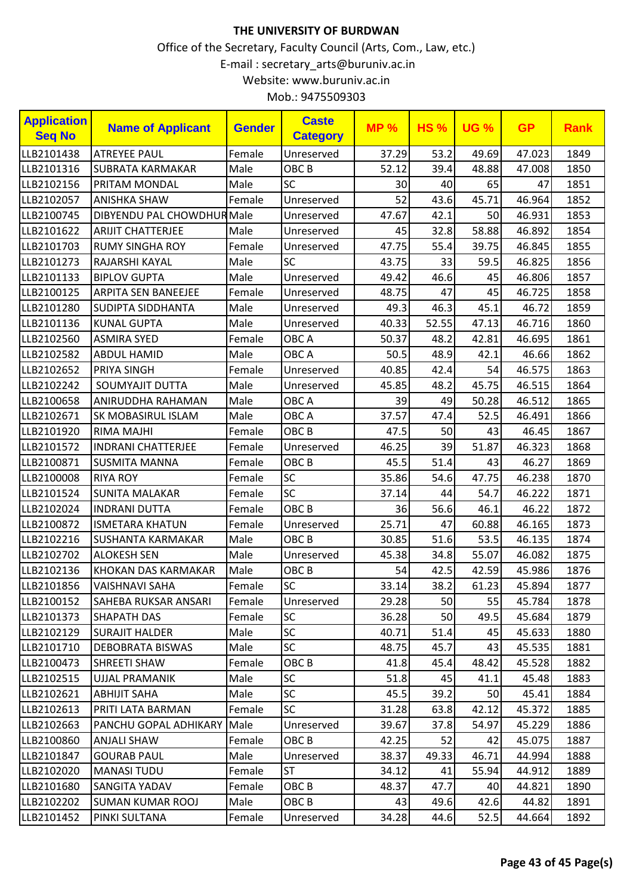| <b>Application</b><br><b>Seq No</b> | <b>Name of Applicant</b>   | <b>Gender</b> | <b>Caste</b><br><b>Category</b> | <b>MP%</b> | <b>HS%</b> | <b>UG %</b> | <b>GP</b> | <b>Rank</b> |
|-------------------------------------|----------------------------|---------------|---------------------------------|------------|------------|-------------|-----------|-------------|
| LLB2101438                          | <b>ATREYEE PAUL</b>        | Female        | Unreserved                      | 37.29      | 53.2       | 49.69       | 47.023    | 1849        |
| LLB2101316                          | <b>SUBRATA KARMAKAR</b>    | Male          | OBC <sub>B</sub>                | 52.12      | 39.4       | 48.88       | 47.008    | 1850        |
| LLB2102156                          | <b>PRITAM MONDAL</b>       | Male          | <b>SC</b>                       | 30         | 40         | 65          | 47        | 1851        |
| LLB2102057                          | <b>ANISHKA SHAW</b>        | Female        | Unreserved                      | 52         | 43.6       | 45.71       | 46.964    | 1852        |
| LLB2100745                          | DIBYENDU PAL CHOWDHUR Male |               | Unreserved                      | 47.67      | 42.1       | 50          | 46.931    | 1853        |
| LLB2101622                          | <b>ARIJIT CHATTERJEE</b>   | Male          | Unreserved                      | 45         | 32.8       | 58.88       | 46.892    | 1854        |
| LLB2101703                          | <b>RUMY SINGHA ROY</b>     | Female        | Unreserved                      | 47.75      | 55.4       | 39.75       | 46.845    | 1855        |
| LLB2101273                          | RAJARSHI KAYAL             | Male          | SC                              | 43.75      | 33         | 59.5        | 46.825    | 1856        |
| LLB2101133                          | <b>BIPLOV GUPTA</b>        | Male          | Unreserved                      | 49.42      | 46.6       | 45          | 46.806    | 1857        |
| LLB2100125                          | <b>ARPITA SEN BANEEJEE</b> | Female        | Unreserved                      | 48.75      | 47         | 45          | 46.725    | 1858        |
| LLB2101280                          | <b>SUDIPTA SIDDHANTA</b>   | Male          | Unreserved                      | 49.3       | 46.3       | 45.1        | 46.72     | 1859        |
| LLB2101136                          | <b>KUNAL GUPTA</b>         | Male          | Unreserved                      | 40.33      | 52.55      | 47.13       | 46.716    | 1860        |
| LLB2102560                          | <b>ASMIRA SYED</b>         | Female        | OBC A                           | 50.37      | 48.2       | 42.81       | 46.695    | 1861        |
| LLB2102582                          | <b>ABDUL HAMID</b>         | Male          | OBC A                           | 50.5       | 48.9       | 42.1        | 46.66     | 1862        |
| LLB2102652                          | <b>PRIYA SINGH</b>         | Female        | Unreserved                      | 40.85      | 42.4       | 54          | 46.575    | 1863        |
| LLB2102242                          | SOUMYAJIT DUTTA            | Male          | Unreserved                      | 45.85      | 48.2       | 45.75       | 46.515    | 1864        |
| LLB2100658                          | ANIRUDDHA RAHAMAN          | Male          | OBC A                           | 39         | 49         | 50.28       | 46.512    | 1865        |
| LLB2102671                          | SK MOBASIRUL ISLAM         | Male          | OBC A                           | 37.57      | 47.4       | 52.5        | 46.491    | 1866        |
| LLB2101920                          | RIMA MAJHI                 | Female        | OBC <sub>B</sub>                | 47.5       | 50         | 43          | 46.45     | 1867        |
| LLB2101572                          | <b>INDRANI CHATTERJEE</b>  | Female        | Unreserved                      | 46.25      | 39         | 51.87       | 46.323    | 1868        |
| LLB2100871                          | <b>SUSMITA MANNA</b>       | Female        | OBC <sub>B</sub>                | 45.5       | 51.4       | 43          | 46.27     | 1869        |
| LLB2100008                          | <b>RIYA ROY</b>            | Female        | <b>SC</b>                       | 35.86      | 54.6       | 47.75       | 46.238    | 1870        |
| LLB2101524                          | <b>SUNITA MALAKAR</b>      | Female        | SC                              | 37.14      | 44         | 54.7        | 46.222    | 1871        |
| LLB2102024                          | <b>INDRANI DUTTA</b>       | Female        | OBC <sub>B</sub>                | 36         | 56.6       | 46.1        | 46.22     | 1872        |
| LLB2100872                          | <b>ISMETARA KHATUN</b>     | Female        | Unreserved                      | 25.71      | 47         | 60.88       | 46.165    | 1873        |
| LLB2102216                          | SUSHANTA KARMAKAR          | Male          | OBC <sub>B</sub>                | 30.85      | 51.6       | 53.5        | 46.135    | 1874        |
| LLB2102702                          | <b>ALOKESH SEN</b>         | Male          | Unreserved                      | 45.38      | 34.8       | 55.07       | 46.082    | 1875        |
| LLB2102136                          | KHOKAN DAS KARMAKAR        | Male          | OBC <sub>B</sub>                | 54         | 42.5       | 42.59       | 45.986    | 1876        |
| LLB2101856                          | <b>VAISHNAVI SAHA</b>      | Female        | SC                              | 33.14      | 38.2       | 61.23       | 45.894    | 1877        |
| LLB2100152                          | SAHEBA RUKSAR ANSARI       | Female        | Unreserved                      | 29.28      | 50         | 55          | 45.784    | 1878        |
| LLB2101373                          | <b>SHAPATH DAS</b>         | Female        | <b>SC</b>                       | 36.28      | 50         | 49.5        | 45.684    | 1879        |
| LLB2102129                          | <b>SURAJIT HALDER</b>      | Male          | <b>SC</b>                       | 40.71      | 51.4       | 45          | 45.633    | 1880        |
| LLB2101710                          | DEBOBRATA BISWAS           | Male          | <b>SC</b>                       | 48.75      | 45.7       | 43          | 45.535    | 1881        |
| LLB2100473                          | <b>SHREETI SHAW</b>        | Female        | OBC <sub>B</sub>                | 41.8       | 45.4       | 48.42       | 45.528    | 1882        |
| LLB2102515                          | UJJAL PRAMANIK             | Male          | <b>SC</b>                       | 51.8       | 45         | 41.1        | 45.48     | 1883        |
| LLB2102621                          | <b>ABHIJIT SAHA</b>        | Male          | <b>SC</b>                       | 45.5       | 39.2       | 50          | 45.41     | 1884        |
| LLB2102613                          | PRITI LATA BARMAN          | Female        | <b>SC</b>                       | 31.28      | 63.8       | 42.12       | 45.372    | 1885        |
| LLB2102663                          | PANCHU GOPAL ADHIKARY      | Male          | Unreserved                      | 39.67      | 37.8       | 54.97       | 45.229    | 1886        |
| LLB2100860                          | ANJALI SHAW                | Female        | OBC <sub>B</sub>                | 42.25      | 52         | 42          | 45.075    | 1887        |
| LLB2101847                          | GOURAB PAUL                | Male          | Unreserved                      | 38.37      | 49.33      | 46.71       | 44.994    | 1888        |
| LLB2102020                          | <b>MANASI TUDU</b>         | Female        | <b>ST</b>                       | 34.12      | 41         | 55.94       | 44.912    | 1889        |
| LLB2101680                          | SANGITA YADAV              | Female        | OBC B                           | 48.37      | 47.7       | 40          | 44.821    | 1890        |
| LLB2102202                          | <b>SUMAN KUMAR ROOJ</b>    | Male          | OBC <sub>B</sub>                | 43         | 49.6       | 42.6        | 44.82     | 1891        |
| LLB2101452                          | PINKI SULTANA              | Female        | Unreserved                      | 34.28      | 44.6       | 52.5        | 44.664    | 1892        |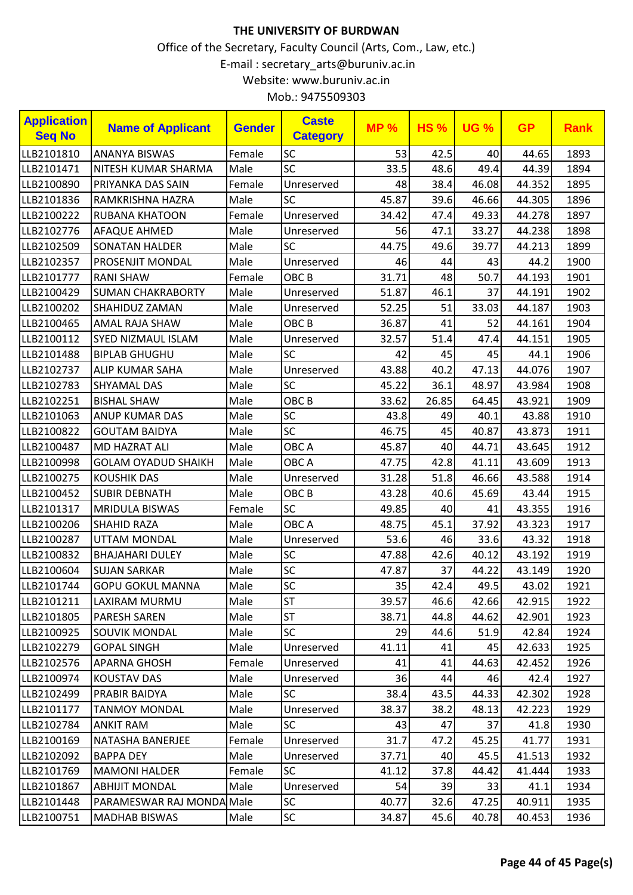| <b>Application</b><br><b>Seq No</b> | <b>Name of Applicant</b>   | <b>Gender</b> | <b>Caste</b><br><b>Category</b> | <b>MP%</b> | <b>HS%</b> | <b>UG %</b> | <b>GP</b> | <b>Rank</b> |
|-------------------------------------|----------------------------|---------------|---------------------------------|------------|------------|-------------|-----------|-------------|
| LLB2101810                          | <b>ANANYA BISWAS</b>       | Female        | <b>SC</b>                       | 53         | 42.5       | 40          | 44.65     | 1893        |
| LLB2101471                          | NITESH KUMAR SHARMA        | Male          | SC                              | 33.5       | 48.6       | 49.4        | 44.39     | 1894        |
| LLB2100890                          | PRIYANKA DAS SAIN          | Female        | Unreserved                      | 48         | 38.4       | 46.08       | 44.352    | 1895        |
| LLB2101836                          | RAMKRISHNA HAZRA           | Male          | <b>SC</b>                       | 45.87      | 39.6       | 46.66       | 44.305    | 1896        |
| LLB2100222                          | <b>RUBANA KHATOON</b>      | Female        | Unreserved                      | 34.42      | 47.4       | 49.33       | 44.278    | 1897        |
| LLB2102776                          | <b>AFAQUE AHMED</b>        | Male          | Unreserved                      | 56         | 47.1       | 33.27       | 44.238    | 1898        |
| LLB2102509                          | <b>SONATAN HALDER</b>      | Male          | <b>SC</b>                       | 44.75      | 49.6       | 39.77       | 44.213    | 1899        |
| LLB2102357                          | PROSENJIT MONDAL           | Male          | Unreserved                      | 46         | 44         | 43          | 44.2      | 1900        |
| LLB2101777                          | <b>RANI SHAW</b>           | Female        | OBC <sub>B</sub>                | 31.71      | 48         | 50.7        | 44.193    | 1901        |
| LLB2100429                          | <b>SUMAN CHAKRABORTY</b>   | Male          | Unreserved                      | 51.87      | 46.1       | 37          | 44.191    | 1902        |
| LLB2100202                          | SHAHIDUZ ZAMAN             | Male          | Unreserved                      | 52.25      | 51         | 33.03       | 44.187    | 1903        |
| LLB2100465                          | <b>AMAL RAJA SHAW</b>      | Male          | OBC <sub>B</sub>                | 36.87      | 41         | 52          | 44.161    | 1904        |
| LLB2100112                          | <b>SYED NIZMAUL ISLAM</b>  | Male          | Unreserved                      | 32.57      | 51.4       | 47.4        | 44.151    | 1905        |
| LLB2101488                          | <b>BIPLAB GHUGHU</b>       | Male          | <b>SC</b>                       | 42         | 45         | 45          | 44.1      | 1906        |
| LLB2102737                          | ALIP KUMAR SAHA            | Male          | Unreserved                      | 43.88      | 40.2       | 47.13       | 44.076    | 1907        |
| LLB2102783                          | <b>SHYAMAL DAS</b>         | Male          | SC                              | 45.22      | 36.1       | 48.97       | 43.984    | 1908        |
| LLB2102251                          | <b>BISHAL SHAW</b>         | Male          | OBC <sub>B</sub>                | 33.62      | 26.85      | 64.45       | 43.921    | 1909        |
| LLB2101063                          | <b>ANUP KUMAR DAS</b>      | Male          | SC                              | 43.8       | 49         | 40.1        | 43.88     | 1910        |
| LLB2100822                          | <b>GOUTAM BAIDYA</b>       | Male          | SC                              | 46.75      | 45         | 40.87       | 43.873    | 1911        |
| LLB2100487                          | <b>MD HAZRAT ALI</b>       | Male          | OBC A                           | 45.87      | 40         | 44.71       | 43.645    | 1912        |
| LLB2100998                          | <b>GOLAM OYADUD SHAIKH</b> | Male          | OBC A                           | 47.75      | 42.8       | 41.11       | 43.609    | 1913        |
| LLB2100275                          | <b>KOUSHIK DAS</b>         | Male          | Unreserved                      | 31.28      | 51.8       | 46.66       | 43.588    | 1914        |
| LLB2100452                          | <b>SUBIR DEBNATH</b>       | Male          | OBC <sub>B</sub>                | 43.28      | 40.6       | 45.69       | 43.44     | 1915        |
| LLB2101317                          | <b>MRIDULA BISWAS</b>      | Female        | SC                              | 49.85      | 40         | 41          | 43.355    | 1916        |
| LLB2100206                          | <b>SHAHID RAZA</b>         | Male          | OBC A                           | 48.75      | 45.1       | 37.92       | 43.323    | 1917        |
| LLB2100287                          | <b>UTTAM MONDAL</b>        | Male          | Unreserved                      | 53.6       | 46         | 33.6        | 43.32     | 1918        |
| LLB2100832                          | <b>BHAJAHARI DULEY</b>     | Male          | SC                              | 47.88      | 42.6       | 40.12       | 43.192    | 1919        |
| LLB2100604                          | <b>SUJAN SARKAR</b>        | Male          | SC                              | 47.87      | 37         | 44.22       | 43.149    | 1920        |
| LLB2101744                          | <b>GOPU GOKUL MANNA</b>    | Male          | SC                              | 35         | 42.4       | 49.5        | 43.02     | 1921        |
| LLB2101211                          | LAXIRAM MURMU              | Male          | <b>ST</b>                       | 39.57      | 46.6       | 42.66       | 42.915    | 1922        |
| LLB2101805                          | <b>PARESH SAREN</b>        | Male          | <b>ST</b>                       | 38.71      | 44.8       | 44.62       | 42.901    | 1923        |
| LLB2100925                          | <b>SOUVIK MONDAL</b>       | Male          | <b>SC</b>                       | 29         | 44.6       | 51.9        | 42.84     | 1924        |
| LLB2102279                          | <b>GOPAL SINGH</b>         | Male          | Unreserved                      | 41.11      | 41         | 45          | 42.633    | 1925        |
| LLB2102576                          | <b>APARNA GHOSH</b>        | Female        | Unreserved                      | 41         | 41         | 44.63       | 42.452    | 1926        |
| LLB2100974                          | <b>KOUSTAV DAS</b>         | Male          | Unreserved                      | 36         | 44         | 46          | 42.4      | 1927        |
| LLB2102499                          | PRABIR BAIDYA              | Male          | <b>SC</b>                       | 38.4       | 43.5       | 44.33       | 42.302    | 1928        |
| LLB2101177                          | <b>TANMOY MONDAL</b>       | Male          | Unreserved                      | 38.37      | 38.2       | 48.13       | 42.223    | 1929        |
| LLB2102784                          | <b>ANKIT RAM</b>           | Male          | <b>SC</b>                       | 43         | 47         | 37          | 41.8      | 1930        |
| LLB2100169                          | <b>NATASHA BANERJEE</b>    | Female        | Unreserved                      | 31.7       | 47.2       | 45.25       | 41.77     | 1931        |
| LLB2102092                          | <b>BAPPA DEY</b>           | Male          | Unreserved                      | 37.71      | 40         | 45.5        | 41.513    | 1932        |
| LLB2101769                          | <b>MAMONI HALDER</b>       | Female        | <b>SC</b>                       | 41.12      | 37.8       | 44.42       | 41.444    | 1933        |
| LLB2101867                          | <b>ABHIJIT MONDAL</b>      | Male          | Unreserved                      | 54         | 39         | 33          | 41.1      | 1934        |
| LLB2101448                          | PARAMESWAR RAJ MONDA Male  |               | <b>SC</b>                       | 40.77      | 32.6       | 47.25       | 40.911    | 1935        |
| LLB2100751                          | <b>MADHAB BISWAS</b>       | Male          | <b>SC</b>                       | 34.87      | 45.6       | 40.78       | 40.453    | 1936        |